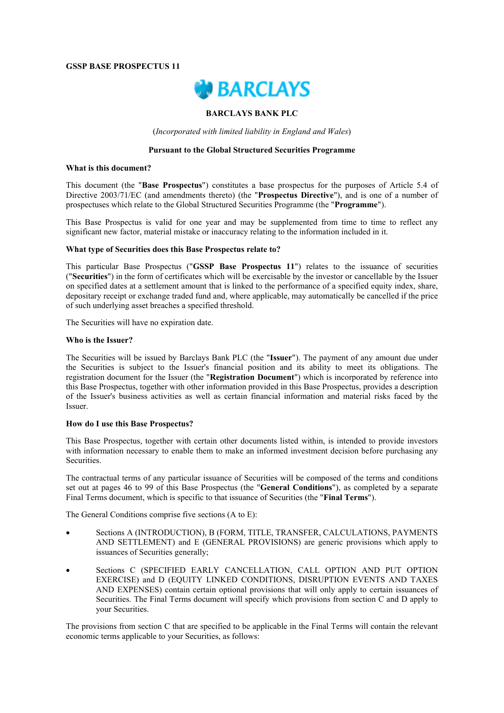## **GSSP BASE PROSPECTUS 11**



# **BARCLAYS BANK PLC**

(*Incorporated with limited liability in England and Wales*)

#### **Pursuant to the Global Structured Securities Programme**

#### **What is this document?**

This document (the "**Base Prospectus**") constitutes a base prospectus for the purposes of Article 5.4 of Directive 2003/71/EC (and amendments thereto) (the "**Prospectus Directive**"), and is one of a number of prospectuses which relate to the Global Structured Securities Programme (the "**Programme**").

This Base Prospectus is valid for one year and may be supplemented from time to time to reflect any significant new factor, material mistake or inaccuracy relating to the information included in it.

### **What type of Securities does this Base Prospectus relate to?**

This particular Base Prospectus ("**GSSP Base Prospectus 11**") relates to the issuance of securities ("**Securities**") in the form of certificates which will be exercisable by the investor or cancellable by the Issuer on specified dates at a settlement amount that is linked to the performance of a specified equity index, share, depositary receipt or exchange traded fund and, where applicable, may automatically be cancelled if the price of such underlying asset breaches a specified threshold.

The Securities will have no expiration date.

#### **Who is the Issuer?**

The Securities will be issued by Barclays Bank PLC (the "**Issuer**"). The payment of any amount due under the Securities is subject to the Issuer's financial position and its ability to meet its obligations. The registration document for the Issuer (the "**Registration Document**") which is incorporated by reference into this Base Prospectus, together with other information provided in this Base Prospectus, provides a description of the Issuer's business activities as well as certain financial information and material risks faced by the Issuer.

### **How do I use this Base Prospectus?**

This Base Prospectus, together with certain other documents listed within, is intended to provide investors with information necessary to enable them to make an informed investment decision before purchasing any Securities.

The contractual terms of any particular issuance of Securities will be composed of the terms and conditions set out at pages 46 to 99 of this Base Prospectus (the "**General Conditions**"), as completed by a separate Final Terms document, which is specific to that issuance of Securities (the "**Final Terms**").

The General Conditions comprise five sections (A to E):

- Sections A (INTRODUCTION), B (FORM, TITLE, TRANSFER, CALCULATIONS, PAYMENTS AND SETTLEMENT) and E (GENERAL PROVISIONS) are generic provisions which apply to issuances of Securities generally;
- Sections C (SPECIFIED EARLY CANCELLATION, CALL OPTION AND PUT OPTION EXERCISE) and D (EQUITY LINKED CONDITIONS, DISRUPTION EVENTS AND TAXES AND EXPENSES) contain certain optional provisions that will only apply to certain issuances of Securities. The Final Terms document will specify which provisions from section C and D apply to your Securities.

The provisions from section C that are specified to be applicable in the Final Terms will contain the relevant economic terms applicable to your Securities, as follows: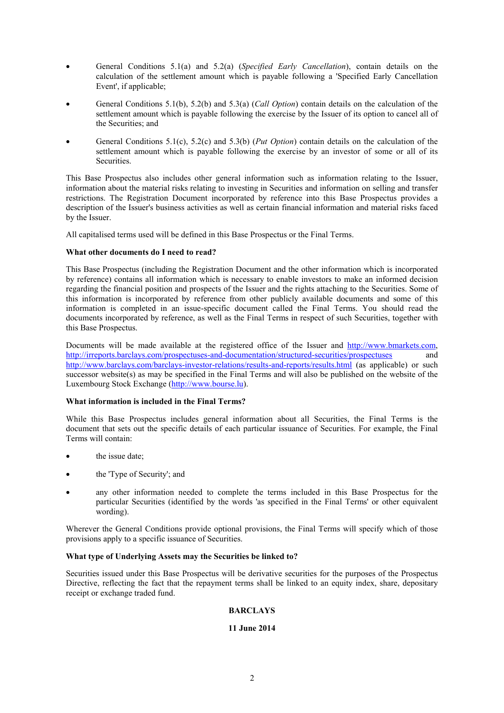- General Conditions 5.1(a) and 5.2(a) (*Specified Early Cancellation*), contain details on the calculation of the settlement amount which is payable following a 'Specified Early Cancellation Event', if applicable;
- General Conditions 5.1(b), 5.2(b) and 5.3(a) (*Call Option*) contain details on the calculation of the settlement amount which is payable following the exercise by the Issuer of its option to cancel all of the Securities; and
- General Conditions 5.1(c), 5.2(c) and 5.3(b) (*Put Option*) contain details on the calculation of the settlement amount which is payable following the exercise by an investor of some or all of its **Securities**

This Base Prospectus also includes other general information such as information relating to the Issuer, information about the material risks relating to investing in Securities and information on selling and transfer restrictions. The Registration Document incorporated by reference into this Base Prospectus provides a description of the Issuer's business activities as well as certain financial information and material risks faced by the Issuer.

All capitalised terms used will be defined in this Base Prospectus or the Final Terms.

# **What other documents do I need to read?**

This Base Prospectus (including the Registration Document and the other information which is incorporated by reference) contains all information which is necessary to enable investors to make an informed decision regarding the financial position and prospects of the Issuer and the rights attaching to the Securities. Some of this information is incorporated by reference from other publicly available documents and some of this information is completed in an issue-specific document called the Final Terms. You should read the documents incorporated by reference, as well as the Final Terms in respect of such Securities, together with this Base Prospectus.

Documents will be made available at the registered office of the Issuer and http://www.bmarkets.com, http://irreports.barclays.com/prospectuses-and-documentation/structured-securities/prospectuses and http://www.barclays.com/barclays-investor-relations/results-and-reports/results.html (as applicable) or such successor website(s) as may be specified in the Final Terms and will also be published on the website of the Luxembourg Stock Exchange (http://www.bourse.lu).

# **What information is included in the Final Terms?**

While this Base Prospectus includes general information about all Securities, the Final Terms is the document that sets out the specific details of each particular issuance of Securities. For example, the Final Terms will contain:

- the issue date;
- the 'Type of Security'; and
- any other information needed to complete the terms included in this Base Prospectus for the particular Securities (identified by the words 'as specified in the Final Terms' or other equivalent wording).

Wherever the General Conditions provide optional provisions, the Final Terms will specify which of those provisions apply to a specific issuance of Securities.

### **What type of Underlying Assets may the Securities be linked to?**

Securities issued under this Base Prospectus will be derivative securities for the purposes of the Prospectus Directive, reflecting the fact that the repayment terms shall be linked to an equity index, share, depositary receipt or exchange traded fund.

# **BARCLAYS**

# **11 June 2014**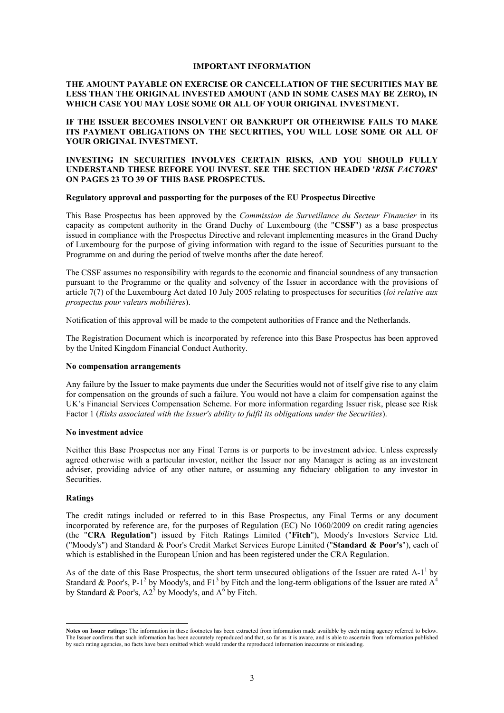#### **IMPORTANT INFORMATION**

# **THE AMOUNT PAYABLE ON EXERCISE OR CANCELLATION OF THE SECURITIES MAY BE LESS THAN THE ORIGINAL INVESTED AMOUNT (AND IN SOME CASES MAY BE ZERO), IN WHICH CASE YOU MAY LOSE SOME OR ALL OF YOUR ORIGINAL INVESTMENT.**

# **IF THE ISSUER BECOMES INSOLVENT OR BANKRUPT OR OTHERWISE FAILS TO MAKE ITS PAYMENT OBLIGATIONS ON THE SECURITIES, YOU WILL LOSE SOME OR ALL OF YOUR ORIGINAL INVESTMENT.**

# **INVESTING IN SECURITIES INVOLVES CERTAIN RISKS, AND YOU SHOULD FULLY UNDERSTAND THESE BEFORE YOU INVEST. SEE THE SECTION HEADED '***RISK FACTORS***' ON PAGES 23 TO 39 OF THIS BASE PROSPECTUS.**

#### **Regulatory approval and passporting for the purposes of the EU Prospectus Directive**

This Base Prospectus has been approved by the *Commission de Surveillance du Secteur Financier* in its capacity as competent authority in the Grand Duchy of Luxembourg (the "**CSSF**") as a base prospectus issued in compliance with the Prospectus Directive and relevant implementing measures in the Grand Duchy of Luxembourg for the purpose of giving information with regard to the issue of Securities pursuant to the Programme on and during the period of twelve months after the date hereof.

The CSSF assumes no responsibility with regards to the economic and financial soundness of any transaction pursuant to the Programme or the quality and solvency of the Issuer in accordance with the provisions of article 7(7) of the Luxembourg Act dated 10 July 2005 relating to prospectuses for securities (*loi relative aux prospectus pour valeurs mobilières*).

Notification of this approval will be made to the competent authorities of France and the Netherlands.

The Registration Document which is incorporated by reference into this Base Prospectus has been approved by the United Kingdom Financial Conduct Authority.

# **No compensation arrangements**

Any failure by the Issuer to make payments due under the Securities would not of itself give rise to any claim for compensation on the grounds of such a failure. You would not have a claim for compensation against the UK's Financial Services Compensation Scheme. For more information regarding Issuer risk, please see Risk Factor 1 (*Risks associated with the Issuer's ability to fulfil its obligations under the Securities*).

#### **No investment advice**

Neither this Base Prospectus nor any Final Terms is or purports to be investment advice. Unless expressly agreed otherwise with a particular investor, neither the Issuer nor any Manager is acting as an investment adviser, providing advice of any other nature, or assuming any fiduciary obligation to any investor in Securities.

# **Ratings**

-

The credit ratings included or referred to in this Base Prospectus, any Final Terms or any document incorporated by reference are, for the purposes of Regulation (EC) No 1060/2009 on credit rating agencies (the "**CRA Regulation**") issued by Fitch Ratings Limited ("**Fitch**"), Moody's Investors Service Ltd. ("Moody's") and Standard & Poor's Credit Market Services Europe Limited ("**Standard & Poor's**"), each of which is established in the European Union and has been registered under the CRA Regulation.

As of the date of this Base Prospectus, the short term unsecured obligations of the Issuer are rated  $A-1<sup>1</sup>$  by Standard & Poor's, P-1<sup>2</sup> by Moody's, and F1<sup>3</sup> by Fitch and the long-term obligations of the Issuer are rated  $A<sup>4</sup>$ by Standard & Poor's,  $A2^5$  by Moody's, and  $A^6$  by Fitch.

**Notes on Issuer ratings:** The information in these footnotes has been extracted from information made available by each rating agency referred to below. The Issuer confirms that such information has been accurately reproduced and that, so far as it is aware, and is able to ascertain from information published by such rating agencies, no facts have been omitted which would render the reproduced information inaccurate or misleading.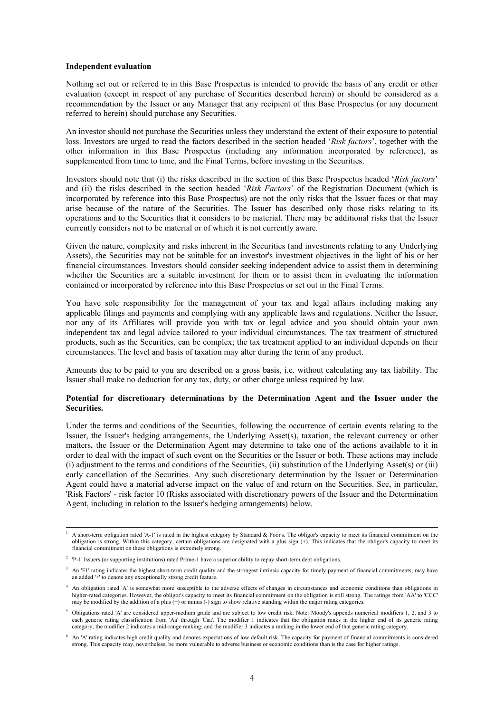#### **Independent evaluation**

-

Nothing set out or referred to in this Base Prospectus is intended to provide the basis of any credit or other evaluation (except in respect of any purchase of Securities described herein) or should be considered as a recommendation by the Issuer or any Manager that any recipient of this Base Prospectus (or any document referred to herein) should purchase any Securities.

An investor should not purchase the Securities unless they understand the extent of their exposure to potential loss. Investors are urged to read the factors described in the section headed '*Risk factors*', together with the other information in this Base Prospectus (including any information incorporated by reference), as supplemented from time to time, and the Final Terms, before investing in the Securities.

Investors should note that (i) the risks described in the section of this Base Prospectus headed '*Risk factors*' and (ii) the risks described in the section headed '*Risk Factors*' of the Registration Document (which is incorporated by reference into this Base Prospectus) are not the only risks that the Issuer faces or that may arise because of the nature of the Securities. The Issuer has described only those risks relating to its operations and to the Securities that it considers to be material. There may be additional risks that the Issuer currently considers not to be material or of which it is not currently aware.

Given the nature, complexity and risks inherent in the Securities (and investments relating to any Underlying Assets), the Securities may not be suitable for an investor's investment objectives in the light of his or her financial circumstances. Investors should consider seeking independent advice to assist them in determining whether the Securities are a suitable investment for them or to assist them in evaluating the information contained or incorporated by reference into this Base Prospectus or set out in the Final Terms.

You have sole responsibility for the management of your tax and legal affairs including making any applicable filings and payments and complying with any applicable laws and regulations. Neither the Issuer, nor any of its Affiliates will provide you with tax or legal advice and you should obtain your own independent tax and legal advice tailored to your individual circumstances. The tax treatment of structured products, such as the Securities, can be complex; the tax treatment applied to an individual depends on their circumstances. The level and basis of taxation may alter during the term of any product.

Amounts due to be paid to you are described on a gross basis, i.e. without calculating any tax liability. The Issuer shall make no deduction for any tax, duty, or other charge unless required by law.

# **Potential for discretionary determinations by the Determination Agent and the Issuer under the Securities.**

Under the terms and conditions of the Securities, following the occurrence of certain events relating to the Issuer, the Issuer's hedging arrangements, the Underlying Asset(s), taxation, the relevant currency or other matters, the Issuer or the Determination Agent may determine to take one of the actions available to it in order to deal with the impact of such event on the Securities or the Issuer or both. These actions may include (i) adjustment to the terms and conditions of the Securities, (ii) substitution of the Underlying Asset(s) or (iii) early cancellation of the Securities. Any such discretionary determination by the Issuer or Determination Agent could have a material adverse impact on the value of and return on the Securities. See, in particular, 'Risk Factors' - risk factor 10 (Risks associated with discretionary powers of the Issuer and the Determination Agent, including in relation to the Issuer's hedging arrangements) below.

 $<sup>1</sup>$  A short-term obligation rated 'A-1' is rated in the highest category by Standard & Poor's. The obligor's capacity to meet its financial commitment on the</sup> obligation is strong. Within this category, certain obligations are designated with a plus sign (+). This indicates that the obligor's capacity to meet its financial commitment on these obligations is extremely strong.

<sup>&</sup>lt;sup>2</sup> 'P-1' Issuers (or supporting institutions) rated Prime-1 have a superior ability to repay short-term debt obligations.

<sup>&</sup>lt;sup>3</sup> An 'F1' rating indicates the highest short-term credit quality and the strongest intrinsic capacity for timely payment of financial commitments; may have an added '+' to denote any exceptionally strong credit feature.

<sup>&</sup>lt;sup>4</sup> An obligation rated 'A' is somewhat more susceptible to the adverse effects of changes in circumstances and economic conditions than obligations in higher-rated categories. However, the obligor's capacity to meet its financial commitment on the obligation is still strong. The ratings from 'AA' to 'CCC' may be modified by the addition of a plus  $(+)$  or minus  $(-)$  sign to show relative standing within the major rating categories.

<sup>&</sup>lt;sup>5</sup> Obligations rated 'A' are considered upper-medium grade and are subject to low credit risk. Note: Moody's appends numerical modifiers 1, 2, and 3 to each generic rating classification from 'Aa' through 'Caa'. The modifier 1 indicates that the obligation ranks in the higher end of its generic rating category; the modifier 2 indicates a mid-range ranking; and the modifier 3 indicates a ranking in the lower end of that generic rating category.

<sup>6</sup> An 'A' rating indicates high credit quality and denotes expectations of low default risk. The capacity for payment of financial commitments is considered strong. This capacity may, nevertheless, be more vulnerable to adverse business or economic conditions than is the case for higher ratings.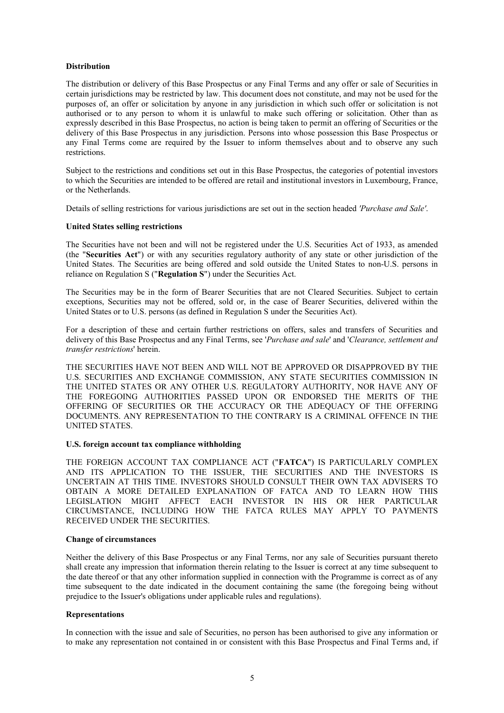# **Distribution**

The distribution or delivery of this Base Prospectus or any Final Terms and any offer or sale of Securities in certain jurisdictions may be restricted by law. This document does not constitute, and may not be used for the purposes of, an offer or solicitation by anyone in any jurisdiction in which such offer or solicitation is not authorised or to any person to whom it is unlawful to make such offering or solicitation. Other than as expressly described in this Base Prospectus, no action is being taken to permit an offering of Securities or the delivery of this Base Prospectus in any jurisdiction. Persons into whose possession this Base Prospectus or any Final Terms come are required by the Issuer to inform themselves about and to observe any such restrictions.

Subject to the restrictions and conditions set out in this Base Prospectus, the categories of potential investors to which the Securities are intended to be offered are retail and institutional investors in Luxembourg, France, or the Netherlands.

Details of selling restrictions for various jurisdictions are set out in the section headed *'Purchase and Sale'*.

# **United States selling restrictions**

The Securities have not been and will not be registered under the U.S. Securities Act of 1933, as amended (the "**Securities Act**") or with any securities regulatory authority of any state or other jurisdiction of the United States. The Securities are being offered and sold outside the United States to non-U.S. persons in reliance on Regulation S ("**Regulation S**") under the Securities Act.

The Securities may be in the form of Bearer Securities that are not Cleared Securities. Subject to certain exceptions, Securities may not be offered, sold or, in the case of Bearer Securities, delivered within the United States or to U.S. persons (as defined in Regulation S under the Securities Act).

For a description of these and certain further restrictions on offers, sales and transfers of Securities and delivery of this Base Prospectus and any Final Terms, see '*Purchase and sale*' and '*Clearance, settlement and transfer restrictions*' herein.

THE SECURITIES HAVE NOT BEEN AND WILL NOT BE APPROVED OR DISAPPROVED BY THE U.S. SECURITIES AND EXCHANGE COMMISSION, ANY STATE SECURITIES COMMISSION IN THE UNITED STATES OR ANY OTHER U.S. REGULATORY AUTHORITY, NOR HAVE ANY OF THE FOREGOING AUTHORITIES PASSED UPON OR ENDORSED THE MERITS OF THE OFFERING OF SECURITIES OR THE ACCURACY OR THE ADEQUACY OF THE OFFERING DOCUMENTS. ANY REPRESENTATION TO THE CONTRARY IS A CRIMINAL OFFENCE IN THE UNITED STATES.

### **U.S. foreign account tax compliance withholding**

THE FOREIGN ACCOUNT TAX COMPLIANCE ACT ("**FATCA**") IS PARTICULARLY COMPLEX AND ITS APPLICATION TO THE ISSUER, THE SECURITIES AND THE INVESTORS IS UNCERTAIN AT THIS TIME. INVESTORS SHOULD CONSULT THEIR OWN TAX ADVISERS TO OBTAIN A MORE DETAILED EXPLANATION OF FATCA AND TO LEARN HOW THIS LEGISLATION MIGHT AFFECT EACH INVESTOR IN HIS OR HER PARTICULAR CIRCUMSTANCE, INCLUDING HOW THE FATCA RULES MAY APPLY TO PAYMENTS RECEIVED UNDER THE SECURITIES.

### **Change of circumstances**

Neither the delivery of this Base Prospectus or any Final Terms, nor any sale of Securities pursuant thereto shall create any impression that information therein relating to the Issuer is correct at any time subsequent to the date thereof or that any other information supplied in connection with the Programme is correct as of any time subsequent to the date indicated in the document containing the same (the foregoing being without prejudice to the Issuer's obligations under applicable rules and regulations).

# **Representations**

In connection with the issue and sale of Securities, no person has been authorised to give any information or to make any representation not contained in or consistent with this Base Prospectus and Final Terms and, if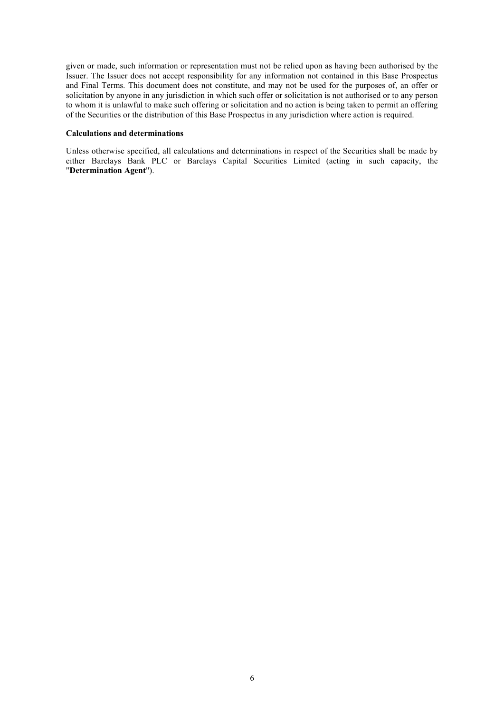given or made, such information or representation must not be relied upon as having been authorised by the Issuer. The Issuer does not accept responsibility for any information not contained in this Base Prospectus and Final Terms. This document does not constitute, and may not be used for the purposes of, an offer or solicitation by anyone in any jurisdiction in which such offer or solicitation is not authorised or to any person to whom it is unlawful to make such offering or solicitation and no action is being taken to permit an offering of the Securities or the distribution of this Base Prospectus in any jurisdiction where action is required.

## **Calculations and determinations**

Unless otherwise specified, all calculations and determinations in respect of the Securities shall be made by either Barclays Bank PLC or Barclays Capital Securities Limited (acting in such capacity, the "**Determination Agent**").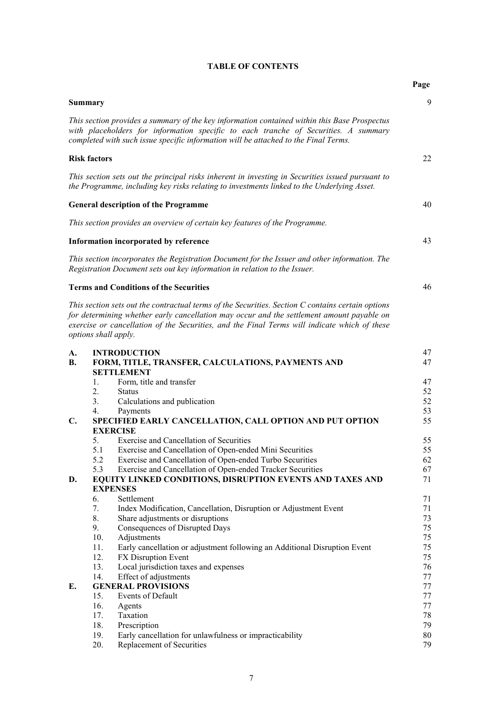|                |                     |                                                                                                                                                                                                                                                                                                                        | Page     |  |  |
|----------------|---------------------|------------------------------------------------------------------------------------------------------------------------------------------------------------------------------------------------------------------------------------------------------------------------------------------------------------------------|----------|--|--|
|                | <b>Summary</b>      |                                                                                                                                                                                                                                                                                                                        | 9        |  |  |
|                |                     | This section provides a summary of the key information contained within this Base Prospectus<br>with placeholders for information specific to each tranche of Securities. A summary<br>completed with such issue specific information will be attached to the Final Terms.                                             |          |  |  |
|                | <b>Risk factors</b> |                                                                                                                                                                                                                                                                                                                        | 22       |  |  |
|                |                     | This section sets out the principal risks inherent in investing in Securities issued pursuant to<br>the Programme, including key risks relating to investments linked to the Underlying Asset.                                                                                                                         |          |  |  |
|                |                     | <b>General description of the Programme</b>                                                                                                                                                                                                                                                                            | 40       |  |  |
|                |                     | This section provides an overview of certain key features of the Programme.                                                                                                                                                                                                                                            |          |  |  |
|                |                     | Information incorporated by reference                                                                                                                                                                                                                                                                                  | 43       |  |  |
|                |                     | This section incorporates the Registration Document for the Issuer and other information. The<br>Registration Document sets out key information in relation to the Issuer.                                                                                                                                             |          |  |  |
|                |                     | <b>Terms and Conditions of the Securities</b>                                                                                                                                                                                                                                                                          | 46       |  |  |
|                |                     | This section sets out the contractual terms of the Securities. Section C contains certain options<br>for determining whether early cancellation may occur and the settlement amount payable on<br>exercise or cancellation of the Securities, and the Final Terms will indicate which of these<br>options shall apply. |          |  |  |
| A.             |                     | <b>INTRODUCTION</b>                                                                                                                                                                                                                                                                                                    | 47       |  |  |
| <b>B.</b>      |                     | FORM, TITLE, TRANSFER, CALCULATIONS, PAYMENTS AND<br><b>SETTLEMENT</b>                                                                                                                                                                                                                                                 | 47       |  |  |
|                | 1.                  | Form, title and transfer                                                                                                                                                                                                                                                                                               | 47       |  |  |
|                | 2.                  | <b>Status</b>                                                                                                                                                                                                                                                                                                          | 52       |  |  |
|                | 3.                  | Calculations and publication                                                                                                                                                                                                                                                                                           | 52<br>53 |  |  |
| $\mathbf{C}$ . | 4.                  | Payments<br>SPECIFIED EARLY CANCELLATION, CALL OPTION AND PUT OPTION                                                                                                                                                                                                                                                   | 55       |  |  |
|                |                     | <b>EXERCISE</b>                                                                                                                                                                                                                                                                                                        |          |  |  |
|                | 5.                  | Exercise and Cancellation of Securities                                                                                                                                                                                                                                                                                | 55       |  |  |
|                | 5.1                 | Exercise and Cancellation of Open-ended Mini Securities                                                                                                                                                                                                                                                                | 55       |  |  |
|                | 5.2                 | Exercise and Cancellation of Open-ended Turbo Securities                                                                                                                                                                                                                                                               | 62       |  |  |
| D.             | 5.3                 | Exercise and Cancellation of Open-ended Tracker Securities<br>EQUITY LINKED CONDITIONS, DISRUPTION EVENTS AND TAXES AND                                                                                                                                                                                                | 67<br>71 |  |  |
|                | <b>EXPENSES</b>     |                                                                                                                                                                                                                                                                                                                        |          |  |  |
|                | 6.                  | Settlement                                                                                                                                                                                                                                                                                                             | 71       |  |  |
|                | 7.                  | Index Modification, Cancellation, Disruption or Adjustment Event                                                                                                                                                                                                                                                       | 71       |  |  |
|                | 8.                  | Share adjustments or disruptions                                                                                                                                                                                                                                                                                       | 73       |  |  |
|                | 9.                  | Consequences of Disrupted Days                                                                                                                                                                                                                                                                                         | 75       |  |  |
|                | 10.                 | Adjustments                                                                                                                                                                                                                                                                                                            | 75       |  |  |
|                | 11.                 | Early cancellation or adjustment following an Additional Disruption Event                                                                                                                                                                                                                                              | 75       |  |  |
|                | 12.                 | FX Disruption Event                                                                                                                                                                                                                                                                                                    | 75       |  |  |
|                | 13.<br>14.          | Local jurisdiction taxes and expenses<br>Effect of adjustments                                                                                                                                                                                                                                                         | 76       |  |  |
| E.             |                     | <b>GENERAL PROVISIONS</b>                                                                                                                                                                                                                                                                                              | 77<br>77 |  |  |
|                | 15.                 | Events of Default                                                                                                                                                                                                                                                                                                      | 77       |  |  |
|                | 16.                 | Agents                                                                                                                                                                                                                                                                                                                 | 77       |  |  |
|                | 17.                 | Taxation                                                                                                                                                                                                                                                                                                               | 78       |  |  |
|                | 18.                 | Prescription                                                                                                                                                                                                                                                                                                           | 79       |  |  |
|                | 19.                 | Early cancellation for unlawfulness or impracticability                                                                                                                                                                                                                                                                | 80       |  |  |
|                | 20.                 | Replacement of Securities                                                                                                                                                                                                                                                                                              | 79       |  |  |

# **TABLE OF CONTENTS**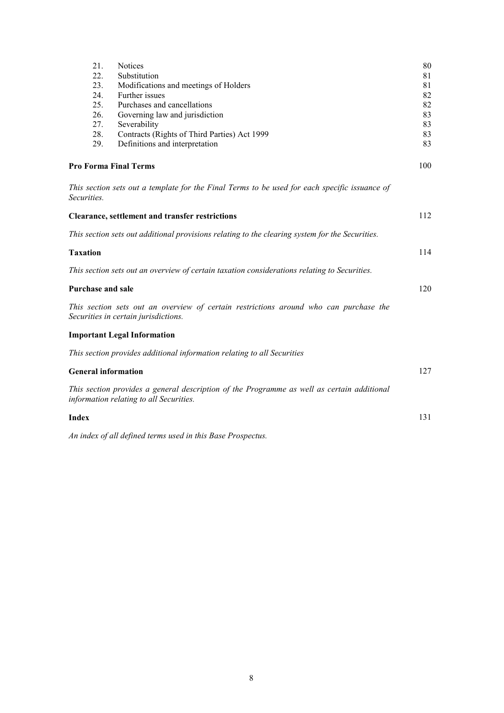| 21.                                                            | <b>Notices</b>                                                                                                                        | 80       |  |
|----------------------------------------------------------------|---------------------------------------------------------------------------------------------------------------------------------------|----------|--|
| 22.<br>23.                                                     | Substitution                                                                                                                          | 81<br>81 |  |
| Modifications and meetings of Holders<br>24.<br>Further issues |                                                                                                                                       |          |  |
| 25.<br>Purchases and cancellations                             |                                                                                                                                       |          |  |
| 26.                                                            | Governing law and jurisdiction                                                                                                        | 82<br>83 |  |
| 27.                                                            | Severability                                                                                                                          | 83       |  |
| 28.                                                            | Contracts (Rights of Third Parties) Act 1999                                                                                          | 83       |  |
| 29.                                                            | Definitions and interpretation                                                                                                        | 83       |  |
|                                                                | <b>Pro Forma Final Terms</b>                                                                                                          | 100      |  |
| Securities.                                                    | This section sets out a template for the Final Terms to be used for each specific issuance of                                         |          |  |
|                                                                | <b>Clearance, settlement and transfer restrictions</b>                                                                                | 112      |  |
|                                                                | This section sets out additional provisions relating to the clearing system for the Securities.                                       |          |  |
| <b>Taxation</b>                                                |                                                                                                                                       | 114      |  |
|                                                                | This section sets out an overview of certain taxation considerations relating to Securities.                                          |          |  |
| <b>Purchase and sale</b>                                       |                                                                                                                                       | 120      |  |
|                                                                | This section sets out an overview of certain restrictions around who can purchase the<br>Securities in certain jurisdictions.         |          |  |
|                                                                | <b>Important Legal Information</b>                                                                                                    |          |  |
|                                                                | This section provides additional information relating to all Securities                                                               |          |  |
| <b>General information</b>                                     |                                                                                                                                       | 127      |  |
|                                                                | This section provides a general description of the Programme as well as certain additional<br>information relating to all Securities. |          |  |
| <b>Index</b>                                                   |                                                                                                                                       | 131      |  |
|                                                                | An index of all defined terms used in this Base Prospectus.                                                                           |          |  |
|                                                                |                                                                                                                                       |          |  |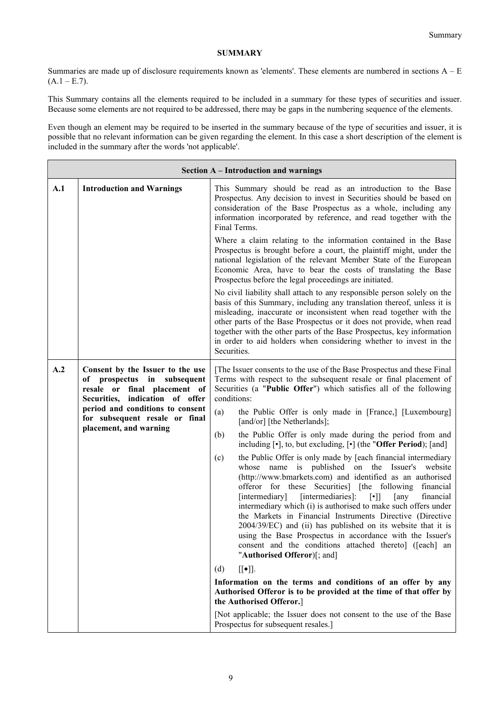# **SUMMARY**

Summaries are made up of disclosure requirements known as 'elements'. These elements are numbered in sections A – E  $(A.1 - E.7)$ .

This Summary contains all the elements required to be included in a summary for these types of securities and issuer. Because some elements are not required to be addressed, there may be gaps in the numbering sequence of the elements.

Even though an element may be required to be inserted in the summary because of the type of securities and issuer, it is possible that no relevant information can be given regarding the element. In this case a short description of the element is included in the summary after the words 'not applicable'.

| <b>Section A – Introduction and warnings</b>                                                                                                                                                                                              |                                                                                                                                                                                                                                                                                                                                                                                                                                                                                                                                                                                                                                                                                                                                                                                                                                                                                                                                                                                                                                                                                                                                                                                                                                                                                                                                                                                                                                                                             |  |  |
|-------------------------------------------------------------------------------------------------------------------------------------------------------------------------------------------------------------------------------------------|-----------------------------------------------------------------------------------------------------------------------------------------------------------------------------------------------------------------------------------------------------------------------------------------------------------------------------------------------------------------------------------------------------------------------------------------------------------------------------------------------------------------------------------------------------------------------------------------------------------------------------------------------------------------------------------------------------------------------------------------------------------------------------------------------------------------------------------------------------------------------------------------------------------------------------------------------------------------------------------------------------------------------------------------------------------------------------------------------------------------------------------------------------------------------------------------------------------------------------------------------------------------------------------------------------------------------------------------------------------------------------------------------------------------------------------------------------------------------------|--|--|
| A.1<br><b>Introduction and Warnings</b>                                                                                                                                                                                                   | This Summary should be read as an introduction to the Base<br>Prospectus. Any decision to invest in Securities should be based on<br>consideration of the Base Prospectus as a whole, including any<br>information incorporated by reference, and read together with the<br>Final Terms.                                                                                                                                                                                                                                                                                                                                                                                                                                                                                                                                                                                                                                                                                                                                                                                                                                                                                                                                                                                                                                                                                                                                                                                    |  |  |
|                                                                                                                                                                                                                                           | Where a claim relating to the information contained in the Base<br>Prospectus is brought before a court, the plaintiff might, under the<br>national legislation of the relevant Member State of the European<br>Economic Area, have to bear the costs of translating the Base<br>Prospectus before the legal proceedings are initiated.                                                                                                                                                                                                                                                                                                                                                                                                                                                                                                                                                                                                                                                                                                                                                                                                                                                                                                                                                                                                                                                                                                                                     |  |  |
|                                                                                                                                                                                                                                           | No civil liability shall attach to any responsible person solely on the<br>basis of this Summary, including any translation thereof, unless it is<br>misleading, inaccurate or inconsistent when read together with the<br>other parts of the Base Prospectus or it does not provide, when read<br>together with the other parts of the Base Prospectus, key information<br>in order to aid holders when considering whether to invest in the<br>Securities.                                                                                                                                                                                                                                                                                                                                                                                                                                                                                                                                                                                                                                                                                                                                                                                                                                                                                                                                                                                                                |  |  |
| A.2<br>Consent by the Issuer to the use<br>of prospectus in subsequent<br>resale or final placement of<br>Securities, indication of offer<br>period and conditions to consent<br>for subsequent resale or final<br>placement, and warning | [The Issuer consents to the use of the Base Prospectus and these Final<br>Terms with respect to the subsequent resale or final placement of<br>Securities (a "Public Offer") which satisfies all of the following<br>conditions:<br>(a)<br>the Public Offer is only made in [France,] [Luxembourg]<br>[and/or] [the Netherlands];<br>(b)<br>the Public Offer is only made during the period from and<br>including [.], to, but excluding, [.] (the "Offer Period); [and]<br>(c)<br>the Public Offer is only made by [each financial intermediary<br>published on the Issuer's<br>whose<br>name<br>is<br>website<br>(http://www.bmarkets.com) and identified as an authorised<br>offeror for these Securities] [the following financial<br>[intermediary]<br>[intermediaries]:<br>$[\cdot]$<br>[any<br>financial<br>intermediary which (i) is authorised to make such offers under<br>the Markets in Financial Instruments Directive (Directive<br>2004/39/EC) and (ii) has published on its website that it is<br>using the Base Prospectus in accordance with the Issuer's<br>consent and the conditions attached thereto] ([each] an<br>"Authorised Offeror)[; and]<br>$[[\bullet]].$<br>(d)<br>Information on the terms and conditions of an offer by any<br>Authorised Offeror is to be provided at the time of that offer by<br>the Authorised Offeror.]<br>[Not applicable; the Issuer does not consent to the use of the Base<br>Prospectus for subsequent resales.] |  |  |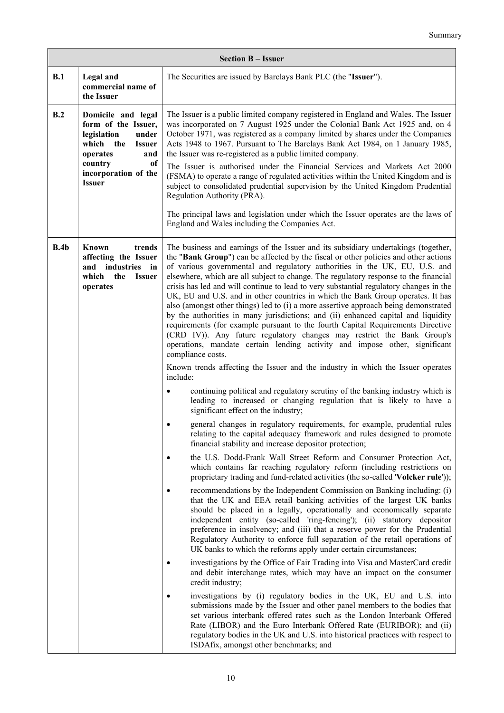|      | <b>Section B - Issuer</b>                                                                                                                                                               |                                                                                                                                                                                                                                                                                                                                                                                                                                                                                                                                                                                                                                                                                                                                                                                                                                                                                                                                                                                                                                                                                                                                                                                                                                                                                                                                                                                                                                                                                                                                                                                                                                                                                                                                                                                                                                                                                                                                                                                                                                                                                                                                                                                                                                                                                                                                                                                                                                                                                                                                                                                                                                                                                                                                                                                                                                                                                               |  |
|------|-----------------------------------------------------------------------------------------------------------------------------------------------------------------------------------------|-----------------------------------------------------------------------------------------------------------------------------------------------------------------------------------------------------------------------------------------------------------------------------------------------------------------------------------------------------------------------------------------------------------------------------------------------------------------------------------------------------------------------------------------------------------------------------------------------------------------------------------------------------------------------------------------------------------------------------------------------------------------------------------------------------------------------------------------------------------------------------------------------------------------------------------------------------------------------------------------------------------------------------------------------------------------------------------------------------------------------------------------------------------------------------------------------------------------------------------------------------------------------------------------------------------------------------------------------------------------------------------------------------------------------------------------------------------------------------------------------------------------------------------------------------------------------------------------------------------------------------------------------------------------------------------------------------------------------------------------------------------------------------------------------------------------------------------------------------------------------------------------------------------------------------------------------------------------------------------------------------------------------------------------------------------------------------------------------------------------------------------------------------------------------------------------------------------------------------------------------------------------------------------------------------------------------------------------------------------------------------------------------------------------------------------------------------------------------------------------------------------------------------------------------------------------------------------------------------------------------------------------------------------------------------------------------------------------------------------------------------------------------------------------------------------------------------------------------------------------------------------------------|--|
| B.1  | Legal and<br>commercial name of<br>the Issuer                                                                                                                                           | The Securities are issued by Barclays Bank PLC (the "Issuer").                                                                                                                                                                                                                                                                                                                                                                                                                                                                                                                                                                                                                                                                                                                                                                                                                                                                                                                                                                                                                                                                                                                                                                                                                                                                                                                                                                                                                                                                                                                                                                                                                                                                                                                                                                                                                                                                                                                                                                                                                                                                                                                                                                                                                                                                                                                                                                                                                                                                                                                                                                                                                                                                                                                                                                                                                                |  |
| B.2  | Domicile and legal<br>form of the Issuer,<br>legislation<br>under<br>which the<br><b>Issuer</b><br>operates<br>and<br>country<br><sub>of</sub><br>incorporation of the<br><b>Issuer</b> | The Issuer is a public limited company registered in England and Wales. The Issuer<br>was incorporated on 7 August 1925 under the Colonial Bank Act 1925 and, on 4<br>October 1971, was registered as a company limited by shares under the Companies<br>Acts 1948 to 1967. Pursuant to The Barclays Bank Act 1984, on 1 January 1985,<br>the Issuer was re-registered as a public limited company.<br>The Issuer is authorised under the Financial Services and Markets Act 2000<br>(FSMA) to operate a range of regulated activities within the United Kingdom and is<br>subject to consolidated prudential supervision by the United Kingdom Prudential<br>Regulation Authority (PRA).<br>The principal laws and legislation under which the Issuer operates are the laws of<br>England and Wales including the Companies Act.                                                                                                                                                                                                                                                                                                                                                                                                                                                                                                                                                                                                                                                                                                                                                                                                                                                                                                                                                                                                                                                                                                                                                                                                                                                                                                                                                                                                                                                                                                                                                                                                                                                                                                                                                                                                                                                                                                                                                                                                                                                             |  |
| B.4b | Known<br>trends<br>affecting the Issuer<br>industries<br>and<br>in<br>which<br>the<br><b>Issuer</b><br>operates                                                                         | The business and earnings of the Issuer and its subsidiary undertakings (together,<br>the "Bank Group") can be affected by the fiscal or other policies and other actions<br>of various governmental and regulatory authorities in the UK, EU, U.S. and<br>elsewhere, which are all subject to change. The regulatory response to the financial<br>crisis has led and will continue to lead to very substantial regulatory changes in the<br>UK, EU and U.S. and in other countries in which the Bank Group operates. It has<br>also (amongst other things) led to (i) a more assertive approach being demonstrated<br>by the authorities in many jurisdictions; and (ii) enhanced capital and liquidity<br>requirements (for example pursuant to the fourth Capital Requirements Directive<br>(CRD IV)). Any future regulatory changes may restrict the Bank Group's<br>operations, mandate certain lending activity and impose other, significant<br>compliance costs.<br>Known trends affecting the Issuer and the industry in which the Issuer operates<br>include:<br>continuing political and regulatory scrutiny of the banking industry which is<br>leading to increased or changing regulation that is likely to have a<br>significant effect on the industry;<br>general changes in regulatory requirements, for example, prudential rules<br>relating to the capital adequacy framework and rules designed to promote<br>financial stability and increase depositor protection;<br>the U.S. Dodd-Frank Wall Street Reform and Consumer Protection Act,<br>which contains far reaching regulatory reform (including restrictions on<br>proprietary trading and fund-related activities (the so-called 'Volcker rule'));<br>recommendations by the Independent Commission on Banking including: (i)<br>that the UK and EEA retail banking activities of the largest UK banks<br>should be placed in a legally, operationally and economically separate<br>independent entity (so-called 'ring-fencing'); (ii) statutory depositor<br>preference in insolvency; and (iii) that a reserve power for the Prudential<br>Regulatory Authority to enforce full separation of the retail operations of<br>UK banks to which the reforms apply under certain circumstances;<br>investigations by the Office of Fair Trading into Visa and MasterCard credit<br>and debit interchange rates, which may have an impact on the consumer<br>credit industry;<br>investigations by (i) regulatory bodies in the UK, EU and U.S. into<br>submissions made by the Issuer and other panel members to the bodies that<br>set various interbank offered rates such as the London Interbank Offered<br>Rate (LIBOR) and the Euro Interbank Offered Rate (EURIBOR); and (ii)<br>regulatory bodies in the UK and U.S. into historical practices with respect to<br>ISDAfix, amongst other benchmarks; and |  |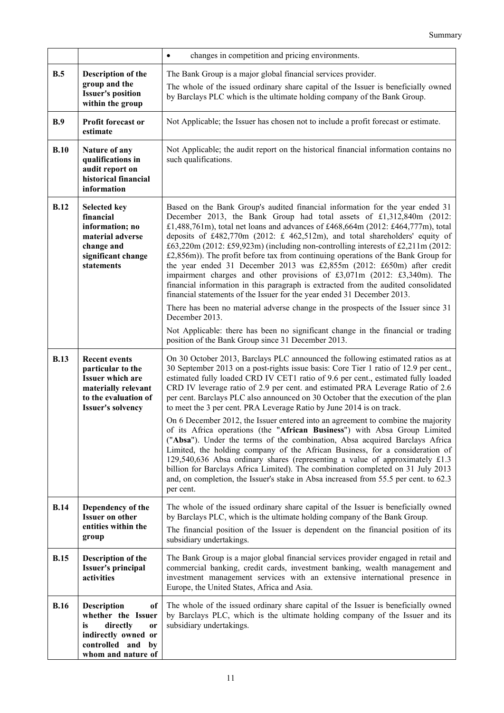|             |                                                                                                                                             | changes in competition and pricing environments.<br>$\bullet$                                                                                                                                                                                                                                                                                                                                                                                                                                                                                                                                                                                                                                                                                                                                                           |
|-------------|---------------------------------------------------------------------------------------------------------------------------------------------|-------------------------------------------------------------------------------------------------------------------------------------------------------------------------------------------------------------------------------------------------------------------------------------------------------------------------------------------------------------------------------------------------------------------------------------------------------------------------------------------------------------------------------------------------------------------------------------------------------------------------------------------------------------------------------------------------------------------------------------------------------------------------------------------------------------------------|
| B.5         | Description of the                                                                                                                          | The Bank Group is a major global financial services provider.                                                                                                                                                                                                                                                                                                                                                                                                                                                                                                                                                                                                                                                                                                                                                           |
|             | group and the<br><b>Issuer's position</b><br>within the group                                                                               | The whole of the issued ordinary share capital of the Issuer is beneficially owned<br>by Barclays PLC which is the ultimate holding company of the Bank Group.                                                                                                                                                                                                                                                                                                                                                                                                                                                                                                                                                                                                                                                          |
| B.9         | Profit forecast or<br>estimate                                                                                                              | Not Applicable; the Issuer has chosen not to include a profit forecast or estimate.                                                                                                                                                                                                                                                                                                                                                                                                                                                                                                                                                                                                                                                                                                                                     |
| B.10        | Nature of any<br>qualifications in<br>audit report on<br>historical financial<br>information                                                | Not Applicable; the audit report on the historical financial information contains no<br>such qualifications.                                                                                                                                                                                                                                                                                                                                                                                                                                                                                                                                                                                                                                                                                                            |
| <b>B.12</b> | <b>Selected key</b><br>financial<br>information; no<br>material adverse<br>change and<br>significant change<br>statements                   | Based on the Bank Group's audited financial information for the year ended 31<br>December 2013, the Bank Group had total assets of £1,312,840m (2012:<br>£1,488,761m), total net loans and advances of £468,664m (2012: £464,777m), total<br>deposits of £482,770m (2012: £ 462,512m), and total shareholders' equity of<br>£63,220m (2012: £59,923m) (including non-controlling interests of £2,211m (2012:<br>£2,856m)). The profit before tax from continuing operations of the Bank Group for<br>the year ended 31 December 2013 was £2,855m (2012: £650m) after credit<br>impairment charges and other provisions of £3,071m (2012: £3,340m). The<br>financial information in this paragraph is extracted from the audited consolidated<br>financial statements of the Issuer for the year ended 31 December 2013. |
|             |                                                                                                                                             | There has been no material adverse change in the prospects of the Issuer since 31<br>December 2013.                                                                                                                                                                                                                                                                                                                                                                                                                                                                                                                                                                                                                                                                                                                     |
|             |                                                                                                                                             | Not Applicable: there has been no significant change in the financial or trading<br>position of the Bank Group since 31 December 2013.                                                                                                                                                                                                                                                                                                                                                                                                                                                                                                                                                                                                                                                                                  |
| <b>B.13</b> | <b>Recent events</b><br>particular to the<br>Issuer which are<br>materially relevant<br>to the evaluation of<br><b>Issuer's solvency</b>    | On 30 October 2013, Barclays PLC announced the following estimated ratios as at<br>30 September 2013 on a post-rights issue basis: Core Tier 1 ratio of 12.9 per cent.,<br>estimated fully loaded CRD IV CET1 ratio of 9.6 per cent., estimated fully loaded<br>CRD IV leverage ratio of 2.9 per cent. and estimated PRA Leverage Ratio of 2.6<br>per cent. Barclays PLC also announced on 30 October that the execution of the plan<br>to meet the 3 per cent. PRA Leverage Ratio by June 2014 is on track.                                                                                                                                                                                                                                                                                                            |
|             |                                                                                                                                             | On 6 December 2012, the Issuer entered into an agreement to combine the majority<br>of its Africa operations (the "African Business") with Absa Group Limited<br>("Absa"). Under the terms of the combination, Absa acquired Barclays Africa<br>Limited, the holding company of the African Business, for a consideration of<br>129,540,636 Absa ordinary shares (representing a value of approximately £1.3<br>billion for Barclays Africa Limited). The combination completed on 31 July 2013<br>and, on completion, the Issuer's stake in Absa increased from 55.5 per cent. to 62.3<br>per cent.                                                                                                                                                                                                                    |
| <b>B.14</b> | Dependency of the<br><b>Issuer on other</b>                                                                                                 | The whole of the issued ordinary share capital of the Issuer is beneficially owned<br>by Barclays PLC, which is the ultimate holding company of the Bank Group.                                                                                                                                                                                                                                                                                                                                                                                                                                                                                                                                                                                                                                                         |
|             | entities within the<br>group                                                                                                                | The financial position of the Issuer is dependent on the financial position of its<br>subsidiary undertakings.                                                                                                                                                                                                                                                                                                                                                                                                                                                                                                                                                                                                                                                                                                          |
| <b>B.15</b> | Description of the<br><b>Issuer's principal</b><br>activities                                                                               | The Bank Group is a major global financial services provider engaged in retail and<br>commercial banking, credit cards, investment banking, wealth management and<br>investment management services with an extensive international presence in<br>Europe, the United States, Africa and Asia.                                                                                                                                                                                                                                                                                                                                                                                                                                                                                                                          |
| <b>B.16</b> | <b>Description</b><br>of<br>whether the Issuer<br>directly<br>is<br>or<br>indirectly owned or<br>controlled and<br>by<br>whom and nature of | The whole of the issued ordinary share capital of the Issuer is beneficially owned<br>by Barclays PLC, which is the ultimate holding company of the Issuer and its<br>subsidiary undertakings.                                                                                                                                                                                                                                                                                                                                                                                                                                                                                                                                                                                                                          |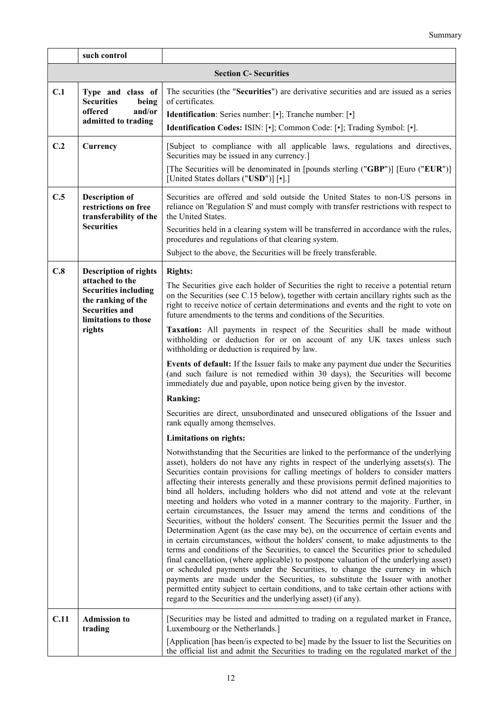|      | such control                                                                                                                                                    |                                                                                                                                                                                                                                                                                                                                                                                                                                                                                                                                                                                                                                                                                                                                                                                                                                                                                                                                                                                                                                                                                                                                                                                                                                                                                                                                                                                         |  |
|------|-----------------------------------------------------------------------------------------------------------------------------------------------------------------|-----------------------------------------------------------------------------------------------------------------------------------------------------------------------------------------------------------------------------------------------------------------------------------------------------------------------------------------------------------------------------------------------------------------------------------------------------------------------------------------------------------------------------------------------------------------------------------------------------------------------------------------------------------------------------------------------------------------------------------------------------------------------------------------------------------------------------------------------------------------------------------------------------------------------------------------------------------------------------------------------------------------------------------------------------------------------------------------------------------------------------------------------------------------------------------------------------------------------------------------------------------------------------------------------------------------------------------------------------------------------------------------|--|
|      | <b>Section C- Securities</b>                                                                                                                                    |                                                                                                                                                                                                                                                                                                                                                                                                                                                                                                                                                                                                                                                                                                                                                                                                                                                                                                                                                                                                                                                                                                                                                                                                                                                                                                                                                                                         |  |
| C.1  | Type and class of<br><b>Securities</b><br>being<br>offered<br>and/or<br>admitted to trading                                                                     | The securities (the "Securities") are derivative securities and are issued as a series<br>of certificates.<br><b>Identification:</b> Series number: [ $\cdot$ ]; Tranche number: [ $\cdot$ ]<br>Identification Codes: ISIN: [•]; Common Code: [•]; Trading Symbol: [•].                                                                                                                                                                                                                                                                                                                                                                                                                                                                                                                                                                                                                                                                                                                                                                                                                                                                                                                                                                                                                                                                                                                 |  |
| C.2  | Currency                                                                                                                                                        | [Subject to compliance with all applicable laws, regulations and directives,<br>Securities may be issued in any currency.]<br>[The Securities will be denominated in [pounds sterling ("GBP")] [Euro ("EUR")]<br>[United States dollars ("USD")] [.]]                                                                                                                                                                                                                                                                                                                                                                                                                                                                                                                                                                                                                                                                                                                                                                                                                                                                                                                                                                                                                                                                                                                                   |  |
| C.5  | <b>Description of</b><br>restrictions on free<br>transferability of the<br><b>Securities</b>                                                                    | Securities are offered and sold outside the United States to non-US persons in<br>reliance on 'Regulation S' and must comply with transfer restrictions with respect to<br>the United States.<br>Securities held in a clearing system will be transferred in accordance with the rules,<br>procedures and regulations of that clearing system.<br>Subject to the above, the Securities will be freely transferable.                                                                                                                                                                                                                                                                                                                                                                                                                                                                                                                                                                                                                                                                                                                                                                                                                                                                                                                                                                     |  |
| C.8  | <b>Description of rights</b><br>attached to the<br><b>Securities including</b><br>the ranking of the<br><b>Securities and</b><br>limitations to those<br>rights | <b>Rights:</b><br>The Securities give each holder of Securities the right to receive a potential return<br>on the Securities (see C.15 below), together with certain ancillary rights such as the<br>right to receive notice of certain determinations and events and the right to vote on<br>future amendments to the terms and conditions of the Securities.<br>Taxation: All payments in respect of the Securities shall be made without<br>withholding or deduction for or on account of any UK taxes unless such<br>withholding or deduction is required by law.                                                                                                                                                                                                                                                                                                                                                                                                                                                                                                                                                                                                                                                                                                                                                                                                                   |  |
|      |                                                                                                                                                                 | Events of default: If the Issuer fails to make any payment due under the Securities<br>(and such failure is not remedied within 30 days), the Securities will become<br>immediately due and payable, upon notice being given by the investor.                                                                                                                                                                                                                                                                                                                                                                                                                                                                                                                                                                                                                                                                                                                                                                                                                                                                                                                                                                                                                                                                                                                                           |  |
|      |                                                                                                                                                                 | <b>Ranking:</b>                                                                                                                                                                                                                                                                                                                                                                                                                                                                                                                                                                                                                                                                                                                                                                                                                                                                                                                                                                                                                                                                                                                                                                                                                                                                                                                                                                         |  |
|      |                                                                                                                                                                 | Securities are direct, unsubordinated and unsecured obligations of the Issuer and<br>rank equally among themselves.                                                                                                                                                                                                                                                                                                                                                                                                                                                                                                                                                                                                                                                                                                                                                                                                                                                                                                                                                                                                                                                                                                                                                                                                                                                                     |  |
|      |                                                                                                                                                                 | <b>Limitations on rights:</b>                                                                                                                                                                                                                                                                                                                                                                                                                                                                                                                                                                                                                                                                                                                                                                                                                                                                                                                                                                                                                                                                                                                                                                                                                                                                                                                                                           |  |
|      |                                                                                                                                                                 | Notwithstanding that the Securities are linked to the performance of the underlying<br>asset), holders do not have any rights in respect of the underlying assets(s). The<br>Securities contain provisions for calling meetings of holders to consider matters<br>affecting their interests generally and these provisions permit defined majorities to<br>bind all holders, including holders who did not attend and vote at the relevant<br>meeting and holders who voted in a manner contrary to the majority. Further, in<br>certain circumstances, the Issuer may amend the terms and conditions of the<br>Securities, without the holders' consent. The Securities permit the Issuer and the<br>Determination Agent (as the case may be), on the occurrence of certain events and<br>in certain circumstances, without the holders' consent, to make adjustments to the<br>terms and conditions of the Securities, to cancel the Securities prior to scheduled<br>final cancellation, (where applicable) to postpone valuation of the underlying asset)<br>or scheduled payments under the Securities, to change the currency in which<br>payments are made under the Securities, to substitute the Issuer with another<br>permitted entity subject to certain conditions, and to take certain other actions with<br>regard to the Securities and the underlying asset) (if any). |  |
| C.11 | <b>Admission to</b><br>trading                                                                                                                                  | [Securities may be listed and admitted to trading on a regulated market in France,<br>Luxembourg or the Netherlands.]<br>[Application [has been/is expected to be] made by the Issuer to list the Securities on<br>the official list and admit the Securities to trading on the regulated market of the                                                                                                                                                                                                                                                                                                                                                                                                                                                                                                                                                                                                                                                                                                                                                                                                                                                                                                                                                                                                                                                                                 |  |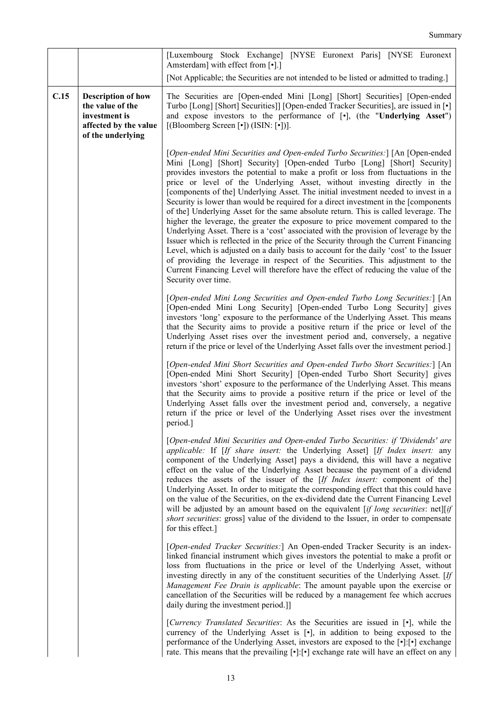|      |                                                                                                              | [Luxembourg Stock Exchange] [NYSE Euronext Paris] [NYSE Euronext<br>Amsterdam] with effect from [•].]                                                                                                                                                                                                                                                                                                                                                                                                                                                                                                                                                                                                                                                                                                                                                                                                                                                                                                                                                                                                                                                            |
|------|--------------------------------------------------------------------------------------------------------------|------------------------------------------------------------------------------------------------------------------------------------------------------------------------------------------------------------------------------------------------------------------------------------------------------------------------------------------------------------------------------------------------------------------------------------------------------------------------------------------------------------------------------------------------------------------------------------------------------------------------------------------------------------------------------------------------------------------------------------------------------------------------------------------------------------------------------------------------------------------------------------------------------------------------------------------------------------------------------------------------------------------------------------------------------------------------------------------------------------------------------------------------------------------|
|      |                                                                                                              | [Not Applicable; the Securities are not intended to be listed or admitted to trading.]                                                                                                                                                                                                                                                                                                                                                                                                                                                                                                                                                                                                                                                                                                                                                                                                                                                                                                                                                                                                                                                                           |
| C.15 | <b>Description of how</b><br>the value of the<br>investment is<br>affected by the value<br>of the underlying | The Securities are [Open-ended Mini [Long] [Short] Securities] [Open-ended<br>Turbo [Long] [Short] Securities]] [Open-ended Tracker Securities], are issued in [ $\cdot$ ]<br>and expose investors to the performance of [.], (the "Underlying Asset")<br>[(Bloomberg Screen [•]) (ISIN: [•])].                                                                                                                                                                                                                                                                                                                                                                                                                                                                                                                                                                                                                                                                                                                                                                                                                                                                  |
|      |                                                                                                              | [Open-ended Mini Securities and Open-ended Turbo Securities:] [An [Open-ended]<br>Mini [Long] [Short] Security] [Open-ended Turbo [Long] [Short] Security]<br>provides investors the potential to make a profit or loss from fluctuations in the<br>price or level of the Underlying Asset, without investing directly in the<br>[components of the] Underlying Asset. The initial investment needed to invest in a<br>Security is lower than would be required for a direct investment in the [components]<br>of the] Underlying Asset for the same absolute return. This is called leverage. The<br>higher the leverage, the greater the exposure to price movement compared to the<br>Underlying Asset. There is a 'cost' associated with the provision of leverage by the<br>Issuer which is reflected in the price of the Security through the Current Financing<br>Level, which is adjusted on a daily basis to account for the daily 'cost' to the Issuer<br>of providing the leverage in respect of the Securities. This adjustment to the<br>Current Financing Level will therefore have the effect of reducing the value of the<br>Security over time. |
|      |                                                                                                              | [Open-ended Mini Long Securities and Open-ended Turbo Long Securities:] [An<br>[Open-ended Mini Long Security] [Open-ended Turbo Long Security] gives<br>investors 'long' exposure to the performance of the Underlying Asset. This means<br>that the Security aims to provide a positive return if the price or level of the<br>Underlying Asset rises over the investment period and, conversely, a negative<br>return if the price or level of the Underlying Asset falls over the investment period.]                                                                                                                                                                                                                                                                                                                                                                                                                                                                                                                                                                                                                                                        |
|      |                                                                                                              | [Open-ended Mini Short Securities and Open-ended Turbo Short Securities:] [An<br>[Open-ended Mini Short Security] [Open-ended Turbo Short Security] gives<br>investors 'short' exposure to the performance of the Underlying Asset. This means<br>that the Security aims to provide a positive return if the price or level of the<br>Underlying Asset falls over the investment period and, conversely, a negative<br>return if the price or level of the Underlying Asset rises over the investment<br>period.]                                                                                                                                                                                                                                                                                                                                                                                                                                                                                                                                                                                                                                                |
|      |                                                                                                              | [Open-ended Mini Securities and Open-ended Turbo Securities: if 'Dividends' are<br>applicable: If [If share insert: the Underlying Asset] [If Index insert: any<br>component of the Underlying Asset] pays a dividend, this will have a negative<br>effect on the value of the Underlying Asset because the payment of a dividend<br>reduces the assets of the issuer of the [If Index insert: component of the]<br>Underlying Asset. In order to mitigate the corresponding effect that this could have<br>on the value of the Securities, on the ex-dividend date the Current Financing Level<br>will be adjusted by an amount based on the equivalent [if long securities: net][if<br>short securities: gross] value of the dividend to the Issuer, in order to compensate<br>for this effect.]                                                                                                                                                                                                                                                                                                                                                               |
|      |                                                                                                              | [Open-ended Tracker Securities:] An Open-ended Tracker Security is an index-<br>linked financial instrument which gives investors the potential to make a profit or<br>loss from fluctuations in the price or level of the Underlying Asset, without<br>investing directly in any of the constituent securities of the Underlying Asset. [If<br>Management Fee Drain is applicable: The amount payable upon the exercise or<br>cancellation of the Securities will be reduced by a management fee which accrues<br>daily during the investment period.]]                                                                                                                                                                                                                                                                                                                                                                                                                                                                                                                                                                                                         |
|      |                                                                                                              | [Currency Translated Securities: As the Securities are issued in [.], while the<br>currency of the Underlying Asset is [.], in addition to being exposed to the<br>performance of the Underlying Asset, investors are exposed to the [ $\cdot$ ]:[ $\cdot$ ] exchange<br>rate. This means that the prevailing $[\cdot]$ : $[\cdot]$ exchange rate will have an effect on any                                                                                                                                                                                                                                                                                                                                                                                                                                                                                                                                                                                                                                                                                                                                                                                     |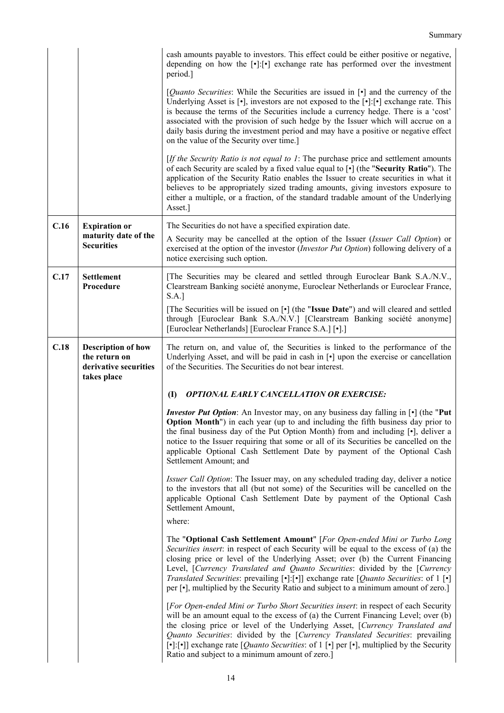|      |                                                                                    | cash amounts payable to investors. This effect could be either positive or negative,<br>depending on how the $\lceil \cdot \rceil$ : $\lceil \cdot \rceil$ exchange rate has performed over the investment<br>period.]                                                                                                                                                                                                                                                                                                                                                               |
|------|------------------------------------------------------------------------------------|--------------------------------------------------------------------------------------------------------------------------------------------------------------------------------------------------------------------------------------------------------------------------------------------------------------------------------------------------------------------------------------------------------------------------------------------------------------------------------------------------------------------------------------------------------------------------------------|
|      |                                                                                    | [ <i>Quanto Securities</i> : While the Securities are issued in [•] and the currency of the<br>Underlying Asset is $[\cdot]$ , investors are not exposed to the $[\cdot]$ : $[\cdot]$ exchange rate. This<br>is because the terms of the Securities include a currency hedge. There is a 'cost'<br>associated with the provision of such hedge by the Issuer which will accrue on a<br>daily basis during the investment period and may have a positive or negative effect<br>on the value of the Security over time.]                                                               |
|      |                                                                                    | [If the Security Ratio is not equal to $I$ : The purchase price and settlement amounts<br>of each Security are scaled by a fixed value equal to [ $\bullet$ ] (the "Security Ratio"). The<br>application of the Security Ratio enables the Issuer to create securities in what it<br>believes to be appropriately sized trading amounts, giving investors exposure to<br>either a multiple, or a fraction, of the standard tradable amount of the Underlying<br>Asset.]                                                                                                              |
| C.16 | <b>Expiration or</b>                                                               | The Securities do not have a specified expiration date.                                                                                                                                                                                                                                                                                                                                                                                                                                                                                                                              |
|      | maturity date of the<br><b>Securities</b>                                          | A Security may be cancelled at the option of the Issuer (Issuer Call Option) or<br>exercised at the option of the investor ( <i>Investor Put Option</i> ) following delivery of a<br>notice exercising such option.                                                                                                                                                                                                                                                                                                                                                                  |
| C.17 | <b>Settlement</b><br>Procedure                                                     | [The Securities may be cleared and settled through Euroclear Bank S.A./N.V.,<br>Clearstream Banking société anonyme, Euroclear Netherlands or Euroclear France,<br>S.A.]                                                                                                                                                                                                                                                                                                                                                                                                             |
|      |                                                                                    | [The Securities will be issued on [ $\cdot$ ] (the "Issue Date") and will cleared and settled<br>through [Euroclear Bank S.A./N.V.] [Clearstream Banking société anonyme]<br>[Euroclear Netherlands] [Euroclear France S.A.] [.]                                                                                                                                                                                                                                                                                                                                                     |
| C.18 | <b>Description of how</b><br>the return on<br>derivative securities<br>takes place | The return on, and value of, the Securities is linked to the performance of the<br>Underlying Asset, and will be paid in cash in [ $\bullet$ ] upon the exercise or cancellation<br>of the Securities. The Securities do not bear interest.                                                                                                                                                                                                                                                                                                                                          |
|      |                                                                                    | <b>OPTIONAL EARLY CANCELLATION OR EXERCISE:</b><br>(I)                                                                                                                                                                                                                                                                                                                                                                                                                                                                                                                               |
|      |                                                                                    | <i>Investor Put Option:</i> An Investor may, on any business day falling in [ $\cdot$ ] (the "Put<br><b>Option Month</b> ") in each year (up to and including the fifth business day prior to<br>the final business day of the Put Option Month) from and including [.], deliver a<br>notice to the Issuer requiring that some or all of its Securities be cancelled on the<br>applicable Optional Cash Settlement Date by payment of the Optional Cash<br>Settlement Amount; and                                                                                                    |
|      |                                                                                    | Issuer Call Option: The Issuer may, on any scheduled trading day, deliver a notice<br>to the investors that all (but not some) of the Securities will be cancelled on the<br>applicable Optional Cash Settlement Date by payment of the Optional Cash<br>Settlement Amount,                                                                                                                                                                                                                                                                                                          |
|      |                                                                                    | where:                                                                                                                                                                                                                                                                                                                                                                                                                                                                                                                                                                               |
|      |                                                                                    | The "Optional Cash Settlement Amount" [For Open-ended Mini or Turbo Long<br>Securities insert: in respect of each Security will be equal to the excess of (a) the<br>closing price or level of the Underlying Asset; over (b) the Current Financing<br>Level, [Currency Translated and Quanto Securities: divided by the [Currency<br>Translated Securities: prevailing $\lceil \cdot \rceil$ : $\lceil \cdot \rceil$ ] exchange rate [ <i>Quanto Securities</i> : of 1 $\lceil \cdot \rceil$<br>per [•], multiplied by the Security Ratio and subject to a minimum amount of zero.] |
|      |                                                                                    | [For Open-ended Mini or Turbo Short Securities insert: in respect of each Security<br>will be an amount equal to the excess of (a) the Current Financing Level; over (b)<br>the closing price or level of the Underlying Asset, [Currency Translated and<br>Quanto Securities: divided by the [Currency Translated Securities: prevailing<br>[•]:[•]] exchange rate [ <i>Quanto Securities</i> : of 1 [•] per [•], multiplied by the Security<br>Ratio and subject to a minimum amount of zero.]                                                                                     |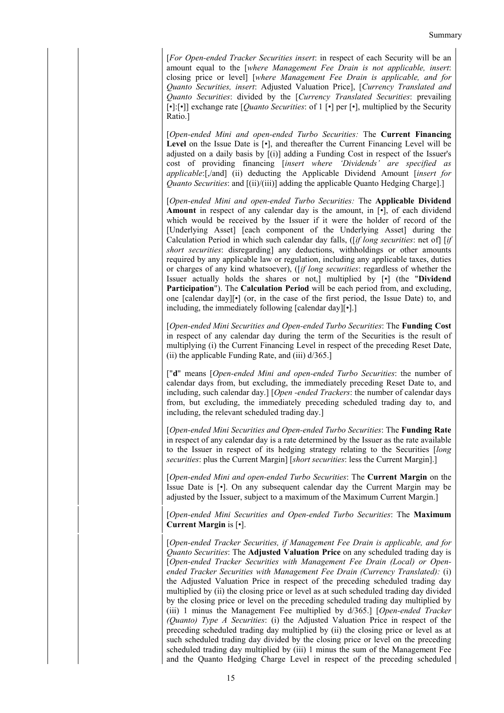[*For Open-ended Tracker Securities insert*: in respect of each Security will be an amount equal to the [*where Management Fee Drain is not applicable, insert*: closing price or level] [*where Management Fee Drain is applicable, and for Quanto Securities, insert*: Adjusted Valuation Price], [*Currency Translated and Quanto Securities*: divided by the [*Currency Translated Securities*: prevailing [•]:[•]] exchange rate [*Quanto Securities*: of 1 [•] per [•], multiplied by the Security Ratio.]

[*Open-ended Mini and open-ended Turbo Securities:* The **Current Financing**  Level on the Issue Date is  $[\cdot]$ , and thereafter the Current Financing Level will be adjusted on a daily basis by [(i)] adding a Funding Cost in respect of the Issuer's cost of providing financing [*insert where 'Dividends' are specified as applicable*:[,/and] (ii) deducting the Applicable Dividend Amount [*insert for Quanto Securities*: and  $[(ii)/(iii)]$  adding the applicable Quanto Hedging Charge].]

[*Open-ended Mini and open-ended Turbo Securities:* The **Applicable Dividend Amount** in respect of any calendar day is the amount, in [•], of each dividend which would be received by the Issuer if it were the holder of record of the [Underlying Asset] [each component of the Underlying Asset] during the Calculation Period in which such calendar day falls, ([*if long securities*: net of] [*if short securities*: disregarding] any deductions, withholdings or other amounts required by any applicable law or regulation, including any applicable taxes, duties or charges of any kind whatsoever), ([*if long securities*: regardless of whether the Issuer actually holds the shares or not,] multiplied by [•] (the "**Dividend Participation**"). The **Calculation Period** will be each period from, and excluding, one [calendar day][•] (or, in the case of the first period, the Issue Date) to, and including, the immediately following [calendar day][•].]

[*Open-ended Mini Securities and Open-ended Turbo Securities*: The **Funding Cost** in respect of any calendar day during the term of the Securities is the result of multiplying (i) the Current Financing Level in respect of the preceding Reset Date, (ii) the applicable Funding Rate, and (iii) d/365.]

["**d**" means [*Open-ended Mini and open-ended Turbo Securities*: the number of calendar days from, but excluding, the immediately preceding Reset Date to, and including, such calendar day.] [*Open -ended Trackers*: the number of calendar days from, but excluding, the immediately preceding scheduled trading day to, and including, the relevant scheduled trading day.]

[*Open-ended Mini Securities and Open-ended Turbo Securities*: The **Funding Rate** in respect of any calendar day is a rate determined by the Issuer as the rate available to the Issuer in respect of its hedging strategy relating to the Securities [*long securities*: plus the Current Margin] [*short securities*: less the Current Margin].]

[*Open-ended Mini and open-ended Turbo Securities*: The **Current Margin** on the Issue Date is [•]. On any subsequent calendar day the Current Margin may be adjusted by the Issuer, subject to a maximum of the Maximum Current Margin.]

[*Open-ended Mini Securities and Open-ended Turbo Securities*: The **Maximum Current Margin** is [•].

[*Open-ended Tracker Securities, if Management Fee Drain is applicable, and for Quanto Securities*: The **Adjusted Valuation Price** on any scheduled trading day is [*Open-ended Tracker Securities with Management Fee Drain (Local) or Openended Tracker Securities with Management Fee Drain (Currency Translated):* (i) the Adjusted Valuation Price in respect of the preceding scheduled trading day multiplied by (ii) the closing price or level as at such scheduled trading day divided by the closing price or level on the preceding scheduled trading day multiplied by (iii) 1 minus the Management Fee multiplied by d/365.] [*Open-ended Tracker (Quanto) Type A Securities*: (i) the Adjusted Valuation Price in respect of the preceding scheduled trading day multiplied by (ii) the closing price or level as at such scheduled trading day divided by the closing price or level on the preceding scheduled trading day multiplied by (iii) 1 minus the sum of the Management Fee and the Quanto Hedging Charge Level in respect of the preceding scheduled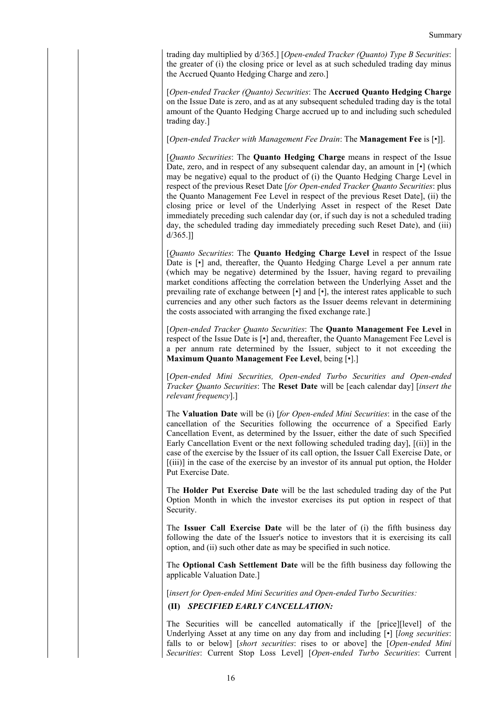trading day multiplied by d/365.] [*Open-ended Tracker (Quanto) Type B Securities*: the greater of (i) the closing price or level as at such scheduled trading day minus the Accrued Quanto Hedging Charge and zero.]

[*Open-ended Tracker (Quanto) Securities*: The **Accrued Quanto Hedging Charge** on the Issue Date is zero, and as at any subsequent scheduled trading day is the total amount of the Quanto Hedging Charge accrued up to and including such scheduled trading day.]

[*Open-ended Tracker with Management Fee Drain*: The **Management Fee** is [•]].

[*Quanto Securities*: The **Quanto Hedging Charge** means in respect of the Issue Date, zero, and in respect of any subsequent calendar day, an amount in  $[\cdot]$  (which may be negative) equal to the product of (i) the Quanto Hedging Charge Level in respect of the previous Reset Date [*for Open-ended Tracker Quanto Securities*: plus the Quanto Management Fee Level in respect of the previous Reset Date], (ii) the closing price or level of the Underlying Asset in respect of the Reset Date immediately preceding such calendar day (or, if such day is not a scheduled trading day, the scheduled trading day immediately preceding such Reset Date), and (iii) d/365.]]

[*Quanto Securities*: The **Quanto Hedging Charge Level** in respect of the Issue Date is  $\lceil \cdot \rceil$  and, thereafter, the Quanto Hedging Charge Level a per annum rate (which may be negative) determined by the Issuer, having regard to prevailing market conditions affecting the correlation between the Underlying Asset and the prevailing rate of exchange between [•] and [•], the interest rates applicable to such currencies and any other such factors as the Issuer deems relevant in determining the costs associated with arranging the fixed exchange rate.]

[*Open-ended Tracker Quanto Securities*: The **Quanto Management Fee Level** in respect of the Issue Date is [•] and, thereafter, the Quanto Management Fee Level is a per annum rate determined by the Issuer, subject to it not exceeding the **Maximum Quanto Management Fee Level**, being [•].]

[*Open-ended Mini Securities, Open-ended Turbo Securities and Open-ended Tracker Quanto Securities*: The **Reset Date** will be [each calendar day] [*insert the relevant frequency*].]

The **Valuation Date** will be (i) [*for Open-ended Mini Securities*: in the case of the cancellation of the Securities following the occurrence of a Specified Early Cancellation Event, as determined by the Issuer, either the date of such Specified Early Cancellation Event or the next following scheduled trading day], [(ii)] in the case of the exercise by the Issuer of its call option, the Issuer Call Exercise Date, or [(iii)] in the case of the exercise by an investor of its annual put option, the Holder Put Exercise Date.

The **Holder Put Exercise Date** will be the last scheduled trading day of the Put Option Month in which the investor exercises its put option in respect of that Security.

The **Issuer Call Exercise Date** will be the later of (i) the fifth business day following the date of the Issuer's notice to investors that it is exercising its call option, and (ii) such other date as may be specified in such notice.

The **Optional Cash Settlement Date** will be the fifth business day following the applicable Valuation Date.]

[*insert for Open-ended Mini Securities and Open-ended Turbo Securities:*

**(II)** *SPECIFIED EARLY CANCELLATION:*

The Securities will be cancelled automatically if the [price][level] of the Underlying Asset at any time on any day from and including [•] [*long securities*: falls to or below] [*short securities*: rises to or above] the [*Open-ended Mini Securities*: Current Stop Loss Level] [*Open-ended Turbo Securities*: Current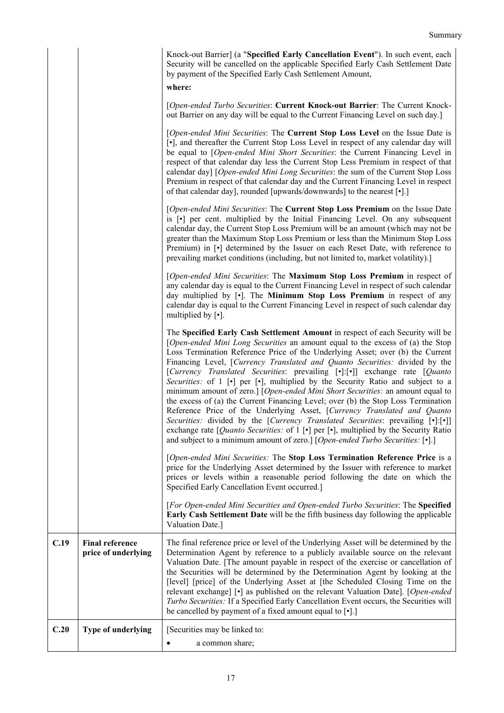| Knock-out Barrier] (a "Specified Early Cancellation Event"). In such event, each  |
|-----------------------------------------------------------------------------------|
| Security will be cancelled on the applicable Specified Early Cash Settlement Date |
| by payment of the Specified Early Cash Settlement Amount,                         |

### **where:**

[*Open-ended Turbo Securities*: **Current Knock-out Barrier**: The Current Knockout Barrier on any day will be equal to the Current Financing Level on such day.]

[*Open-ended Mini Securities*: The **Current Stop Loss Level** on the Issue Date is [•], and thereafter the Current Stop Loss Level in respect of any calendar day will be equal to [*Open-ended Mini Short Securities*: the Current Financing Level in respect of that calendar day less the Current Stop Less Premium in respect of that calendar day] [*Open-ended Mini Long Securities*: the sum of the Current Stop Loss Premium in respect of that calendar day and the Current Financing Level in respect of that calendar day], rounded [upwards/downwards] to the nearest [•].]

[*Open-ended Mini Securities*: The **Current Stop Loss Premium** on the Issue Date is [•] per cent. multiplied by the Initial Financing Level. On any subsequent calendar day, the Current Stop Loss Premium will be an amount (which may not be greater than the Maximum Stop Loss Premium or less than the Minimum Stop Loss Premium) in  $\lceil \cdot \rceil$  determined by the Issuer on each Reset Date, with reference to prevailing market conditions (including, but not limited to, market volatility).]

[*Open-ended Mini Securities*: The **Maximum Stop Loss Premium** in respect of any calendar day is equal to the Current Financing Level in respect of such calendar day multiplied by [•]. The **Minimum Stop Loss Premium** in respect of any calendar day is equal to the Current Financing Level in respect of such calendar day multiplied by [•].

The **Specified Early Cash Settlement Amount** in respect of each Security will be [*Open-ended Mini Long Securities* an amount equal to the excess of (a) the Stop Loss Termination Reference Price of the Underlying Asset; over (b) the Current Financing Level, [*Currency Translated and Quanto Securities:* divided by the [*Currency Translated Securities*: prevailing [•]:[•]] exchange rate [*Quanto Securities:* of 1 [•] per [•], multiplied by the Security Ratio and subject to a minimum amount of zero.] [*Open-ended Mini Short Securities:* an amount equal to the excess of (a) the Current Financing Level; over (b) the Stop Loss Termination Reference Price of the Underlying Asset, [*Currency Translated and Quanto Securities:* divided by the [*Currency Translated Securities*: prevailing [•]:[•]] exchange rate [*Quanto Securities:* of 1 [•] per [•], multiplied by the Security Ratio and subject to a minimum amount of zero.] [*Open-ended Turbo Securities:* [•].]

[*Open-ended Mini Securities:* The **Stop Loss Termination Reference Price** is a price for the Underlying Asset determined by the Issuer with reference to market prices or levels within a reasonable period following the date on which the Specified Early Cancellation Event occurred.]

[*For Open-ended Mini Securities and Open-ended Turbo Securities*: The **Specified Early Cash Settlement Date** will be the fifth business day following the applicable Valuation Date.]

| C.19 | <b>Final reference</b><br>price of underlying | The final reference price or level of the Underlying Asset will be determined by the<br>Determination Agent by reference to a publicly available source on the relevant<br>Valuation Date. [The amount payable in respect of the exercise or cancellation of<br>the Securities will be determined by the Determination Agent by looking at the<br>[level] [price] of the Underlying Asset at [the Scheduled Closing Time on the<br>relevant exchange] [•] as published on the relevant Valuation Date]. [Open-ended]<br>Turbo Securities: If a Specified Early Cancellation Event occurs, the Securities will<br>be cancelled by payment of a fixed amount equal to $\lceil \cdot \rceil$ .] |
|------|-----------------------------------------------|----------------------------------------------------------------------------------------------------------------------------------------------------------------------------------------------------------------------------------------------------------------------------------------------------------------------------------------------------------------------------------------------------------------------------------------------------------------------------------------------------------------------------------------------------------------------------------------------------------------------------------------------------------------------------------------------|
| C.20 | Type of underlying                            | [Securities may be linked to:<br>a common share:                                                                                                                                                                                                                                                                                                                                                                                                                                                                                                                                                                                                                                             |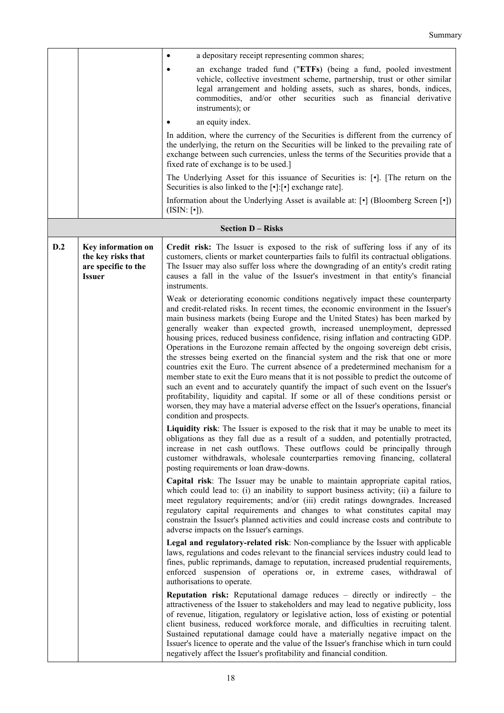|     |                                                                                  | a depositary receipt representing common shares;                                                                                                                                                                                                                                                                                                                                                                                                                                                                                                                                                                                                                                                                                                                                                                                                                                                                                                                                                                                                                              |
|-----|----------------------------------------------------------------------------------|-------------------------------------------------------------------------------------------------------------------------------------------------------------------------------------------------------------------------------------------------------------------------------------------------------------------------------------------------------------------------------------------------------------------------------------------------------------------------------------------------------------------------------------------------------------------------------------------------------------------------------------------------------------------------------------------------------------------------------------------------------------------------------------------------------------------------------------------------------------------------------------------------------------------------------------------------------------------------------------------------------------------------------------------------------------------------------|
|     |                                                                                  | an exchange traded fund ("ETFs) (being a fund, pooled investment<br>vehicle, collective investment scheme, partnership, trust or other similar<br>legal arrangement and holding assets, such as shares, bonds, indices,<br>commodities, and/or other securities such as financial derivative<br>instruments); or                                                                                                                                                                                                                                                                                                                                                                                                                                                                                                                                                                                                                                                                                                                                                              |
|     |                                                                                  | an equity index.                                                                                                                                                                                                                                                                                                                                                                                                                                                                                                                                                                                                                                                                                                                                                                                                                                                                                                                                                                                                                                                              |
|     |                                                                                  | In addition, where the currency of the Securities is different from the currency of<br>the underlying, the return on the Securities will be linked to the prevailing rate of<br>exchange between such currencies, unless the terms of the Securities provide that a<br>fixed rate of exchange is to be used.]                                                                                                                                                                                                                                                                                                                                                                                                                                                                                                                                                                                                                                                                                                                                                                 |
|     |                                                                                  | The Underlying Asset for this issuance of Securities is: [.]. [The return on the<br>Securities is also linked to the [ $\cdot$ ]:[ $\cdot$ ] exchange rate].                                                                                                                                                                                                                                                                                                                                                                                                                                                                                                                                                                                                                                                                                                                                                                                                                                                                                                                  |
|     |                                                                                  | Information about the Underlying Asset is available at: [ $\cdot$ ] (Bloomberg Screen [ $\cdot$ ])<br>$(ISIN: [\cdot])$ .                                                                                                                                                                                                                                                                                                                                                                                                                                                                                                                                                                                                                                                                                                                                                                                                                                                                                                                                                     |
|     |                                                                                  | <b>Section D - Risks</b>                                                                                                                                                                                                                                                                                                                                                                                                                                                                                                                                                                                                                                                                                                                                                                                                                                                                                                                                                                                                                                                      |
| D.2 | Key information on<br>the key risks that<br>are specific to the<br><b>Issuer</b> | Credit risk: The Issuer is exposed to the risk of suffering loss if any of its<br>customers, clients or market counterparties fails to fulfil its contractual obligations.<br>The Issuer may also suffer loss where the downgrading of an entity's credit rating<br>causes a fall in the value of the Issuer's investment in that entity's financial<br>instruments.                                                                                                                                                                                                                                                                                                                                                                                                                                                                                                                                                                                                                                                                                                          |
|     |                                                                                  | Weak or deteriorating economic conditions negatively impact these counterparty<br>and credit-related risks. In recent times, the economic environment in the Issuer's<br>main business markets (being Europe and the United States) has been marked by<br>generally weaker than expected growth, increased unemployment, depressed<br>housing prices, reduced business confidence, rising inflation and contracting GDP.<br>Operations in the Eurozone remain affected by the ongoing sovereign debt crisis,<br>the stresses being exerted on the financial system and the risk that one or more<br>countries exit the Euro. The current absence of a predetermined mechanism for a<br>member state to exit the Euro means that it is not possible to predict the outcome of<br>such an event and to accurately quantify the impact of such event on the Issuer's<br>profitability, liquidity and capital. If some or all of these conditions persist or<br>worsen, they may have a material adverse effect on the Issuer's operations, financial<br>condition and prospects. |
|     |                                                                                  | Liquidity risk: The Issuer is exposed to the risk that it may be unable to meet its<br>obligations as they fall due as a result of a sudden, and potentially protracted,<br>increase in net cash outflows. These outflows could be principally through<br>customer withdrawals, wholesale counterparties removing financing, collateral<br>posting requirements or loan draw-downs.                                                                                                                                                                                                                                                                                                                                                                                                                                                                                                                                                                                                                                                                                           |
|     |                                                                                  | Capital risk: The Issuer may be unable to maintain appropriate capital ratios,<br>which could lead to: (i) an inability to support business activity; (ii) a failure to<br>meet regulatory requirements; and/or (iii) credit ratings downgrades. Increased<br>regulatory capital requirements and changes to what constitutes capital may<br>constrain the Issuer's planned activities and could increase costs and contribute to<br>adverse impacts on the Issuer's earnings.                                                                                                                                                                                                                                                                                                                                                                                                                                                                                                                                                                                                |
|     |                                                                                  | Legal and regulatory-related risk: Non-compliance by the Issuer with applicable<br>laws, regulations and codes relevant to the financial services industry could lead to<br>fines, public reprimands, damage to reputation, increased prudential requirements,<br>enforced suspension of operations or, in extreme cases, withdrawal of<br>authorisations to operate.                                                                                                                                                                                                                                                                                                                                                                                                                                                                                                                                                                                                                                                                                                         |
|     |                                                                                  | <b>Reputation risk:</b> Reputational damage reduces $-$ directly or indirectly $-$ the<br>attractiveness of the Issuer to stakeholders and may lead to negative publicity, loss<br>of revenue, litigation, regulatory or legislative action, loss of existing or potential<br>client business, reduced workforce morale, and difficulties in recruiting talent.<br>Sustained reputational damage could have a materially negative impact on the<br>Issuer's licence to operate and the value of the Issuer's franchise which in turn could<br>negatively affect the Issuer's profitability and financial condition.                                                                                                                                                                                                                                                                                                                                                                                                                                                           |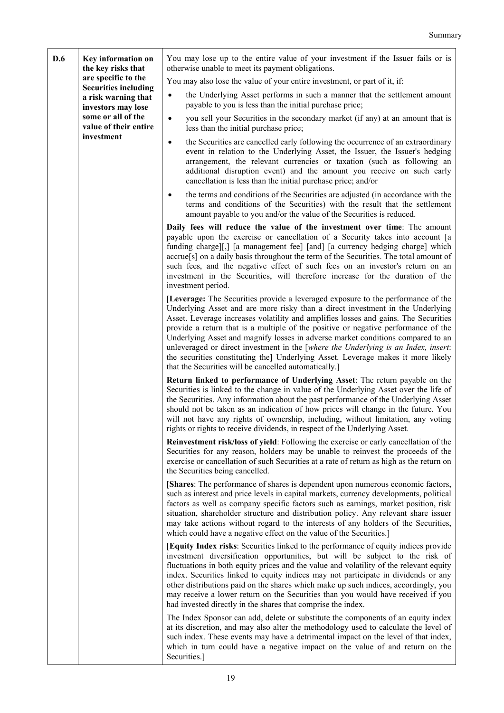| D.6 | Key information on<br>the key risks that                                                                                              | You may lose up to the entire value of your investment if the Issuer fails or is<br>otherwise unable to meet its payment obligations.                                                                                                                                                                                                                                                                                                                                                                                                                                                                                                                                 |
|-----|---------------------------------------------------------------------------------------------------------------------------------------|-----------------------------------------------------------------------------------------------------------------------------------------------------------------------------------------------------------------------------------------------------------------------------------------------------------------------------------------------------------------------------------------------------------------------------------------------------------------------------------------------------------------------------------------------------------------------------------------------------------------------------------------------------------------------|
|     | are specific to the                                                                                                                   | You may also lose the value of your entire investment, or part of it, if:                                                                                                                                                                                                                                                                                                                                                                                                                                                                                                                                                                                             |
|     | <b>Securities including</b><br>a risk warning that<br>investors may lose<br>some or all of the<br>value of their entire<br>investment | the Underlying Asset performs in such a manner that the settlement amount<br>payable to you is less than the initial purchase price;                                                                                                                                                                                                                                                                                                                                                                                                                                                                                                                                  |
|     |                                                                                                                                       | you sell your Securities in the secondary market (if any) at an amount that is<br>$\bullet$<br>less than the initial purchase price;                                                                                                                                                                                                                                                                                                                                                                                                                                                                                                                                  |
|     |                                                                                                                                       | the Securities are cancelled early following the occurrence of an extraordinary<br>$\bullet$<br>event in relation to the Underlying Asset, the Issuer, the Issuer's hedging<br>arrangement, the relevant currencies or taxation (such as following an<br>additional disruption event) and the amount you receive on such early<br>cancellation is less than the initial purchase price; and/or                                                                                                                                                                                                                                                                        |
|     |                                                                                                                                       | the terms and conditions of the Securities are adjusted (in accordance with the<br>$\bullet$<br>terms and conditions of the Securities) with the result that the settlement<br>amount payable to you and/or the value of the Securities is reduced.                                                                                                                                                                                                                                                                                                                                                                                                                   |
|     |                                                                                                                                       | Daily fees will reduce the value of the investment over time: The amount<br>payable upon the exercise or cancellation of a Security takes into account [a<br>funding charge][,] [a management fee] [and] [a currency hedging charge] which<br>accrue <sup>[s]</sup> on a daily basis throughout the term of the Securities. The total amount of<br>such fees, and the negative effect of such fees on an investor's return on an<br>investment in the Securities, will therefore increase for the duration of the<br>investment period.                                                                                                                               |
|     |                                                                                                                                       | [Leverage: The Securities provide a leveraged exposure to the performance of the<br>Underlying Asset and are more risky than a direct investment in the Underlying<br>Asset. Leverage increases volatility and amplifies losses and gains. The Securities<br>provide a return that is a multiple of the positive or negative performance of the<br>Underlying Asset and magnify losses in adverse market conditions compared to an<br>unleveraged or direct investment in the [where the Underlying is an Index, insert:<br>the securities constituting the] Underlying Asset. Leverage makes it more likely<br>that the Securities will be cancelled automatically.] |
|     |                                                                                                                                       | Return linked to performance of Underlying Asset: The return payable on the<br>Securities is linked to the change in value of the Underlying Asset over the life of<br>the Securities. Any information about the past performance of the Underlying Asset<br>should not be taken as an indication of how prices will change in the future. You<br>will not have any rights of ownership, including, without limitation, any voting<br>rights or rights to receive dividends, in respect of the Underlying Asset.                                                                                                                                                      |
|     |                                                                                                                                       | <b>Reinvestment risk/loss of yield:</b> Following the exercise or early cancellation of the<br>Securities for any reason, holders may be unable to reinvest the proceeds of the<br>exercise or cancellation of such Securities at a rate of return as high as the return on<br>the Securities being cancelled.                                                                                                                                                                                                                                                                                                                                                        |
|     |                                                                                                                                       | [Shares: The performance of shares is dependent upon numerous economic factors,<br>such as interest and price levels in capital markets, currency developments, political<br>factors as well as company specific factors such as earnings, market position, risk<br>situation, shareholder structure and distribution policy. Any relevant share issuer<br>may take actions without regard to the interests of any holders of the Securities,<br>which could have a negative effect on the value of the Securities.]                                                                                                                                                  |
|     |                                                                                                                                       | [Equity Index risks: Securities linked to the performance of equity indices provide<br>investment diversification opportunities, but will be subject to the risk of<br>fluctuations in both equity prices and the value and volatility of the relevant equity<br>index. Securities linked to equity indices may not participate in dividends or any<br>other distributions paid on the shares which make up such indices, accordingly, you<br>may receive a lower return on the Securities than you would have received if you<br>had invested directly in the shares that comprise the index.                                                                        |
|     |                                                                                                                                       | The Index Sponsor can add, delete or substitute the components of an equity index<br>at its discretion, and may also alter the methodology used to calculate the level of<br>such index. These events may have a detrimental impact on the level of that index,<br>which in turn could have a negative impact on the value of and return on the<br>Securities.]                                                                                                                                                                                                                                                                                                       |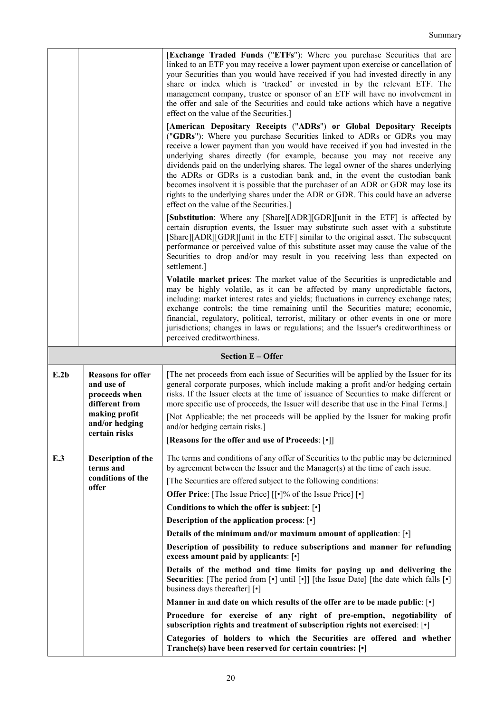|      |                                                                                                                               | [Exchange Traded Funds ("ETFs"): Where you purchase Securities that are<br>linked to an ETF you may receive a lower payment upon exercise or cancellation of<br>your Securities than you would have received if you had invested directly in any<br>share or index which is 'tracked' or invested in by the relevant ETF. The<br>management company, trustee or sponsor of an ETF will have no involvement in<br>the offer and sale of the Securities and could take actions which have a negative<br>effect on the value of the Securities.]<br>[American Depositary Receipts ("ADRs") or Global Depositary Receipts<br>("GDRs"): Where you purchase Securities linked to ADRs or GDRs you may<br>receive a lower payment than you would have received if you had invested in the<br>underlying shares directly (for example, because you may not receive any<br>dividends paid on the underlying shares. The legal owner of the shares underlying<br>the ADRs or GDRs is a custodian bank and, in the event the custodian bank<br>becomes insolvent it is possible that the purchaser of an ADR or GDR may lose its<br>rights to the underlying shares under the ADR or GDR. This could have an adverse<br>effect on the value of the Securities.]<br>[Substitution: Where any [Share][ADR][GDR][unit in the ETF] is affected by<br>certain disruption events, the Issuer may substitute such asset with a substitute<br>[Share][ADR][GDR][unit in the ETF] similar to the original asset. The subsequent<br>performance or perceived value of this substitute asset may cause the value of the<br>Securities to drop and/or may result in you receiving less than expected on<br>settlement.]<br>Volatile market prices: The market value of the Securities is unpredictable and<br>may be highly volatile, as it can be affected by many unpredictable factors,<br>including: market interest rates and yields; fluctuations in currency exchange rates;<br>exchange controls; the time remaining until the Securities mature; economic,<br>financial, regulatory, political, terrorist, military or other events in one or more<br>jurisdictions; changes in laws or regulations; and the Issuer's creditworthiness or<br>perceived creditworthiness. |
|------|-------------------------------------------------------------------------------------------------------------------------------|------------------------------------------------------------------------------------------------------------------------------------------------------------------------------------------------------------------------------------------------------------------------------------------------------------------------------------------------------------------------------------------------------------------------------------------------------------------------------------------------------------------------------------------------------------------------------------------------------------------------------------------------------------------------------------------------------------------------------------------------------------------------------------------------------------------------------------------------------------------------------------------------------------------------------------------------------------------------------------------------------------------------------------------------------------------------------------------------------------------------------------------------------------------------------------------------------------------------------------------------------------------------------------------------------------------------------------------------------------------------------------------------------------------------------------------------------------------------------------------------------------------------------------------------------------------------------------------------------------------------------------------------------------------------------------------------------------------------------------------------------------------------------------------------------------------------------------------------------------------------------------------------------------------------------------------------------------------------------------------------------------------------------------------------------------------------------------------------------------------------------------------------------------------------------------------------------------------------------------------------------------|
|      |                                                                                                                               | <b>Section E - Offer</b>                                                                                                                                                                                                                                                                                                                                                                                                                                                                                                                                                                                                                                                                                                                                                                                                                                                                                                                                                                                                                                                                                                                                                                                                                                                                                                                                                                                                                                                                                                                                                                                                                                                                                                                                                                                                                                                                                                                                                                                                                                                                                                                                                                                                                                   |
| E.2b | <b>Reasons for offer</b><br>and use of<br>proceeds when<br>different from<br>making profit<br>and/or hedging<br>certain risks | The net proceeds from each issue of Securities will be applied by the Issuer for its<br>general corporate purposes, which include making a profit and/or hedging certain<br>risks. If the Issuer elects at the time of issuance of Securities to make different or<br>more specific use of proceeds, the Issuer will describe that use in the Final Terms.]<br>[Not Applicable; the net proceeds will be applied by the Issuer for making profit<br>and/or hedging certain risks.]<br>[Reasons for the offer and use of Proceeds: [•]]                                                                                                                                                                                                                                                                                                                                                                                                                                                                                                                                                                                                                                                                                                                                                                                                                                                                                                                                                                                                                                                                                                                                                                                                                                                                                                                                                                                                                                                                                                                                                                                                                                                                                                                     |
| E.3  | Description of the<br>terms and<br>conditions of the<br>offer                                                                 | The terms and conditions of any offer of Securities to the public may be determined<br>by agreement between the Issuer and the Manager(s) at the time of each issue.<br>[The Securities are offered subject to the following conditions:<br><b>Offer Price:</b> [The Issue Price] [[ $\cdot$ ]% of the Issue Price] [ $\cdot$ ]<br>Conditions to which the offer is subject: $\lceil \cdot \rceil$<br><b>Description of the application process:</b> [ $\cdot$ ]<br>Details of the minimum and/or maximum amount of application: $\lceil \cdot \rceil$<br>Description of possibility to reduce subscriptions and manner for refunding<br>excess amount paid by applicants: [.]<br>Details of the method and time limits for paying up and delivering the<br>Securities: [The period from [ $\cdot$ ] until [ $\cdot$ ]] [the Issue Date] [the date which falls [ $\cdot$ ]<br>business days thereafter [•]<br>Manner in and date on which results of the offer are to be made public: $\lceil \cdot \rceil$<br>Procedure for exercise of any right of pre-emption, negotiability of<br>subscription rights and treatment of subscription rights not exercised: [ $\cdot$ ]<br>Categories of holders to which the Securities are offered and whether<br>Tranche(s) have been reserved for certain countries: [ $\cdot$ ]                                                                                                                                                                                                                                                                                                                                                                                                                                                                                                                                                                                                                                                                                                                                                                                                                                                                                                                                    |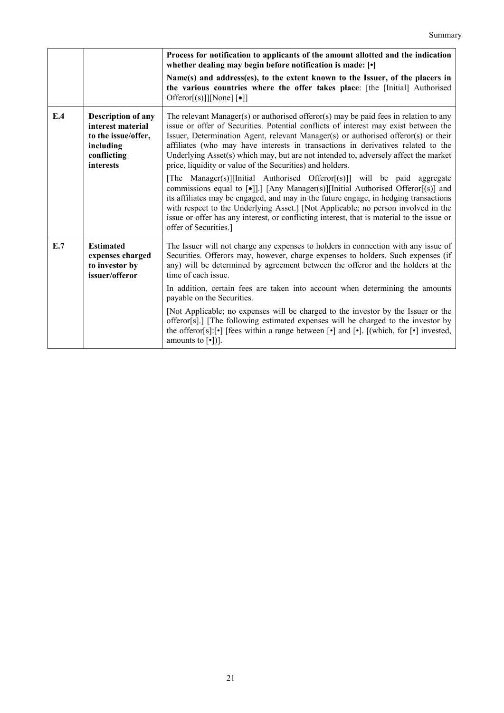|     |                                                                                                                | Process for notification to applicants of the amount allotted and the indication<br>whether dealing may begin before notification is made: [ $\cdot$ ]                                                                                                                                                                                                                                                                                                                                                    |
|-----|----------------------------------------------------------------------------------------------------------------|-----------------------------------------------------------------------------------------------------------------------------------------------------------------------------------------------------------------------------------------------------------------------------------------------------------------------------------------------------------------------------------------------------------------------------------------------------------------------------------------------------------|
|     |                                                                                                                | Name(s) and address(es), to the extent known to the Issuer, of the placers in<br>the various countries where the offer takes place: [the [Initial] Authorised<br>Offeror[(s)]][None] $\lceil \bullet \rceil$ ]                                                                                                                                                                                                                                                                                            |
| E.4 | <b>Description of any</b><br>interest material<br>to the issue/offer,<br>including<br>conflicting<br>interests | The relevant Manager(s) or authorised offeror(s) may be paid fees in relation to any<br>issue or offer of Securities. Potential conflicts of interest may exist between the<br>Issuer, Determination Agent, relevant Manager(s) or authorised offeror(s) or their<br>affiliates (who may have interests in transactions in derivatives related to the<br>Underlying Asset(s) which may, but are not intended to, adversely affect the market<br>price, liquidity or value of the Securities) and holders. |
|     |                                                                                                                | [The Manager(s)][Initial Authorised Offeror[(s)]] will be paid aggregate<br>commissions equal to $\lceil \bullet \rceil$ ].] [Any Manager(s)][Initial Authorised Offeror[(s)] and<br>its affiliates may be engaged, and may in the future engage, in hedging transactions<br>with respect to the Underlying Asset.] [Not Applicable; no person involved in the<br>issue or offer has any interest, or conflicting interest, that is material to the issue or<br>offer of Securities.]                     |
| E.7 | <b>Estimated</b><br>expenses charged<br>to investor by<br>issuer/offeror                                       | The Issuer will not charge any expenses to holders in connection with any issue of<br>Securities. Offerors may, however, charge expenses to holders. Such expenses (if<br>any) will be determined by agreement between the offeror and the holders at the<br>time of each issue                                                                                                                                                                                                                           |
|     |                                                                                                                | In addition, certain fees are taken into account when determining the amounts<br>payable on the Securities.                                                                                                                                                                                                                                                                                                                                                                                               |
|     |                                                                                                                | [Not Applicable; no expenses will be charged to the investor by the Issuer or the<br>offeror[s].] [The following estimated expenses will be charged to the investor by<br>the offeror[s]: $[\cdot]$ [fees within a range between $[\cdot]$ and $[\cdot]$ . [(which, for $[\cdot]$ invested,<br>amounts to $[\cdot$ ])].                                                                                                                                                                                   |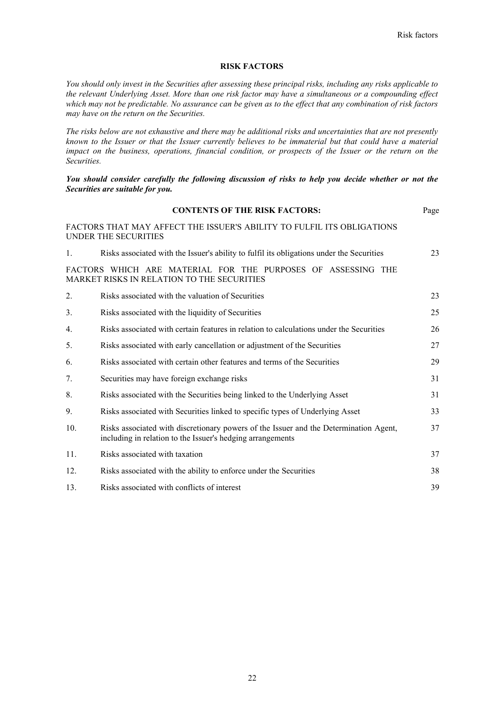# **RISK FACTORS**

*You should only invest in the Securities after assessing these principal risks, including any risks applicable to the relevant Underlying Asset. More than one risk factor may have a simultaneous or a compounding effect which may not be predictable. No assurance can be given as to the effect that any combination of risk factors may have on the return on the Securities.*

*The risks below are not exhaustive and there may be additional risks and uncertainties that are not presently known to the Issuer or that the Issuer currently believes to be immaterial but that could have a material impact on the business, operations, financial condition, or prospects of the Issuer or the return on the Securities.* 

# *You should consider carefully the following discussion of risks to help you decide whether or not the Securities are suitable for you.*

|     | <b>CONTENTS OF THE RISK FACTORS:</b>                                                                                                                | Page |
|-----|-----------------------------------------------------------------------------------------------------------------------------------------------------|------|
|     | FACTORS THAT MAY AFFECT THE ISSUER'S ABILITY TO FULFIL ITS OBLIGATIONS<br>UNDER THE SECURITIES                                                      |      |
| 1.  | Risks associated with the Issuer's ability to fulfil its obligations under the Securities                                                           | 23   |
|     | FACTORS WHICH ARE MATERIAL FOR THE PURPOSES OF ASSESSING THE<br>MARKET RISKS IN RELATION TO THE SECURITIES                                          |      |
| 2.  | Risks associated with the valuation of Securities                                                                                                   | 23   |
| 3.  | Risks associated with the liquidity of Securities                                                                                                   | 25   |
| 4.  | Risks associated with certain features in relation to calculations under the Securities                                                             | 26   |
| 5.  | Risks associated with early cancellation or adjustment of the Securities                                                                            | 27   |
| 6.  | Risks associated with certain other features and terms of the Securities                                                                            | 29   |
| 7.  | Securities may have foreign exchange risks                                                                                                          | 31   |
| 8.  | Risks associated with the Securities being linked to the Underlying Asset                                                                           | 31   |
| 9.  | Risks associated with Securities linked to specific types of Underlying Asset                                                                       | 33   |
| 10. | Risks associated with discretionary powers of the Issuer and the Determination Agent,<br>including in relation to the Issuer's hedging arrangements | 37   |
| 11. | Risks associated with taxation                                                                                                                      | 37   |
| 12. | Risks associated with the ability to enforce under the Securities                                                                                   | 38   |
| 13. | Risks associated with conflicts of interest                                                                                                         | 39   |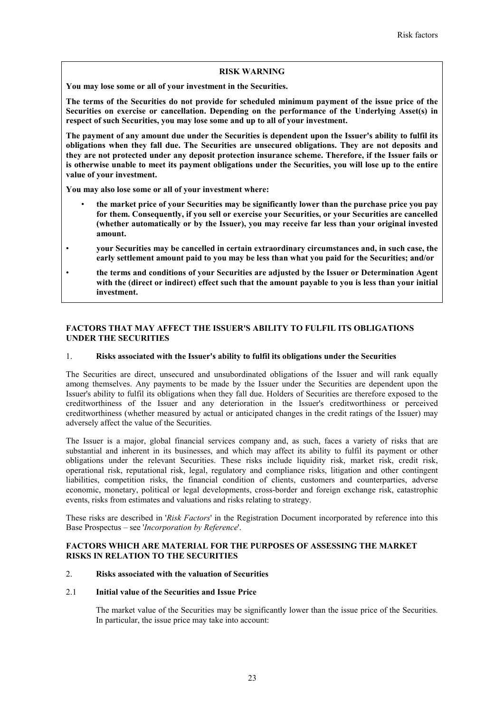# **RISK WARNING**

**You may lose some or all of your investment in the Securities.**

**The terms of the Securities do not provide for scheduled minimum payment of the issue price of the Securities on exercise or cancellation. Depending on the performance of the Underlying Asset(s) in respect of such Securities, you may lose some and up to all of your investment.**

**The payment of any amount due under the Securities is dependent upon the Issuer's ability to fulfil its obligations when they fall due. The Securities are unsecured obligations. They are not deposits and they are not protected under any deposit protection insurance scheme. Therefore, if the Issuer fails or is otherwise unable to meet its payment obligations under the Securities, you will lose up to the entire value of your investment.**

**You may also lose some or all of your investment where:**

- **the market price of your Securities may be significantly lower than the purchase price you pay for them. Consequently, if you sell or exercise your Securities, or your Securities are cancelled (whether automatically or by the Issuer), you may receive far less than your original invested amount.**
- **your Securities may be cancelled in certain extraordinary circumstances and, in such case, the early settlement amount paid to you may be less than what you paid for the Securities; and/or**
- **the terms and conditions of your Securities are adjusted by the Issuer or Determination Agent with the (direct or indirect) effect such that the amount payable to you is less than your initial investment.**

# **FACTORS THAT MAY AFFECT THE ISSUER'S ABILITY TO FULFIL ITS OBLIGATIONS UNDER THE SECURITIES**

## 1. **Risks associated with the Issuer's ability to fulfil its obligations under the Securities**

The Securities are direct, unsecured and unsubordinated obligations of the Issuer and will rank equally among themselves. Any payments to be made by the Issuer under the Securities are dependent upon the Issuer's ability to fulfil its obligations when they fall due. Holders of Securities are therefore exposed to the creditworthiness of the Issuer and any deterioration in the Issuer's creditworthiness or perceived creditworthiness (whether measured by actual or anticipated changes in the credit ratings of the Issuer) may adversely affect the value of the Securities.

The Issuer is a major, global financial services company and, as such, faces a variety of risks that are substantial and inherent in its businesses, and which may affect its ability to fulfil its payment or other obligations under the relevant Securities. These risks include liquidity risk, market risk, credit risk, operational risk, reputational risk, legal, regulatory and compliance risks, litigation and other contingent liabilities, competition risks, the financial condition of clients, customers and counterparties, adverse economic, monetary, political or legal developments, cross-border and foreign exchange risk, catastrophic events, risks from estimates and valuations and risks relating to strategy.

These risks are described in '*Risk Factors*' in the Registration Document incorporated by reference into this Base Prospectus – see '*Incorporation by Reference*'.

# **FACTORS WHICH ARE MATERIAL FOR THE PURPOSES OF ASSESSING THE MARKET RISKS IN RELATION TO THE SECURITIES**

# 2. **Risks associated with the valuation of Securities**

### 2.1 **Initial value of the Securities and Issue Price**

The market value of the Securities may be significantly lower than the issue price of the Securities. In particular, the issue price may take into account: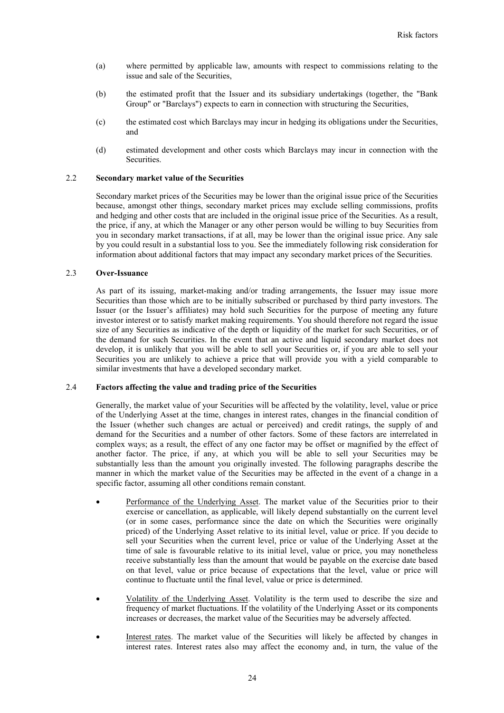- (a) where permitted by applicable law, amounts with respect to commissions relating to the issue and sale of the Securities,
- (b) the estimated profit that the Issuer and its subsidiary undertakings (together, the "Bank Group" or "Barclays") expects to earn in connection with structuring the Securities,
- (c) the estimated cost which Barclays may incur in hedging its obligations under the Securities, and
- (d) estimated development and other costs which Barclays may incur in connection with the Securities.

### 2.2 **Secondary market value of the Securities**

Secondary market prices of the Securities may be lower than the original issue price of the Securities because, amongst other things, secondary market prices may exclude selling commissions, profits and hedging and other costs that are included in the original issue price of the Securities. As a result, the price, if any, at which the Manager or any other person would be willing to buy Securities from you in secondary market transactions, if at all, may be lower than the original issue price. Any sale by you could result in a substantial loss to you. See the immediately following risk consideration for information about additional factors that may impact any secondary market prices of the Securities.

# 2.3 **Over-Issuance**

As part of its issuing, market-making and/or trading arrangements, the Issuer may issue more Securities than those which are to be initially subscribed or purchased by third party investors. The Issuer (or the Issuer's affiliates) may hold such Securities for the purpose of meeting any future investor interest or to satisfy market making requirements. You should therefore not regard the issue size of any Securities as indicative of the depth or liquidity of the market for such Securities, or of the demand for such Securities. In the event that an active and liquid secondary market does not develop, it is unlikely that you will be able to sell your Securities or, if you are able to sell your Securities you are unlikely to achieve a price that will provide you with a yield comparable to similar investments that have a developed secondary market.

# 2.4 **Factors affecting the value and trading price of the Securities**

Generally, the market value of your Securities will be affected by the volatility, level, value or price of the Underlying Asset at the time, changes in interest rates, changes in the financial condition of the Issuer (whether such changes are actual or perceived) and credit ratings, the supply of and demand for the Securities and a number of other factors. Some of these factors are interrelated in complex ways; as a result, the effect of any one factor may be offset or magnified by the effect of another factor. The price, if any, at which you will be able to sell your Securities may be substantially less than the amount you originally invested. The following paragraphs describe the manner in which the market value of the Securities may be affected in the event of a change in a specific factor, assuming all other conditions remain constant.

- Performance of the Underlying Asset. The market value of the Securities prior to their exercise or cancellation, as applicable, will likely depend substantially on the current level (or in some cases, performance since the date on which the Securities were originally priced) of the Underlying Asset relative to its initial level, value or price. If you decide to sell your Securities when the current level, price or value of the Underlying Asset at the time of sale is favourable relative to its initial level, value or price, you may nonetheless receive substantially less than the amount that would be payable on the exercise date based on that level, value or price because of expectations that the level, value or price will continue to fluctuate until the final level, value or price is determined.
- Volatility of the Underlying Asset. Volatility is the term used to describe the size and frequency of market fluctuations. If the volatility of the Underlying Asset or its components increases or decreases, the market value of the Securities may be adversely affected.
- Interest rates. The market value of the Securities will likely be affected by changes in interest rates. Interest rates also may affect the economy and, in turn, the value of the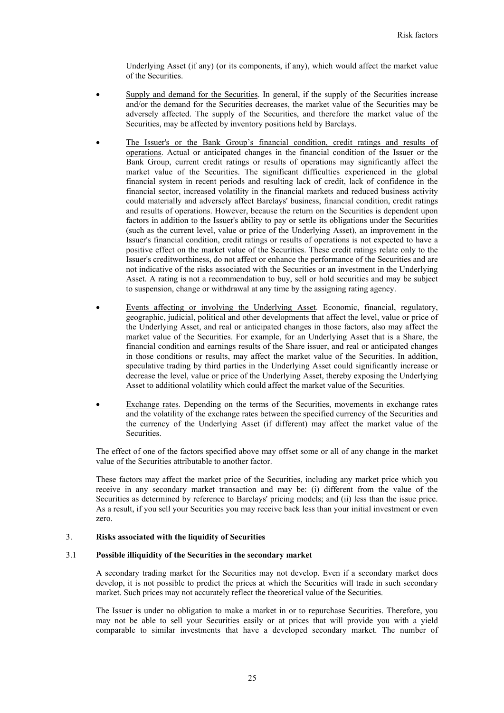Underlying Asset (if any) (or its components, if any), which would affect the market value of the Securities.

- Supply and demand for the Securities. In general, if the supply of the Securities increase and/or the demand for the Securities decreases, the market value of the Securities may be adversely affected. The supply of the Securities, and therefore the market value of the Securities, may be affected by inventory positions held by Barclays.
- The Issuer's or the Bank Group's financial condition, credit ratings and results of operations. Actual or anticipated changes in the financial condition of the Issuer or the Bank Group, current credit ratings or results of operations may significantly affect the market value of the Securities. The significant difficulties experienced in the global financial system in recent periods and resulting lack of credit, lack of confidence in the financial sector, increased volatility in the financial markets and reduced business activity could materially and adversely affect Barclays' business, financial condition, credit ratings and results of operations. However, because the return on the Securities is dependent upon factors in addition to the Issuer's ability to pay or settle its obligations under the Securities (such as the current level, value or price of the Underlying Asset), an improvement in the Issuer's financial condition, credit ratings or results of operations is not expected to have a positive effect on the market value of the Securities. These credit ratings relate only to the Issuer's creditworthiness, do not affect or enhance the performance of the Securities and are not indicative of the risks associated with the Securities or an investment in the Underlying Asset. A rating is not a recommendation to buy, sell or hold securities and may be subject to suspension, change or withdrawal at any time by the assigning rating agency.
- Events affecting or involving the Underlying Asset. Economic, financial, regulatory, geographic, judicial, political and other developments that affect the level, value or price of the Underlying Asset, and real or anticipated changes in those factors, also may affect the market value of the Securities. For example, for an Underlying Asset that is a Share, the financial condition and earnings results of the Share issuer, and real or anticipated changes in those conditions or results, may affect the market value of the Securities. In addition, speculative trading by third parties in the Underlying Asset could significantly increase or decrease the level, value or price of the Underlying Asset, thereby exposing the Underlying Asset to additional volatility which could affect the market value of the Securities.
- Exchange rates. Depending on the terms of the Securities, movements in exchange rates and the volatility of the exchange rates between the specified currency of the Securities and the currency of the Underlying Asset (if different) may affect the market value of the **Securities**

The effect of one of the factors specified above may offset some or all of any change in the market value of the Securities attributable to another factor.

These factors may affect the market price of the Securities, including any market price which you receive in any secondary market transaction and may be: (i) different from the value of the Securities as determined by reference to Barclays' pricing models; and (ii) less than the issue price. As a result, if you sell your Securities you may receive back less than your initial investment or even zero.

### 3. **Risks associated with the liquidity of Securities**

### 3.1 **Possible illiquidity of the Securities in the secondary market**

A secondary trading market for the Securities may not develop. Even if a secondary market does develop, it is not possible to predict the prices at which the Securities will trade in such secondary market. Such prices may not accurately reflect the theoretical value of the Securities.

The Issuer is under no obligation to make a market in or to repurchase Securities. Therefore, you may not be able to sell your Securities easily or at prices that will provide you with a yield comparable to similar investments that have a developed secondary market. The number of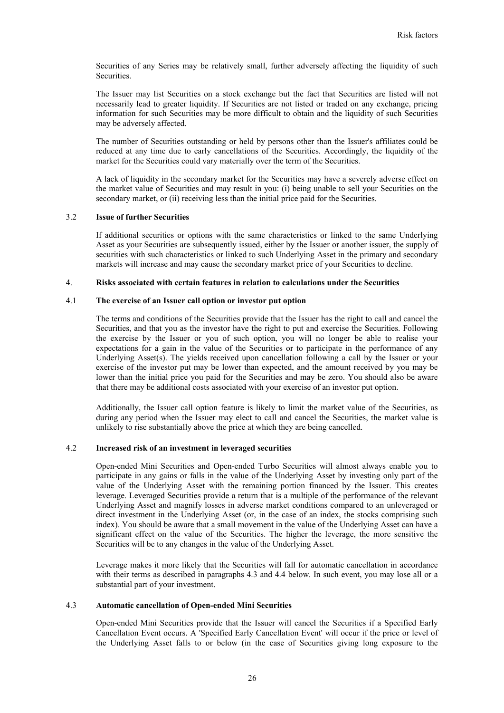Securities of any Series may be relatively small, further adversely affecting the liquidity of such Securities.

The Issuer may list Securities on a stock exchange but the fact that Securities are listed will not necessarily lead to greater liquidity. If Securities are not listed or traded on any exchange, pricing information for such Securities may be more difficult to obtain and the liquidity of such Securities may be adversely affected.

The number of Securities outstanding or held by persons other than the Issuer's affiliates could be reduced at any time due to early cancellations of the Securities. Accordingly, the liquidity of the market for the Securities could vary materially over the term of the Securities.

A lack of liquidity in the secondary market for the Securities may have a severely adverse effect on the market value of Securities and may result in you: (i) being unable to sell your Securities on the secondary market, or (ii) receiving less than the initial price paid for the Securities.

# 3.2 **Issue of further Securities**

If additional securities or options with the same characteristics or linked to the same Underlying Asset as your Securities are subsequently issued, either by the Issuer or another issuer, the supply of securities with such characteristics or linked to such Underlying Asset in the primary and secondary markets will increase and may cause the secondary market price of your Securities to decline.

## 4. **Risks associated with certain features in relation to calculations under the Securities**

# 4.1 **The exercise of an Issuer call option or investor put option**

The terms and conditions of the Securities provide that the Issuer has the right to call and cancel the Securities, and that you as the investor have the right to put and exercise the Securities. Following the exercise by the Issuer or you of such option, you will no longer be able to realise your expectations for a gain in the value of the Securities or to participate in the performance of any Underlying Asset(s). The yields received upon cancellation following a call by the Issuer or your exercise of the investor put may be lower than expected, and the amount received by you may be lower than the initial price you paid for the Securities and may be zero. You should also be aware that there may be additional costs associated with your exercise of an investor put option.

Additionally, the Issuer call option feature is likely to limit the market value of the Securities, as during any period when the Issuer may elect to call and cancel the Securities, the market value is unlikely to rise substantially above the price at which they are being cancelled.

# 4.2 **Increased risk of an investment in leveraged securities**

Open-ended Mini Securities and Open-ended Turbo Securities will almost always enable you to participate in any gains or falls in the value of the Underlying Asset by investing only part of the value of the Underlying Asset with the remaining portion financed by the Issuer. This creates leverage. Leveraged Securities provide a return that is a multiple of the performance of the relevant Underlying Asset and magnify losses in adverse market conditions compared to an unleveraged or direct investment in the Underlying Asset (or, in the case of an index, the stocks comprising such index). You should be aware that a small movement in the value of the Underlying Asset can have a significant effect on the value of the Securities. The higher the leverage, the more sensitive the Securities will be to any changes in the value of the Underlying Asset.

Leverage makes it more likely that the Securities will fall for automatic cancellation in accordance with their terms as described in paragraphs 4.3 and 4.4 below. In such event, you may lose all or a substantial part of your investment.

# 4.3 **Automatic cancellation of Open-ended Mini Securities**

Open-ended Mini Securities provide that the Issuer will cancel the Securities if a Specified Early Cancellation Event occurs. A 'Specified Early Cancellation Event' will occur if the price or level of the Underlying Asset falls to or below (in the case of Securities giving long exposure to the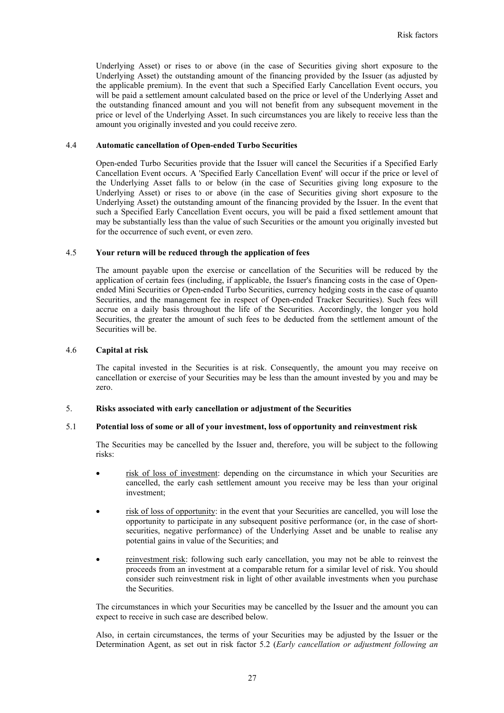Underlying Asset) or rises to or above (in the case of Securities giving short exposure to the Underlying Asset) the outstanding amount of the financing provided by the Issuer (as adjusted by the applicable premium). In the event that such a Specified Early Cancellation Event occurs, you will be paid a settlement amount calculated based on the price or level of the Underlying Asset and the outstanding financed amount and you will not benefit from any subsequent movement in the price or level of the Underlying Asset. In such circumstances you are likely to receive less than the amount you originally invested and you could receive zero.

# 4.4 **Automatic cancellation of Open-ended Turbo Securities**

Open-ended Turbo Securities provide that the Issuer will cancel the Securities if a Specified Early Cancellation Event occurs. A 'Specified Early Cancellation Event' will occur if the price or level of the Underlying Asset falls to or below (in the case of Securities giving long exposure to the Underlying Asset) or rises to or above (in the case of Securities giving short exposure to the Underlying Asset) the outstanding amount of the financing provided by the Issuer. In the event that such a Specified Early Cancellation Event occurs, you will be paid a fixed settlement amount that may be substantially less than the value of such Securities or the amount you originally invested but for the occurrence of such event, or even zero.

# 4.5 **Your return will be reduced through the application of fees**

The amount payable upon the exercise or cancellation of the Securities will be reduced by the application of certain fees (including, if applicable, the Issuer's financing costs in the case of Openended Mini Securities or Open-ended Turbo Securities, currency hedging costs in the case of quanto Securities, and the management fee in respect of Open-ended Tracker Securities). Such fees will accrue on a daily basis throughout the life of the Securities. Accordingly, the longer you hold Securities, the greater the amount of such fees to be deducted from the settlement amount of the Securities will be.

### 4.6 **Capital at risk**

The capital invested in the Securities is at risk. Consequently, the amount you may receive on cancellation or exercise of your Securities may be less than the amount invested by you and may be zero.

### 5. **Risks associated with early cancellation or adjustment of the Securities**

# 5.1 **Potential loss of some or all of your investment, loss of opportunity and reinvestment risk**

The Securities may be cancelled by the Issuer and, therefore, you will be subject to the following risks:

- risk of loss of investment: depending on the circumstance in which your Securities are cancelled, the early cash settlement amount you receive may be less than your original investment;
- risk of loss of opportunity: in the event that your Securities are cancelled, you will lose the opportunity to participate in any subsequent positive performance (or, in the case of shortsecurities, negative performance) of the Underlying Asset and be unable to realise any potential gains in value of the Securities; and
- reinvestment risk: following such early cancellation, you may not be able to reinvest the proceeds from an investment at a comparable return for a similar level of risk. You should consider such reinvestment risk in light of other available investments when you purchase the Securities.

The circumstances in which your Securities may be cancelled by the Issuer and the amount you can expect to receive in such case are described below.

Also, in certain circumstances, the terms of your Securities may be adjusted by the Issuer or the Determination Agent, as set out in risk factor 5.2 (*Early cancellation or adjustment following an*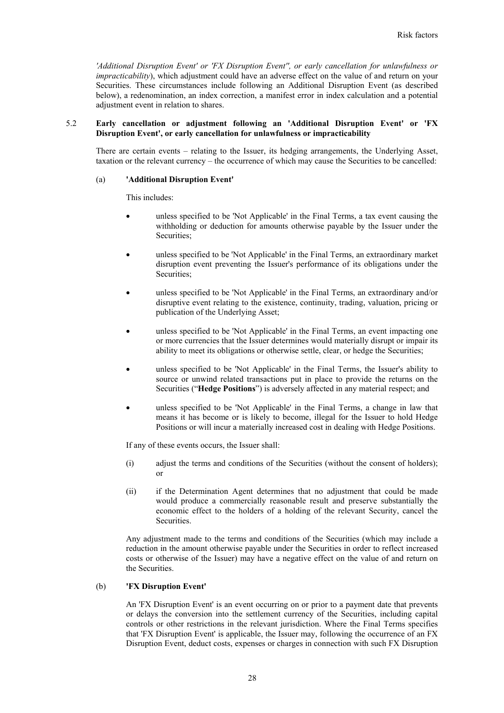*'Additional Disruption Event' or 'FX Disruption Event'', or early cancellation for unlawfulness or impracticability*), which adjustment could have an adverse effect on the value of and return on your Securities. These circumstances include following an Additional Disruption Event (as described below), a redenomination, an index correction, a manifest error in index calculation and a potential adjustment event in relation to shares.

# 5.2 **Early cancellation or adjustment following an 'Additional Disruption Event' or 'FX Disruption Event', or early cancellation for unlawfulness or impracticability**

There are certain events – relating to the Issuer, its hedging arrangements, the Underlying Asset, taxation or the relevant currency – the occurrence of which may cause the Securities to be cancelled:

### (a) **'Additional Disruption Event'**

This includes:

- unless specified to be 'Not Applicable' in the Final Terms, a tax event causing the withholding or deduction for amounts otherwise payable by the Issuer under the Securities;
- unless specified to be 'Not Applicable' in the Final Terms, an extraordinary market disruption event preventing the Issuer's performance of its obligations under the Securities;
- unless specified to be 'Not Applicable' in the Final Terms, an extraordinary and/or disruptive event relating to the existence, continuity, trading, valuation, pricing or publication of the Underlying Asset;
- unless specified to be 'Not Applicable' in the Final Terms, an event impacting one or more currencies that the Issuer determines would materially disrupt or impair its ability to meet its obligations or otherwise settle, clear, or hedge the Securities;
- unless specified to be 'Not Applicable' in the Final Terms, the Issuer's ability to source or unwind related transactions put in place to provide the returns on the Securities ("**Hedge Positions**") is adversely affected in any material respect; and
- unless specified to be 'Not Applicable' in the Final Terms, a change in law that means it has become or is likely to become, illegal for the Issuer to hold Hedge Positions or will incur a materially increased cost in dealing with Hedge Positions.

If any of these events occurs, the Issuer shall:

- (i) adjust the terms and conditions of the Securities (without the consent of holders); or
- (ii) if the Determination Agent determines that no adjustment that could be made would produce a commercially reasonable result and preserve substantially the economic effect to the holders of a holding of the relevant Security, cancel the Securities.

Any adjustment made to the terms and conditions of the Securities (which may include a reduction in the amount otherwise payable under the Securities in order to reflect increased costs or otherwise of the Issuer) may have a negative effect on the value of and return on the Securities.

## (b) **'FX Disruption Event'**

An 'FX Disruption Event' is an event occurring on or prior to a payment date that prevents or delays the conversion into the settlement currency of the Securities, including capital controls or other restrictions in the relevant jurisdiction. Where the Final Terms specifies that 'FX Disruption Event' is applicable, the Issuer may, following the occurrence of an FX Disruption Event, deduct costs, expenses or charges in connection with such FX Disruption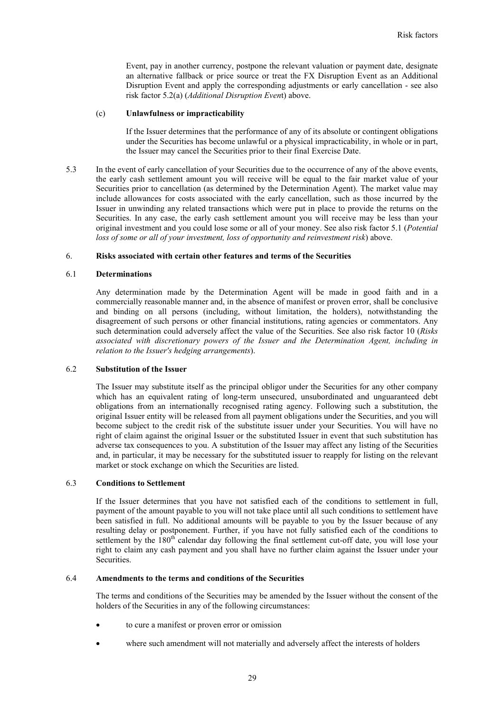Event, pay in another currency, postpone the relevant valuation or payment date, designate an alternative fallback or price source or treat the FX Disruption Event as an Additional Disruption Event and apply the corresponding adjustments or early cancellation - see also risk factor 5.2(a) (*Additional Disruption Even*t) above.

#### (c) **Unlawfulness or impracticability**

If the Issuer determines that the performance of any of its absolute or contingent obligations under the Securities has become unlawful or a physical impracticability, in whole or in part, the Issuer may cancel the Securities prior to their final Exercise Date.

5.3 In the event of early cancellation of your Securities due to the occurrence of any of the above events, the early cash settlement amount you will receive will be equal to the fair market value of your Securities prior to cancellation (as determined by the Determination Agent). The market value may include allowances for costs associated with the early cancellation, such as those incurred by the Issuer in unwinding any related transactions which were put in place to provide the returns on the Securities. In any case, the early cash settlement amount you will receive may be less than your original investment and you could lose some or all of your money. See also risk factor 5.1 (*Potential loss of some or all of your investment, loss of opportunity and reinvestment risk*) above.

### 6. **Risks associated with certain other features and terms of the Securities**

### 6.1 **Determinations**

Any determination made by the Determination Agent will be made in good faith and in a commercially reasonable manner and, in the absence of manifest or proven error, shall be conclusive and binding on all persons (including, without limitation, the holders), notwithstanding the disagreement of such persons or other financial institutions, rating agencies or commentators. Any such determination could adversely affect the value of the Securities. See also risk factor 10 (*Risks associated with discretionary powers of the Issuer and the Determination Agent, including in relation to the Issuer's hedging arrangements*).

# 6.2 **Substitution of the Issuer**

The Issuer may substitute itself as the principal obligor under the Securities for any other company which has an equivalent rating of long-term unsecured, unsubordinated and unguaranteed debt obligations from an internationally recognised rating agency. Following such a substitution, the original Issuer entity will be released from all payment obligations under the Securities, and you will become subject to the credit risk of the substitute issuer under your Securities. You will have no right of claim against the original Issuer or the substituted Issuer in event that such substitution has adverse tax consequences to you. A substitution of the Issuer may affect any listing of the Securities and, in particular, it may be necessary for the substituted issuer to reapply for listing on the relevant market or stock exchange on which the Securities are listed.

# 6.3 **Conditions to Settlement**

If the Issuer determines that you have not satisfied each of the conditions to settlement in full, payment of the amount payable to you will not take place until all such conditions to settlement have been satisfied in full. No additional amounts will be payable to you by the Issuer because of any resulting delay or postponement. Further, if you have not fully satisfied each of the conditions to settlement by the 180<sup>th</sup> calendar day following the final settlement cut-off date, you will lose your right to claim any cash payment and you shall have no further claim against the Issuer under your **Securities** 

# 6.4 **Amendments to the terms and conditions of the Securities**

The terms and conditions of the Securities may be amended by the Issuer without the consent of the holders of the Securities in any of the following circumstances:

- to cure a manifest or proven error or omission
- where such amendment will not materially and adversely affect the interests of holders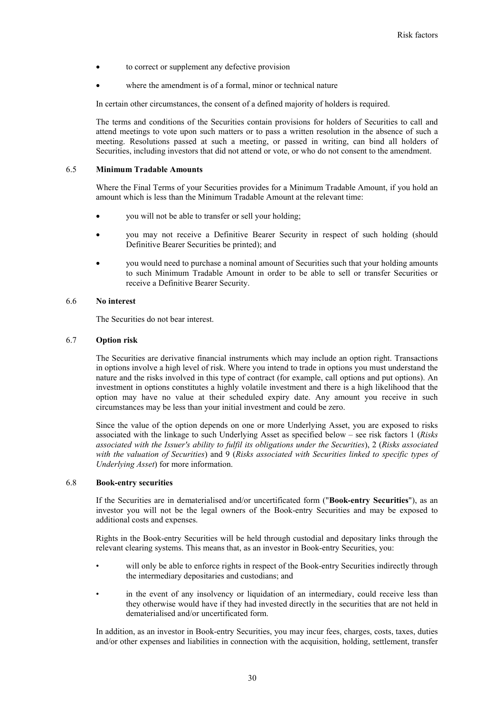- to correct or supplement any defective provision
- where the amendment is of a formal, minor or technical nature

In certain other circumstances, the consent of a defined majority of holders is required.

The terms and conditions of the Securities contain provisions for holders of Securities to call and attend meetings to vote upon such matters or to pass a written resolution in the absence of such a meeting. Resolutions passed at such a meeting, or passed in writing, can bind all holders of Securities, including investors that did not attend or vote, or who do not consent to the amendment.

#### 6.5 **Minimum Tradable Amounts**

Where the Final Terms of your Securities provides for a Minimum Tradable Amount, if you hold an amount which is less than the Minimum Tradable Amount at the relevant time:

- you will not be able to transfer or sell your holding;
- you may not receive a Definitive Bearer Security in respect of such holding (should Definitive Bearer Securities be printed); and
- you would need to purchase a nominal amount of Securities such that your holding amounts to such Minimum Tradable Amount in order to be able to sell or transfer Securities or receive a Definitive Bearer Security.

# 6.6 **No interest**

The Securities do not bear interest.

### 6.7 **Option risk**

The Securities are derivative financial instruments which may include an option right. Transactions in options involve a high level of risk. Where you intend to trade in options you must understand the nature and the risks involved in this type of contract (for example, call options and put options). An investment in options constitutes a highly volatile investment and there is a high likelihood that the option may have no value at their scheduled expiry date. Any amount you receive in such circumstances may be less than your initial investment and could be zero.

Since the value of the option depends on one or more Underlying Asset, you are exposed to risks associated with the linkage to such Underlying Asset as specified below – see risk factors 1 (*Risks associated with the Issuer's ability to fulfil its obligations under the Securities*), 2 (*Risks associated with the valuation of Securities*) and 9 (*Risks associated with Securities linked to specific types of Underlying Asset*) for more information.

#### 6.8 **Book-entry securities**

If the Securities are in dematerialised and/or uncertificated form ("**Book-entry Securities**"), as an investor you will not be the legal owners of the Book-entry Securities and may be exposed to additional costs and expenses.

Rights in the Book-entry Securities will be held through custodial and depositary links through the relevant clearing systems. This means that, as an investor in Book-entry Securities, you:

- will only be able to enforce rights in respect of the Book-entry Securities indirectly through the intermediary depositaries and custodians; and
- in the event of any insolvency or liquidation of an intermediary, could receive less than they otherwise would have if they had invested directly in the securities that are not held in dematerialised and/or uncertificated form.

In addition, as an investor in Book-entry Securities, you may incur fees, charges, costs, taxes, duties and/or other expenses and liabilities in connection with the acquisition, holding, settlement, transfer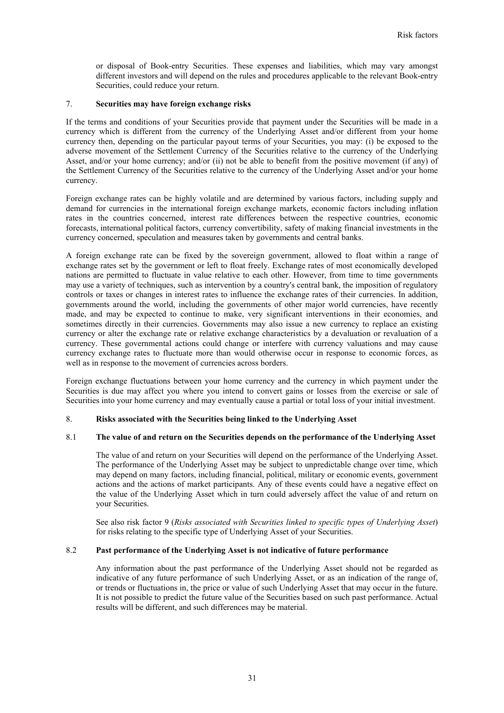or disposal of Book-entry Securities. These expenses and liabilities, which may vary amongst different investors and will depend on the rules and procedures applicable to the relevant Book-entry Securities, could reduce your return.

# 7. **Securities may have foreign exchange risks**

If the terms and conditions of your Securities provide that payment under the Securities will be made in a currency which is different from the currency of the Underlying Asset and/or different from your home currency then, depending on the particular payout terms of your Securities, you may: (i) be exposed to the adverse movement of the Settlement Currency of the Securities relative to the currency of the Underlying Asset, and/or your home currency; and/or (ii) not be able to benefit from the positive movement (if any) of the Settlement Currency of the Securities relative to the currency of the Underlying Asset and/or your home currency.

Foreign exchange rates can be highly volatile and are determined by various factors, including supply and demand for currencies in the international foreign exchange markets, economic factors including inflation rates in the countries concerned, interest rate differences between the respective countries, economic forecasts, international political factors, currency convertibility, safety of making financial investments in the currency concerned, speculation and measures taken by governments and central banks.

A foreign exchange rate can be fixed by the sovereign government, allowed to float within a range of exchange rates set by the government or left to float freely. Exchange rates of most economically developed nations are permitted to fluctuate in value relative to each other. However, from time to time governments may use a variety of techniques, such as intervention by a country's central bank, the imposition of regulatory controls or taxes or changes in interest rates to influence the exchange rates of their currencies. In addition, governments around the world, including the governments of other major world currencies, have recently made, and may be expected to continue to make, very significant interventions in their economies, and sometimes directly in their currencies. Governments may also issue a new currency to replace an existing currency or alter the exchange rate or relative exchange characteristics by a devaluation or revaluation of a currency. These governmental actions could change or interfere with currency valuations and may cause currency exchange rates to fluctuate more than would otherwise occur in response to economic forces, as well as in response to the movement of currencies across borders.

Foreign exchange fluctuations between your home currency and the currency in which payment under the Securities is due may affect you where you intend to convert gains or losses from the exercise or sale of Securities into your home currency and may eventually cause a partial or total loss of your initial investment.

### 8. **Risks associated with the Securities being linked to the Underlying Asset**

#### 8.1 **The value of and return on the Securities depends on the performance of the Underlying Asset**

The value of and return on your Securities will depend on the performance of the Underlying Asset. The performance of the Underlying Asset may be subject to unpredictable change over time, which may depend on many factors, including financial, political, military or economic events, government actions and the actions of market participants. Any of these events could have a negative effect on the value of the Underlying Asset which in turn could adversely affect the value of and return on your Securities.

See also risk factor 9 (*Risks associated with Securities linked to specific types of Underlying Asset*) for risks relating to the specific type of Underlying Asset of your Securities.

# 8.2 **Past performance of the Underlying Asset is not indicative of future performance**

Any information about the past performance of the Underlying Asset should not be regarded as indicative of any future performance of such Underlying Asset, or as an indication of the range of, or trends or fluctuations in, the price or value of such Underlying Asset that may occur in the future. It is not possible to predict the future value of the Securities based on such past performance. Actual results will be different, and such differences may be material.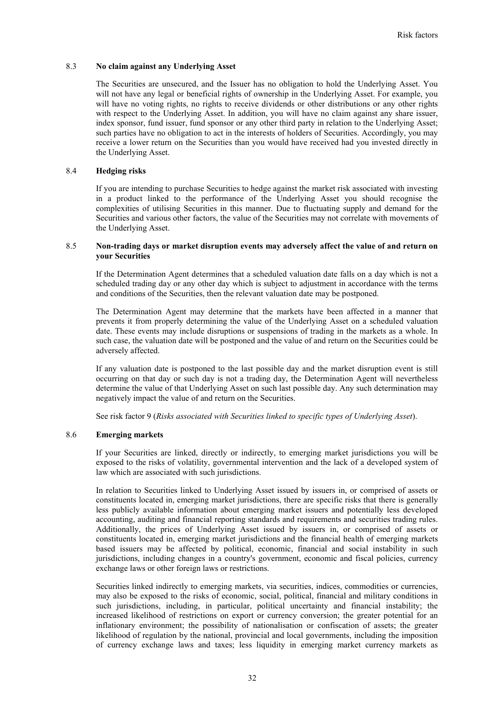## 8.3 **No claim against any Underlying Asset**

The Securities are unsecured, and the Issuer has no obligation to hold the Underlying Asset. You will not have any legal or beneficial rights of ownership in the Underlying Asset. For example, you will have no voting rights, no rights to receive dividends or other distributions or any other rights with respect to the Underlying Asset. In addition, you will have no claim against any share issuer, index sponsor, fund issuer, fund sponsor or any other third party in relation to the Underlying Asset; such parties have no obligation to act in the interests of holders of Securities. Accordingly, you may receive a lower return on the Securities than you would have received had you invested directly in the Underlying Asset.

## 8.4 **Hedging risks**

If you are intending to purchase Securities to hedge against the market risk associated with investing in a product linked to the performance of the Underlying Asset you should recognise the complexities of utilising Securities in this manner. Due to fluctuating supply and demand for the Securities and various other factors, the value of the Securities may not correlate with movements of the Underlying Asset.

# 8.5 **Non-trading days or market disruption events may adversely affect the value of and return on your Securities**

If the Determination Agent determines that a scheduled valuation date falls on a day which is not a scheduled trading day or any other day which is subject to adjustment in accordance with the terms and conditions of the Securities, then the relevant valuation date may be postponed.

The Determination Agent may determine that the markets have been affected in a manner that prevents it from properly determining the value of the Underlying Asset on a scheduled valuation date. These events may include disruptions or suspensions of trading in the markets as a whole. In such case, the valuation date will be postponed and the value of and return on the Securities could be adversely affected.

If any valuation date is postponed to the last possible day and the market disruption event is still occurring on that day or such day is not a trading day, the Determination Agent will nevertheless determine the value of that Underlying Asset on such last possible day. Any such determination may negatively impact the value of and return on the Securities.

See risk factor 9 (*Risks associated with Securities linked to specific types of Underlying Asset*).

### 8.6 **Emerging markets**

If your Securities are linked, directly or indirectly, to emerging market jurisdictions you will be exposed to the risks of volatility, governmental intervention and the lack of a developed system of law which are associated with such jurisdictions.

In relation to Securities linked to Underlying Asset issued by issuers in, or comprised of assets or constituents located in, emerging market jurisdictions, there are specific risks that there is generally less publicly available information about emerging market issuers and potentially less developed accounting, auditing and financial reporting standards and requirements and securities trading rules. Additionally, the prices of Underlying Asset issued by issuers in, or comprised of assets or constituents located in, emerging market jurisdictions and the financial health of emerging markets based issuers may be affected by political, economic, financial and social instability in such jurisdictions, including changes in a country's government, economic and fiscal policies, currency exchange laws or other foreign laws or restrictions.

Securities linked indirectly to emerging markets, via securities, indices, commodities or currencies, may also be exposed to the risks of economic, social, political, financial and military conditions in such jurisdictions, including, in particular, political uncertainty and financial instability; the increased likelihood of restrictions on export or currency conversion; the greater potential for an inflationary environment; the possibility of nationalisation or confiscation of assets; the greater likelihood of regulation by the national, provincial and local governments, including the imposition of currency exchange laws and taxes; less liquidity in emerging market currency markets as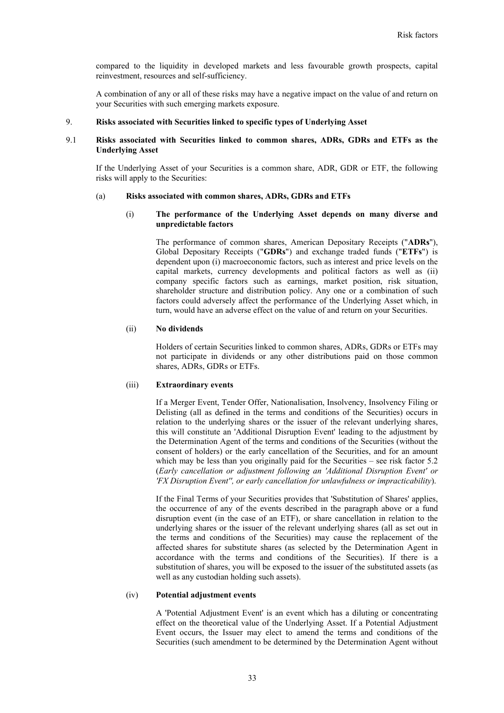compared to the liquidity in developed markets and less favourable growth prospects, capital reinvestment, resources and self-sufficiency.

A combination of any or all of these risks may have a negative impact on the value of and return on your Securities with such emerging markets exposure.

## 9. **Risks associated with Securities linked to specific types of Underlying Asset**

## 9.1 **Risks associated with Securities linked to common shares, ADRs, GDRs and ETFs as the Underlying Asset**

If the Underlying Asset of your Securities is a common share, ADR, GDR or ETF, the following risks will apply to the Securities:

#### (a) **Risks associated with common shares, ADRs, GDRs and ETFs**

### (i) **The performance of the Underlying Asset depends on many diverse and unpredictable factors**

The performance of common shares, American Depositary Receipts ("**ADRs**"), Global Depositary Receipts ("**GDRs**") and exchange traded funds ("**ETFs**") is dependent upon (i) macroeconomic factors, such as interest and price levels on the capital markets, currency developments and political factors as well as (ii) company specific factors such as earnings, market position, risk situation, shareholder structure and distribution policy. Any one or a combination of such factors could adversely affect the performance of the Underlying Asset which, in turn, would have an adverse effect on the value of and return on your Securities.

# (ii) **No dividends**

Holders of certain Securities linked to common shares, ADRs, GDRs or ETFs may not participate in dividends or any other distributions paid on those common shares, ADRs, GDRs or ETFs.

#### (iii) **Extraordinary events**

If a Merger Event, Tender Offer, Nationalisation, Insolvency, Insolvency Filing or Delisting (all as defined in the terms and conditions of the Securities) occurs in relation to the underlying shares or the issuer of the relevant underlying shares, this will constitute an 'Additional Disruption Event' leading to the adjustment by the Determination Agent of the terms and conditions of the Securities (without the consent of holders) or the early cancellation of the Securities, and for an amount which may be less than you originally paid for the Securities – see risk factor 5.2 (*Early cancellation or adjustment following an 'Additional Disruption Event' or 'FX Disruption Event'', or early cancellation for unlawfulness or impracticability*).

If the Final Terms of your Securities provides that 'Substitution of Shares' applies, the occurrence of any of the events described in the paragraph above or a fund disruption event (in the case of an ETF), or share cancellation in relation to the underlying shares or the issuer of the relevant underlying shares (all as set out in the terms and conditions of the Securities) may cause the replacement of the affected shares for substitute shares (as selected by the Determination Agent in accordance with the terms and conditions of the Securities). If there is a substitution of shares, you will be exposed to the issuer of the substituted assets (as well as any custodian holding such assets).

#### (iv) **Potential adjustment events**

A 'Potential Adjustment Event' is an event which has a diluting or concentrating effect on the theoretical value of the Underlying Asset. If a Potential Adjustment Event occurs, the Issuer may elect to amend the terms and conditions of the Securities (such amendment to be determined by the Determination Agent without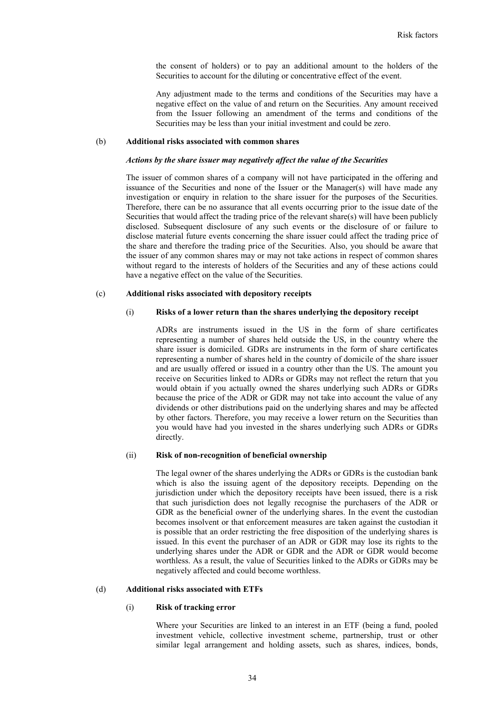the consent of holders) or to pay an additional amount to the holders of the Securities to account for the diluting or concentrative effect of the event.

Any adjustment made to the terms and conditions of the Securities may have a negative effect on the value of and return on the Securities. Any amount received from the Issuer following an amendment of the terms and conditions of the Securities may be less than your initial investment and could be zero.

#### (b) **Additional risks associated with common shares**

#### *Actions by the share issuer may negatively affect the value of the Securities*

The issuer of common shares of a company will not have participated in the offering and issuance of the Securities and none of the Issuer or the Manager(s) will have made any investigation or enquiry in relation to the share issuer for the purposes of the Securities. Therefore, there can be no assurance that all events occurring prior to the issue date of the Securities that would affect the trading price of the relevant share(s) will have been publicly disclosed. Subsequent disclosure of any such events or the disclosure of or failure to disclose material future events concerning the share issuer could affect the trading price of the share and therefore the trading price of the Securities. Also, you should be aware that the issuer of any common shares may or may not take actions in respect of common shares without regard to the interests of holders of the Securities and any of these actions could have a negative effect on the value of the Securities.

#### (c) **Additional risks associated with depository receipts**

### (i) **Risks of a lower return than the shares underlying the depository receipt**

ADRs are instruments issued in the US in the form of share certificates representing a number of shares held outside the US, in the country where the share issuer is domiciled. GDRs are instruments in the form of share certificates representing a number of shares held in the country of domicile of the share issuer and are usually offered or issued in a country other than the US. The amount you receive on Securities linked to ADRs or GDRs may not reflect the return that you would obtain if you actually owned the shares underlying such ADRs or GDRs because the price of the ADR or GDR may not take into account the value of any dividends or other distributions paid on the underlying shares and may be affected by other factors. Therefore, you may receive a lower return on the Securities than you would have had you invested in the shares underlying such ADRs or GDRs directly.

#### (ii) **Risk of non-recognition of beneficial ownership**

The legal owner of the shares underlying the ADRs or GDRs is the custodian bank which is also the issuing agent of the depository receipts. Depending on the jurisdiction under which the depository receipts have been issued, there is a risk that such jurisdiction does not legally recognise the purchasers of the ADR or GDR as the beneficial owner of the underlying shares. In the event the custodian becomes insolvent or that enforcement measures are taken against the custodian it is possible that an order restricting the free disposition of the underlying shares is issued. In this event the purchaser of an ADR or GDR may lose its rights to the underlying shares under the ADR or GDR and the ADR or GDR would become worthless. As a result, the value of Securities linked to the ADRs or GDRs may be negatively affected and could become worthless.

#### (d) **Additional risks associated with ETFs**

#### (i) **Risk of tracking error**

Where your Securities are linked to an interest in an ETF (being a fund, pooled investment vehicle, collective investment scheme, partnership, trust or other similar legal arrangement and holding assets, such as shares, indices, bonds,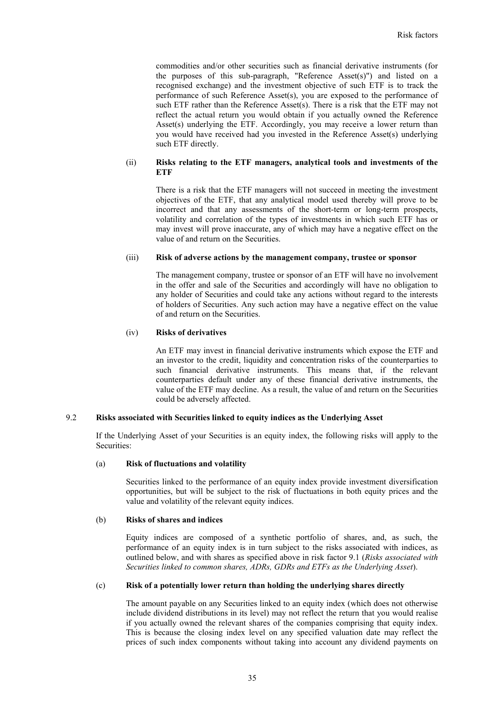commodities and/or other securities such as financial derivative instruments (for the purposes of this sub-paragraph, "Reference Asset(s)") and listed on a recognised exchange) and the investment objective of such ETF is to track the performance of such Reference Asset(s), you are exposed to the performance of such ETF rather than the Reference Asset(s). There is a risk that the ETF may not reflect the actual return you would obtain if you actually owned the Reference Asset(s) underlying the ETF. Accordingly, you may receive a lower return than you would have received had you invested in the Reference Asset(s) underlying such ETF directly.

# (ii) **Risks relating to the ETF managers, analytical tools and investments of the ETF**

There is a risk that the ETF managers will not succeed in meeting the investment objectives of the ETF, that any analytical model used thereby will prove to be incorrect and that any assessments of the short-term or long-term prospects, volatility and correlation of the types of investments in which such ETF has or may invest will prove inaccurate, any of which may have a negative effect on the value of and return on the Securities.

## (iii) **Risk of adverse actions by the management company, trustee or sponsor**

The management company, trustee or sponsor of an ETF will have no involvement in the offer and sale of the Securities and accordingly will have no obligation to any holder of Securities and could take any actions without regard to the interests of holders of Securities. Any such action may have a negative effect on the value of and return on the Securities.

#### (iv) **Risks of derivatives**

An ETF may invest in financial derivative instruments which expose the ETF and an investor to the credit, liquidity and concentration risks of the counterparties to such financial derivative instruments. This means that, if the relevant counterparties default under any of these financial derivative instruments, the value of the ETF may decline. As a result, the value of and return on the Securities could be adversely affected.

# 9.2 **Risks associated with Securities linked to equity indices as the Underlying Asset**

If the Underlying Asset of your Securities is an equity index, the following risks will apply to the Securities:

# (a) **Risk of fluctuations and volatility**

Securities linked to the performance of an equity index provide investment diversification opportunities, but will be subject to the risk of fluctuations in both equity prices and the value and volatility of the relevant equity indices.

### (b) **Risks of shares and indices**

Equity indices are composed of a synthetic portfolio of shares, and, as such, the performance of an equity index is in turn subject to the risks associated with indices, as outlined below, and with shares as specified above in risk factor 9.1 (*Risks associated with Securities linked to common shares, ADRs, GDRs and ETFs as the Underlying Asset*).

# (c) **Risk of a potentially lower return than holding the underlying shares directly**

The amount payable on any Securities linked to an equity index (which does not otherwise include dividend distributions in its level) may not reflect the return that you would realise if you actually owned the relevant shares of the companies comprising that equity index. This is because the closing index level on any specified valuation date may reflect the prices of such index components without taking into account any dividend payments on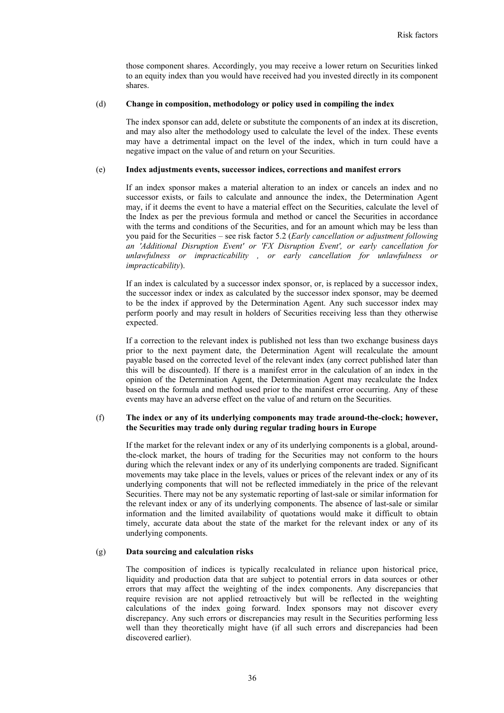those component shares. Accordingly, you may receive a lower return on Securities linked to an equity index than you would have received had you invested directly in its component shares.

#### (d) **Change in composition, methodology or policy used in compiling the index**

The index sponsor can add, delete or substitute the components of an index at its discretion, and may also alter the methodology used to calculate the level of the index. These events may have a detrimental impact on the level of the index, which in turn could have a negative impact on the value of and return on your Securities.

#### (e) **Index adjustments events, successor indices, corrections and manifest errors**

If an index sponsor makes a material alteration to an index or cancels an index and no successor exists, or fails to calculate and announce the index, the Determination Agent may, if it deems the event to have a material effect on the Securities, calculate the level of the Index as per the previous formula and method or cancel the Securities in accordance with the terms and conditions of the Securities, and for an amount which may be less than you paid for the Securities – see risk factor 5.2 (*Early cancellation or adjustment following an 'Additional Disruption Event' or 'FX Disruption Event', or early cancellation for unlawfulness or impracticability , or early cancellation for unlawfulness or impracticability*).

If an index is calculated by a successor index sponsor, or, is replaced by a successor index, the successor index or index as calculated by the successor index sponsor, may be deemed to be the index if approved by the Determination Agent. Any such successor index may perform poorly and may result in holders of Securities receiving less than they otherwise expected.

If a correction to the relevant index is published not less than two exchange business days prior to the next payment date, the Determination Agent will recalculate the amount payable based on the corrected level of the relevant index (any correct published later than this will be discounted). If there is a manifest error in the calculation of an index in the opinion of the Determination Agent, the Determination Agent may recalculate the Index based on the formula and method used prior to the manifest error occurring. Any of these events may have an adverse effect on the value of and return on the Securities.

### (f) **The index or any of its underlying components may trade around-the-clock; however, the Securities may trade only during regular trading hours in Europe**

If the market for the relevant index or any of its underlying components is a global, aroundthe-clock market, the hours of trading for the Securities may not conform to the hours during which the relevant index or any of its underlying components are traded. Significant movements may take place in the levels, values or prices of the relevant index or any of its underlying components that will not be reflected immediately in the price of the relevant Securities. There may not be any systematic reporting of last-sale or similar information for the relevant index or any of its underlying components. The absence of last-sale or similar information and the limited availability of quotations would make it difficult to obtain timely, accurate data about the state of the market for the relevant index or any of its underlying components.

# (g) **Data sourcing and calculation risks**

The composition of indices is typically recalculated in reliance upon historical price, liquidity and production data that are subject to potential errors in data sources or other errors that may affect the weighting of the index components. Any discrepancies that require revision are not applied retroactively but will be reflected in the weighting calculations of the index going forward. Index sponsors may not discover every discrepancy. Any such errors or discrepancies may result in the Securities performing less well than they theoretically might have (if all such errors and discrepancies had been discovered earlier).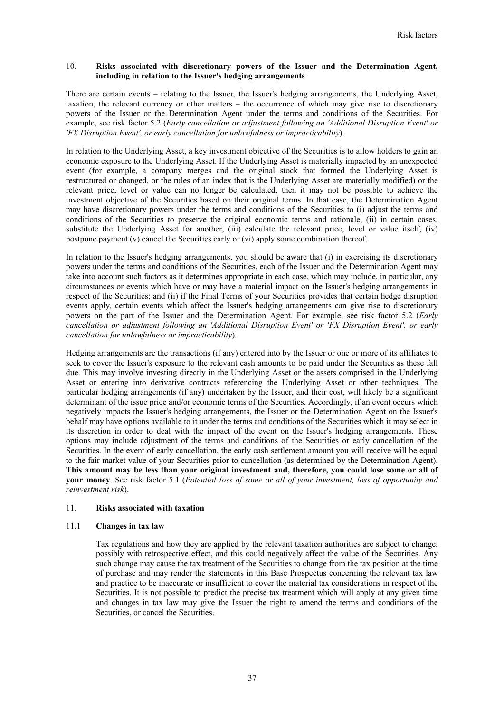## 10. **Risks associated with discretionary powers of the Issuer and the Determination Agent, including in relation to the Issuer's hedging arrangements**

There are certain events – relating to the Issuer, the Issuer's hedging arrangements, the Underlying Asset, taxation, the relevant currency or other matters – the occurrence of which may give rise to discretionary powers of the Issuer or the Determination Agent under the terms and conditions of the Securities. For example, see risk factor 5.2 (*Early cancellation or adjustment following an 'Additional Disruption Event' or 'FX Disruption Event', or early cancellation for unlawfulness or impracticability*).

In relation to the Underlying Asset, a key investment objective of the Securities is to allow holders to gain an economic exposure to the Underlying Asset. If the Underlying Asset is materially impacted by an unexpected event (for example, a company merges and the original stock that formed the Underlying Asset is restructured or changed, or the rules of an index that is the Underlying Asset are materially modified) or the relevant price, level or value can no longer be calculated, then it may not be possible to achieve the investment objective of the Securities based on their original terms. In that case, the Determination Agent may have discretionary powers under the terms and conditions of the Securities to (i) adjust the terms and conditions of the Securities to preserve the original economic terms and rationale, (ii) in certain cases, substitute the Underlying Asset for another, (iii) calculate the relevant price, level or value itself, (iv) postpone payment (v) cancel the Securities early or (vi) apply some combination thereof.

In relation to the Issuer's hedging arrangements, you should be aware that (i) in exercising its discretionary powers under the terms and conditions of the Securities, each of the Issuer and the Determination Agent may take into account such factors as it determines appropriate in each case, which may include, in particular, any circumstances or events which have or may have a material impact on the Issuer's hedging arrangements in respect of the Securities; and (ii) if the Final Terms of your Securities provides that certain hedge disruption events apply, certain events which affect the Issuer's hedging arrangements can give rise to discretionary powers on the part of the Issuer and the Determination Agent. For example, see risk factor 5.2 (*Early cancellation or adjustment following an 'Additional Disruption Event' or 'FX Disruption Event', or early cancellation for unlawfulness or impracticability*).

Hedging arrangements are the transactions (if any) entered into by the Issuer or one or more of its affiliates to seek to cover the Issuer's exposure to the relevant cash amounts to be paid under the Securities as these fall due. This may involve investing directly in the Underlying Asset or the assets comprised in the Underlying Asset or entering into derivative contracts referencing the Underlying Asset or other techniques. The particular hedging arrangements (if any) undertaken by the Issuer, and their cost, will likely be a significant determinant of the issue price and/or economic terms of the Securities. Accordingly, if an event occurs which negatively impacts the Issuer's hedging arrangements, the Issuer or the Determination Agent on the Issuer's behalf may have options available to it under the terms and conditions of the Securities which it may select in its discretion in order to deal with the impact of the event on the Issuer's hedging arrangements. These options may include adjustment of the terms and conditions of the Securities or early cancellation of the Securities. In the event of early cancellation, the early cash settlement amount you will receive will be equal to the fair market value of your Securities prior to cancellation (as determined by the Determination Agent). **This amount may be less than your original investment and, therefore, you could lose some or all of your money**. See risk factor 5.1 (*Potential loss of some or all of your investment, loss of opportunity and reinvestment risk*).

## 11. **Risks associated with taxation**

## 11.1 **Changes in tax law**

Tax regulations and how they are applied by the relevant taxation authorities are subject to change, possibly with retrospective effect, and this could negatively affect the value of the Securities. Any such change may cause the tax treatment of the Securities to change from the tax position at the time of purchase and may render the statements in this Base Prospectus concerning the relevant tax law and practice to be inaccurate or insufficient to cover the material tax considerations in respect of the Securities. It is not possible to predict the precise tax treatment which will apply at any given time and changes in tax law may give the Issuer the right to amend the terms and conditions of the Securities, or cancel the Securities.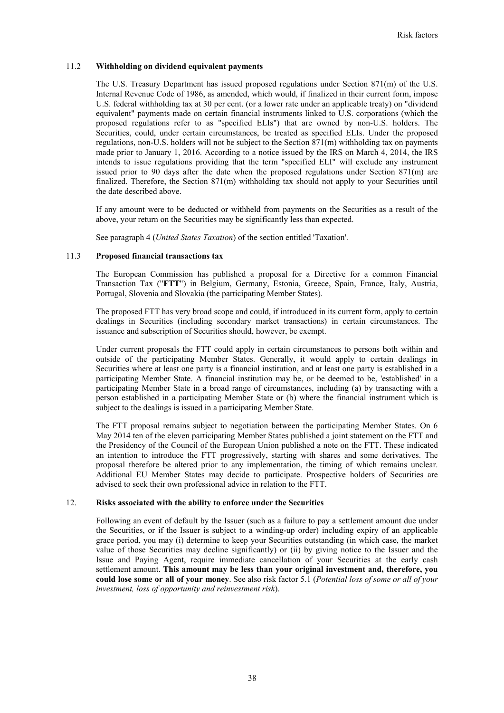## 11.2 **Withholding on dividend equivalent payments**

The U.S. Treasury Department has issued proposed regulations under Section 871(m) of the U.S. Internal Revenue Code of 1986, as amended, which would, if finalized in their current form, impose U.S. federal withholding tax at 30 per cent. (or a lower rate under an applicable treaty) on "dividend equivalent" payments made on certain financial instruments linked to U.S. corporations (which the proposed regulations refer to as "specified ELIs") that are owned by non-U.S. holders. The Securities, could, under certain circumstances, be treated as specified ELIs. Under the proposed regulations, non-U.S. holders will not be subject to the Section  $871(m)$  withholding tax on payments made prior to January 1, 2016. According to a notice issued by the IRS on March 4, 2014, the IRS intends to issue regulations providing that the term "specified ELI" will exclude any instrument issued prior to 90 days after the date when the proposed regulations under Section 871(m) are finalized. Therefore, the Section 871(m) withholding tax should not apply to your Securities until the date described above.

If any amount were to be deducted or withheld from payments on the Securities as a result of the above, your return on the Securities may be significantly less than expected.

See paragraph 4 (*United States Taxation*) of the section entitled 'Taxation'.

## 11.3 **Proposed financial transactions tax**

The European Commission has published a proposal for a Directive for a common Financial Transaction Tax ("**FTT**") in Belgium, Germany, Estonia, Greece, Spain, France, Italy, Austria, Portugal, Slovenia and Slovakia (the participating Member States).

The proposed FTT has very broad scope and could, if introduced in its current form, apply to certain dealings in Securities (including secondary market transactions) in certain circumstances. The issuance and subscription of Securities should, however, be exempt.

Under current proposals the FTT could apply in certain circumstances to persons both within and outside of the participating Member States. Generally, it would apply to certain dealings in Securities where at least one party is a financial institution, and at least one party is established in a participating Member State. A financial institution may be, or be deemed to be, 'established' in a participating Member State in a broad range of circumstances, including (a) by transacting with a person established in a participating Member State or (b) where the financial instrument which is subject to the dealings is issued in a participating Member State.

The FTT proposal remains subject to negotiation between the participating Member States. On 6 May 2014 ten of the eleven participating Member States published a joint statement on the FTT and the Presidency of the Council of the European Union published a note on the FTT. These indicated an intention to introduce the FTT progressively, starting with shares and some derivatives. The proposal therefore be altered prior to any implementation, the timing of which remains unclear. Additional EU Member States may decide to participate. Prospective holders of Securities are advised to seek their own professional advice in relation to the FTT.

### 12. **Risks associated with the ability to enforce under the Securities**

Following an event of default by the Issuer (such as a failure to pay a settlement amount due under the Securities, or if the Issuer is subject to a winding-up order) including expiry of an applicable grace period, you may (i) determine to keep your Securities outstanding (in which case, the market value of those Securities may decline significantly) or (ii) by giving notice to the Issuer and the Issue and Paying Agent, require immediate cancellation of your Securities at the early cash settlement amount. **This amount may be less than your original investment and, therefore, you could lose some or all of your money**. See also risk factor 5.1 (*Potential loss of some or all of your investment, loss of opportunity and reinvestment risk*).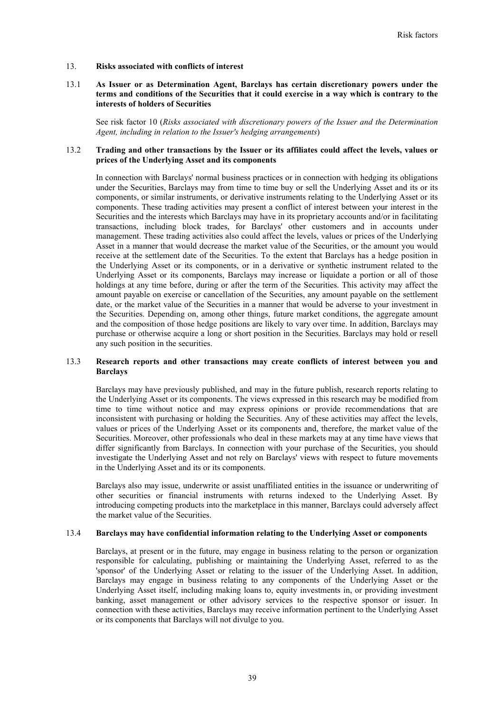## 13. **Risks associated with conflicts of interest**

## 13.1 **As Issuer or as Determination Agent, Barclays has certain discretionary powers under the terms and conditions of the Securities that it could exercise in a way which is contrary to the interests of holders of Securities**

See risk factor 10 (*Risks associated with discretionary powers of the Issuer and the Determination Agent, including in relation to the Issuer's hedging arrangements*)

### 13.2 **Trading and other transactions by the Issuer or its affiliates could affect the levels, values or prices of the Underlying Asset and its components**

In connection with Barclays' normal business practices or in connection with hedging its obligations under the Securities, Barclays may from time to time buy or sell the Underlying Asset and its or its components, or similar instruments, or derivative instruments relating to the Underlying Asset or its components. These trading activities may present a conflict of interest between your interest in the Securities and the interests which Barclays may have in its proprietary accounts and/or in facilitating transactions, including block trades, for Barclays' other customers and in accounts under management. These trading activities also could affect the levels, values or prices of the Underlying Asset in a manner that would decrease the market value of the Securities, or the amount you would receive at the settlement date of the Securities. To the extent that Barclays has a hedge position in the Underlying Asset or its components, or in a derivative or synthetic instrument related to the Underlying Asset or its components, Barclays may increase or liquidate a portion or all of those holdings at any time before, during or after the term of the Securities. This activity may affect the amount payable on exercise or cancellation of the Securities, any amount payable on the settlement date, or the market value of the Securities in a manner that would be adverse to your investment in the Securities. Depending on, among other things, future market conditions, the aggregate amount and the composition of those hedge positions are likely to vary over time. In addition, Barclays may purchase or otherwise acquire a long or short position in the Securities. Barclays may hold or resell any such position in the securities.

## 13.3 **Research reports and other transactions may create conflicts of interest between you and Barclays**

Barclays may have previously published, and may in the future publish, research reports relating to the Underlying Asset or its components. The views expressed in this research may be modified from time to time without notice and may express opinions or provide recommendations that are inconsistent with purchasing or holding the Securities. Any of these activities may affect the levels, values or prices of the Underlying Asset or its components and, therefore, the market value of the Securities. Moreover, other professionals who deal in these markets may at any time have views that differ significantly from Barclays. In connection with your purchase of the Securities, you should investigate the Underlying Asset and not rely on Barclays' views with respect to future movements in the Underlying Asset and its or its components.

Barclays also may issue, underwrite or assist unaffiliated entities in the issuance or underwriting of other securities or financial instruments with returns indexed to the Underlying Asset. By introducing competing products into the marketplace in this manner, Barclays could adversely affect the market value of the Securities.

### 13.4 **Barclays may have confidential information relating to the Underlying Asset or components**

Barclays, at present or in the future, may engage in business relating to the person or organization responsible for calculating, publishing or maintaining the Underlying Asset, referred to as the 'sponsor' of the Underlying Asset or relating to the issuer of the Underlying Asset. In addition, Barclays may engage in business relating to any components of the Underlying Asset or the Underlying Asset itself, including making loans to, equity investments in, or providing investment banking, asset management or other advisory services to the respective sponsor or issuer. In connection with these activities, Barclays may receive information pertinent to the Underlying Asset or its components that Barclays will not divulge to you.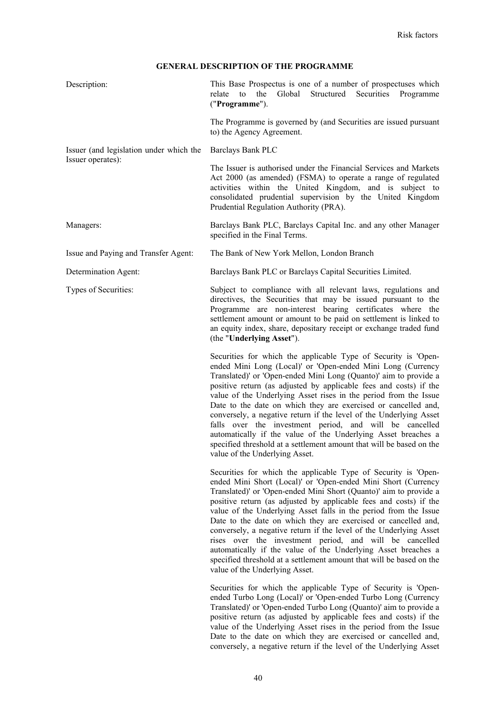# **GENERAL DESCRIPTION OF THE PROGRAMME**

| Description:                            | This Base Prospectus is one of a number of prospectuses which<br>relate<br>the<br>Global<br>Structured<br>Securities<br>to<br>Programme<br>("Programme").                                                                                                                                                                                                                                                                                                                                                                                                                                                                                                                                                                   |
|-----------------------------------------|-----------------------------------------------------------------------------------------------------------------------------------------------------------------------------------------------------------------------------------------------------------------------------------------------------------------------------------------------------------------------------------------------------------------------------------------------------------------------------------------------------------------------------------------------------------------------------------------------------------------------------------------------------------------------------------------------------------------------------|
|                                         | The Programme is governed by (and Securities are issued pursuant<br>to) the Agency Agreement.                                                                                                                                                                                                                                                                                                                                                                                                                                                                                                                                                                                                                               |
| Issuer (and legislation under which the | Barclays Bank PLC                                                                                                                                                                                                                                                                                                                                                                                                                                                                                                                                                                                                                                                                                                           |
| Issuer operates):                       | The Issuer is authorised under the Financial Services and Markets<br>Act 2000 (as amended) (FSMA) to operate a range of regulated<br>activities within the United Kingdom, and is subject to<br>consolidated prudential supervision by the United Kingdom<br>Prudential Regulation Authority (PRA).                                                                                                                                                                                                                                                                                                                                                                                                                         |
| Managers:                               | Barclays Bank PLC, Barclays Capital Inc. and any other Manager<br>specified in the Final Terms.                                                                                                                                                                                                                                                                                                                                                                                                                                                                                                                                                                                                                             |
| Issue and Paying and Transfer Agent:    | The Bank of New York Mellon, London Branch                                                                                                                                                                                                                                                                                                                                                                                                                                                                                                                                                                                                                                                                                  |
| Determination Agent:                    | Barclays Bank PLC or Barclays Capital Securities Limited.                                                                                                                                                                                                                                                                                                                                                                                                                                                                                                                                                                                                                                                                   |
| Types of Securities:                    | Subject to compliance with all relevant laws, regulations and<br>directives, the Securities that may be issued pursuant to the<br>Programme are non-interest bearing certificates where the<br>settlement amount or amount to be paid on settlement is linked to<br>an equity index, share, depositary receipt or exchange traded fund<br>(the "Underlying Asset").                                                                                                                                                                                                                                                                                                                                                         |
|                                         | Securities for which the applicable Type of Security is 'Open-<br>ended Mini Long (Local)' or 'Open-ended Mini Long (Currency<br>Translated)' or 'Open-ended Mini Long (Quanto)' aim to provide a<br>positive return (as adjusted by applicable fees and costs) if the<br>value of the Underlying Asset rises in the period from the Issue<br>Date to the date on which they are exercised or cancelled and,<br>conversely, a negative return if the level of the Underlying Asset<br>falls over the investment period, and will be cancelled<br>automatically if the value of the Underlying Asset breaches a<br>specified threshold at a settlement amount that will be based on the<br>value of the Underlying Asset.    |
|                                         | Securities for which the applicable Type of Security is 'Open-<br>ended Mini Short (Local)' or 'Open-ended Mini Short (Currency<br>Translated)' or 'Open-ended Mini Short (Quanto)' aim to provide a<br>positive return (as adjusted by applicable fees and costs) if the<br>value of the Underlying Asset falls in the period from the Issue<br>Date to the date on which they are exercised or cancelled and,<br>conversely, a negative return if the level of the Underlying Asset<br>rises over the investment period, and will be cancelled<br>automatically if the value of the Underlying Asset breaches a<br>specified threshold at a settlement amount that will be based on the<br>value of the Underlying Asset. |
|                                         | Securities for which the applicable Type of Security is 'Open-<br>ended Turbo Long (Local)' or 'Open-ended Turbo Long (Currency<br>Translated)' or 'Open-ended Turbo Long (Quanto)' aim to provide a<br>positive return (as adjusted by applicable fees and costs) if the<br>value of the Underlying Asset rises in the period from the Issue<br>Date to the date on which they are exercised or cancelled and,                                                                                                                                                                                                                                                                                                             |

conversely, a negative return if the level of the Underlying Asset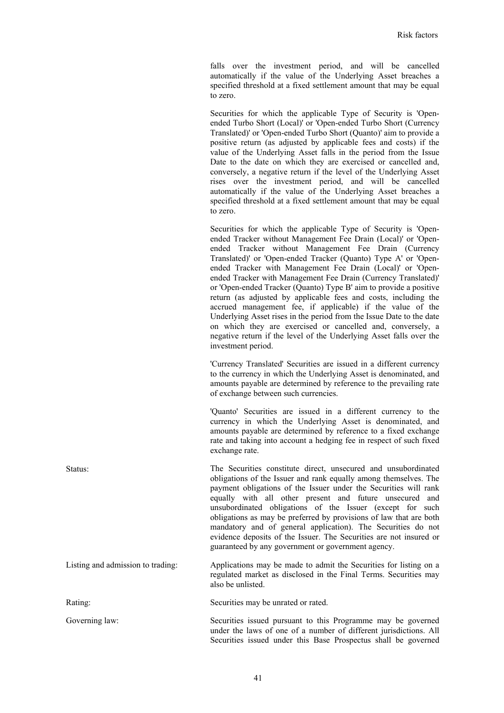falls over the investment period, and will be cancelled automatically if the value of the Underlying Asset breaches a specified threshold at a fixed settlement amount that may be equal to zero.

Securities for which the applicable Type of Security is 'Openended Turbo Short (Local)' or 'Open-ended Turbo Short (Currency Translated)' or 'Open-ended Turbo Short (Quanto)' aim to provide a positive return (as adjusted by applicable fees and costs) if the value of the Underlying Asset falls in the period from the Issue Date to the date on which they are exercised or cancelled and, conversely, a negative return if the level of the Underlying Asset rises over the investment period, and will be cancelled automatically if the value of the Underlying Asset breaches a specified threshold at a fixed settlement amount that may be equal to zero.

Securities for which the applicable Type of Security is 'Openended Tracker without Management Fee Drain (Local)' or 'Openended Tracker without Management Fee Drain (Currency Translated)' or 'Open-ended Tracker (Quanto) Type A' or 'Openended Tracker with Management Fee Drain (Local)' or 'Openended Tracker with Management Fee Drain (Currency Translated)' or 'Open-ended Tracker (Quanto) Type B' aim to provide a positive return (as adjusted by applicable fees and costs, including the accrued management fee, if applicable) if the value of the Underlying Asset rises in the period from the Issue Date to the date on which they are exercised or cancelled and, conversely, a negative return if the level of the Underlying Asset falls over the investment period.

'Currency Translated' Securities are issued in a different currency to the currency in which the Underlying Asset is denominated, and amounts payable are determined by reference to the prevailing rate of exchange between such currencies.

'Quanto' Securities are issued in a different currency to the currency in which the Underlying Asset is denominated, and amounts payable are determined by reference to a fixed exchange rate and taking into account a hedging fee in respect of such fixed exchange rate.

Securities issued under this Base Prospectus shall be governed

Status: The Securities constitute direct, unsecured and unsubordinated obligations of the Issuer and rank equally among themselves. The payment obligations of the Issuer under the Securities will rank equally with all other present and future unsecured and unsubordinated obligations of the Issuer (except for such obligations as may be preferred by provisions of law that are both mandatory and of general application). The Securities do not evidence deposits of the Issuer. The Securities are not insured or guaranteed by any government or government agency.

Listing and admission to trading: Applications may be made to admit the Securities for listing on a regulated market as disclosed in the Final Terms. Securities may also be unlisted.

Rating: Securities may be unrated or rated. Governing law: Securities issued pursuant to this Programme may be governed under the laws of one of a number of different jurisdictions. All

41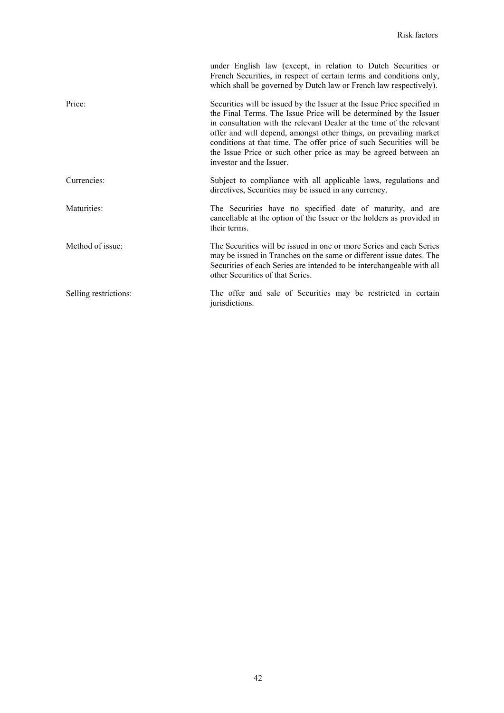|                       | under English law (except, in relation to Dutch Securities or<br>French Securities, in respect of certain terms and conditions only,<br>which shall be governed by Dutch law or French law respectively).                                                                                                                                                                                                                                                       |
|-----------------------|-----------------------------------------------------------------------------------------------------------------------------------------------------------------------------------------------------------------------------------------------------------------------------------------------------------------------------------------------------------------------------------------------------------------------------------------------------------------|
| Price:                | Securities will be issued by the Issuer at the Issue Price specified in<br>the Final Terms. The Issue Price will be determined by the Issuer<br>in consultation with the relevant Dealer at the time of the relevant<br>offer and will depend, amongst other things, on prevailing market<br>conditions at that time. The offer price of such Securities will be<br>the Issue Price or such other price as may be agreed between an<br>investor and the Issuer. |
| Currencies:           | Subject to compliance with all applicable laws, regulations and<br>directives, Securities may be issued in any currency.                                                                                                                                                                                                                                                                                                                                        |
| Maturities:           | The Securities have no specified date of maturity, and are<br>cancellable at the option of the Issuer or the holders as provided in<br>their terms.                                                                                                                                                                                                                                                                                                             |
| Method of issue:      | The Securities will be issued in one or more Series and each Series<br>may be issued in Tranches on the same or different issue dates. The<br>Securities of each Series are intended to be interchangeable with all<br>other Securities of that Series.                                                                                                                                                                                                         |
| Selling restrictions: | The offer and sale of Securities may be restricted in certain<br>jurisdictions.                                                                                                                                                                                                                                                                                                                                                                                 |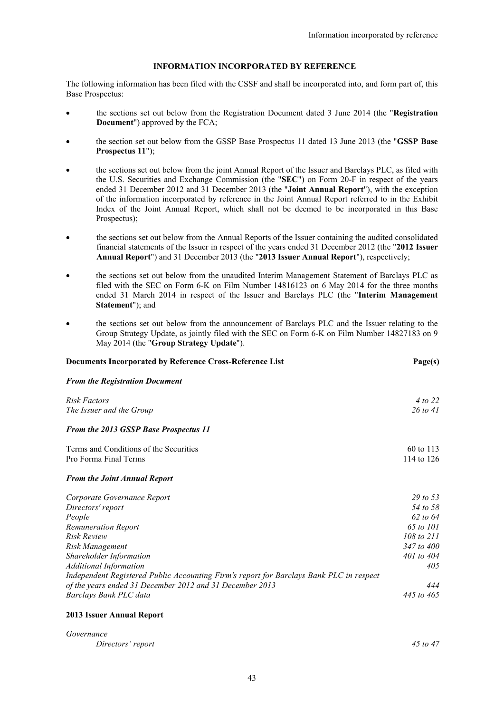## **INFORMATION INCORPORATED BY REFERENCE**

The following information has been filed with the CSSF and shall be incorporated into, and form part of, this Base Prospectus:

- the sections set out below from the Registration Document dated 3 June 2014 (the "**Registration Document**") approved by the FCA;
- the section set out below from the GSSP Base Prospectus 11 dated 13 June 2013 (the "**GSSP Base Prospectus 11**");
- the sections set out below from the joint Annual Report of the Issuer and Barclays PLC, as filed with the U.S. Securities and Exchange Commission (the "**SEC**") on Form 20-F in respect of the years ended 31 December 2012 and 31 December 2013 (the "**Joint Annual Report**"), with the exception of the information incorporated by reference in the Joint Annual Report referred to in the Exhibit Index of the Joint Annual Report, which shall not be deemed to be incorporated in this Base Prospectus);
- the sections set out below from the Annual Reports of the Issuer containing the audited consolidated financial statements of the Issuer in respect of the years ended 31 December 2012 (the "**2012 Issuer Annual Report**") and 31 December 2013 (the "**2013 Issuer Annual Report**"), respectively;
- the sections set out below from the unaudited Interim Management Statement of Barclays PLC as filed with the SEC on Form 6-K on Film Number 14816123 on 6 May 2014 for the three months ended 31 March 2014 in respect of the Issuer and Barclays PLC (the "**Interim Management Statement**"); and
- the sections set out below from the announcement of Barclays PLC and the Issuer relating to the Group Strategy Update, as jointly filed with the SEC on Form 6-K on Film Number 14827183 on 9 May 2014 (the "**Group Strategy Update**").

| Documents Incorporated by Reference Cross-Reference List                                |                       |
|-----------------------------------------------------------------------------------------|-----------------------|
| <b>From the Registration Document</b>                                                   |                       |
| Risk Factors                                                                            | 4 to 22               |
| The Issuer and the Group                                                                | $26$ to 41            |
| <b>From the 2013 GSSP Base Prospectus 11</b>                                            |                       |
| Terms and Conditions of the Securities                                                  | 60 to 113             |
| Pro Forma Final Terms                                                                   | 114 to 126            |
| <b>From the Joint Annual Report</b>                                                     |                       |
| Corporate Governance Report                                                             | 29 to 53              |
| Directors' report                                                                       | 54 to 58              |
| People                                                                                  | $62 \text{ to } 64$   |
| <b>Remuneration Report</b>                                                              | 65 to 101             |
| <b>Risk Review</b>                                                                      | $108 \text{ to } 211$ |
| Risk Management                                                                         | 347 to 400            |
| Shareholder Information                                                                 | $401$ to $404$        |
| <b>Additional Information</b>                                                           | 405                   |
| Independent Registered Public Accounting Firm's report for Barclays Bank PLC in respect |                       |
| of the years ended 31 December 2012 and 31 December 2013                                | 444                   |
| Barclays Bank PLC data                                                                  | 445 to 465            |
| 2013 Issuer Annual Report                                                               |                       |

| Governance        |              |
|-------------------|--------------|
| Directors' report | $45$ to $47$ |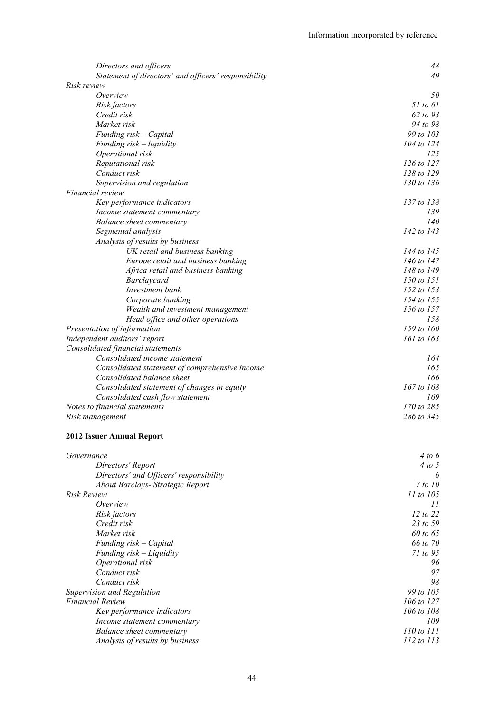| Directors and officers                               | 48             |
|------------------------------------------------------|----------------|
| Statement of directors' and officers' responsibility | 49             |
| <i>Risk review</i>                                   |                |
| Overview                                             | 50             |
| Risk factors                                         | 51 to 61       |
| Credit risk                                          | 62 to 93       |
| Market risk                                          | 94 to 98       |
| Funding risk - Capital                               | 99 to 103      |
| Funding $risk$ – liquidity                           | 104 to 124     |
| Operational risk                                     | 125            |
| Reputational risk                                    | $126$ to $127$ |
| Conduct risk                                         | 128 to 129     |
| Supervision and regulation                           | 130 to 136     |
| Financial review                                     |                |
| Key performance indicators                           | 137 to 138     |
| Income statement commentary                          | 139            |
| Balance sheet commentary                             | 140            |
| Segmental analysis                                   | 142 to 143     |
| Analysis of results by business                      |                |
| UK retail and business banking                       |                |
| Europe retail and business banking                   | 144 to 145     |
|                                                      | 146 to 147     |
| Africa retail and business banking                   | 148 to 149     |
| Barclaycard                                          | 150 to 151     |
| Investment bank                                      | 152 to 153     |
| Corporate banking                                    | 154 to 155     |
| Wealth and investment management                     | 156 to 157     |
| Head office and other operations                     | 158            |
| Presentation of information                          | 159 to 160     |
| Independent auditors' report                         | 161 to 163     |
| Consolidated financial statements                    |                |
| Consolidated income statement                        | 164            |
| Consolidated statement of comprehensive income       | 165            |
| Consolidated balance sheet                           | 166            |
| Consolidated statement of changes in equity          | 167 to 168     |
| Consolidated cash flow statement                     | 169            |
| Notes to financial statements                        | 170 to 285     |
| Risk management                                      | 286 to 345     |
| <b>2012 Issuer Annual Report</b>                     |                |
|                                                      |                |
| Governance                                           | 4 to 6         |
| Directors' Report                                    | 4 to 5         |
| Directors' and Officers' responsibility              | 6              |
| About Barclays- Strategic Report                     | 7 to 10        |
| <i>Risk Review</i>                                   | 11 to 105      |
| Overview                                             | 11             |
| Risk factors                                         | 12 to 22       |
| Credit risk                                          | 23 to 59       |
| Market risk                                          | 60 to 65       |
| Funding risk - Capital                               | 66 to 70       |
| Funding risk - Liquidity                             | 71 to 95       |
| Operational risk                                     | 96             |
| Conduct risk                                         | 97             |
| Conduct risk                                         | 98             |
| Supervision and Regulation                           | 99 to 105      |
| <b>Financial Review</b>                              | 106 to 127     |
| Key performance indicators                           | 106 to 108     |
| Income statement commentary                          | 109            |
| <b>Balance sheet commentary</b>                      | 110 to 111     |
| Analysis of results by business                      | 112 to 113     |
|                                                      |                |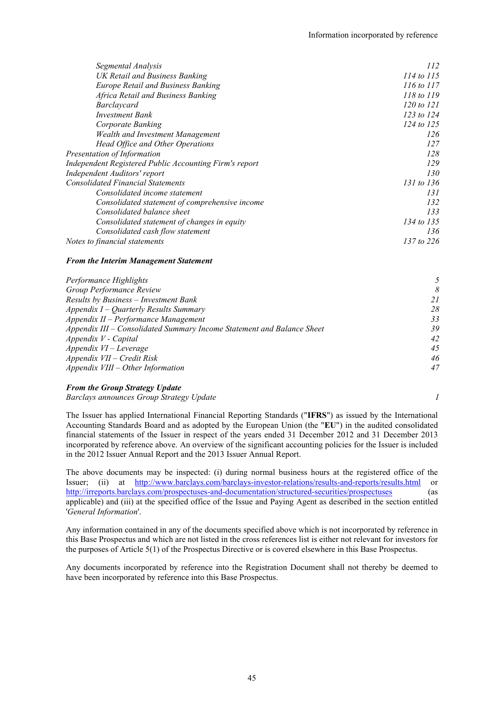| Segmental Analysis                                     | 112            |
|--------------------------------------------------------|----------------|
| UK Retail and Business Banking                         | 114 to 115     |
| <b>Europe Retail and Business Banking</b>              | 116 to 117     |
| Africa Retail and Business Banking                     | 118 to 119     |
| Barclaycard                                            | $120$ to $121$ |
| <b>Investment Bank</b>                                 | 123 to $124$   |
| Corporate Banking                                      | 124 to 125     |
| Wealth and Investment Management                       | 126            |
| Head Office and Other Operations                       | 127            |
| Presentation of Information                            | 128            |
| Independent Registered Public Accounting Firm's report | 129            |
| Independent Auditors' report                           | 130            |
| <b>Consolidated Financial Statements</b>               | 131 to 136     |
| Consolidated income statement                          | 131            |
| Consolidated statement of comprehensive income         | 132            |
| Consolidated balance sheet                             | 133            |
| Consolidated statement of changes in equity            | 134 to 135     |
| Consolidated cash flow statement                       | 136            |
| Notes to financial statements                          | 137 to 226     |

### *From the Interim Management Statement*

| Performance Highlights                                                 |    |
|------------------------------------------------------------------------|----|
| Group Performance Review                                               | 8  |
| Results by Business - Investment Bank                                  | 21 |
| Appendix $I -$ Quarterly Results Summary                               | 28 |
| Appendix II - Performance Management                                   | 33 |
| Appendix III – Consolidated Summary Income Statement and Balance Sheet | 39 |
| Appendix V - Capital                                                   | 42 |
| $Appendix$ VI – Leverage                                               | 45 |
| Appendix VII - Credit Risk                                             | 46 |
| Appendix VIII - Other Information                                      | 47 |

### *From the Group Strategy Update*

*Barclays announces Group Strategy Update 1*

The Issuer has applied International Financial Reporting Standards ("**IFRS**") as issued by the International Accounting Standards Board and as adopted by the European Union (the "**EU**") in the audited consolidated financial statements of the Issuer in respect of the years ended 31 December 2012 and 31 December 2013 incorporated by reference above. An overview of the significant accounting policies for the Issuer is included in the 2012 Issuer Annual Report and the 2013 Issuer Annual Report.

The above documents may be inspected: (i) during normal business hours at the registered office of the Issuer; (ii) at http://www.barclays.com/barclays-investor-relations/results-and-reports/results.html or http://irreports.barclays.com/prospectuses-and-documentation/structured-securities/prospectuses (as applicable) and (iii) at the specified office of the Issue and Paying Agent as described in the section entitled '*General Information*'.

Any information contained in any of the documents specified above which is not incorporated by reference in this Base Prospectus and which are not listed in the cross references list is either not relevant for investors for the purposes of Article 5(1) of the Prospectus Directive or is covered elsewhere in this Base Prospectus.

Any documents incorporated by reference into the Registration Document shall not thereby be deemed to have been incorporated by reference into this Base Prospectus.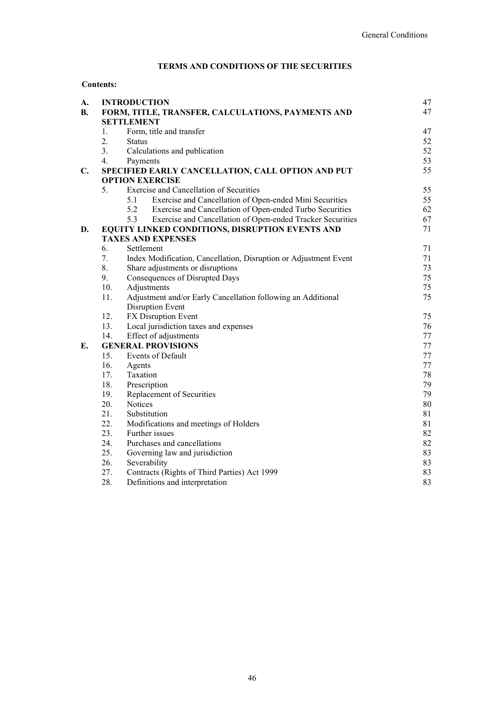# **TERMS AND CONDITIONS OF THE SECURITIES**

## **Contents:**

| A.             |                | <b>INTRODUCTION</b>                                               | 47 |
|----------------|----------------|-------------------------------------------------------------------|----|
| <b>B.</b>      |                | FORM, TITLE, TRANSFER, CALCULATIONS, PAYMENTS AND                 | 47 |
|                |                | <b>SETTLEMENT</b>                                                 |    |
|                | 1.             | Form, title and transfer                                          | 47 |
|                | 2.             | <b>Status</b>                                                     | 52 |
|                | 3 <sub>1</sub> | Calculations and publication                                      | 52 |
|                | 4.             | Payments                                                          | 53 |
| $\mathbf{C}$ . |                | SPECIFIED EARLY CANCELLATION, CALL OPTION AND PUT                 | 55 |
|                |                | <b>OPTION EXERCISE</b>                                            |    |
|                | 5.             | <b>Exercise and Cancellation of Securities</b>                    | 55 |
|                |                | Exercise and Cancellation of Open-ended Mini Securities<br>5.1    | 55 |
|                |                | 5.2<br>Exercise and Cancellation of Open-ended Turbo Securities   | 62 |
|                |                | Exercise and Cancellation of Open-ended Tracker Securities<br>5.3 | 67 |
| D.             |                | EQUITY LINKED CONDITIONS, DISRUPTION EVENTS AND                   | 71 |
|                |                | <b>TAXES AND EXPENSES</b>                                         |    |
|                | 6.             | Settlement                                                        | 71 |
|                | 7.             | Index Modification, Cancellation, Disruption or Adjustment Event  | 71 |
|                | 8.             | Share adjustments or disruptions                                  | 73 |
|                | 9.             | Consequences of Disrupted Days                                    | 75 |
|                | 10.            | Adjustments                                                       | 75 |
|                | 11.            | Adjustment and/or Early Cancellation following an Additional      | 75 |
|                |                | Disruption Event                                                  |    |
|                | 12.            | FX Disruption Event                                               | 75 |
|                | 13.            | Local jurisdiction taxes and expenses                             | 76 |
|                | 14.            | Effect of adjustments                                             | 77 |
| Е.             |                | <b>GENERAL PROVISIONS</b>                                         | 77 |
|                | 15.            | Events of Default                                                 | 77 |
|                | 16.            | Agents                                                            | 77 |
|                | 17.            | Taxation                                                          | 78 |
|                | 18.            | Prescription                                                      | 79 |
|                | 19.            | Replacement of Securities                                         | 79 |
|                | 20.            | Notices                                                           | 80 |
|                | 21.            | Substitution                                                      | 81 |
|                | 22.            | Modifications and meetings of Holders                             | 81 |
|                | 23.            | Further issues                                                    | 82 |
|                | 24.            | Purchases and cancellations                                       | 82 |
|                | 25.            | Governing law and jurisdiction                                    | 83 |
|                | 26.            | Severability                                                      | 83 |
|                | 27.            | Contracts (Rights of Third Parties) Act 1999                      | 83 |
|                | 28.            | Definitions and interpretation                                    | 83 |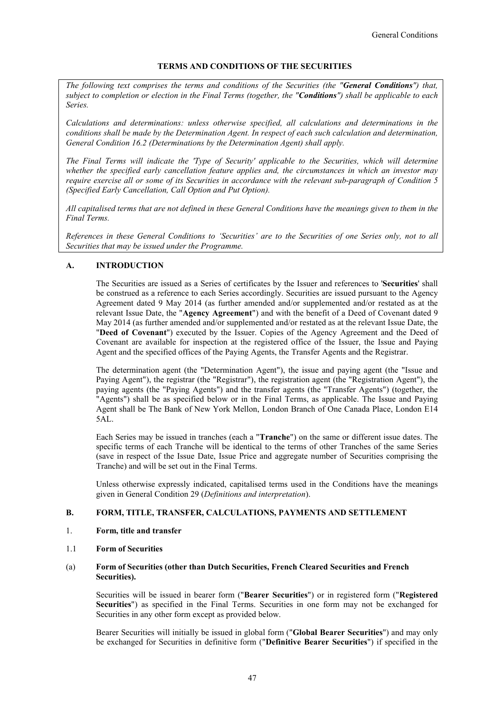## **TERMS AND CONDITIONS OF THE SECURITIES**

*The following text comprises the terms and conditions of the Securities (the "General Conditions") that, subject to completion or election in the Final Terms (together, the "Conditions") shall be applicable to each Series.* 

*Calculations and determinations: unless otherwise specified, all calculations and determinations in the conditions shall be made by the Determination Agent. In respect of each such calculation and determination, General Condition 16.2 (Determinations by the Determination Agent) shall apply.*

*The Final Terms will indicate the 'Type of Security' applicable to the Securities, which will determine whether the specified early cancellation feature applies and, the circumstances in which an investor may require exercise all or some of its Securities in accordance with the relevant sub-paragraph of Condition 5 (Specified Early Cancellation, Call Option and Put Option).*

*All capitalised terms that are not defined in these General Conditions have the meanings given to them in the Final Terms.*

*References in these General Conditions to 'Securities' are to the Securities of one Series only, not to all Securities that may be issued under the Programme.*

## **A. INTRODUCTION**

The Securities are issued as a Series of certificates by the Issuer and references to '**Securities**' shall be construed as a reference to each Series accordingly. Securities are issued pursuant to the Agency Agreement dated 9 May 2014 (as further amended and/or supplemented and/or restated as at the relevant Issue Date, the "**Agency Agreement**") and with the benefit of a Deed of Covenant dated 9 May 2014 (as further amended and/or supplemented and/or restated as at the relevant Issue Date, the "**Deed of Covenant**") executed by the Issuer. Copies of the Agency Agreement and the Deed of Covenant are available for inspection at the registered office of the Issuer, the Issue and Paying Agent and the specified offices of the Paying Agents, the Transfer Agents and the Registrar.

The determination agent (the "Determination Agent"), the issue and paying agent (the "Issue and Paying Agent"), the registrar (the "Registrar"), the registration agent (the "Registration Agent"), the paying agents (the "Paying Agents") and the transfer agents (the "Transfer Agents") (together, the "Agents") shall be as specified below or in the Final Terms, as applicable. The Issue and Paying Agent shall be The Bank of New York Mellon, London Branch of One Canada Place, London E14  $5AI<sub>1</sub>$ 

Each Series may be issued in tranches (each a "**Tranche**") on the same or different issue dates. The specific terms of each Tranche will be identical to the terms of other Tranches of the same Series (save in respect of the Issue Date, Issue Price and aggregate number of Securities comprising the Tranche) and will be set out in the Final Terms.

Unless otherwise expressly indicated, capitalised terms used in the Conditions have the meanings given in General Condition 29 (*Definitions and interpretation*).

## **B. FORM, TITLE, TRANSFER, CALCULATIONS, PAYMENTS AND SETTLEMENT**

- 1. **Form, title and transfer**
- 1.1 **Form of Securities**

## (a) **Form of Securities (other than Dutch Securities, French Cleared Securities and French Securities).**

Securities will be issued in bearer form ("**Bearer Securities**") or in registered form ("**Registered Securities**") as specified in the Final Terms. Securities in one form may not be exchanged for Securities in any other form except as provided below.

Bearer Securities will initially be issued in global form ("**Global Bearer Securities**") and may only be exchanged for Securities in definitive form ("**Definitive Bearer Securities**") if specified in the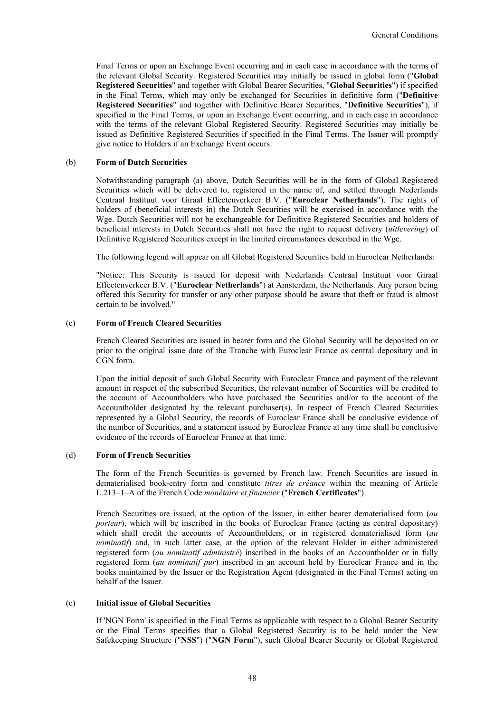Final Terms or upon an Exchange Event occurring and in each case in accordance with the terms of the relevant Global Security. Registered Securities may initially be issued in global form ("**Global Registered Securities**" and together with Global Bearer Securities, "**Global Securities**") if specified in the Final Terms, which may only be exchanged for Securities in definitive form ("**Definitive Registered Securities**" and together with Definitive Bearer Securities, "**Definitive Securities**"), if specified in the Final Terms, or upon an Exchange Event occurring, and in each case in accordance with the terms of the relevant Global Registered Security. Registered Securities may initially be issued as Definitive Registered Securities if specified in the Final Terms. The Issuer will promptly give notice to Holders if an Exchange Event occurs.

### (b) **Form of Dutch Securities**

Notwithstanding paragraph (a) above, Dutch Securities will be in the form of Global Registered Securities which will be delivered to, registered in the name of, and settled through Nederlands Centraal Instituut voor Giraal Effectenverkeer B.V. ("**Euroclear Netherlands**"). The rights of holders of (beneficial interests in) the Dutch Securities will be exercised in accordance with the Wge. Dutch Securities will not be exchangeable for Definitive Registered Securities and holders of beneficial interests in Dutch Securities shall not have the right to request delivery (*uitlevering*) of Definitive Registered Securities except in the limited circumstances described in the Wge.

The following legend will appear on all Global Registered Securities held in Euroclear Netherlands:

"Notice: This Security is issued for deposit with Nederlands Centraal Instituut voor Giraal Effectenverkeer B.V. ("**Euroclear Netherlands**") at Amsterdam, the Netherlands. Any person being offered this Security for transfer or any other purpose should be aware that theft or fraud is almost certain to be involved."

### (c) **Form of French Cleared Securities**

French Cleared Securities are issued in bearer form and the Global Security will be deposited on or prior to the original issue date of the Tranche with Euroclear France as central depositary and in CGN form.

Upon the initial deposit of such Global Security with Euroclear France and payment of the relevant amount in respect of the subscribed Securities, the relevant number of Securities will be credited to the account of Accountholders who have purchased the Securities and/or to the account of the Accountholder designated by the relevant purchaser(s). In respect of French Cleared Securities represented by a Global Security, the records of Euroclear France shall be conclusive evidence of the number of Securities, and a statement issued by Euroclear France at any time shall be conclusive evidence of the records of Euroclear France at that time.

### (d) **Form of French Securities**

The form of the French Securities is governed by French law. French Securities are issued in dematerialised book-entry form and constitute *titres de créance* within the meaning of Article L.213–1–A of the French Code *monétaire et financier* ("**French Certificates**").

French Securities are issued, at the option of the Issuer, in either bearer dematerialised form (*au porteur*), which will be inscribed in the books of Euroclear France (acting as central depositary) which shall credit the accounts of Accountholders, or in registered dematerialised form (*au nominatif*) and, in such latter case, at the option of the relevant Holder in either administered registered form (*au nominatif administré*) inscribed in the books of an Accountholder or in fully registered form (*au nominatif pur*) inscribed in an account held by Euroclear France and in the books maintained by the Issuer or the Registration Agent (designated in the Final Terms) acting on behalf of the Issuer.

### (e) **Initial issue of Global Securities**

If 'NGN Form' is specified in the Final Terms as applicable with respect to a Global Bearer Security or the Final Terms specifies that a Global Registered Security is to be held under the New Safekeeping Structure ("**NSS**") ("**NGN Form**"), such Global Bearer Security or Global Registered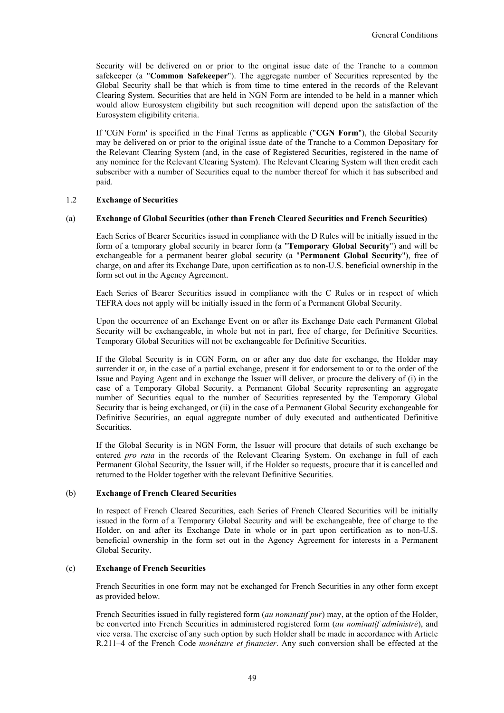Security will be delivered on or prior to the original issue date of the Tranche to a common safekeeper (a "**Common Safekeeper**"). The aggregate number of Securities represented by the Global Security shall be that which is from time to time entered in the records of the Relevant Clearing System. Securities that are held in NGN Form are intended to be held in a manner which would allow Eurosystem eligibility but such recognition will depend upon the satisfaction of the Eurosystem eligibility criteria.

If 'CGN Form' is specified in the Final Terms as applicable ("**CGN Form**"), the Global Security may be delivered on or prior to the original issue date of the Tranche to a Common Depositary for the Relevant Clearing System (and, in the case of Registered Securities, registered in the name of any nominee for the Relevant Clearing System). The Relevant Clearing System will then credit each subscriber with a number of Securities equal to the number thereof for which it has subscribed and paid.

### 1.2 **Exchange of Securities**

### (a) **Exchange of Global Securities (other than French Cleared Securities and French Securities)**

Each Series of Bearer Securities issued in compliance with the D Rules will be initially issued in the form of a temporary global security in bearer form (a "**Temporary Global Security**") and will be exchangeable for a permanent bearer global security (a "**Permanent Global Security**"), free of charge, on and after its Exchange Date, upon certification as to non-U.S. beneficial ownership in the form set out in the Agency Agreement.

Each Series of Bearer Securities issued in compliance with the C Rules or in respect of which TEFRA does not apply will be initially issued in the form of a Permanent Global Security.

Upon the occurrence of an Exchange Event on or after its Exchange Date each Permanent Global Security will be exchangeable, in whole but not in part, free of charge, for Definitive Securities. Temporary Global Securities will not be exchangeable for Definitive Securities.

If the Global Security is in CGN Form, on or after any due date for exchange, the Holder may surrender it or, in the case of a partial exchange, present it for endorsement to or to the order of the Issue and Paying Agent and in exchange the Issuer will deliver, or procure the delivery of (i) in the case of a Temporary Global Security, a Permanent Global Security representing an aggregate number of Securities equal to the number of Securities represented by the Temporary Global Security that is being exchanged, or (ii) in the case of a Permanent Global Security exchangeable for Definitive Securities, an equal aggregate number of duly executed and authenticated Definitive Securities.

If the Global Security is in NGN Form, the Issuer will procure that details of such exchange be entered *pro rata* in the records of the Relevant Clearing System. On exchange in full of each Permanent Global Security, the Issuer will, if the Holder so requests, procure that it is cancelled and returned to the Holder together with the relevant Definitive Securities.

#### (b) **Exchange of French Cleared Securities**

In respect of French Cleared Securities, each Series of French Cleared Securities will be initially issued in the form of a Temporary Global Security and will be exchangeable, free of charge to the Holder, on and after its Exchange Date in whole or in part upon certification as to non-U.S. beneficial ownership in the form set out in the Agency Agreement for interests in a Permanent Global Security.

## (c) **Exchange of French Securities**

French Securities in one form may not be exchanged for French Securities in any other form except as provided below.

French Securities issued in fully registered form (*au nominatif pur*) may, at the option of the Holder, be converted into French Securities in administered registered form (*au nominatif administré*), and vice versa. The exercise of any such option by such Holder shall be made in accordance with Article R.211–4 of the French Code *monétaire et financier*. Any such conversion shall be effected at the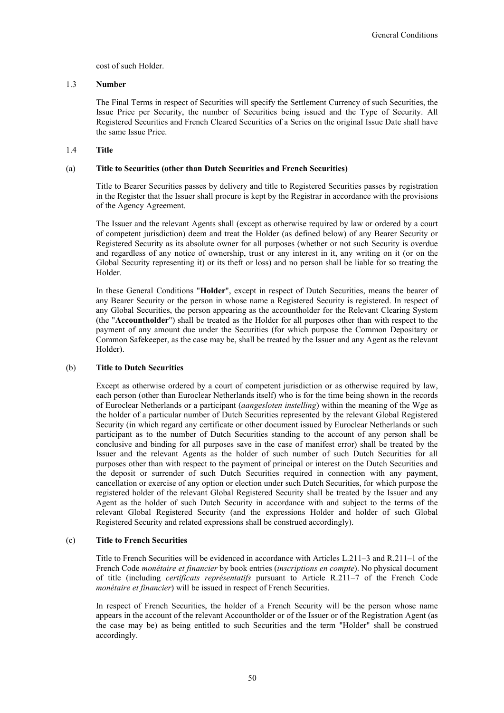cost of such Holder.

## 1.3 **Number**

The Final Terms in respect of Securities will specify the Settlement Currency of such Securities, the Issue Price per Security, the number of Securities being issued and the Type of Security. All Registered Securities and French Cleared Securities of a Series on the original Issue Date shall have the same Issue Price.

## 1.4 **Title**

## (a) **Title to Securities (other than Dutch Securities and French Securities)**

Title to Bearer Securities passes by delivery and title to Registered Securities passes by registration in the Register that the Issuer shall procure is kept by the Registrar in accordance with the provisions of the Agency Agreement.

The Issuer and the relevant Agents shall (except as otherwise required by law or ordered by a court of competent jurisdiction) deem and treat the Holder (as defined below) of any Bearer Security or Registered Security as its absolute owner for all purposes (whether or not such Security is overdue and regardless of any notice of ownership, trust or any interest in it, any writing on it (or on the Global Security representing it) or its theft or loss) and no person shall be liable for so treating the Holder.

In these General Conditions "**Holder**", except in respect of Dutch Securities, means the bearer of any Bearer Security or the person in whose name a Registered Security is registered. In respect of any Global Securities, the person appearing as the accountholder for the Relevant Clearing System (the "**Accountholder**") shall be treated as the Holder for all purposes other than with respect to the payment of any amount due under the Securities (for which purpose the Common Depositary or Common Safekeeper, as the case may be, shall be treated by the Issuer and any Agent as the relevant Holder).

### (b) **Title to Dutch Securities**

Except as otherwise ordered by a court of competent jurisdiction or as otherwise required by law, each person (other than Euroclear Netherlands itself) who is for the time being shown in the records of Euroclear Netherlands or a participant (*aangesloten instelling*) within the meaning of the Wge as the holder of a particular number of Dutch Securities represented by the relevant Global Registered Security (in which regard any certificate or other document issued by Euroclear Netherlands or such participant as to the number of Dutch Securities standing to the account of any person shall be conclusive and binding for all purposes save in the case of manifest error) shall be treated by the Issuer and the relevant Agents as the holder of such number of such Dutch Securities for all purposes other than with respect to the payment of principal or interest on the Dutch Securities and the deposit or surrender of such Dutch Securities required in connection with any payment, cancellation or exercise of any option or election under such Dutch Securities, for which purpose the registered holder of the relevant Global Registered Security shall be treated by the Issuer and any Agent as the holder of such Dutch Security in accordance with and subject to the terms of the relevant Global Registered Security (and the expressions Holder and holder of such Global Registered Security and related expressions shall be construed accordingly).

## (c) **Title to French Securities**

Title to French Securities will be evidenced in accordance with Articles L.211–3 and R.211–1 of the French Code *monétaire et financier* by book entries (*inscriptions en compte*). No physical document of title (including *certificats représentatifs* pursuant to Article R.211–7 of the French Code *monétaire et financier*) will be issued in respect of French Securities.

In respect of French Securities, the holder of a French Security will be the person whose name appears in the account of the relevant Accountholder or of the Issuer or of the Registration Agent (as the case may be) as being entitled to such Securities and the term "Holder" shall be construed accordingly.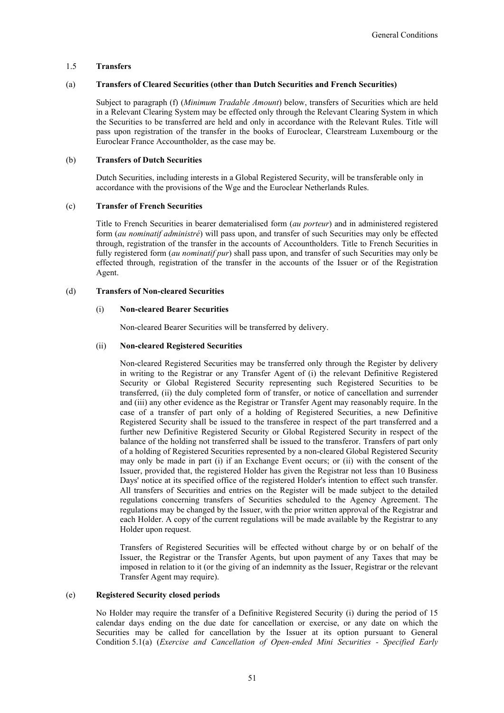### 1.5 **Transfers**

### (a) **Transfers of Cleared Securities (other than Dutch Securities and French Securities)**

Subject to paragraph (f) (*Minimum Tradable Amount*) below, transfers of Securities which are held in a Relevant Clearing System may be effected only through the Relevant Clearing System in which the Securities to be transferred are held and only in accordance with the Relevant Rules. Title will pass upon registration of the transfer in the books of Euroclear, Clearstream Luxembourg or the Euroclear France Accountholder, as the case may be.

### (b) **Transfers of Dutch Securities**

Dutch Securities, including interests in a Global Registered Security, will be transferable only in accordance with the provisions of the Wge and the Euroclear Netherlands Rules.

### (c) **Transfer of French Securities**

Title to French Securities in bearer dematerialised form (*au porteur*) and in administered registered form (*au nominatif administré*) will pass upon, and transfer of such Securities may only be effected through, registration of the transfer in the accounts of Accountholders. Title to French Securities in fully registered form (*au nominatif pur*) shall pass upon, and transfer of such Securities may only be effected through, registration of the transfer in the accounts of the Issuer or of the Registration Agent.

## (d) **Transfers of Non-cleared Securities**

## (i) **Non-cleared Bearer Securities**

Non-cleared Bearer Securities will be transferred by delivery.

## (ii) **Non-cleared Registered Securities**

Non-cleared Registered Securities may be transferred only through the Register by delivery in writing to the Registrar or any Transfer Agent of (i) the relevant Definitive Registered Security or Global Registered Security representing such Registered Securities to be transferred, (ii) the duly completed form of transfer, or notice of cancellation and surrender and (iii) any other evidence as the Registrar or Transfer Agent may reasonably require. In the case of a transfer of part only of a holding of Registered Securities, a new Definitive Registered Security shall be issued to the transferee in respect of the part transferred and a further new Definitive Registered Security or Global Registered Security in respect of the balance of the holding not transferred shall be issued to the transferor. Transfers of part only of a holding of Registered Securities represented by a non-cleared Global Registered Security may only be made in part (i) if an Exchange Event occurs; or (ii) with the consent of the Issuer, provided that, the registered Holder has given the Registrar not less than 10 Business Days' notice at its specified office of the registered Holder's intention to effect such transfer. All transfers of Securities and entries on the Register will be made subject to the detailed regulations concerning transfers of Securities scheduled to the Agency Agreement. The regulations may be changed by the Issuer, with the prior written approval of the Registrar and each Holder. A copy of the current regulations will be made available by the Registrar to any Holder upon request.

Transfers of Registered Securities will be effected without charge by or on behalf of the Issuer, the Registrar or the Transfer Agents, but upon payment of any Taxes that may be imposed in relation to it (or the giving of an indemnity as the Issuer, Registrar or the relevant Transfer Agent may require).

### (e) **Registered Security closed periods**

No Holder may require the transfer of a Definitive Registered Security (i) during the period of 15 calendar days ending on the due date for cancellation or exercise, or any date on which the Securities may be called for cancellation by the Issuer at its option pursuant to General Condition 5.1(a) (*Exercise and Cancellation of Open-ended Mini Securities - Specified Early*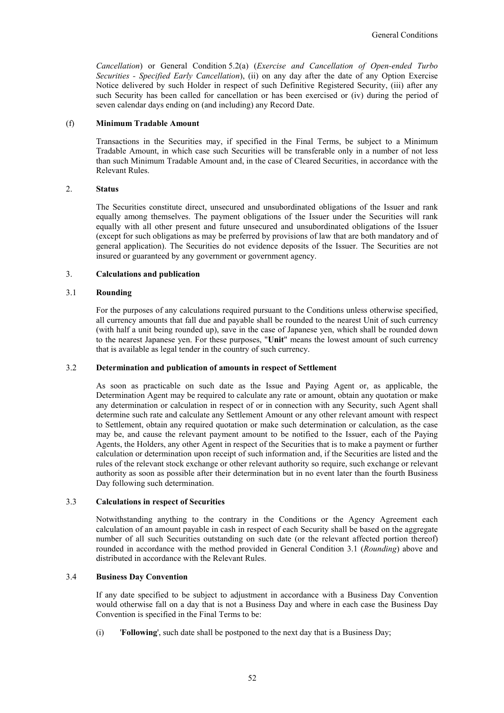*Cancellation*) or General Condition 5.2(a) (*Exercise and Cancellation of Open-ended Turbo Securities - Specified Early Cancellation*), (ii) on any day after the date of any Option Exercise Notice delivered by such Holder in respect of such Definitive Registered Security, (iii) after any such Security has been called for cancellation or has been exercised or (iv) during the period of seven calendar days ending on (and including) any Record Date.

### (f) **Minimum Tradable Amount**

Transactions in the Securities may, if specified in the Final Terms, be subject to a Minimum Tradable Amount, in which case such Securities will be transferable only in a number of not less than such Minimum Tradable Amount and, in the case of Cleared Securities, in accordance with the Relevant Rules.

## 2. **Status**

The Securities constitute direct, unsecured and unsubordinated obligations of the Issuer and rank equally among themselves. The payment obligations of the Issuer under the Securities will rank equally with all other present and future unsecured and unsubordinated obligations of the Issuer (except for such obligations as may be preferred by provisions of law that are both mandatory and of general application). The Securities do not evidence deposits of the Issuer. The Securities are not insured or guaranteed by any government or government agency.

### 3. **Calculations and publication**

## 3.1 **Rounding**

For the purposes of any calculations required pursuant to the Conditions unless otherwise specified, all currency amounts that fall due and payable shall be rounded to the nearest Unit of such currency (with half a unit being rounded up), save in the case of Japanese yen, which shall be rounded down to the nearest Japanese yen. For these purposes, "**Unit**" means the lowest amount of such currency that is available as legal tender in the country of such currency.

### 3.2 **Determination and publication of amounts in respect of Settlement**

As soon as practicable on such date as the Issue and Paying Agent or, as applicable, the Determination Agent may be required to calculate any rate or amount, obtain any quotation or make any determination or calculation in respect of or in connection with any Security, such Agent shall determine such rate and calculate any Settlement Amount or any other relevant amount with respect to Settlement, obtain any required quotation or make such determination or calculation, as the case may be, and cause the relevant payment amount to be notified to the Issuer, each of the Paying Agents, the Holders, any other Agent in respect of the Securities that is to make a payment or further calculation or determination upon receipt of such information and, if the Securities are listed and the rules of the relevant stock exchange or other relevant authority so require, such exchange or relevant authority as soon as possible after their determination but in no event later than the fourth Business Day following such determination.

### 3.3 **Calculations in respect of Securities**

Notwithstanding anything to the contrary in the Conditions or the Agency Agreement each calculation of an amount payable in cash in respect of each Security shall be based on the aggregate number of all such Securities outstanding on such date (or the relevant affected portion thereof) rounded in accordance with the method provided in General Condition 3.1 (*Rounding*) above and distributed in accordance with the Relevant Rules.

### 3.4 **Business Day Convention**

If any date specified to be subject to adjustment in accordance with a Business Day Convention would otherwise fall on a day that is not a Business Day and where in each case the Business Day Convention is specified in the Final Terms to be:

(i) '**Following**', such date shall be postponed to the next day that is a Business Day;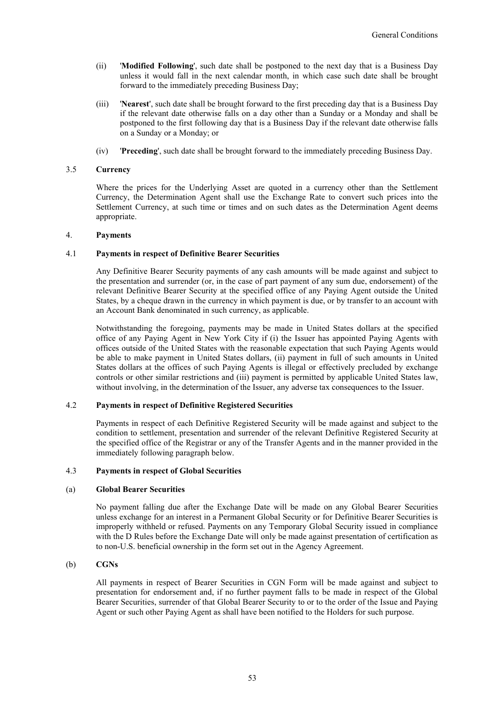- (ii) '**Modified Following**', such date shall be postponed to the next day that is a Business Day unless it would fall in the next calendar month, in which case such date shall be brought forward to the immediately preceding Business Day;
- (iii) '**Nearest**', such date shall be brought forward to the first preceding day that is a Business Day if the relevant date otherwise falls on a day other than a Sunday or a Monday and shall be postponed to the first following day that is a Business Day if the relevant date otherwise falls on a Sunday or a Monday; or
- (iv) '**Preceding**', such date shall be brought forward to the immediately preceding Business Day.

## 3.5 **Currency**

Where the prices for the Underlying Asset are quoted in a currency other than the Settlement Currency, the Determination Agent shall use the Exchange Rate to convert such prices into the Settlement Currency, at such time or times and on such dates as the Determination Agent deems appropriate.

## 4. **Payments**

### 4.1 **Payments in respect of Definitive Bearer Securities**

Any Definitive Bearer Security payments of any cash amounts will be made against and subject to the presentation and surrender (or, in the case of part payment of any sum due, endorsement) of the relevant Definitive Bearer Security at the specified office of any Paying Agent outside the United States, by a cheque drawn in the currency in which payment is due, or by transfer to an account with an Account Bank denominated in such currency, as applicable.

Notwithstanding the foregoing, payments may be made in United States dollars at the specified office of any Paying Agent in New York City if (i) the Issuer has appointed Paying Agents with offices outside of the United States with the reasonable expectation that such Paying Agents would be able to make payment in United States dollars, (ii) payment in full of such amounts in United States dollars at the offices of such Paying Agents is illegal or effectively precluded by exchange controls or other similar restrictions and (iii) payment is permitted by applicable United States law, without involving, in the determination of the Issuer, any adverse tax consequences to the Issuer.

## 4.2 **Payments in respect of Definitive Registered Securities**

Payments in respect of each Definitive Registered Security will be made against and subject to the condition to settlement, presentation and surrender of the relevant Definitive Registered Security at the specified office of the Registrar or any of the Transfer Agents and in the manner provided in the immediately following paragraph below.

### 4.3 **Payments in respect of Global Securities**

#### (a) **Global Bearer Securities**

No payment falling due after the Exchange Date will be made on any Global Bearer Securities unless exchange for an interest in a Permanent Global Security or for Definitive Bearer Securities is improperly withheld or refused. Payments on any Temporary Global Security issued in compliance with the D Rules before the Exchange Date will only be made against presentation of certification as to non-U.S. beneficial ownership in the form set out in the Agency Agreement.

### (b) **CGNs**

All payments in respect of Bearer Securities in CGN Form will be made against and subject to presentation for endorsement and, if no further payment falls to be made in respect of the Global Bearer Securities, surrender of that Global Bearer Security to or to the order of the Issue and Paying Agent or such other Paying Agent as shall have been notified to the Holders for such purpose.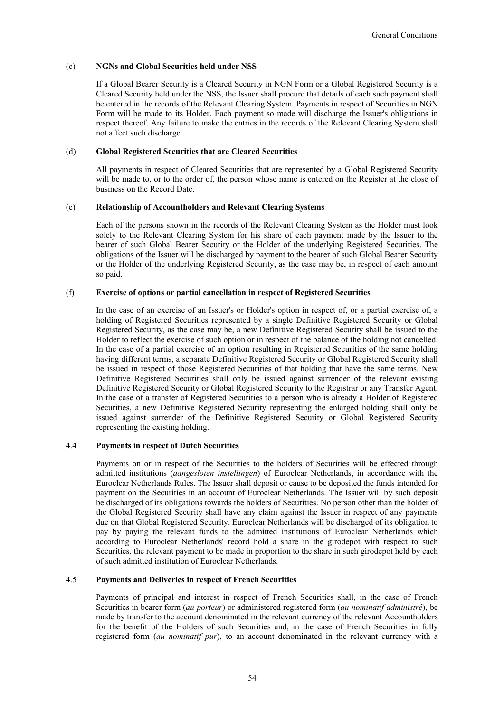### (c) **NGNs and Global Securities held under NSS**

If a Global Bearer Security is a Cleared Security in NGN Form or a Global Registered Security is a Cleared Security held under the NSS, the Issuer shall procure that details of each such payment shall be entered in the records of the Relevant Clearing System. Payments in respect of Securities in NGN Form will be made to its Holder. Each payment so made will discharge the Issuer's obligations in respect thereof. Any failure to make the entries in the records of the Relevant Clearing System shall not affect such discharge.

### (d) **Global Registered Securities that are Cleared Securities**

All payments in respect of Cleared Securities that are represented by a Global Registered Security will be made to, or to the order of, the person whose name is entered on the Register at the close of business on the Record Date.

## (e) **Relationship of Accountholders and Relevant Clearing Systems**

Each of the persons shown in the records of the Relevant Clearing System as the Holder must look solely to the Relevant Clearing System for his share of each payment made by the Issuer to the bearer of such Global Bearer Security or the Holder of the underlying Registered Securities. The obligations of the Issuer will be discharged by payment to the bearer of such Global Bearer Security or the Holder of the underlying Registered Security, as the case may be, in respect of each amount so paid.

## (f) **Exercise of options or partial cancellation in respect of Registered Securities**

In the case of an exercise of an Issuer's or Holder's option in respect of, or a partial exercise of, a holding of Registered Securities represented by a single Definitive Registered Security or Global Registered Security, as the case may be, a new Definitive Registered Security shall be issued to the Holder to reflect the exercise of such option or in respect of the balance of the holding not cancelled. In the case of a partial exercise of an option resulting in Registered Securities of the same holding having different terms, a separate Definitive Registered Security or Global Registered Security shall be issued in respect of those Registered Securities of that holding that have the same terms. New Definitive Registered Securities shall only be issued against surrender of the relevant existing Definitive Registered Security or Global Registered Security to the Registrar or any Transfer Agent. In the case of a transfer of Registered Securities to a person who is already a Holder of Registered Securities, a new Definitive Registered Security representing the enlarged holding shall only be issued against surrender of the Definitive Registered Security or Global Registered Security representing the existing holding.

## 4.4 **Payments in respect of Dutch Securities**

Payments on or in respect of the Securities to the holders of Securities will be effected through admitted institutions (*aangesloten instellingen*) of Euroclear Netherlands, in accordance with the Euroclear Netherlands Rules. The Issuer shall deposit or cause to be deposited the funds intended for payment on the Securities in an account of Euroclear Netherlands. The Issuer will by such deposit be discharged of its obligations towards the holders of Securities. No person other than the holder of the Global Registered Security shall have any claim against the Issuer in respect of any payments due on that Global Registered Security. Euroclear Netherlands will be discharged of its obligation to pay by paying the relevant funds to the admitted institutions of Euroclear Netherlands which according to Euroclear Netherlands' record hold a share in the girodepot with respect to such Securities, the relevant payment to be made in proportion to the share in such girodepot held by each of such admitted institution of Euroclear Netherlands.

## 4.5 **Payments and Deliveries in respect of French Securities**

Payments of principal and interest in respect of French Securities shall, in the case of French Securities in bearer form (*au porteur*) or administered registered form (*au nominatif administré*), be made by transfer to the account denominated in the relevant currency of the relevant Accountholders for the benefit of the Holders of such Securities and, in the case of French Securities in fully registered form (*au nominatif pur*), to an account denominated in the relevant currency with a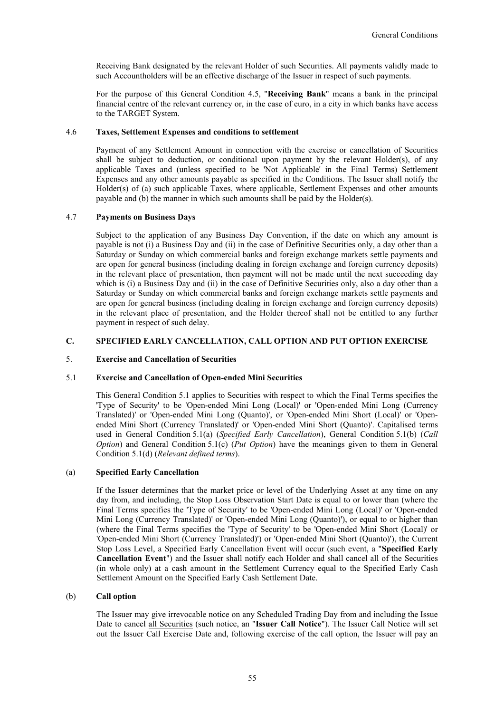Receiving Bank designated by the relevant Holder of such Securities. All payments validly made to such Accountholders will be an effective discharge of the Issuer in respect of such payments.

For the purpose of this General Condition 4.5, "**Receiving Bank**" means a bank in the principal financial centre of the relevant currency or, in the case of euro, in a city in which banks have access to the TARGET System.

## 4.6 **Taxes, Settlement Expenses and conditions to settlement**

Payment of any Settlement Amount in connection with the exercise or cancellation of Securities shall be subject to deduction, or conditional upon payment by the relevant  $Holder(s)$ , of any applicable Taxes and (unless specified to be 'Not Applicable' in the Final Terms) Settlement Expenses and any other amounts payable as specified in the Conditions. The Issuer shall notify the Holder(s) of (a) such applicable Taxes, where applicable, Settlement Expenses and other amounts payable and (b) the manner in which such amounts shall be paid by the Holder(s).

## 4.7 **Payments on Business Days**

Subject to the application of any Business Day Convention, if the date on which any amount is payable is not (i) a Business Day and (ii) in the case of Definitive Securities only, a day other than a Saturday or Sunday on which commercial banks and foreign exchange markets settle payments and are open for general business (including dealing in foreign exchange and foreign currency deposits) in the relevant place of presentation, then payment will not be made until the next succeeding day which is (i) a Business Day and (ii) in the case of Definitive Securities only, also a day other than a Saturday or Sunday on which commercial banks and foreign exchange markets settle payments and are open for general business (including dealing in foreign exchange and foreign currency deposits) in the relevant place of presentation, and the Holder thereof shall not be entitled to any further payment in respect of such delay.

## **C. SPECIFIED EARLY CANCELLATION, CALL OPTION AND PUT OPTION EXERCISE**

## 5. **Exercise and Cancellation of Securities**

### 5.1 **Exercise and Cancellation of Open-ended Mini Securities**

This General Condition 5.1 applies to Securities with respect to which the Final Terms specifies the 'Type of Security' to be 'Open-ended Mini Long (Local)' or 'Open-ended Mini Long (Currency Translated)' or 'Open-ended Mini Long (Quanto)', or 'Open-ended Mini Short (Local)' or 'Openended Mini Short (Currency Translated)' or 'Open-ended Mini Short (Quanto)'. Capitalised terms used in General Condition 5.1(a) (*Specified Early Cancellation*), General Condition 5.1(b) (*Call Option*) and General Condition 5.1(c) (*Put Option*) have the meanings given to them in General Condition 5.1(d) (*Relevant defined terms*).

#### (a) **Specified Early Cancellation**

If the Issuer determines that the market price or level of the Underlying Asset at any time on any day from, and including, the Stop Loss Observation Start Date is equal to or lower than (where the Final Terms specifies the 'Type of Security' to be 'Open-ended Mini Long (Local)' or 'Open-ended Mini Long (Currency Translated)' or 'Open-ended Mini Long (Quanto)'), or equal to or higher than (where the Final Terms specifies the 'Type of Security' to be 'Open-ended Mini Short (Local)' or 'Open-ended Mini Short (Currency Translated)') or 'Open-ended Mini Short (Quanto)'), the Current Stop Loss Level, a Specified Early Cancellation Event will occur (such event, a "**Specified Early Cancellation Event**") and the Issuer shall notify each Holder and shall cancel all of the Securities (in whole only) at a cash amount in the Settlement Currency equal to the Specified Early Cash Settlement Amount on the Specified Early Cash Settlement Date.

## (b) **Call option**

The Issuer may give irrevocable notice on any Scheduled Trading Day from and including the Issue Date to cancel all Securities (such notice, an "**Issuer Call Notice**"). The Issuer Call Notice will set out the Issuer Call Exercise Date and, following exercise of the call option, the Issuer will pay an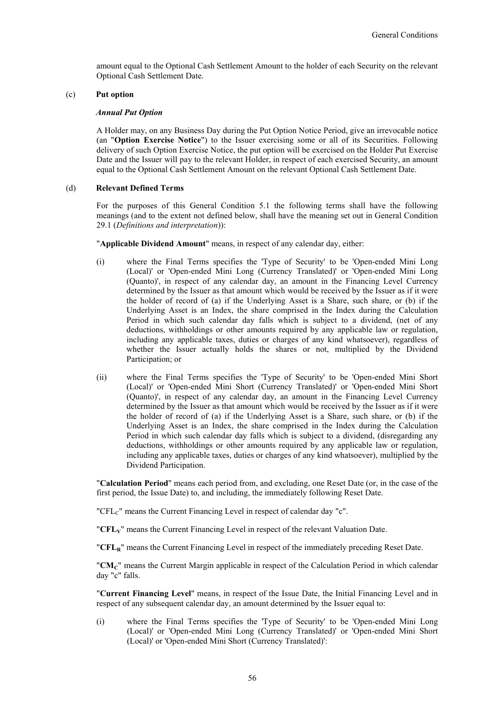amount equal to the Optional Cash Settlement Amount to the holder of each Security on the relevant Optional Cash Settlement Date.

## (c) **Put option**

### *Annual Put Option*

A Holder may, on any Business Day during the Put Option Notice Period, give an irrevocable notice (an "**Option Exercise Notice**") to the Issuer exercising some or all of its Securities. Following delivery of such Option Exercise Notice, the put option will be exercised on the Holder Put Exercise Date and the Issuer will pay to the relevant Holder, in respect of each exercised Security, an amount equal to the Optional Cash Settlement Amount on the relevant Optional Cash Settlement Date.

### (d) **Relevant Defined Terms**

For the purposes of this General Condition 5.1 the following terms shall have the following meanings (and to the extent not defined below, shall have the meaning set out in General Condition 29.1 (*Definitions and interpretation*)):

"**Applicable Dividend Amount**" means, in respect of any calendar day, either:

- (i) where the Final Terms specifies the 'Type of Security' to be 'Open-ended Mini Long (Local)' or 'Open-ended Mini Long (Currency Translated)' or 'Open-ended Mini Long (Quanto)', in respect of any calendar day, an amount in the Financing Level Currency determined by the Issuer as that amount which would be received by the Issuer as if it were the holder of record of (a) if the Underlying Asset is a Share, such share, or (b) if the Underlying Asset is an Index, the share comprised in the Index during the Calculation Period in which such calendar day falls which is subject to a dividend, (net of any deductions, withholdings or other amounts required by any applicable law or regulation, including any applicable taxes, duties or charges of any kind whatsoever), regardless of whether the Issuer actually holds the shares or not, multiplied by the Dividend Participation; or
- (ii) where the Final Terms specifies the 'Type of Security' to be 'Open-ended Mini Short (Local)' or 'Open-ended Mini Short (Currency Translated)' or 'Open-ended Mini Short (Quanto)', in respect of any calendar day, an amount in the Financing Level Currency determined by the Issuer as that amount which would be received by the Issuer as if it were the holder of record of (a) if the Underlying Asset is a Share, such share, or (b) if the Underlying Asset is an Index, the share comprised in the Index during the Calculation Period in which such calendar day falls which is subject to a dividend, (disregarding any deductions, withholdings or other amounts required by any applicable law or regulation, including any applicable taxes, duties or charges of any kind whatsoever), multiplied by the Dividend Participation.

"**Calculation Period**" means each period from, and excluding, one Reset Date (or, in the case of the first period, the Issue Date) to, and including, the immediately following Reset Date.

"CFL<sub>C</sub>" means the Current Financing Level in respect of calendar day "c".

"**CFLV**" means the Current Financing Level in respect of the relevant Valuation Date.

"**CFLR**" means the Current Financing Level in respect of the immediately preceding Reset Date.

"**CMC**" means the Current Margin applicable in respect of the Calculation Period in which calendar day "c" falls.

"**Current Financing Level**" means, in respect of the Issue Date, the Initial Financing Level and in respect of any subsequent calendar day, an amount determined by the Issuer equal to:

(i) where the Final Terms specifies the 'Type of Security' to be 'Open-ended Mini Long (Local)' or 'Open-ended Mini Long (Currency Translated)' or 'Open-ended Mini Short (Local)' or 'Open-ended Mini Short (Currency Translated)':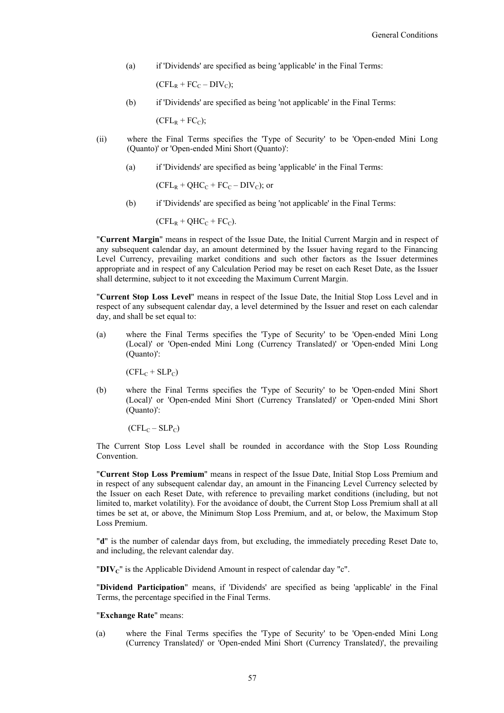(a) if 'Dividends' are specified as being 'applicable' in the Final Terms:

 $(CFL_R + FC_C - DIV_C);$ 

(b) if 'Dividends' are specified as being 'not applicable' in the Final Terms:

 $(CFL_R + FC_C);$ 

- (ii) where the Final Terms specifies the 'Type of Security' to be 'Open-ended Mini Long (Quanto)' or 'Open-ended Mini Short (Quanto)':
	- (a) if 'Dividends' are specified as being 'applicable' in the Final Terms:

 $(CFL_R + OHC_C + FC_C - DIV_C)$ ; or

(b) if 'Dividends' are specified as being 'not applicable' in the Final Terms:

$$
(CFL_R + QHC_C + FC_C).
$$

"**Current Margin**" means in respect of the Issue Date, the Initial Current Margin and in respect of any subsequent calendar day, an amount determined by the Issuer having regard to the Financing Level Currency, prevailing market conditions and such other factors as the Issuer determines appropriate and in respect of any Calculation Period may be reset on each Reset Date, as the Issuer shall determine, subject to it not exceeding the Maximum Current Margin.

"**Current Stop Loss Level**" means in respect of the Issue Date, the Initial Stop Loss Level and in respect of any subsequent calendar day, a level determined by the Issuer and reset on each calendar day, and shall be set equal to:

(a) where the Final Terms specifies the 'Type of Security' to be 'Open-ended Mini Long (Local)' or 'Open-ended Mini Long (Currency Translated)' or 'Open-ended Mini Long (Quanto)':

 $(CFL_C + SLP_C)$ 

(b) where the Final Terms specifies the 'Type of Security' to be 'Open-ended Mini Short (Local)' or 'Open-ended Mini Short (Currency Translated)' or 'Open-ended Mini Short (Quanto)':

 $(CFL_C - SLP_C)$ 

The Current Stop Loss Level shall be rounded in accordance with the Stop Loss Rounding Convention.

"**Current Stop Loss Premium**" means in respect of the Issue Date, Initial Stop Loss Premium and in respect of any subsequent calendar day, an amount in the Financing Level Currency selected by the Issuer on each Reset Date, with reference to prevailing market conditions (including, but not limited to, market volatility). For the avoidance of doubt, the Current Stop Loss Premium shall at all times be set at, or above, the Minimum Stop Loss Premium, and at, or below, the Maximum Stop Loss Premium.

"**d**" is the number of calendar days from, but excluding, the immediately preceding Reset Date to, and including, the relevant calendar day.

"**DIVC**" is the Applicable Dividend Amount in respect of calendar day "c".

"**Dividend Participation**" means, if 'Dividends' are specified as being 'applicable' in the Final Terms, the percentage specified in the Final Terms.

## "**Exchange Rate**" means:

(a) where the Final Terms specifies the 'Type of Security' to be 'Open-ended Mini Long (Currency Translated)' or 'Open-ended Mini Short (Currency Translated)', the prevailing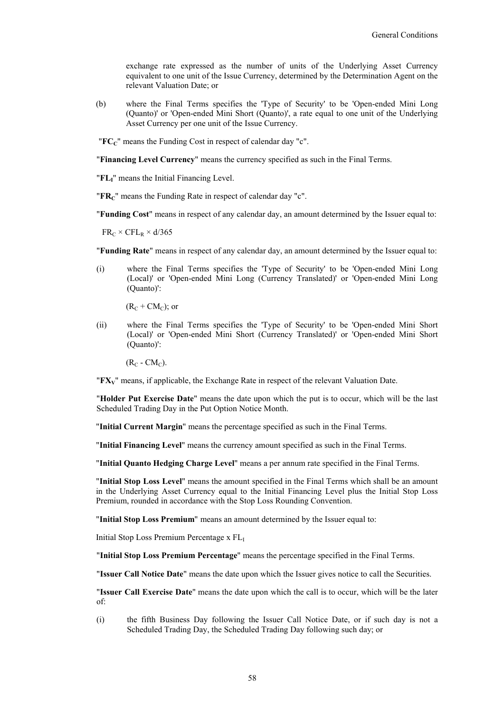exchange rate expressed as the number of units of the Underlying Asset Currency equivalent to one unit of the Issue Currency, determined by the Determination Agent on the relevant Valuation Date; or

(b) where the Final Terms specifies the 'Type of Security' to be 'Open-ended Mini Long (Quanto)' or 'Open-ended Mini Short (Quanto)', a rate equal to one unit of the Underlying Asset Currency per one unit of the Issue Currency.

"**FCC**" means the Funding Cost in respect of calendar day "c".

"**Financing Level Currency**" means the currency specified as such in the Final Terms.

"**FLI**" means the Initial Financing Level.

"**FRC**" means the Funding Rate in respect of calendar day "c".

"**Funding Cost**" means in respect of any calendar day, an amount determined by the Issuer equal to:

 $FR_C \times CFL_R \times d/365$ 

"**Funding Rate**" means in respect of any calendar day, an amount determined by the Issuer equal to:

(i) where the Final Terms specifies the 'Type of Security' to be 'Open-ended Mini Long (Local)' or 'Open-ended Mini Long (Currency Translated)' or 'Open-ended Mini Long (Quanto)':

 $(R_C + CM_C)$ ; or

(ii) where the Final Terms specifies the 'Type of Security' to be 'Open-ended Mini Short (Local)' or 'Open-ended Mini Short (Currency Translated)' or 'Open-ended Mini Short (Quanto)':

 $(R_C - CM_C)$ .

"**FXV**" means, if applicable, the Exchange Rate in respect of the relevant Valuation Date.

"**Holder Put Exercise Date**" means the date upon which the put is to occur, which will be the last Scheduled Trading Day in the Put Option Notice Month.

"**Initial Current Margin**" means the percentage specified as such in the Final Terms.

"**Initial Financing Level**" means the currency amount specified as such in the Final Terms.

"**Initial Quanto Hedging Charge Level**" means a per annum rate specified in the Final Terms.

"**Initial Stop Loss Level**" means the amount specified in the Final Terms which shall be an amount in the Underlying Asset Currency equal to the Initial Financing Level plus the Initial Stop Loss Premium, rounded in accordance with the Stop Loss Rounding Convention.

"**Initial Stop Loss Premium**" means an amount determined by the Issuer equal to:

Initial Stop Loss Premium Percentage x FL

"**Initial Stop Loss Premium Percentage**" means the percentage specified in the Final Terms.

"**Issuer Call Notice Date**" means the date upon which the Issuer gives notice to call the Securities.

"**Issuer Call Exercise Date**" means the date upon which the call is to occur, which will be the later of:

(i) the fifth Business Day following the Issuer Call Notice Date, or if such day is not a Scheduled Trading Day, the Scheduled Trading Day following such day; or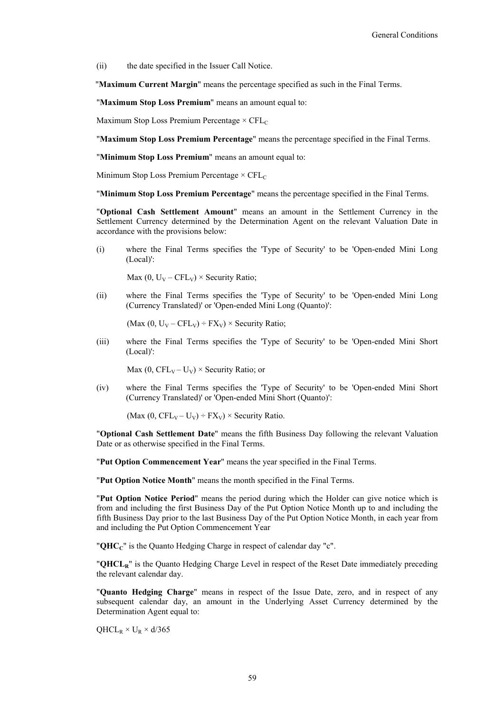(ii) the date specified in the Issuer Call Notice.

"**Maximum Current Margin**" means the percentage specified as such in the Final Terms.

"**Maximum Stop Loss Premium**" means an amount equal to:

Maximum Stop Loss Premium Percentage  $\times$  CFL<sub>C</sub>

"**Maximum Stop Loss Premium Percentage**" means the percentage specified in the Final Terms.

"**Minimum Stop Loss Premium**" means an amount equal to:

Minimum Stop Loss Premium Percentage  $\times$  CFL<sub>C</sub>

"**Minimum Stop Loss Premium Percentage**" means the percentage specified in the Final Terms.

"**Optional Cash Settlement Amount**" means an amount in the Settlement Currency in the Settlement Currency determined by the Determination Agent on the relevant Valuation Date in accordance with the provisions below:

(i) where the Final Terms specifies the 'Type of Security' to be 'Open-ended Mini Long (Local)':

Max (0,  $U_V - CFL_V$ ) × Security Ratio;

(ii) where the Final Terms specifies the 'Type of Security' to be 'Open-ended Mini Long (Currency Translated)' or 'Open-ended Mini Long (Quanto)':

(Max  $(0, U_V - CFL_V) \div FX_V$ ) × Security Ratio;

(iii) where the Final Terms specifies the 'Type of Security' to be 'Open-ended Mini Short (Local)':

Max (0,  $\text{CFL}_V - U_V$ ) × Security Ratio; or

(iv) where the Final Terms specifies the 'Type of Security' to be 'Open-ended Mini Short (Currency Translated)' or 'Open-ended Mini Short (Quanto)':

(Max (0, CFL<sub>V</sub> – U<sub>V</sub>) ÷ FX<sub>V</sub>) × Security Ratio.

"**Optional Cash Settlement Date**" means the fifth Business Day following the relevant Valuation Date or as otherwise specified in the Final Terms.

"**Put Option Commencement Year**" means the year specified in the Final Terms.

"**Put Option Notice Month**" means the month specified in the Final Terms.

"**Put Option Notice Period**" means the period during which the Holder can give notice which is from and including the first Business Day of the Put Option Notice Month up to and including the fifth Business Day prior to the last Business Day of the Put Option Notice Month, in each year from and including the Put Option Commencement Year

"**QHC<sub>C</sub>**" is the Quanto Hedging Charge in respect of calendar day "c".

"**QHCLR**" is the Quanto Hedging Charge Level in respect of the Reset Date immediately preceding the relevant calendar day.

"**Quanto Hedging Charge**" means in respect of the Issue Date, zero, and in respect of any subsequent calendar day, an amount in the Underlying Asset Currency determined by the Determination Agent equal to:

 $QHCL_R \times U_R \times d/365$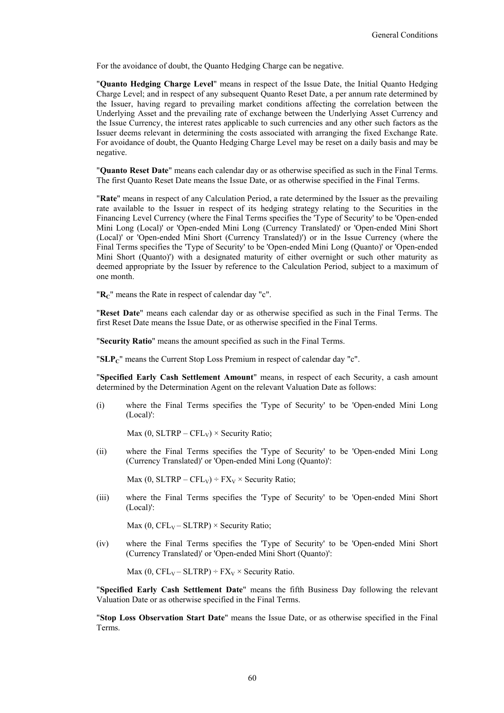For the avoidance of doubt, the Quanto Hedging Charge can be negative.

"**Quanto Hedging Charge Level**" means in respect of the Issue Date, the Initial Quanto Hedging Charge Level; and in respect of any subsequent Quanto Reset Date, a per annum rate determined by the Issuer, having regard to prevailing market conditions affecting the correlation between the Underlying Asset and the prevailing rate of exchange between the Underlying Asset Currency and the Issue Currency, the interest rates applicable to such currencies and any other such factors as the Issuer deems relevant in determining the costs associated with arranging the fixed Exchange Rate. For avoidance of doubt, the Quanto Hedging Charge Level may be reset on a daily basis and may be negative.

"**Quanto Reset Date**" means each calendar day or as otherwise specified as such in the Final Terms. The first Quanto Reset Date means the Issue Date, or as otherwise specified in the Final Terms.

"**Rate**" means in respect of any Calculation Period, a rate determined by the Issuer as the prevailing rate available to the Issuer in respect of its hedging strategy relating to the Securities in the Financing Level Currency (where the Final Terms specifies the 'Type of Security' to be 'Open-ended Mini Long (Local)' or 'Open-ended Mini Long (Currency Translated)' or 'Open-ended Mini Short (Local)' or 'Open-ended Mini Short (Currency Translated)') or in the Issue Currency (where the Final Terms specifies the 'Type of Security' to be 'Open-ended Mini Long (Quanto)' or 'Open-ended Mini Short (Quanto)') with a designated maturity of either overnight or such other maturity as deemed appropriate by the Issuer by reference to the Calculation Period, subject to a maximum of one month.

"R<sub>C</sub>" means the Rate in respect of calendar day "c".

"**Reset Date**" means each calendar day or as otherwise specified as such in the Final Terms. The first Reset Date means the Issue Date, or as otherwise specified in the Final Terms.

"**Security Ratio**" means the amount specified as such in the Final Terms.

"**SLPc**" means the Current Stop Loss Premium in respect of calendar day "c".

"**Specified Early Cash Settlement Amount**" means, in respect of each Security, a cash amount determined by the Determination Agent on the relevant Valuation Date as follows:

(i) where the Final Terms specifies the 'Type of Security' to be 'Open-ended Mini Long (Local)':

Max (0, SLTRP – CFL<sub>V</sub>)  $\times$  Security Ratio;

(ii) where the Final Terms specifies the 'Type of Security' to be 'Open-ended Mini Long (Currency Translated)' or 'Open-ended Mini Long (Quanto)':

Max (0, SLTRP – CFL<sub>V</sub>) ÷ FX<sub>V</sub> × Security Ratio;

(iii) where the Final Terms specifies the 'Type of Security' to be 'Open-ended Mini Short (Local)':

Max (0,  $CFL_v-SLTRP$ ) × Security Ratio;

(iv) where the Final Terms specifies the 'Type of Security' to be 'Open-ended Mini Short (Currency Translated)' or 'Open-ended Mini Short (Quanto)':

Max (0,  $CFL_V - SLTRP$ ) ÷  $FX_V \times$  Security Ratio.

"**Specified Early Cash Settlement Date**" means the fifth Business Day following the relevant Valuation Date or as otherwise specified in the Final Terms.

"**Stop Loss Observation Start Date**" means the Issue Date, or as otherwise specified in the Final Terms.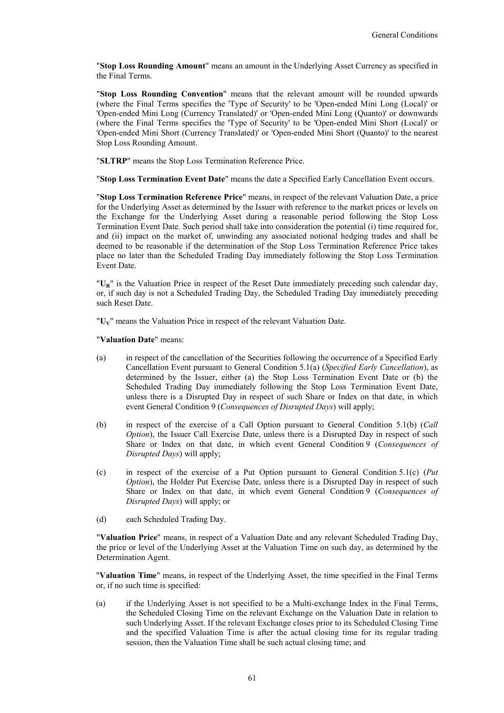"**Stop Loss Rounding Amount**" means an amount in the Underlying Asset Currency as specified in the Final Terms.

"**Stop Loss Rounding Convention**" means that the relevant amount will be rounded upwards (where the Final Terms specifies the 'Type of Security' to be 'Open-ended Mini Long (Local)' or 'Open-ended Mini Long (Currency Translated)' or 'Open-ended Mini Long (Quanto)' or downwards (where the Final Terms specifies the 'Type of Security' to be 'Open-ended Mini Short (Local)' or 'Open-ended Mini Short (Currency Translated)' or 'Open-ended Mini Short (Quanto)' to the nearest Stop Loss Rounding Amount.

"**SLTRP**" means the Stop Loss Termination Reference Price.

"**Stop Loss Termination Event Date**" means the date a Specified Early Cancellation Event occurs.

"**Stop Loss Termination Reference Price**" means, in respect of the relevant Valuation Date, a price for the Underlying Asset as determined by the Issuer with reference to the market prices or levels on the Exchange for the Underlying Asset during a reasonable period following the Stop Loss Termination Event Date. Such period shall take into consideration the potential (i) time required for, and (ii) impact on the market of, unwinding any associated notional hedging trades and shall be deemed to be reasonable if the determination of the Stop Loss Termination Reference Price takes place no later than the Scheduled Trading Day immediately following the Stop Loss Termination Event Date.

"U<sub>p</sub>" is the Valuation Price in respect of the Reset Date immediately preceding such calendar day, or, if such day is not a Scheduled Trading Day, the Scheduled Trading Day immediately preceding such Reset Date.

"**UV**" means the Valuation Price in respect of the relevant Valuation Date.

"**Valuation Date**" means:

- (a) in respect of the cancellation of the Securities following the occurrence of a Specified Early Cancellation Event pursuant to General Condition 5.1(a) (*Specified Early Cancellation*), as determined by the Issuer, either (a) the Stop Loss Termination Event Date or (b) the Scheduled Trading Day immediately following the Stop Loss Termination Event Date, unless there is a Disrupted Day in respect of such Share or Index on that date, in which event General Condition 9 (*Consequences of Disrupted Days*) will apply;
- (b) in respect of the exercise of a Call Option pursuant to General Condition 5.1(b) (*Call Option*), the Issuer Call Exercise Date, unless there is a Disrupted Day in respect of such Share or Index on that date, in which event General Condition 9 (*Consequences of Disrupted Days*) will apply;
- (c) in respect of the exercise of a Put Option pursuant to General Condition 5.1(c) (*Put Option*), the Holder Put Exercise Date, unless there is a Disrupted Day in respect of such Share or Index on that date, in which event General Condition 9 (*Consequences of Disrupted Days*) will apply; or
- (d) each Scheduled Trading Day.

"**Valuation Price**" means, in respect of a Valuation Date and any relevant Scheduled Trading Day, the price or level of the Underlying Asset at the Valuation Time on such day, as determined by the Determination Agent.

"**Valuation Time**" means, in respect of the Underlying Asset, the time specified in the Final Terms or, if no such time is specified:

(a) if the Underlying Asset is not specified to be a Multi-exchange Index in the Final Terms, the Scheduled Closing Time on the relevant Exchange on the Valuation Date in relation to such Underlying Asset. If the relevant Exchange closes prior to its Scheduled Closing Time and the specified Valuation Time is after the actual closing time for its regular trading session, then the Valuation Time shall be such actual closing time; and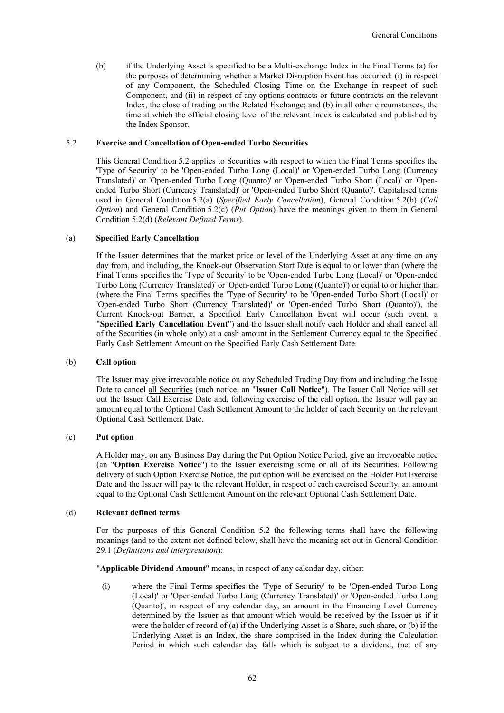(b) if the Underlying Asset is specified to be a Multi-exchange Index in the Final Terms (a) for the purposes of determining whether a Market Disruption Event has occurred: (i) in respect of any Component, the Scheduled Closing Time on the Exchange in respect of such Component, and (ii) in respect of any options contracts or future contracts on the relevant Index, the close of trading on the Related Exchange; and (b) in all other circumstances, the time at which the official closing level of the relevant Index is calculated and published by the Index Sponsor.

### 5.2 **Exercise and Cancellation of Open-ended Turbo Securities**

This General Condition 5.2 applies to Securities with respect to which the Final Terms specifies the 'Type of Security' to be 'Open-ended Turbo Long (Local)' or 'Open-ended Turbo Long (Currency Translated)' or 'Open-ended Turbo Long (Quanto)' or 'Open-ended Turbo Short (Local)' or 'Openended Turbo Short (Currency Translated)' or 'Open-ended Turbo Short (Quanto)'. Capitalised terms used in General Condition 5.2(a) (*Specified Early Cancellation*), General Condition 5.2(b) (*Call Option*) and General Condition 5.2(c) (*Put Option*) have the meanings given to them in General Condition 5.2(d) (*Relevant Defined Terms*).

## (a) **Specified Early Cancellation**

If the Issuer determines that the market price or level of the Underlying Asset at any time on any day from, and including, the Knock-out Observation Start Date is equal to or lower than (where the Final Terms specifies the 'Type of Security' to be 'Open-ended Turbo Long (Local)' or 'Open-ended Turbo Long (Currency Translated)' or 'Open-ended Turbo Long (Quanto)') or equal to or higher than (where the Final Terms specifies the 'Type of Security' to be 'Open-ended Turbo Short (Local)' or 'Open-ended Turbo Short (Currency Translated)' or 'Open-ended Turbo Short (Quanto)'), the Current Knock-out Barrier, a Specified Early Cancellation Event will occur (such event, a "**Specified Early Cancellation Event**") and the Issuer shall notify each Holder and shall cancel all of the Securities (in whole only) at a cash amount in the Settlement Currency equal to the Specified Early Cash Settlement Amount on the Specified Early Cash Settlement Date.

#### (b) **Call option**

The Issuer may give irrevocable notice on any Scheduled Trading Day from and including the Issue Date to cancel all Securities (such notice, an "**Issuer Call Notice**"). The Issuer Call Notice will set out the Issuer Call Exercise Date and, following exercise of the call option, the Issuer will pay an amount equal to the Optional Cash Settlement Amount to the holder of each Security on the relevant Optional Cash Settlement Date.

### (c) **Put option**

A Holder may, on any Business Day during the Put Option Notice Period, give an irrevocable notice (an "**Option Exercise Notice**") to the Issuer exercising some or all of its Securities. Following delivery of such Option Exercise Notice, the put option will be exercised on the Holder Put Exercise Date and the Issuer will pay to the relevant Holder, in respect of each exercised Security, an amount equal to the Optional Cash Settlement Amount on the relevant Optional Cash Settlement Date.

#### (d) **Relevant defined terms**

For the purposes of this General Condition 5.2 the following terms shall have the following meanings (and to the extent not defined below, shall have the meaning set out in General Condition 29.1 (*Definitions and interpretation*):

"**Applicable Dividend Amount**" means, in respect of any calendar day, either:

(i) where the Final Terms specifies the 'Type of Security' to be 'Open-ended Turbo Long (Local)' or 'Open-ended Turbo Long (Currency Translated)' or 'Open-ended Turbo Long (Quanto)', in respect of any calendar day, an amount in the Financing Level Currency determined by the Issuer as that amount which would be received by the Issuer as if it were the holder of record of (a) if the Underlying Asset is a Share, such share, or (b) if the Underlying Asset is an Index, the share comprised in the Index during the Calculation Period in which such calendar day falls which is subject to a dividend, (net of any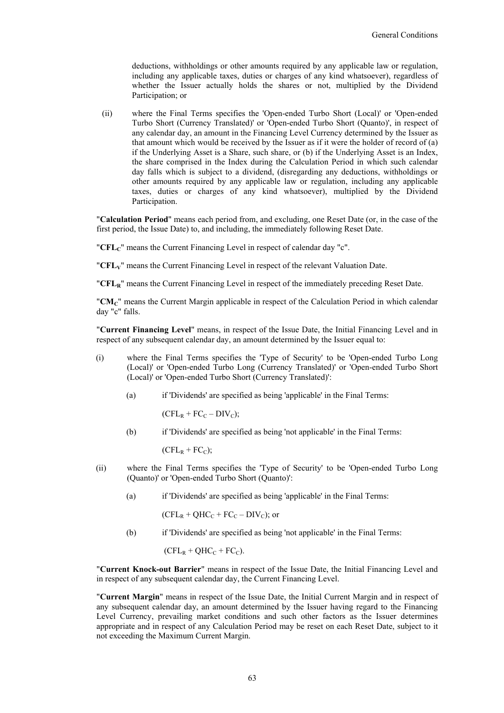deductions, withholdings or other amounts required by any applicable law or regulation, including any applicable taxes, duties or charges of any kind whatsoever), regardless of whether the Issuer actually holds the shares or not, multiplied by the Dividend Participation; or

(ii) where the Final Terms specifies the 'Open-ended Turbo Short (Local)' or 'Open-ended Turbo Short (Currency Translated)' or 'Open-ended Turbo Short (Quanto)', in respect of any calendar day, an amount in the Financing Level Currency determined by the Issuer as that amount which would be received by the Issuer as if it were the holder of record of (a) if the Underlying Asset is a Share, such share, or (b) if the Underlying Asset is an Index, the share comprised in the Index during the Calculation Period in which such calendar day falls which is subject to a dividend, (disregarding any deductions, withholdings or other amounts required by any applicable law or regulation, including any applicable taxes, duties or charges of any kind whatsoever), multiplied by the Dividend Participation.

"**Calculation Period**" means each period from, and excluding, one Reset Date (or, in the case of the first period, the Issue Date) to, and including, the immediately following Reset Date.

"**CFL**<sup>*c*</sup>" means the Current Financing Level in respect of calendar day "c".

"**CFLV**" means the Current Financing Level in respect of the relevant Valuation Date.

"**CFLR**" means the Current Financing Level in respect of the immediately preceding Reset Date.

"**CMC**" means the Current Margin applicable in respect of the Calculation Period in which calendar day "c" falls.

"**Current Financing Level**" means, in respect of the Issue Date, the Initial Financing Level and in respect of any subsequent calendar day, an amount determined by the Issuer equal to:

- (i) where the Final Terms specifies the 'Type of Security' to be 'Open-ended Turbo Long (Local)' or 'Open-ended Turbo Long (Currency Translated)' or 'Open-ended Turbo Short (Local)' or 'Open-ended Turbo Short (Currency Translated)':
	- (a) if 'Dividends' are specified as being 'applicable' in the Final Terms:

 $(CFL_R + FC_C - DIV_C);$ 

(b) if 'Dividends' are specified as being 'not applicable' in the Final Terms:

 $(CFL<sub>R</sub> + FC<sub>C</sub>)$ ;

- (ii) where the Final Terms specifies the 'Type of Security' to be 'Open-ended Turbo Long (Quanto)' or 'Open-ended Turbo Short (Quanto)':
	- (a) if 'Dividends' are specified as being 'applicable' in the Final Terms:

 $(CFL_R + QHC_C + FC_C - DIV_C)$ ; or

(b) if 'Dividends' are specified as being 'not applicable' in the Final Terms:

 $(CFL_R + QHC_C + FC_C)$ .

"**Current Knock-out Barrier**" means in respect of the Issue Date, the Initial Financing Level and in respect of any subsequent calendar day, the Current Financing Level.

"**Current Margin**" means in respect of the Issue Date, the Initial Current Margin and in respect of any subsequent calendar day, an amount determined by the Issuer having regard to the Financing Level Currency, prevailing market conditions and such other factors as the Issuer determines appropriate and in respect of any Calculation Period may be reset on each Reset Date, subject to it not exceeding the Maximum Current Margin.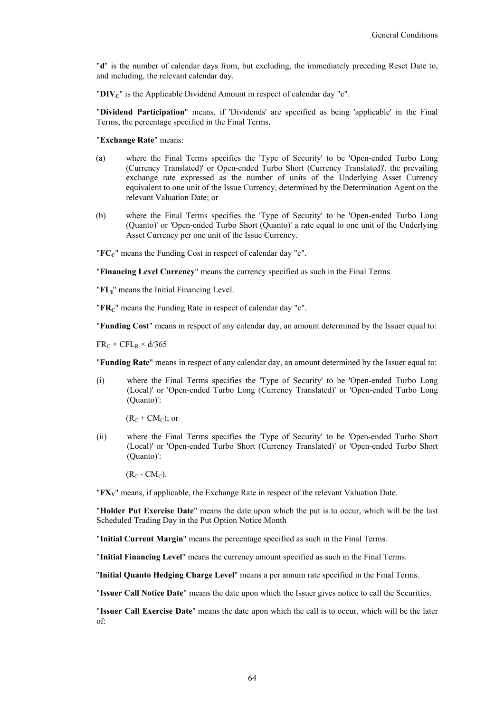"**d**" is the number of calendar days from, but excluding, the immediately preceding Reset Date to, and including, the relevant calendar day.

"**DIVC**" is the Applicable Dividend Amount in respect of calendar day "c".

"**Dividend Participation**" means, if 'Dividends' are specified as being 'applicable' in the Final Terms, the percentage specified in the Final Terms.

"**Exchange Rate**" means:

- (a) where the Final Terms specifies the 'Type of Security' to be 'Open-ended Turbo Long (Currency Translated)' or Open-ended Turbo Short (Currency Translated)'. the prevailing exchange rate expressed as the number of units of the Underlying Asset Currency equivalent to one unit of the Issue Currency, determined by the Determination Agent on the relevant Valuation Date; or
- (b) where the Final Terms specifies the 'Type of Security' to be 'Open-ended Turbo Long (Quanto)' or 'Open-ended Turbo Short (Quanto)' a rate equal to one unit of the Underlying Asset Currency per one unit of the Issue Currency.

"**FCC**" means the Funding Cost in respect of calendar day "c".

"**Financing Level Currency**" means the currency specified as such in the Final Terms.

"**FLI**" means the Initial Financing Level.

"**FRC**" means the Funding Rate in respect of calendar day "c".

"**Funding Cost**" means in respect of any calendar day, an amount determined by the Issuer equal to:

 $FR_C \times CFL_R \times d/365$ 

"**Funding Rate**" means in respect of any calendar day, an amount determined by the Issuer equal to:

(i) where the Final Terms specifies the 'Type of Security' to be 'Open-ended Turbo Long (Local)' or 'Open-ended Turbo Long (Currency Translated)' or 'Open-ended Turbo Long (Quanto)':

 $(R_C + CM_C)$ ; or

(ii) where the Final Terms specifies the 'Type of Security' to be 'Open-ended Turbo Short (Local)' or 'Open-ended Turbo Short (Currency Translated)' or 'Open-ended Turbo Short (Quanto)':

 $(R_C - CM_C)$ .

"**FXV**" means, if applicable, the Exchange Rate in respect of the relevant Valuation Date.

"**Holder Put Exercise Date**" means the date upon which the put is to occur, which will be the last Scheduled Trading Day in the Put Option Notice Month

"**Initial Current Margin**" means the percentage specified as such in the Final Terms.

"**Initial Financing Level**" means the currency amount specified as such in the Final Terms.

"**Initial Quanto Hedging Charge Level**" means a per annum rate specified in the Final Terms.

"**Issuer Call Notice Date**" means the date upon which the Issuer gives notice to call the Securities.

"**Issuer Call Exercise Date**" means the date upon which the call is to occur, which will be the later of: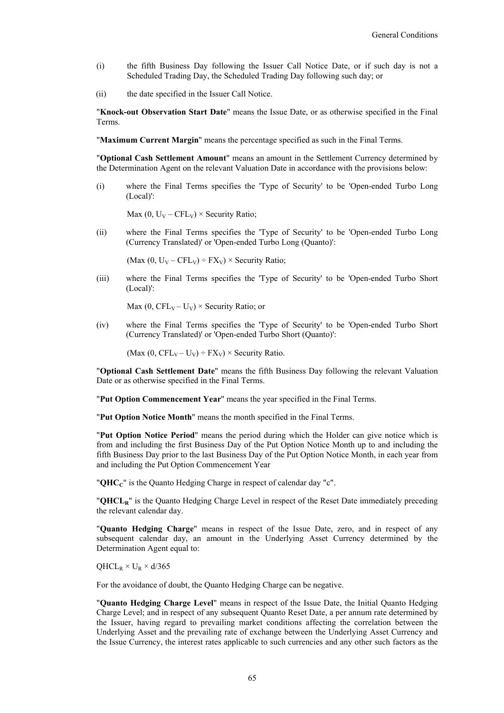- (i) the fifth Business Day following the Issuer Call Notice Date, or if such day is not a Scheduled Trading Day, the Scheduled Trading Day following such day; or
- (ii) the date specified in the Issuer Call Notice.

"**Knock-out Observation Start Date**" means the Issue Date, or as otherwise specified in the Final Terms.

"**Maximum Current Margin**" means the percentage specified as such in the Final Terms.

"**Optional Cash Settlement Amount**" means an amount in the Settlement Currency determined by the Determination Agent on the relevant Valuation Date in accordance with the provisions below:

(i) where the Final Terms specifies the 'Type of Security' to be 'Open-ended Turbo Long (Local)':

Max  $(0, U_V - CFL_V) \times Security Ratio;$ 

(ii) where the Final Terms specifies the 'Type of Security' to be 'Open-ended Turbo Long (Currency Translated)' or 'Open-ended Turbo Long (Quanto)':

(Max  $(0, U_V - CFL_V) \div FX_V$ ) × Security Ratio;

(iii) where the Final Terms specifies the 'Type of Security' to be 'Open-ended Turbo Short (Local)':

Max (0,  $CFL_v - U_v$ ) × Security Ratio; or

(iv) where the Final Terms specifies the 'Type of Security' to be 'Open-ended Turbo Short (Currency Translated)' or 'Open-ended Turbo Short (Quanto)':

(Max  $(0, CFL_V - U_V) \div FX_V$ ) × Security Ratio.

"**Optional Cash Settlement Date**" means the fifth Business Day following the relevant Valuation Date or as otherwise specified in the Final Terms.

"**Put Option Commencement Year**" means the year specified in the Final Terms.

"**Put Option Notice Month**" means the month specified in the Final Terms.

"**Put Option Notice Period**" means the period during which the Holder can give notice which is from and including the first Business Day of the Put Option Notice Month up to and including the fifth Business Day prior to the last Business Day of the Put Option Notice Month, in each year from and including the Put Option Commencement Year

"**QHCC**" is the Quanto Hedging Charge in respect of calendar day "c".

"**QHCLR**" is the Quanto Hedging Charge Level in respect of the Reset Date immediately preceding the relevant calendar day.

"**Quanto Hedging Charge**" means in respect of the Issue Date, zero, and in respect of any subsequent calendar day, an amount in the Underlying Asset Currency determined by the Determination Agent equal to:

 $QHCL_R \times U_R \times d/365$ 

For the avoidance of doubt, the Quanto Hedging Charge can be negative.

"**Quanto Hedging Charge Level**" means in respect of the Issue Date, the Initial Quanto Hedging Charge Level; and in respect of any subsequent Quanto Reset Date, a per annum rate determined by the Issuer, having regard to prevailing market conditions affecting the correlation between the Underlying Asset and the prevailing rate of exchange between the Underlying Asset Currency and the Issue Currency, the interest rates applicable to such currencies and any other such factors as the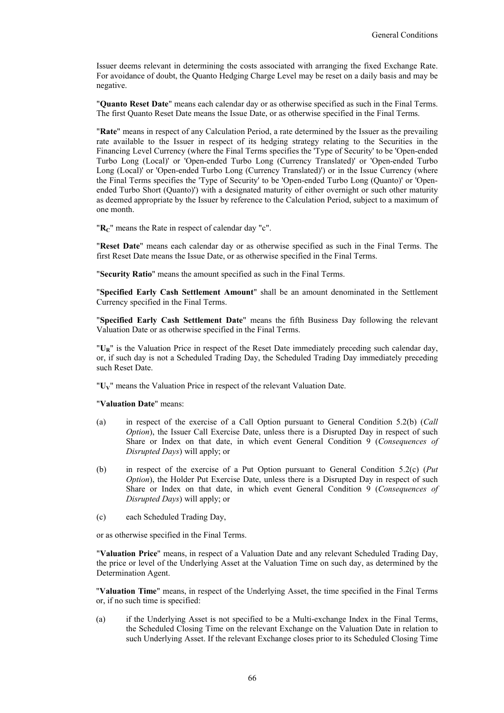Issuer deems relevant in determining the costs associated with arranging the fixed Exchange Rate. For avoidance of doubt, the Quanto Hedging Charge Level may be reset on a daily basis and may be negative.

"**Quanto Reset Date**" means each calendar day or as otherwise specified as such in the Final Terms. The first Quanto Reset Date means the Issue Date, or as otherwise specified in the Final Terms.

"**Rate**" means in respect of any Calculation Period, a rate determined by the Issuer as the prevailing rate available to the Issuer in respect of its hedging strategy relating to the Securities in the Financing Level Currency (where the Final Terms specifies the 'Type of Security' to be 'Open-ended Turbo Long (Local)' or 'Open-ended Turbo Long (Currency Translated)' or 'Open-ended Turbo Long (Local)' or 'Open-ended Turbo Long (Currency Translated)') or in the Issue Currency (where the Final Terms specifies the 'Type of Security' to be 'Open-ended Turbo Long (Quanto)' or 'Openended Turbo Short (Quanto)') with a designated maturity of either overnight or such other maturity as deemed appropriate by the Issuer by reference to the Calculation Period, subject to a maximum of one month.

"**RC**" means the Rate in respect of calendar day "c".

"**Reset Date**" means each calendar day or as otherwise specified as such in the Final Terms. The first Reset Date means the Issue Date, or as otherwise specified in the Final Terms.

"**Security Ratio**" means the amount specified as such in the Final Terms.

"**Specified Early Cash Settlement Amount**" shall be an amount denominated in the Settlement Currency specified in the Final Terms.

"**Specified Early Cash Settlement Date**" means the fifth Business Day following the relevant Valuation Date or as otherwise specified in the Final Terms.

"**UR**" is the Valuation Price in respect of the Reset Date immediately preceding such calendar day, or, if such day is not a Scheduled Trading Day, the Scheduled Trading Day immediately preceding such Reset Date.

"**UV**" means the Valuation Price in respect of the relevant Valuation Date.

### "**Valuation Date**" means:

- (a) in respect of the exercise of a Call Option pursuant to General Condition 5.2(b) (*Call Option*), the Issuer Call Exercise Date, unless there is a Disrupted Day in respect of such Share or Index on that date, in which event General Condition 9 (*Consequences of Disrupted Days*) will apply; or
- (b) in respect of the exercise of a Put Option pursuant to General Condition 5.2(c) (*Put Option*), the Holder Put Exercise Date, unless there is a Disrupted Day in respect of such Share or Index on that date, in which event General Condition 9 (*Consequences of Disrupted Days*) will apply; or
- (c) each Scheduled Trading Day,

or as otherwise specified in the Final Terms.

"**Valuation Price**" means, in respect of a Valuation Date and any relevant Scheduled Trading Day, the price or level of the Underlying Asset at the Valuation Time on such day, as determined by the Determination Agent.

"**Valuation Time**" means, in respect of the Underlying Asset, the time specified in the Final Terms or, if no such time is specified:

(a) if the Underlying Asset is not specified to be a Multi-exchange Index in the Final Terms, the Scheduled Closing Time on the relevant Exchange on the Valuation Date in relation to such Underlying Asset. If the relevant Exchange closes prior to its Scheduled Closing Time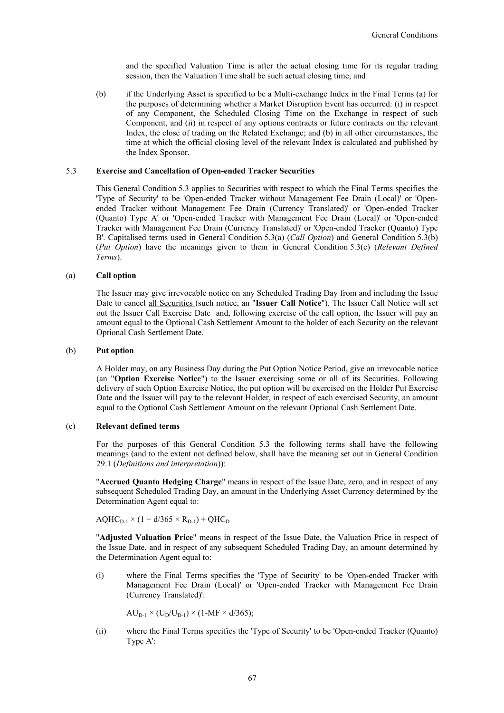and the specified Valuation Time is after the actual closing time for its regular trading session, then the Valuation Time shall be such actual closing time; and

(b) if the Underlying Asset is specified to be a Multi-exchange Index in the Final Terms (a) for the purposes of determining whether a Market Disruption Event has occurred: (i) in respect of any Component, the Scheduled Closing Time on the Exchange in respect of such Component, and (ii) in respect of any options contracts or future contracts on the relevant Index, the close of trading on the Related Exchange; and (b) in all other circumstances, the time at which the official closing level of the relevant Index is calculated and published by the Index Sponsor.

## 5.3 **Exercise and Cancellation of Open-ended Tracker Securities**

This General Condition 5.3 applies to Securities with respect to which the Final Terms specifies the 'Type of Security' to be 'Open-ended Tracker without Management Fee Drain (Local)' or 'Openended Tracker without Management Fee Drain (Currency Translated)' or 'Open-ended Tracker (Quanto) Type A' or 'Open-ended Tracker with Management Fee Drain (Local)' or 'Open-ended Tracker with Management Fee Drain (Currency Translated)' or 'Open-ended Tracker (Quanto) Type B'. Capitalised terms used in General Condition 5.3(a) (*Call Option*) and General Condition 5.3(b) (*Put Option*) have the meanings given to them in General Condition 5.3(c) (*Relevant Defined Terms*).

#### (a) **Call option**

The Issuer may give irrevocable notice on any Scheduled Trading Day from and including the Issue Date to cancel all Securities (such notice, an "**Issuer Call Notice**"). The Issuer Call Notice will set out the Issuer Call Exercise Date and, following exercise of the call option, the Issuer will pay an amount equal to the Optional Cash Settlement Amount to the holder of each Security on the relevant Optional Cash Settlement Date.

### (b) **Put option**

A Holder may, on any Business Day during the Put Option Notice Period, give an irrevocable notice (an "**Option Exercise Notice**") to the Issuer exercising some or all of its Securities. Following delivery of such Option Exercise Notice, the put option will be exercised on the Holder Put Exercise Date and the Issuer will pay to the relevant Holder, in respect of each exercised Security, an amount equal to the Optional Cash Settlement Amount on the relevant Optional Cash Settlement Date.

## (c) **Relevant defined terms**

For the purposes of this General Condition 5.3 the following terms shall have the following meanings (and to the extent not defined below, shall have the meaning set out in General Condition 29.1 (*Definitions and interpretation*)):

"**Accrued Quanto Hedging Charge**" means in respect of the Issue Date, zero, and in respect of any subsequent Scheduled Trading Day, an amount in the Underlying Asset Currency determined by the Determination Agent equal to:

 $AQHC_{D-1} \times (1 + d/365 \times R_{D-1}) + QHC_D$ 

"**Adjusted Valuation Price**" means in respect of the Issue Date, the Valuation Price in respect of the Issue Date, and in respect of any subsequent Scheduled Trading Day, an amount determined by the Determination Agent equal to:

(i) where the Final Terms specifies the 'Type of Security' to be 'Open-ended Tracker with Management Fee Drain (Local)' or 'Open-ended Tracker with Management Fee Drain (Currency Translated)':

 $AU_{D-1} \times (U_D/U_{D-1}) \times (1-MF \times d/365);$ 

(ii) where the Final Terms specifies the 'Type of Security' to be 'Open-ended Tracker (Quanto) Type A':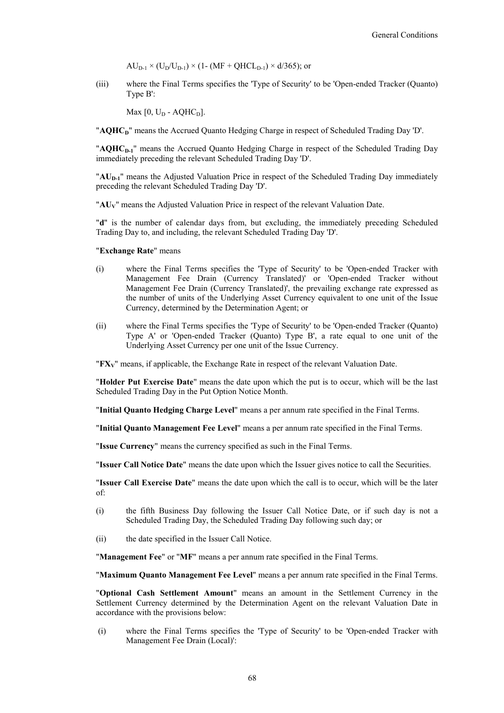$AU_{D-1} \times (U_D/U_{D-1}) \times (1 - (MF + QHCL_{D-1}) \times d/365)$ ; or

(iii) where the Final Terms specifies the 'Type of Security' to be 'Open-ended Tracker (Quanto) Type B':

Max  $[0, U_D - AQHC_D]$ .

"**AQHCD**" means the Accrued Quanto Hedging Charge in respect of Scheduled Trading Day 'D'.

"**AQHCD-1**" means the Accrued Quanto Hedging Charge in respect of the Scheduled Trading Day immediately preceding the relevant Scheduled Trading Day 'D'.

"AU<sub>D-1</sub>" means the Adjusted Valuation Price in respect of the Scheduled Trading Day immediately preceding the relevant Scheduled Trading Day 'D'.

"**AUV**" means the Adjusted Valuation Price in respect of the relevant Valuation Date.

"**d**" is the number of calendar days from, but excluding, the immediately preceding Scheduled Trading Day to, and including, the relevant Scheduled Trading Day 'D'.

#### "**Exchange Rate**" means

- (i) where the Final Terms specifies the 'Type of Security' to be 'Open-ended Tracker with Management Fee Drain (Currency Translated)' or 'Open-ended Tracker without Management Fee Drain (Currency Translated)', the prevailing exchange rate expressed as the number of units of the Underlying Asset Currency equivalent to one unit of the Issue Currency, determined by the Determination Agent; or
- (ii) where the Final Terms specifies the 'Type of Security' to be 'Open-ended Tracker (Quanto) Type A' or 'Open-ended Tracker (Quanto) Type B', a rate equal to one unit of the Underlying Asset Currency per one unit of the Issue Currency.

"**FXV**" means, if applicable, the Exchange Rate in respect of the relevant Valuation Date.

"**Holder Put Exercise Date**" means the date upon which the put is to occur, which will be the last Scheduled Trading Day in the Put Option Notice Month.

"**Initial Quanto Hedging Charge Level**" means a per annum rate specified in the Final Terms.

"**Initial Quanto Management Fee Level**" means a per annum rate specified in the Final Terms.

"**Issue Currency**" means the currency specified as such in the Final Terms.

"**Issuer Call Notice Date**" means the date upon which the Issuer gives notice to call the Securities.

"**Issuer Call Exercise Date**" means the date upon which the call is to occur, which will be the later of:

- (i) the fifth Business Day following the Issuer Call Notice Date, or if such day is not a Scheduled Trading Day, the Scheduled Trading Day following such day; or
- (ii) the date specified in the Issuer Call Notice.

"**Management Fee**" or "**MF**" means a per annum rate specified in the Final Terms.

"**Maximum Quanto Management Fee Level**" means a per annum rate specified in the Final Terms.

"**Optional Cash Settlement Amount**" means an amount in the Settlement Currency in the Settlement Currency determined by the Determination Agent on the relevant Valuation Date in accordance with the provisions below:

(i) where the Final Terms specifies the 'Type of Security' to be 'Open-ended Tracker with Management Fee Drain (Local)':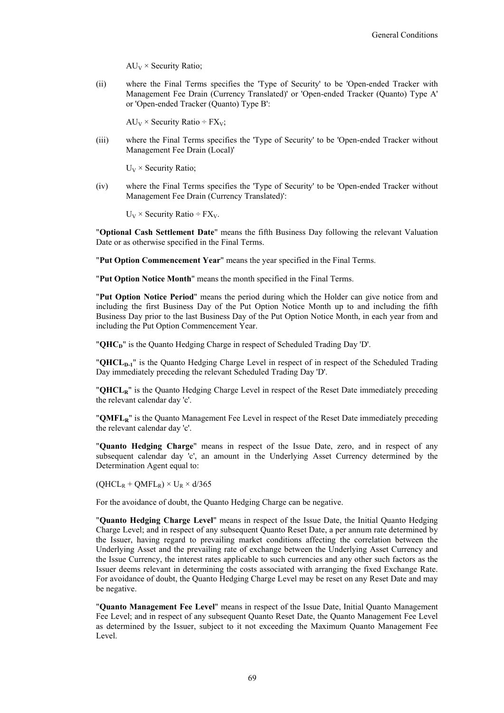$AU_V \times$  Security Ratio;

(ii) where the Final Terms specifies the 'Type of Security' to be 'Open-ended Tracker with Management Fee Drain (Currency Translated)' or 'Open-ended Tracker (Quanto) Type A' or 'Open-ended Tracker (Quanto) Type B':

 $AU_V \times$  Security Ratio ÷ FX<sub>V</sub>;

(iii) where the Final Terms specifies the 'Type of Security' to be 'Open-ended Tracker without Management Fee Drain (Local)'

 $U_V \times$  Security Ratio;

(iv) where the Final Terms specifies the 'Type of Security' to be 'Open-ended Tracker without Management Fee Drain (Currency Translated)':

 $U_V \times$  Security Ratio ÷ FX<sub>V</sub>.

"**Optional Cash Settlement Date**" means the fifth Business Day following the relevant Valuation Date or as otherwise specified in the Final Terms.

"**Put Option Commencement Year**" means the year specified in the Final Terms.

"**Put Option Notice Month**" means the month specified in the Final Terms.

"**Put Option Notice Period**" means the period during which the Holder can give notice from and including the first Business Day of the Put Option Notice Month up to and including the fifth Business Day prior to the last Business Day of the Put Option Notice Month, in each year from and including the Put Option Commencement Year.

"**QHC**<sup>n</sup>" is the Quanto Hedging Charge in respect of Scheduled Trading Day 'D'.

"**QHCL<sub>D-1</sub>**" is the Quanto Hedging Charge Level in respect of in respect of the Scheduled Trading Day immediately preceding the relevant Scheduled Trading Day 'D'.

"**QHCLR**" is the Quanto Hedging Charge Level in respect of the Reset Date immediately preceding the relevant calendar day 'c'.

"**QMFLR**" is the Quanto Management Fee Level in respect of the Reset Date immediately preceding the relevant calendar day 'c'.

"**Quanto Hedging Charge**" means in respect of the Issue Date, zero, and in respect of any subsequent calendar day 'c', an amount in the Underlying Asset Currency determined by the Determination Agent equal to:

 $(QHCL_R + QMFL_R) \times U_R \times d/365$ 

For the avoidance of doubt, the Quanto Hedging Charge can be negative.

"**Quanto Hedging Charge Level**" means in respect of the Issue Date, the Initial Quanto Hedging Charge Level; and in respect of any subsequent Quanto Reset Date, a per annum rate determined by the Issuer, having regard to prevailing market conditions affecting the correlation between the Underlying Asset and the prevailing rate of exchange between the Underlying Asset Currency and the Issue Currency, the interest rates applicable to such currencies and any other such factors as the Issuer deems relevant in determining the costs associated with arranging the fixed Exchange Rate. For avoidance of doubt, the Quanto Hedging Charge Level may be reset on any Reset Date and may be negative.

"**Quanto Management Fee Level**" means in respect of the Issue Date, Initial Quanto Management Fee Level; and in respect of any subsequent Quanto Reset Date, the Quanto Management Fee Level as determined by the Issuer, subject to it not exceeding the Maximum Quanto Management Fee Level.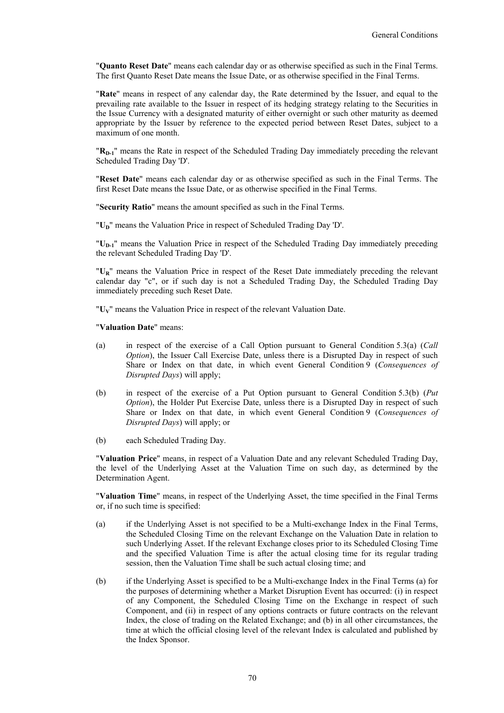"**Quanto Reset Date**" means each calendar day or as otherwise specified as such in the Final Terms. The first Quanto Reset Date means the Issue Date, or as otherwise specified in the Final Terms.

"**Rate**" means in respect of any calendar day, the Rate determined by the Issuer, and equal to the prevailing rate available to the Issuer in respect of its hedging strategy relating to the Securities in the Issue Currency with a designated maturity of either overnight or such other maturity as deemed appropriate by the Issuer by reference to the expected period between Reset Dates, subject to a maximum of one month.

"R<sub>D-1</sub>" means the Rate in respect of the Scheduled Trading Day immediately preceding the relevant Scheduled Trading Day 'D'.

"**Reset Date**" means each calendar day or as otherwise specified as such in the Final Terms. The first Reset Date means the Issue Date, or as otherwise specified in the Final Terms.

"**Security Ratio**" means the amount specified as such in the Final Terms.

"U<sub>D</sub>" means the Valuation Price in respect of Scheduled Trading Day 'D'.

"U<sub>D-1</sub>" means the Valuation Price in respect of the Scheduled Trading Day immediately preceding the relevant Scheduled Trading Day 'D'.

"**UR**" means the Valuation Price in respect of the Reset Date immediately preceding the relevant calendar day "c", or if such day is not a Scheduled Trading Day, the Scheduled Trading Day immediately preceding such Reset Date.

"**UV**" means the Valuation Price in respect of the relevant Valuation Date.

"**Valuation Date**" means:

- (a) in respect of the exercise of a Call Option pursuant to General Condition 5.3(a) (*Call Option*), the Issuer Call Exercise Date, unless there is a Disrupted Day in respect of such Share or Index on that date, in which event General Condition 9 (*Consequences of Disrupted Days*) will apply;
- (b) in respect of the exercise of a Put Option pursuant to General Condition 5.3(b) (*Put Option*), the Holder Put Exercise Date, unless there is a Disrupted Day in respect of such Share or Index on that date, in which event General Condition 9 (*Consequences of Disrupted Days*) will apply; or
- (b) each Scheduled Trading Day.

"**Valuation Price**" means, in respect of a Valuation Date and any relevant Scheduled Trading Day, the level of the Underlying Asset at the Valuation Time on such day, as determined by the Determination Agent.

"**Valuation Time**" means, in respect of the Underlying Asset, the time specified in the Final Terms or, if no such time is specified:

- (a) if the Underlying Asset is not specified to be a Multi-exchange Index in the Final Terms, the Scheduled Closing Time on the relevant Exchange on the Valuation Date in relation to such Underlying Asset. If the relevant Exchange closes prior to its Scheduled Closing Time and the specified Valuation Time is after the actual closing time for its regular trading session, then the Valuation Time shall be such actual closing time; and
- (b) if the Underlying Asset is specified to be a Multi-exchange Index in the Final Terms (a) for the purposes of determining whether a Market Disruption Event has occurred: (i) in respect of any Component, the Scheduled Closing Time on the Exchange in respect of such Component, and (ii) in respect of any options contracts or future contracts on the relevant Index, the close of trading on the Related Exchange; and (b) in all other circumstances, the time at which the official closing level of the relevant Index is calculated and published by the Index Sponsor.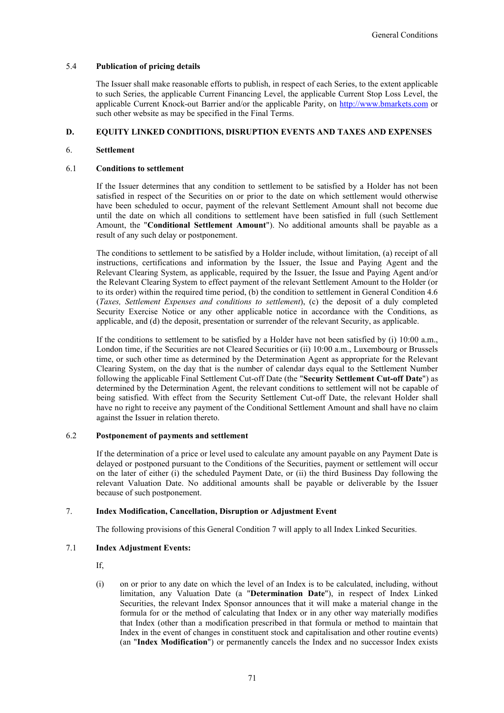## 5.4 **Publication of pricing details**

The Issuer shall make reasonable efforts to publish, in respect of each Series, to the extent applicable to such Series, the applicable Current Financing Level, the applicable Current Stop Loss Level, the applicable Current Knock-out Barrier and/or the applicable Parity, on http://www.bmarkets.com or such other website as may be specified in the Final Terms.

## **D. EQUITY LINKED CONDITIONS, DISRUPTION EVENTS AND TAXES AND EXPENSES**

### 6. **Settlement**

## 6.1 **Conditions to settlement**

If the Issuer determines that any condition to settlement to be satisfied by a Holder has not been satisfied in respect of the Securities on or prior to the date on which settlement would otherwise have been scheduled to occur, payment of the relevant Settlement Amount shall not become due until the date on which all conditions to settlement have been satisfied in full (such Settlement Amount, the "**Conditional Settlement Amount**"). No additional amounts shall be payable as a result of any such delay or postponement.

The conditions to settlement to be satisfied by a Holder include, without limitation, (a) receipt of all instructions, certifications and information by the Issuer, the Issue and Paying Agent and the Relevant Clearing System, as applicable, required by the Issuer, the Issue and Paying Agent and/or the Relevant Clearing System to effect payment of the relevant Settlement Amount to the Holder (or to its order) within the required time period, (b) the condition to settlement in General Condition 4.6 (*Taxes, Settlement Expenses and conditions to settlement*), (c) the deposit of a duly completed Security Exercise Notice or any other applicable notice in accordance with the Conditions, as applicable, and (d) the deposit, presentation or surrender of the relevant Security, as applicable.

If the conditions to settlement to be satisfied by a Holder have not been satisfied by (i) 10:00 a.m., London time, if the Securities are not Cleared Securities or (ii) 10:00 a.m., Luxembourg or Brussels time, or such other time as determined by the Determination Agent as appropriate for the Relevant Clearing System, on the day that is the number of calendar days equal to the Settlement Number following the applicable Final Settlement Cut-off Date (the "**Security Settlement Cut-off Date**") as determined by the Determination Agent, the relevant conditions to settlement will not be capable of being satisfied. With effect from the Security Settlement Cut-off Date, the relevant Holder shall have no right to receive any payment of the Conditional Settlement Amount and shall have no claim against the Issuer in relation thereto.

## 6.2 **Postponement of payments and settlement**

If the determination of a price or level used to calculate any amount payable on any Payment Date is delayed or postponed pursuant to the Conditions of the Securities, payment or settlement will occur on the later of either (i) the scheduled Payment Date, or (ii) the third Business Day following the relevant Valuation Date. No additional amounts shall be payable or deliverable by the Issuer because of such postponement.

## 7. **Index Modification, Cancellation, Disruption or Adjustment Event**

The following provisions of this General Condition 7 will apply to all Index Linked Securities.

## 7.1 **Index Adjustment Events:**

If,

(i) on or prior to any date on which the level of an Index is to be calculated, including, without limitation, any Valuation Date (a "**Determination Date**"), in respect of Index Linked Securities, the relevant Index Sponsor announces that it will make a material change in the formula for or the method of calculating that Index or in any other way materially modifies that Index (other than a modification prescribed in that formula or method to maintain that Index in the event of changes in constituent stock and capitalisation and other routine events) (an "**Index Modification**") or permanently cancels the Index and no successor Index exists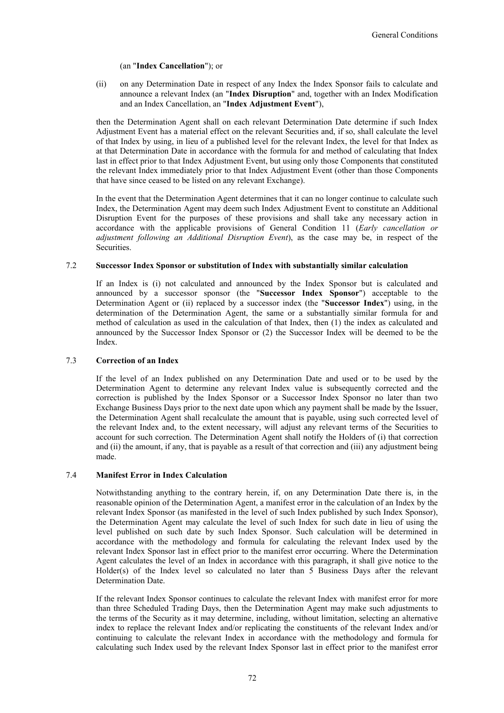### (an "**Index Cancellation**"); or

(ii) on any Determination Date in respect of any Index the Index Sponsor fails to calculate and announce a relevant Index (an "**Index Disruption**" and, together with an Index Modification and an Index Cancellation, an "**Index Adjustment Event**"),

then the Determination Agent shall on each relevant Determination Date determine if such Index Adjustment Event has a material effect on the relevant Securities and, if so, shall calculate the level of that Index by using, in lieu of a published level for the relevant Index, the level for that Index as at that Determination Date in accordance with the formula for and method of calculating that Index last in effect prior to that Index Adjustment Event, but using only those Components that constituted the relevant Index immediately prior to that Index Adjustment Event (other than those Components that have since ceased to be listed on any relevant Exchange).

In the event that the Determination Agent determines that it can no longer continue to calculate such Index, the Determination Agent may deem such Index Adjustment Event to constitute an Additional Disruption Event for the purposes of these provisions and shall take any necessary action in accordance with the applicable provisions of General Condition 11 (*Early cancellation or adjustment following an Additional Disruption Event*), as the case may be, in respect of the Securities.

### 7.2 **Successor Index Sponsor or substitution of Index with substantially similar calculation**

If an Index is (i) not calculated and announced by the Index Sponsor but is calculated and announced by a successor sponsor (the "**Successor Index Sponsor**") acceptable to the Determination Agent or (ii) replaced by a successor index (the "**Successor Index**") using, in the determination of the Determination Agent, the same or a substantially similar formula for and method of calculation as used in the calculation of that Index, then (1) the index as calculated and announced by the Successor Index Sponsor or (2) the Successor Index will be deemed to be the Index.

## 7.3 **Correction of an Index**

If the level of an Index published on any Determination Date and used or to be used by the Determination Agent to determine any relevant Index value is subsequently corrected and the correction is published by the Index Sponsor or a Successor Index Sponsor no later than two Exchange Business Days prior to the next date upon which any payment shall be made by the Issuer, the Determination Agent shall recalculate the amount that is payable, using such corrected level of the relevant Index and, to the extent necessary, will adjust any relevant terms of the Securities to account for such correction. The Determination Agent shall notify the Holders of (i) that correction and (ii) the amount, if any, that is payable as a result of that correction and (iii) any adjustment being made.

### 7.4 **Manifest Error in Index Calculation**

Notwithstanding anything to the contrary herein, if, on any Determination Date there is, in the reasonable opinion of the Determination Agent, a manifest error in the calculation of an Index by the relevant Index Sponsor (as manifested in the level of such Index published by such Index Sponsor), the Determination Agent may calculate the level of such Index for such date in lieu of using the level published on such date by such Index Sponsor. Such calculation will be determined in accordance with the methodology and formula for calculating the relevant Index used by the relevant Index Sponsor last in effect prior to the manifest error occurring. Where the Determination Agent calculates the level of an Index in accordance with this paragraph, it shall give notice to the Holder(s) of the Index level so calculated no later than 5 Business Days after the relevant Determination Date.

If the relevant Index Sponsor continues to calculate the relevant Index with manifest error for more than three Scheduled Trading Days, then the Determination Agent may make such adjustments to the terms of the Security as it may determine, including, without limitation, selecting an alternative index to replace the relevant Index and/or replicating the constituents of the relevant Index and/or continuing to calculate the relevant Index in accordance with the methodology and formula for calculating such Index used by the relevant Index Sponsor last in effect prior to the manifest error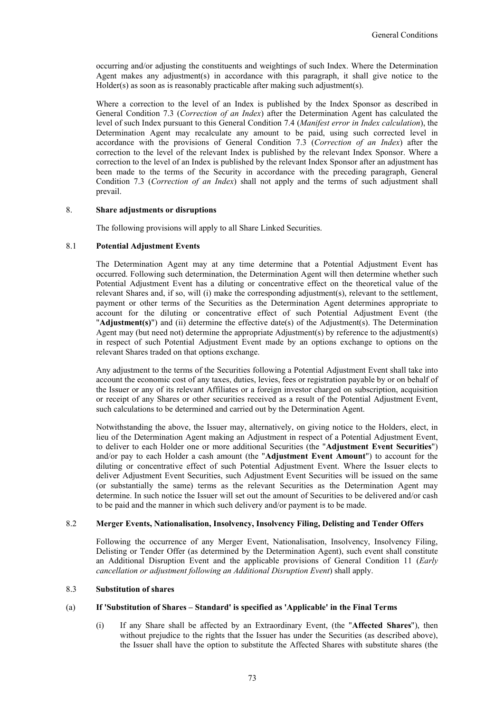occurring and/or adjusting the constituents and weightings of such Index. Where the Determination Agent makes any adjustment(s) in accordance with this paragraph, it shall give notice to the Holder(s) as soon as is reasonably practicable after making such adjustment(s).

Where a correction to the level of an Index is published by the Index Sponsor as described in General Condition 7.3 (*Correction of an Index*) after the Determination Agent has calculated the level of such Index pursuant to this General Condition 7.4 (*Manifest error in Index calculation*), the Determination Agent may recalculate any amount to be paid, using such corrected level in accordance with the provisions of General Condition 7.3 (*Correction of an Index*) after the correction to the level of the relevant Index is published by the relevant Index Sponsor. Where a correction to the level of an Index is published by the relevant Index Sponsor after an adjustment has been made to the terms of the Security in accordance with the preceding paragraph, General Condition 7.3 (*Correction of an Index*) shall not apply and the terms of such adjustment shall prevail.

#### 8. **Share adjustments or disruptions**

The following provisions will apply to all Share Linked Securities.

## 8.1 **Potential Adjustment Events**

The Determination Agent may at any time determine that a Potential Adjustment Event has occurred. Following such determination, the Determination Agent will then determine whether such Potential Adjustment Event has a diluting or concentrative effect on the theoretical value of the relevant Shares and, if so, will (i) make the corresponding adjustment(s), relevant to the settlement, payment or other terms of the Securities as the Determination Agent determines appropriate to account for the diluting or concentrative effect of such Potential Adjustment Event (the "**Adjustment(s)**") and (ii) determine the effective date(s) of the Adjustment(s). The Determination Agent may (but need not) determine the appropriate Adjustment(s) by reference to the adjustment(s) in respect of such Potential Adjustment Event made by an options exchange to options on the relevant Shares traded on that options exchange.

Any adjustment to the terms of the Securities following a Potential Adjustment Event shall take into account the economic cost of any taxes, duties, levies, fees or registration payable by or on behalf of the Issuer or any of its relevant Affiliates or a foreign investor charged on subscription, acquisition or receipt of any Shares or other securities received as a result of the Potential Adjustment Event, such calculations to be determined and carried out by the Determination Agent.

Notwithstanding the above, the Issuer may, alternatively, on giving notice to the Holders, elect, in lieu of the Determination Agent making an Adjustment in respect of a Potential Adjustment Event, to deliver to each Holder one or more additional Securities (the "**Adjustment Event Securities**") and/or pay to each Holder a cash amount (the "**Adjustment Event Amount**") to account for the diluting or concentrative effect of such Potential Adjustment Event. Where the Issuer elects to deliver Adjustment Event Securities, such Adjustment Event Securities will be issued on the same (or substantially the same) terms as the relevant Securities as the Determination Agent may determine. In such notice the Issuer will set out the amount of Securities to be delivered and/or cash to be paid and the manner in which such delivery and/or payment is to be made.

## 8.2 **Merger Events, Nationalisation, Insolvency, Insolvency Filing, Delisting and Tender Offers**

Following the occurrence of any Merger Event, Nationalisation, Insolvency, Insolvency Filing, Delisting or Tender Offer (as determined by the Determination Agent), such event shall constitute an Additional Disruption Event and the applicable provisions of General Condition 11 (*Early cancellation or adjustment following an Additional Disruption Event*) shall apply.

## 8.3 **Substitution of shares**

#### (a) **If 'Substitution of Shares – Standard' is specified as 'Applicable' in the Final Terms**

(i) If any Share shall be affected by an Extraordinary Event, (the "**Affected Shares**"), then without prejudice to the rights that the Issuer has under the Securities (as described above), the Issuer shall have the option to substitute the Affected Shares with substitute shares (the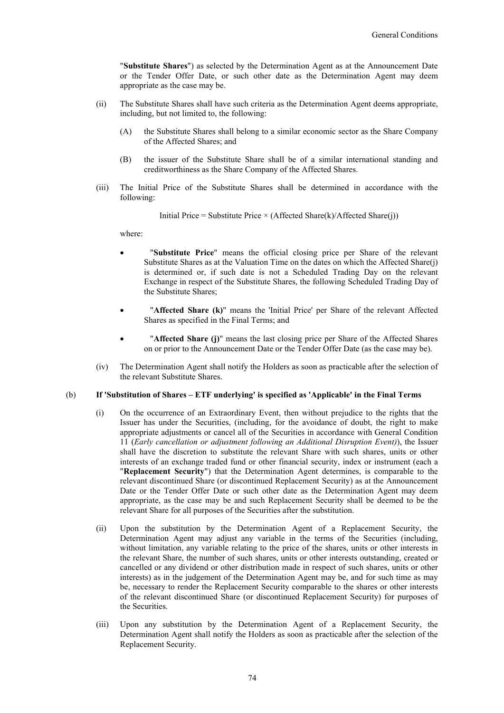"**Substitute Shares**") as selected by the Determination Agent as at the Announcement Date or the Tender Offer Date, or such other date as the Determination Agent may deem appropriate as the case may be.

- (ii) The Substitute Shares shall have such criteria as the Determination Agent deems appropriate, including, but not limited to, the following:
	- (A) the Substitute Shares shall belong to a similar economic sector as the Share Company of the Affected Shares; and
	- (B) the issuer of the Substitute Share shall be of a similar international standing and creditworthiness as the Share Company of the Affected Shares.
- (iii) The Initial Price of the Substitute Shares shall be determined in accordance with the following:

Initial Price = Substitute Price  $\times$  (Affected Share(k)/Affected Share(j))

where:

- "**Substitute Price**" means the official closing price per Share of the relevant Substitute Shares as at the Valuation Time on the dates on which the Affected Share(j) is determined or, if such date is not a Scheduled Trading Day on the relevant Exchange in respect of the Substitute Shares, the following Scheduled Trading Day of the Substitute Shares;
- "**Affected Share (k)**" means the 'Initial Price' per Share of the relevant Affected Shares as specified in the Final Terms; and
- "**Affected Share (j)**" means the last closing price per Share of the Affected Shares on or prior to the Announcement Date or the Tender Offer Date (as the case may be).
- (iv) The Determination Agent shall notify the Holders as soon as practicable after the selection of the relevant Substitute Shares.

#### (b) **If 'Substitution of Shares – ETF underlying' is specified as 'Applicable' in the Final Terms**

- (i) On the occurrence of an Extraordinary Event, then without prejudice to the rights that the Issuer has under the Securities, (including, for the avoidance of doubt, the right to make appropriate adjustments or cancel all of the Securities in accordance with General Condition 11 (*Early cancellation or adjustment following an Additional Disruption Event)*), the Issuer shall have the discretion to substitute the relevant Share with such shares, units or other interests of an exchange traded fund or other financial security, index or instrument (each a "**Replacement Security**") that the Determination Agent determines, is comparable to the relevant discontinued Share (or discontinued Replacement Security) as at the Announcement Date or the Tender Offer Date or such other date as the Determination Agent may deem appropriate, as the case may be and such Replacement Security shall be deemed to be the relevant Share for all purposes of the Securities after the substitution.
- (ii) Upon the substitution by the Determination Agent of a Replacement Security, the Determination Agent may adjust any variable in the terms of the Securities (including, without limitation, any variable relating to the price of the shares, units or other interests in the relevant Share, the number of such shares, units or other interests outstanding, created or cancelled or any dividend or other distribution made in respect of such shares, units or other interests) as in the judgement of the Determination Agent may be, and for such time as may be, necessary to render the Replacement Security comparable to the shares or other interests of the relevant discontinued Share (or discontinued Replacement Security) for purposes of the Securities.
- (iii) Upon any substitution by the Determination Agent of a Replacement Security, the Determination Agent shall notify the Holders as soon as practicable after the selection of the Replacement Security.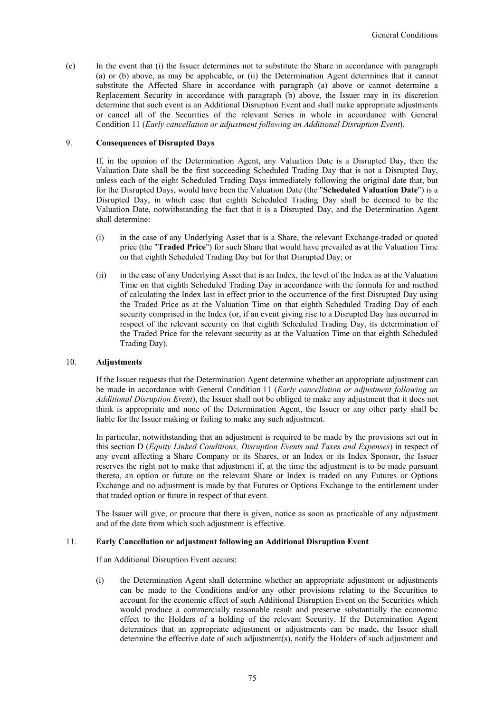(c) In the event that (i) the Issuer determines not to substitute the Share in accordance with paragraph (a) or (b) above, as may be applicable, or (ii) the Determination Agent determines that it cannot substitute the Affected Share in accordance with paragraph (a) above or cannot determine a Replacement Security in accordance with paragraph (b) above, the Issuer may in its discretion determine that such event is an Additional Disruption Event and shall make appropriate adjustments or cancel all of the Securities of the relevant Series in whole in accordance with General Condition 11 (*Early cancellation or adjustment following an Additional Disruption Event*).

#### 9. **Consequences of Disrupted Days**

If, in the opinion of the Determination Agent, any Valuation Date is a Disrupted Day, then the Valuation Date shall be the first succeeding Scheduled Trading Day that is not a Disrupted Day, unless each of the eight Scheduled Trading Days immediately following the original date that, but for the Disrupted Days, would have been the Valuation Date (the "**Scheduled Valuation Date**") is a Disrupted Day, in which case that eighth Scheduled Trading Day shall be deemed to be the Valuation Date, notwithstanding the fact that it is a Disrupted Day, and the Determination Agent shall determine:

- (i) in the case of any Underlying Asset that is a Share, the relevant Exchange-traded or quoted price (the "**Traded Price**") for such Share that would have prevailed as at the Valuation Time on that eighth Scheduled Trading Day but for that Disrupted Day; or
- (ii) in the case of any Underlying Asset that is an Index, the level of the Index as at the Valuation Time on that eighth Scheduled Trading Day in accordance with the formula for and method of calculating the Index last in effect prior to the occurrence of the first Disrupted Day using the Traded Price as at the Valuation Time on that eighth Scheduled Trading Day of each security comprised in the Index (or, if an event giving rise to a Disrupted Day has occurred in respect of the relevant security on that eighth Scheduled Trading Day, its determination of the Traded Price for the relevant security as at the Valuation Time on that eighth Scheduled Trading Day).

#### 10. **Adjustments**

If the Issuer requests that the Determination Agent determine whether an appropriate adjustment can be made in accordance with General Condition 11 (*Early cancellation or adjustment following an Additional Disruption Event*), the Issuer shall not be obliged to make any adjustment that it does not think is appropriate and none of the Determination Agent, the Issuer or any other party shall be liable for the Issuer making or failing to make any such adjustment.

In particular, notwithstanding that an adjustment is required to be made by the provisions set out in this section D (*Equity Linked Conditions, Disruption Events and Taxes and Expenses*) in respect of any event affecting a Share Company or its Shares, or an Index or its Index Sponsor, the Issuer reserves the right not to make that adjustment if, at the time the adjustment is to be made pursuant thereto, an option or future on the relevant Share or Index is traded on any Futures or Options Exchange and no adjustment is made by that Futures or Options Exchange to the entitlement under that traded option or future in respect of that event.

The Issuer will give, or procure that there is given, notice as soon as practicable of any adjustment and of the date from which such adjustment is effective.

#### 11. **Early Cancellation or adjustment following an Additional Disruption Event**

If an Additional Disruption Event occurs:

(i) the Determination Agent shall determine whether an appropriate adjustment or adjustments can be made to the Conditions and/or any other provisions relating to the Securities to account for the economic effect of such Additional Disruption Event on the Securities which would produce a commercially reasonable result and preserve substantially the economic effect to the Holders of a holding of the relevant Security. If the Determination Agent determines that an appropriate adjustment or adjustments can be made, the Issuer shall determine the effective date of such adjustment(s), notify the Holders of such adjustment and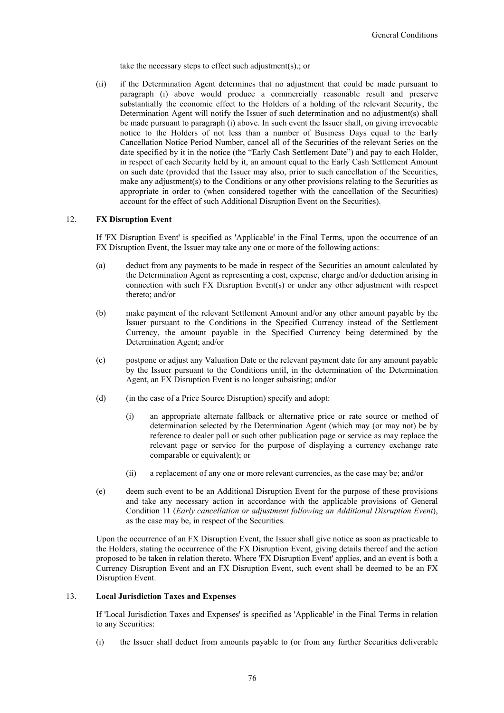take the necessary steps to effect such adjustment(s).; or

(ii) if the Determination Agent determines that no adjustment that could be made pursuant to paragraph (i) above would produce a commercially reasonable result and preserve substantially the economic effect to the Holders of a holding of the relevant Security, the Determination Agent will notify the Issuer of such determination and no adjustment(s) shall be made pursuant to paragraph (i) above. In such event the Issuer shall, on giving irrevocable notice to the Holders of not less than a number of Business Days equal to the Early Cancellation Notice Period Number, cancel all of the Securities of the relevant Series on the date specified by it in the notice (the "Early Cash Settlement Date") and pay to each Holder, in respect of each Security held by it, an amount equal to the Early Cash Settlement Amount on such date (provided that the Issuer may also, prior to such cancellation of the Securities, make any adjustment(s) to the Conditions or any other provisions relating to the Securities as appropriate in order to (when considered together with the cancellation of the Securities) account for the effect of such Additional Disruption Event on the Securities).

## 12. **FX Disruption Event**

If 'FX Disruption Event' is specified as 'Applicable' in the Final Terms, upon the occurrence of an FX Disruption Event, the Issuer may take any one or more of the following actions:

- (a) deduct from any payments to be made in respect of the Securities an amount calculated by the Determination Agent as representing a cost, expense, charge and/or deduction arising in connection with such FX Disruption Event(s) or under any other adjustment with respect thereto; and/or
- (b) make payment of the relevant Settlement Amount and/or any other amount payable by the Issuer pursuant to the Conditions in the Specified Currency instead of the Settlement Currency, the amount payable in the Specified Currency being determined by the Determination Agent; and/or
- (c) postpone or adjust any Valuation Date or the relevant payment date for any amount payable by the Issuer pursuant to the Conditions until, in the determination of the Determination Agent, an FX Disruption Event is no longer subsisting; and/or
- (d) (in the case of a Price Source Disruption) specify and adopt:
	- (i) an appropriate alternate fallback or alternative price or rate source or method of determination selected by the Determination Agent (which may (or may not) be by reference to dealer poll or such other publication page or service as may replace the relevant page or service for the purpose of displaying a currency exchange rate comparable or equivalent); or
	- (ii) a replacement of any one or more relevant currencies, as the case may be; and/or
- (e) deem such event to be an Additional Disruption Event for the purpose of these provisions and take any necessary action in accordance with the applicable provisions of General Condition 11 (*Early cancellation or adjustment following an Additional Disruption Event*), as the case may be, in respect of the Securities.

Upon the occurrence of an FX Disruption Event, the Issuer shall give notice as soon as practicable to the Holders, stating the occurrence of the FX Disruption Event, giving details thereof and the action proposed to be taken in relation thereto. Where 'FX Disruption Event' applies, and an event is both a Currency Disruption Event and an FX Disruption Event, such event shall be deemed to be an FX Disruption Event.

## 13. **Local Jurisdiction Taxes and Expenses**

If 'Local Jurisdiction Taxes and Expenses' is specified as 'Applicable' in the Final Terms in relation to any Securities:

(i) the Issuer shall deduct from amounts payable to (or from any further Securities deliverable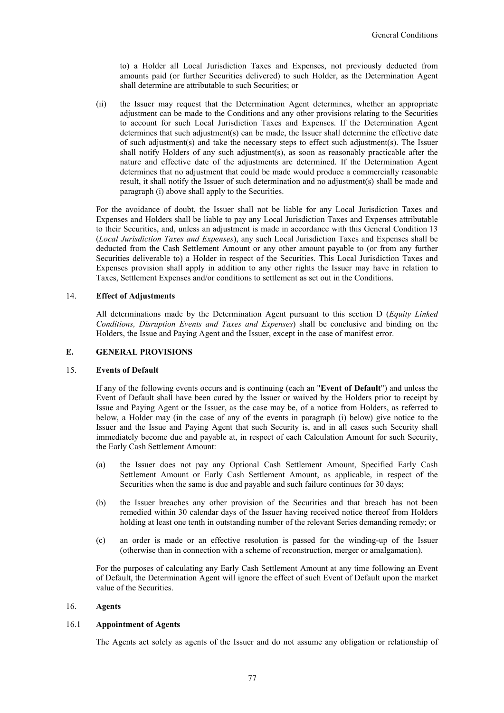to) a Holder all Local Jurisdiction Taxes and Expenses, not previously deducted from amounts paid (or further Securities delivered) to such Holder, as the Determination Agent shall determine are attributable to such Securities; or

(ii) the Issuer may request that the Determination Agent determines, whether an appropriate adjustment can be made to the Conditions and any other provisions relating to the Securities to account for such Local Jurisdiction Taxes and Expenses. If the Determination Agent determines that such adjustment(s) can be made, the Issuer shall determine the effective date of such adjustment(s) and take the necessary steps to effect such adjustment(s). The Issuer shall notify Holders of any such adjustment(s), as soon as reasonably practicable after the nature and effective date of the adjustments are determined. If the Determination Agent determines that no adjustment that could be made would produce a commercially reasonable result, it shall notify the Issuer of such determination and no adjustment(s) shall be made and paragraph (i) above shall apply to the Securities.

For the avoidance of doubt, the Issuer shall not be liable for any Local Jurisdiction Taxes and Expenses and Holders shall be liable to pay any Local Jurisdiction Taxes and Expenses attributable to their Securities, and, unless an adjustment is made in accordance with this General Condition 13 (*Local Jurisdiction Taxes and Expenses*), any such Local Jurisdiction Taxes and Expenses shall be deducted from the Cash Settlement Amount or any other amount payable to (or from any further Securities deliverable to) a Holder in respect of the Securities. This Local Jurisdiction Taxes and Expenses provision shall apply in addition to any other rights the Issuer may have in relation to Taxes, Settlement Expenses and/or conditions to settlement as set out in the Conditions.

#### 14. **Effect of Adjustments**

All determinations made by the Determination Agent pursuant to this section D (*Equity Linked Conditions, Disruption Events and Taxes and Expenses*) shall be conclusive and binding on the Holders, the Issue and Paying Agent and the Issuer, except in the case of manifest error.

#### **E. GENERAL PROVISIONS**

#### 15. **Events of Default**

If any of the following events occurs and is continuing (each an "**Event of Default**") and unless the Event of Default shall have been cured by the Issuer or waived by the Holders prior to receipt by Issue and Paying Agent or the Issuer, as the case may be, of a notice from Holders, as referred to below, a Holder may (in the case of any of the events in paragraph (i) below) give notice to the Issuer and the Issue and Paying Agent that such Security is, and in all cases such Security shall immediately become due and payable at, in respect of each Calculation Amount for such Security, the Early Cash Settlement Amount:

- (a) the Issuer does not pay any Optional Cash Settlement Amount, Specified Early Cash Settlement Amount or Early Cash Settlement Amount, as applicable, in respect of the Securities when the same is due and payable and such failure continues for 30 days;
- (b) the Issuer breaches any other provision of the Securities and that breach has not been remedied within 30 calendar days of the Issuer having received notice thereof from Holders holding at least one tenth in outstanding number of the relevant Series demanding remedy; or
- (c) an order is made or an effective resolution is passed for the winding-up of the Issuer (otherwise than in connection with a scheme of reconstruction, merger or amalgamation).

For the purposes of calculating any Early Cash Settlement Amount at any time following an Event of Default, the Determination Agent will ignore the effect of such Event of Default upon the market value of the Securities.

## 16. **Agents**

#### 16.1 **Appointment of Agents**

The Agents act solely as agents of the Issuer and do not assume any obligation or relationship of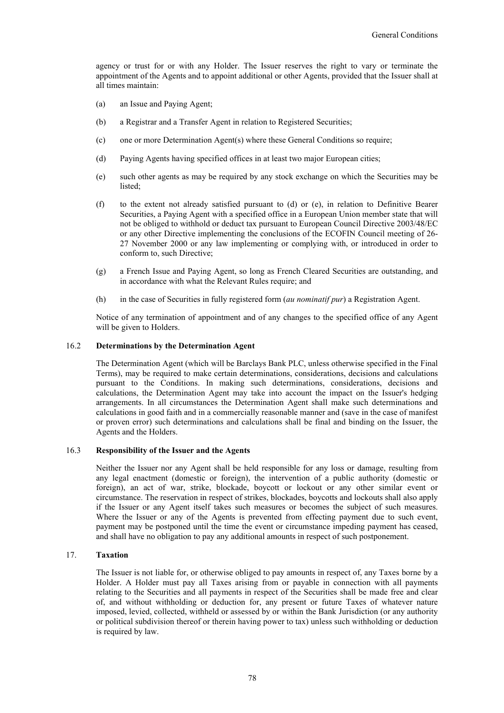agency or trust for or with any Holder. The Issuer reserves the right to vary or terminate the appointment of the Agents and to appoint additional or other Agents, provided that the Issuer shall at all times maintain:

- (a) an Issue and Paying Agent;
- (b) a Registrar and a Transfer Agent in relation to Registered Securities;
- (c) one or more Determination Agent(s) where these General Conditions so require;
- (d) Paying Agents having specified offices in at least two major European cities;
- (e) such other agents as may be required by any stock exchange on which the Securities may be listed;
- (f) to the extent not already satisfied pursuant to (d) or (e), in relation to Definitive Bearer Securities, a Paying Agent with a specified office in a European Union member state that will not be obliged to withhold or deduct tax pursuant to European Council Directive 2003/48/EC or any other Directive implementing the conclusions of the ECOFIN Council meeting of 26- 27 November 2000 or any law implementing or complying with, or introduced in order to conform to, such Directive;
- (g) a French Issue and Paying Agent, so long as French Cleared Securities are outstanding, and in accordance with what the Relevant Rules require; and
- (h) in the case of Securities in fully registered form (*au nominatif pur*) a Registration Agent.

Notice of any termination of appointment and of any changes to the specified office of any Agent will be given to Holders.

#### 16.2 **Determinations by the Determination Agent**

The Determination Agent (which will be Barclays Bank PLC, unless otherwise specified in the Final Terms), may be required to make certain determinations, considerations, decisions and calculations pursuant to the Conditions. In making such determinations, considerations, decisions and calculations, the Determination Agent may take into account the impact on the Issuer's hedging arrangements. In all circumstances the Determination Agent shall make such determinations and calculations in good faith and in a commercially reasonable manner and (save in the case of manifest or proven error) such determinations and calculations shall be final and binding on the Issuer, the Agents and the Holders.

### 16.3 **Responsibility of the Issuer and the Agents**

Neither the Issuer nor any Agent shall be held responsible for any loss or damage, resulting from any legal enactment (domestic or foreign), the intervention of a public authority (domestic or foreign), an act of war, strike, blockade, boycott or lockout or any other similar event or circumstance. The reservation in respect of strikes, blockades, boycotts and lockouts shall also apply if the Issuer or any Agent itself takes such measures or becomes the subject of such measures. Where the Issuer or any of the Agents is prevented from effecting payment due to such event, payment may be postponed until the time the event or circumstance impeding payment has ceased, and shall have no obligation to pay any additional amounts in respect of such postponement.

## 17. **Taxation**

The Issuer is not liable for, or otherwise obliged to pay amounts in respect of, any Taxes borne by a Holder. A Holder must pay all Taxes arising from or payable in connection with all payments relating to the Securities and all payments in respect of the Securities shall be made free and clear of, and without withholding or deduction for, any present or future Taxes of whatever nature imposed, levied, collected, withheld or assessed by or within the Bank Jurisdiction (or any authority or political subdivision thereof or therein having power to tax) unless such withholding or deduction is required by law.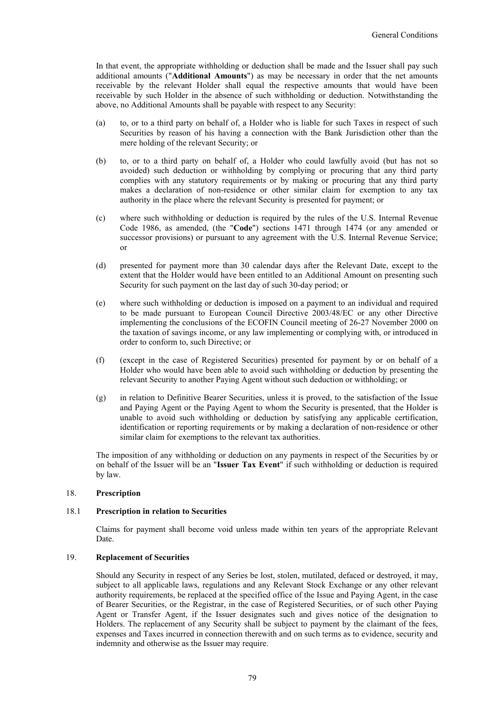In that event, the appropriate withholding or deduction shall be made and the Issuer shall pay such additional amounts ("**Additional Amounts**") as may be necessary in order that the net amounts receivable by the relevant Holder shall equal the respective amounts that would have been receivable by such Holder in the absence of such withholding or deduction. Notwithstanding the above, no Additional Amounts shall be payable with respect to any Security:

- (a) to, or to a third party on behalf of, a Holder who is liable for such Taxes in respect of such Securities by reason of his having a connection with the Bank Jurisdiction other than the mere holding of the relevant Security; or
- (b) to, or to a third party on behalf of, a Holder who could lawfully avoid (but has not so avoided) such deduction or withholding by complying or procuring that any third party complies with any statutory requirements or by making or procuring that any third party makes a declaration of non-residence or other similar claim for exemption to any tax authority in the place where the relevant Security is presented for payment; or
- (c) where such withholding or deduction is required by the rules of the U.S. Internal Revenue Code 1986, as amended, (the "**Code**") sections 1471 through 1474 (or any amended or successor provisions) or pursuant to any agreement with the U.S. Internal Revenue Service; or
- (d) presented for payment more than 30 calendar days after the Relevant Date, except to the extent that the Holder would have been entitled to an Additional Amount on presenting such Security for such payment on the last day of such 30-day period; or
- (e) where such withholding or deduction is imposed on a payment to an individual and required to be made pursuant to European Council Directive 2003/48/EC or any other Directive implementing the conclusions of the ECOFIN Council meeting of 26-27 November 2000 on the taxation of savings income, or any law implementing or complying with, or introduced in order to conform to, such Directive; or
- (f) (except in the case of Registered Securities) presented for payment by or on behalf of a Holder who would have been able to avoid such withholding or deduction by presenting the relevant Security to another Paying Agent without such deduction or withholding; or
- (g) in relation to Definitive Bearer Securities, unless it is proved, to the satisfaction of the Issue and Paying Agent or the Paying Agent to whom the Security is presented, that the Holder is unable to avoid such withholding or deduction by satisfying any applicable certification, identification or reporting requirements or by making a declaration of non-residence or other similar claim for exemptions to the relevant tax authorities.

The imposition of any withholding or deduction on any payments in respect of the Securities by or on behalf of the Issuer will be an "**Issuer Tax Event**" if such withholding or deduction is required by law.

## 18. **Prescription**

#### 18.1 **Prescription in relation to Securities**

Claims for payment shall become void unless made within ten years of the appropriate Relevant Date.

#### 19. **Replacement of Securities**

Should any Security in respect of any Series be lost, stolen, mutilated, defaced or destroyed, it may, subject to all applicable laws, regulations and any Relevant Stock Exchange or any other relevant authority requirements, be replaced at the specified office of the Issue and Paying Agent, in the case of Bearer Securities, or the Registrar, in the case of Registered Securities, or of such other Paying Agent or Transfer Agent, if the Issuer designates such and gives notice of the designation to Holders. The replacement of any Security shall be subject to payment by the claimant of the fees, expenses and Taxes incurred in connection therewith and on such terms as to evidence, security and indemnity and otherwise as the Issuer may require.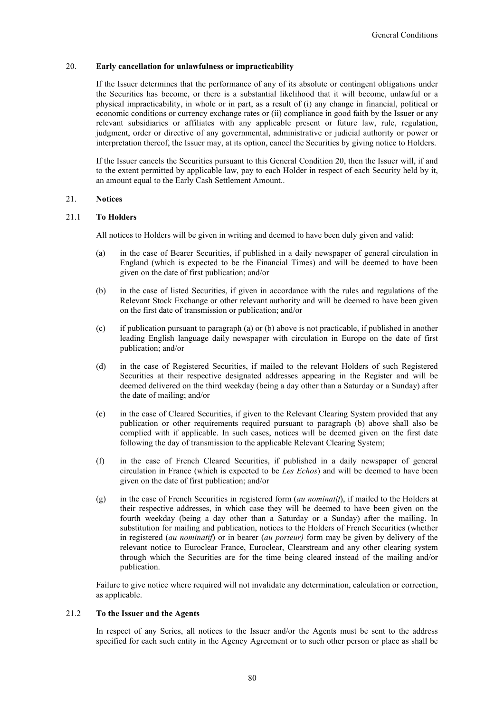#### 20. **Early cancellation for unlawfulness or impracticability**

If the Issuer determines that the performance of any of its absolute or contingent obligations under the Securities has become, or there is a substantial likelihood that it will become, unlawful or a physical impracticability, in whole or in part, as a result of (i) any change in financial, political or economic conditions or currency exchange rates or (ii) compliance in good faith by the Issuer or any relevant subsidiaries or affiliates with any applicable present or future law, rule, regulation, judgment, order or directive of any governmental, administrative or judicial authority or power or interpretation thereof, the Issuer may, at its option, cancel the Securities by giving notice to Holders.

If the Issuer cancels the Securities pursuant to this General Condition 20, then the Issuer will, if and to the extent permitted by applicable law, pay to each Holder in respect of each Security held by it, an amount equal to the Early Cash Settlement Amount..

## 21. **Notices**

## 21.1 **To Holders**

All notices to Holders will be given in writing and deemed to have been duly given and valid:

- (a) in the case of Bearer Securities, if published in a daily newspaper of general circulation in England (which is expected to be the Financial Times) and will be deemed to have been given on the date of first publication; and/or
- (b) in the case of listed Securities, if given in accordance with the rules and regulations of the Relevant Stock Exchange or other relevant authority and will be deemed to have been given on the first date of transmission or publication; and/or
- (c) if publication pursuant to paragraph (a) or (b) above is not practicable, if published in another leading English language daily newspaper with circulation in Europe on the date of first publication; and/or
- (d) in the case of Registered Securities, if mailed to the relevant Holders of such Registered Securities at their respective designated addresses appearing in the Register and will be deemed delivered on the third weekday (being a day other than a Saturday or a Sunday) after the date of mailing; and/or
- (e) in the case of Cleared Securities, if given to the Relevant Clearing System provided that any publication or other requirements required pursuant to paragraph (b) above shall also be complied with if applicable. In such cases, notices will be deemed given on the first date following the day of transmission to the applicable Relevant Clearing System;
- (f) in the case of French Cleared Securities, if published in a daily newspaper of general circulation in France (which is expected to be *Les Echos*) and will be deemed to have been given on the date of first publication; and/or
- (g) in the case of French Securities in registered form (*au nominatif*), if mailed to the Holders at their respective addresses, in which case they will be deemed to have been given on the fourth weekday (being a day other than a Saturday or a Sunday) after the mailing. In substitution for mailing and publication, notices to the Holders of French Securities (whether in registered (*au nominatif*) or in bearer (*au porteur)* form may be given by delivery of the relevant notice to Euroclear France, Euroclear, Clearstream and any other clearing system through which the Securities are for the time being cleared instead of the mailing and/or publication.

Failure to give notice where required will not invalidate any determination, calculation or correction, as applicable.

#### 21.2 **To the Issuer and the Agents**

In respect of any Series, all notices to the Issuer and/or the Agents must be sent to the address specified for each such entity in the Agency Agreement or to such other person or place as shall be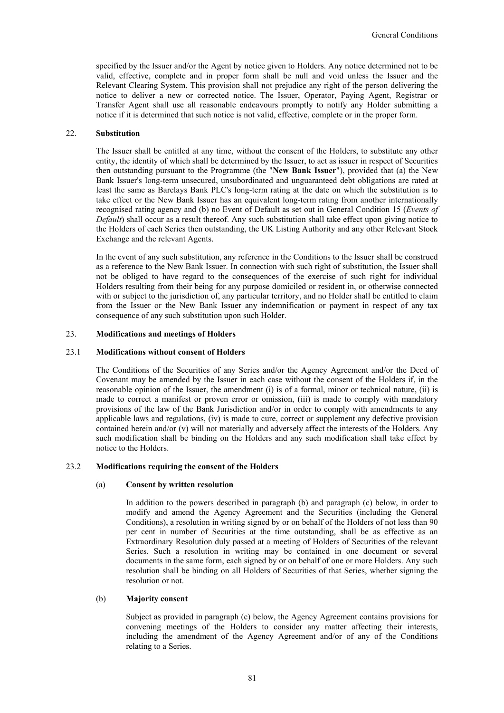specified by the Issuer and/or the Agent by notice given to Holders. Any notice determined not to be valid, effective, complete and in proper form shall be null and void unless the Issuer and the Relevant Clearing System. This provision shall not prejudice any right of the person delivering the notice to deliver a new or corrected notice. The Issuer, Operator, Paying Agent, Registrar or Transfer Agent shall use all reasonable endeavours promptly to notify any Holder submitting a notice if it is determined that such notice is not valid, effective, complete or in the proper form.

#### 22. **Substitution**

The Issuer shall be entitled at any time, without the consent of the Holders, to substitute any other entity, the identity of which shall be determined by the Issuer, to act as issuer in respect of Securities then outstanding pursuant to the Programme (the "**New Bank Issuer**"), provided that (a) the New Bank Issuer's long-term unsecured, unsubordinated and unguaranteed debt obligations are rated at least the same as Barclays Bank PLC's long-term rating at the date on which the substitution is to take effect or the New Bank Issuer has an equivalent long-term rating from another internationally recognised rating agency and (b) no Event of Default as set out in General Condition 15 (*Events of Default*) shall occur as a result thereof. Any such substitution shall take effect upon giving notice to the Holders of each Series then outstanding, the UK Listing Authority and any other Relevant Stock Exchange and the relevant Agents.

In the event of any such substitution, any reference in the Conditions to the Issuer shall be construed as a reference to the New Bank Issuer. In connection with such right of substitution, the Issuer shall not be obliged to have regard to the consequences of the exercise of such right for individual Holders resulting from their being for any purpose domiciled or resident in, or otherwise connected with or subject to the jurisdiction of, any particular territory, and no Holder shall be entitled to claim from the Issuer or the New Bank Issuer any indemnification or payment in respect of any tax consequence of any such substitution upon such Holder.

#### 23. **Modifications and meetings of Holders**

#### 23.1 **Modifications without consent of Holders**

The Conditions of the Securities of any Series and/or the Agency Agreement and/or the Deed of Covenant may be amended by the Issuer in each case without the consent of the Holders if, in the reasonable opinion of the Issuer, the amendment (i) is of a formal, minor or technical nature, (ii) is made to correct a manifest or proven error or omission, (iii) is made to comply with mandatory provisions of the law of the Bank Jurisdiction and/or in order to comply with amendments to any applicable laws and regulations, (iv) is made to cure, correct or supplement any defective provision contained herein and/or (v) will not materially and adversely affect the interests of the Holders. Any such modification shall be binding on the Holders and any such modification shall take effect by notice to the Holders.

#### 23.2 **Modifications requiring the consent of the Holders**

#### (a) **Consent by written resolution**

In addition to the powers described in paragraph (b) and paragraph (c) below, in order to modify and amend the Agency Agreement and the Securities (including the General Conditions), a resolution in writing signed by or on behalf of the Holders of not less than 90 per cent in number of Securities at the time outstanding, shall be as effective as an Extraordinary Resolution duly passed at a meeting of Holders of Securities of the relevant Series. Such a resolution in writing may be contained in one document or several documents in the same form, each signed by or on behalf of one or more Holders. Any such resolution shall be binding on all Holders of Securities of that Series, whether signing the resolution or not.

## (b) **Majority consent**

Subject as provided in paragraph (c) below, the Agency Agreement contains provisions for convening meetings of the Holders to consider any matter affecting their interests, including the amendment of the Agency Agreement and/or of any of the Conditions relating to a Series.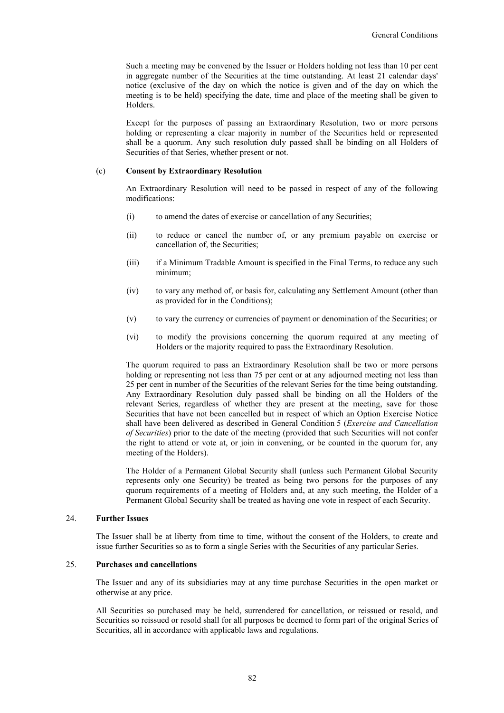Such a meeting may be convened by the Issuer or Holders holding not less than 10 per cent in aggregate number of the Securities at the time outstanding. At least 21 calendar days' notice (exclusive of the day on which the notice is given and of the day on which the meeting is to be held) specifying the date, time and place of the meeting shall be given to Holders.

Except for the purposes of passing an Extraordinary Resolution, two or more persons holding or representing a clear majority in number of the Securities held or represented shall be a quorum. Any such resolution duly passed shall be binding on all Holders of Securities of that Series, whether present or not.

#### (c) **Consent by Extraordinary Resolution**

An Extraordinary Resolution will need to be passed in respect of any of the following modifications:

- (i) to amend the dates of exercise or cancellation of any Securities;
- (ii) to reduce or cancel the number of, or any premium payable on exercise or cancellation of, the Securities;
- (iii) if a Minimum Tradable Amount is specified in the Final Terms, to reduce any such minimum;
- (iv) to vary any method of, or basis for, calculating any Settlement Amount (other than as provided for in the Conditions);
- (v) to vary the currency or currencies of payment or denomination of the Securities; or
- (vi) to modify the provisions concerning the quorum required at any meeting of Holders or the majority required to pass the Extraordinary Resolution.

The quorum required to pass an Extraordinary Resolution shall be two or more persons holding or representing not less than 75 per cent or at any adjourned meeting not less than 25 per cent in number of the Securities of the relevant Series for the time being outstanding. Any Extraordinary Resolution duly passed shall be binding on all the Holders of the relevant Series, regardless of whether they are present at the meeting, save for those Securities that have not been cancelled but in respect of which an Option Exercise Notice shall have been delivered as described in General Condition 5 (*Exercise and Cancellation of Securities*) prior to the date of the meeting (provided that such Securities will not confer the right to attend or vote at, or join in convening, or be counted in the quorum for, any meeting of the Holders).

The Holder of a Permanent Global Security shall (unless such Permanent Global Security represents only one Security) be treated as being two persons for the purposes of any quorum requirements of a meeting of Holders and, at any such meeting, the Holder of a Permanent Global Security shall be treated as having one vote in respect of each Security.

#### 24. **Further Issues**

The Issuer shall be at liberty from time to time, without the consent of the Holders, to create and issue further Securities so as to form a single Series with the Securities of any particular Series.

#### 25. **Purchases and cancellations**

The Issuer and any of its subsidiaries may at any time purchase Securities in the open market or otherwise at any price.

All Securities so purchased may be held, surrendered for cancellation, or reissued or resold, and Securities so reissued or resold shall for all purposes be deemed to form part of the original Series of Securities, all in accordance with applicable laws and regulations.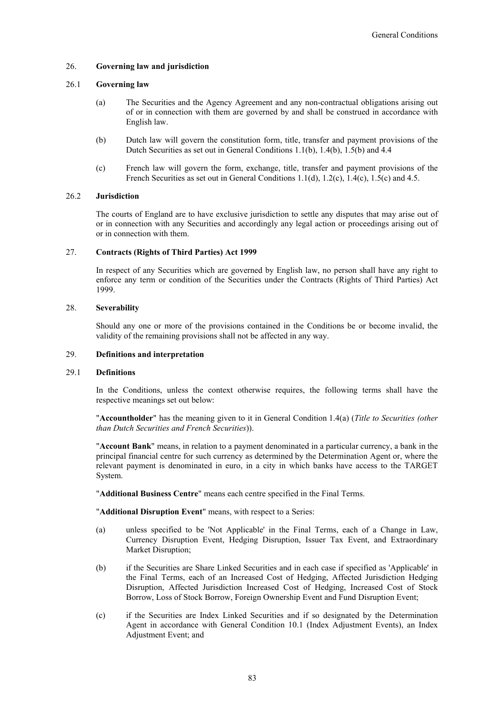## 26. **Governing law and jurisdiction**

#### 26.1 **Governing law**

- (a) The Securities and the Agency Agreement and any non-contractual obligations arising out of or in connection with them are governed by and shall be construed in accordance with English law.
- (b) Dutch law will govern the constitution form, title, transfer and payment provisions of the Dutch Securities as set out in General Conditions 1.1(b), 1.4(b), 1.5(b) and 4.4
- (c) French law will govern the form, exchange, title, transfer and payment provisions of the French Securities as set out in General Conditions 1.1(d), 1.2(c), 1.4(c), 1.5(c) and 4.5.

## 26.2 **Jurisdiction**

The courts of England are to have exclusive jurisdiction to settle any disputes that may arise out of or in connection with any Securities and accordingly any legal action or proceedings arising out of or in connection with them.

## 27. **Contracts (Rights of Third Parties) Act 1999**

In respect of any Securities which are governed by English law, no person shall have any right to enforce any term or condition of the Securities under the Contracts (Rights of Third Parties) Act 1999.

#### 28. **Severability**

Should any one or more of the provisions contained in the Conditions be or become invalid, the validity of the remaining provisions shall not be affected in any way.

#### 29. **Definitions and interpretation**

#### 29.1 **Definitions**

In the Conditions, unless the context otherwise requires, the following terms shall have the respective meanings set out below:

"**Accountholder**" has the meaning given to it in General Condition 1.4(a) (*Title to Securities (other than Dutch Securities and French Securities*)).

"**Account Bank**" means, in relation to a payment denominated in a particular currency, a bank in the principal financial centre for such currency as determined by the Determination Agent or, where the relevant payment is denominated in euro, in a city in which banks have access to the TARGET System.

"**Additional Business Centre**" means each centre specified in the Final Terms.

"**Additional Disruption Event**" means, with respect to a Series:

- (a) unless specified to be 'Not Applicable' in the Final Terms, each of a Change in Law, Currency Disruption Event, Hedging Disruption, Issuer Tax Event, and Extraordinary Market Disruption;
- (b) if the Securities are Share Linked Securities and in each case if specified as 'Applicable' in the Final Terms, each of an Increased Cost of Hedging, Affected Jurisdiction Hedging Disruption, Affected Jurisdiction Increased Cost of Hedging, Increased Cost of Stock Borrow, Loss of Stock Borrow, Foreign Ownership Event and Fund Disruption Event;
- (c) if the Securities are Index Linked Securities and if so designated by the Determination Agent in accordance with General Condition 10.1 (Index Adjustment Events), an Index Adjustment Event; and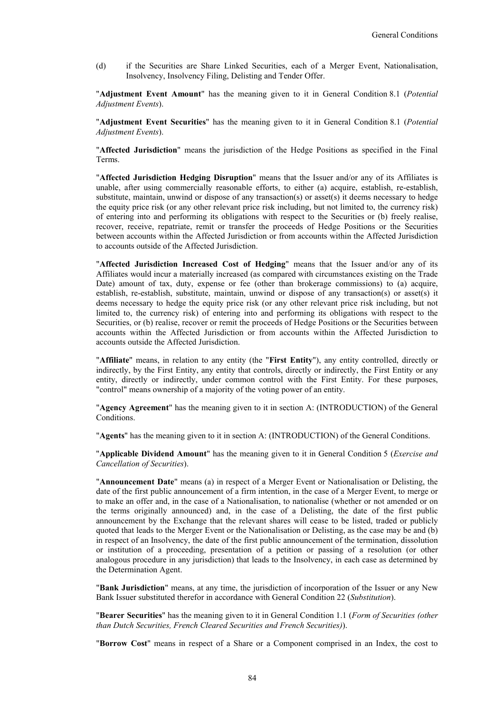(d) if the Securities are Share Linked Securities, each of a Merger Event, Nationalisation, Insolvency, Insolvency Filing, Delisting and Tender Offer.

"**Adjustment Event Amount**" has the meaning given to it in General Condition 8.1 (*Potential Adjustment Events*).

"**Adjustment Event Securities**" has the meaning given to it in General Condition 8.1 (*Potential Adjustment Events*).

"**Affected Jurisdiction**" means the jurisdiction of the Hedge Positions as specified in the Final Terms.

"**Affected Jurisdiction Hedging Disruption**" means that the Issuer and/or any of its Affiliates is unable, after using commercially reasonable efforts, to either (a) acquire, establish, re-establish, substitute, maintain, unwind or dispose of any transaction(s) or asset(s) it deems necessary to hedge the equity price risk (or any other relevant price risk including, but not limited to, the currency risk) of entering into and performing its obligations with respect to the Securities or (b) freely realise, recover, receive, repatriate, remit or transfer the proceeds of Hedge Positions or the Securities between accounts within the Affected Jurisdiction or from accounts within the Affected Jurisdiction to accounts outside of the Affected Jurisdiction.

"**Affected Jurisdiction Increased Cost of Hedging**" means that the Issuer and/or any of its Affiliates would incur a materially increased (as compared with circumstances existing on the Trade Date) amount of tax, duty, expense or fee (other than brokerage commissions) to (a) acquire, establish, re-establish, substitute, maintain, unwind or dispose of any transaction(s) or asset(s) it deems necessary to hedge the equity price risk (or any other relevant price risk including, but not limited to, the currency risk) of entering into and performing its obligations with respect to the Securities, or (b) realise, recover or remit the proceeds of Hedge Positions or the Securities between accounts within the Affected Jurisdiction or from accounts within the Affected Jurisdiction to accounts outside the Affected Jurisdiction.

"**Affiliate**" means, in relation to any entity (the "**First Entity**"), any entity controlled, directly or indirectly, by the First Entity, any entity that controls, directly or indirectly, the First Entity or any entity, directly or indirectly, under common control with the First Entity. For these purposes, "control" means ownership of a majority of the voting power of an entity.

"**Agency Agreement**" has the meaning given to it in section A: (INTRODUCTION) of the General Conditions.

"**Agents**" has the meaning given to it in section A: (INTRODUCTION) of the General Conditions.

"**Applicable Dividend Amount**" has the meaning given to it in General Condition 5 (*Exercise and Cancellation of Securities*).

"**Announcement Date**" means (a) in respect of a Merger Event or Nationalisation or Delisting, the date of the first public announcement of a firm intention, in the case of a Merger Event, to merge or to make an offer and, in the case of a Nationalisation, to nationalise (whether or not amended or on the terms originally announced) and, in the case of a Delisting, the date of the first public announcement by the Exchange that the relevant shares will cease to be listed, traded or publicly quoted that leads to the Merger Event or the Nationalisation or Delisting, as the case may be and (b) in respect of an Insolvency, the date of the first public announcement of the termination, dissolution or institution of a proceeding, presentation of a petition or passing of a resolution (or other analogous procedure in any jurisdiction) that leads to the Insolvency, in each case as determined by the Determination Agent.

"**Bank Jurisdiction**" means, at any time, the jurisdiction of incorporation of the Issuer or any New Bank Issuer substituted therefor in accordance with General Condition 22 (*Substitution*).

"**Bearer Securities**" has the meaning given to it in General Condition 1.1 (*Form of Securities (other than Dutch Securities, French Cleared Securities and French Securities)*).

"**Borrow Cost**" means in respect of a Share or a Component comprised in an Index, the cost to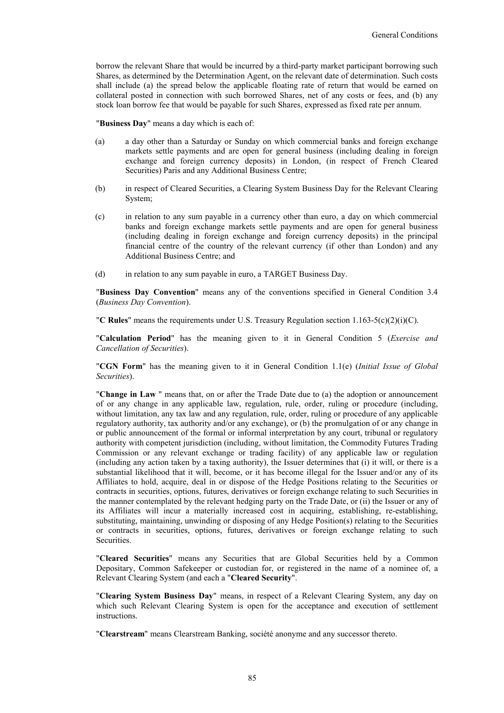borrow the relevant Share that would be incurred by a third-party market participant borrowing such Shares, as determined by the Determination Agent, on the relevant date of determination. Such costs shall include (a) the spread below the applicable floating rate of return that would be earned on collateral posted in connection with such borrowed Shares, net of any costs or fees, and (b) any stock loan borrow fee that would be payable for such Shares, expressed as fixed rate per annum.

"**Business Day**" means a day which is each of:

- (a) a day other than a Saturday or Sunday on which commercial banks and foreign exchange markets settle payments and are open for general business (including dealing in foreign exchange and foreign currency deposits) in London, (in respect of French Cleared Securities) Paris and any Additional Business Centre;
- (b) in respect of Cleared Securities, a Clearing System Business Day for the Relevant Clearing System;
- (c) in relation to any sum payable in a currency other than euro, a day on which commercial banks and foreign exchange markets settle payments and are open for general business (including dealing in foreign exchange and foreign currency deposits) in the principal financial centre of the country of the relevant currency (if other than London) and any Additional Business Centre; and
- (d) in relation to any sum payable in euro, a TARGET Business Day.

"**Business Day Convention**" means any of the conventions specified in General Condition 3.4 (*Business Day Convention*).

"**C Rules**" means the requirements under U.S. Treasury Regulation section 1.163-5(c)(2)(i)(C).

"**Calculation Period**" has the meaning given to it in General Condition 5 (*Exercise and Cancellation of Securities*).

"**CGN Form**" has the meaning given to it in General Condition 1.1(e) (*Initial Issue of Global Securities*).

"**Change in Law** " means that, on or after the Trade Date due to (a) the adoption or announcement of or any change in any applicable law, regulation, rule, order, ruling or procedure (including, without limitation, any tax law and any regulation, rule, order, ruling or procedure of any applicable regulatory authority, tax authority and/or any exchange), or (b) the promulgation of or any change in or public announcement of the formal or informal interpretation by any court, tribunal or regulatory authority with competent jurisdiction (including, without limitation, the Commodity Futures Trading Commission or any relevant exchange or trading facility) of any applicable law or regulation (including any action taken by a taxing authority), the Issuer determines that (i) it will, or there is a substantial likelihood that it will, become, or it has become illegal for the Issuer and/or any of its Affiliates to hold, acquire, deal in or dispose of the Hedge Positions relating to the Securities or contracts in securities, options, futures, derivatives or foreign exchange relating to such Securities in the manner contemplated by the relevant hedging party on the Trade Date, or (ii) the Issuer or any of its Affiliates will incur a materially increased cost in acquiring, establishing, re-establishing, substituting, maintaining, unwinding or disposing of any Hedge Position(s) relating to the Securities or contracts in securities, options, futures, derivatives or foreign exchange relating to such Securities.

"**Cleared Securities**" means any Securities that are Global Securities held by a Common Depositary, Common Safekeeper or custodian for, or registered in the name of a nominee of, a Relevant Clearing System (and each a "**Cleared Security**".

"**Clearing System Business Day**" means, in respect of a Relevant Clearing System, any day on which such Relevant Clearing System is open for the acceptance and execution of settlement instructions.

"**Clearstream**" means Clearstream Banking, société anonyme and any successor thereto.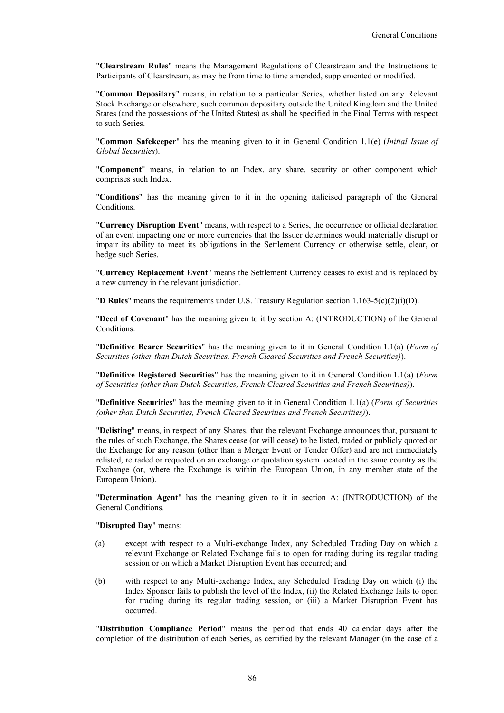"**Clearstream Rules**" means the Management Regulations of Clearstream and the Instructions to Participants of Clearstream, as may be from time to time amended, supplemented or modified.

"**Common Depositary**" means, in relation to a particular Series, whether listed on any Relevant Stock Exchange or elsewhere, such common depositary outside the United Kingdom and the United States (and the possessions of the United States) as shall be specified in the Final Terms with respect to such Series.

"**Common Safekeeper**" has the meaning given to it in General Condition 1.1(e) (*Initial Issue of Global Securities*).

"**Component**" means, in relation to an Index, any share, security or other component which comprises such Index.

"**Conditions**" has the meaning given to it in the opening italicised paragraph of the General Conditions.

"**Currency Disruption Event**" means, with respect to a Series, the occurrence or official declaration of an event impacting one or more currencies that the Issuer determines would materially disrupt or impair its ability to meet its obligations in the Settlement Currency or otherwise settle, clear, or hedge such Series.

"**Currency Replacement Event**" means the Settlement Currency ceases to exist and is replaced by a new currency in the relevant jurisdiction.

"**D Rules**" means the requirements under U.S. Treasury Regulation section 1.163-5(c)(2)(i)(D).

"**Deed of Covenant**" has the meaning given to it by section A: (INTRODUCTION) of the General Conditions.

"**Definitive Bearer Securities**" has the meaning given to it in General Condition 1.1(a) (*Form of Securities (other than Dutch Securities, French Cleared Securities and French Securities)*).

"**Definitive Registered Securities**" has the meaning given to it in General Condition 1.1(a) (*Form of Securities (other than Dutch Securities, French Cleared Securities and French Securities)*).

"**Definitive Securities**" has the meaning given to it in General Condition 1.1(a) (*Form of Securities (other than Dutch Securities, French Cleared Securities and French Securities)*).

"**Delisting**" means, in respect of any Shares, that the relevant Exchange announces that, pursuant to the rules of such Exchange, the Shares cease (or will cease) to be listed, traded or publicly quoted on the Exchange for any reason (other than a Merger Event or Tender Offer) and are not immediately relisted, retraded or requoted on an exchange or quotation system located in the same country as the Exchange (or, where the Exchange is within the European Union, in any member state of the European Union).

"**Determination Agent**" has the meaning given to it in section A: (INTRODUCTION) of the General Conditions.

"**Disrupted Day**" means:

- (a) except with respect to a Multi-exchange Index, any Scheduled Trading Day on which a relevant Exchange or Related Exchange fails to open for trading during its regular trading session or on which a Market Disruption Event has occurred; and
- (b) with respect to any Multi-exchange Index, any Scheduled Trading Day on which (i) the Index Sponsor fails to publish the level of the Index, (ii) the Related Exchange fails to open for trading during its regular trading session, or (iii) a Market Disruption Event has occurred.

"**Distribution Compliance Period**" means the period that ends 40 calendar days after the completion of the distribution of each Series, as certified by the relevant Manager (in the case of a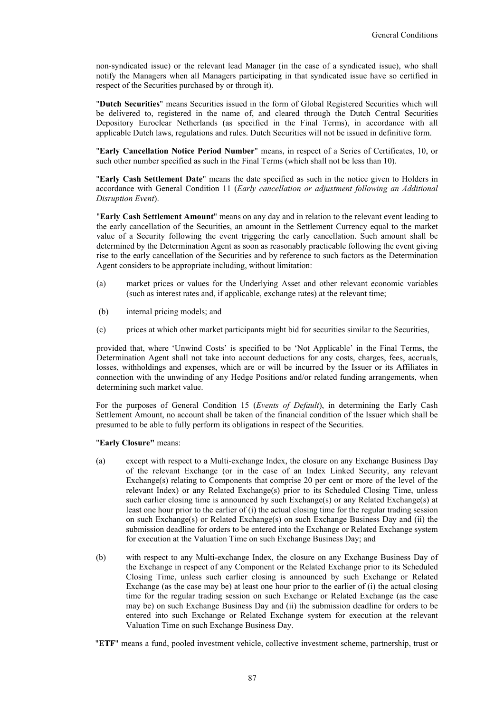non-syndicated issue) or the relevant lead Manager (in the case of a syndicated issue), who shall notify the Managers when all Managers participating in that syndicated issue have so certified in respect of the Securities purchased by or through it).

"**Dutch Securities**" means Securities issued in the form of Global Registered Securities which will be delivered to, registered in the name of, and cleared through the Dutch Central Securities Depository Euroclear Netherlands (as specified in the Final Terms), in accordance with all applicable Dutch laws, regulations and rules. Dutch Securities will not be issued in definitive form.

"**Early Cancellation Notice Period Number**" means, in respect of a Series of Certificates, 10, or such other number specified as such in the Final Terms (which shall not be less than 10).

"**Early Cash Settlement Date**" means the date specified as such in the notice given to Holders in accordance with General Condition 11 (*Early cancellation or adjustment following an Additional Disruption Event*).

"**Early Cash Settlement Amount**" means on any day and in relation to the relevant event leading to the early cancellation of the Securities, an amount in the Settlement Currency equal to the market value of a Security following the event triggering the early cancellation. Such amount shall be determined by the Determination Agent as soon as reasonably practicable following the event giving rise to the early cancellation of the Securities and by reference to such factors as the Determination Agent considers to be appropriate including, without limitation:

- (a) market prices or values for the Underlying Asset and other relevant economic variables (such as interest rates and, if applicable, exchange rates) at the relevant time;
- (b) internal pricing models; and
- (c) prices at which other market participants might bid for securities similar to the Securities,

provided that, where 'Unwind Costs' is specified to be 'Not Applicable' in the Final Terms, the Determination Agent shall not take into account deductions for any costs, charges, fees, accruals, losses, withholdings and expenses, which are or will be incurred by the Issuer or its Affiliates in connection with the unwinding of any Hedge Positions and/or related funding arrangements, when determining such market value.

For the purposes of General Condition 15 (*Events of Default*), in determining the Early Cash Settlement Amount, no account shall be taken of the financial condition of the Issuer which shall be presumed to be able to fully perform its obligations in respect of the Securities.

#### "**Early Closure"** means:

- (a) except with respect to a Multi-exchange Index, the closure on any Exchange Business Day of the relevant Exchange (or in the case of an Index Linked Security, any relevant Exchange(s) relating to Components that comprise 20 per cent or more of the level of the relevant Index) or any Related Exchange(s) prior to its Scheduled Closing Time, unless such earlier closing time is announced by such Exchange(s) or any Related Exchange(s) at least one hour prior to the earlier of (i) the actual closing time for the regular trading session on such Exchange(s) or Related Exchange(s) on such Exchange Business Day and (ii) the submission deadline for orders to be entered into the Exchange or Related Exchange system for execution at the Valuation Time on such Exchange Business Day; and
- (b) with respect to any Multi-exchange Index, the closure on any Exchange Business Day of the Exchange in respect of any Component or the Related Exchange prior to its Scheduled Closing Time, unless such earlier closing is announced by such Exchange or Related Exchange (as the case may be) at least one hour prior to the earlier of (i) the actual closing time for the regular trading session on such Exchange or Related Exchange (as the case may be) on such Exchange Business Day and (ii) the submission deadline for orders to be entered into such Exchange or Related Exchange system for execution at the relevant Valuation Time on such Exchange Business Day.
- "**ETF**" means a fund, pooled investment vehicle, collective investment scheme, partnership, trust or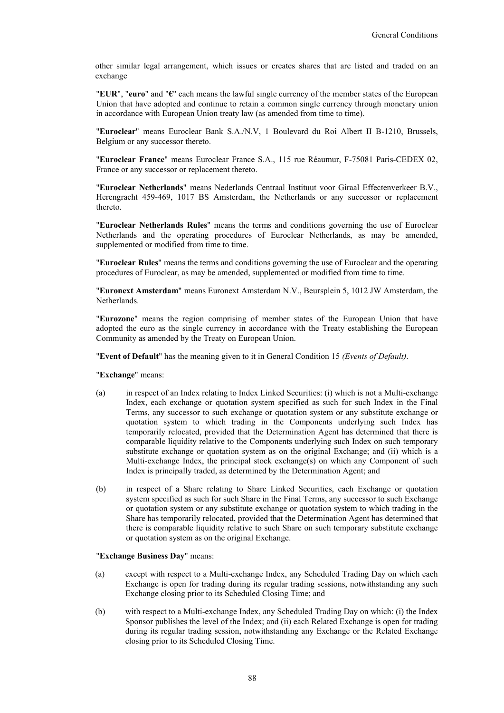other similar legal arrangement, which issues or creates shares that are listed and traded on an exchange

"**EUR**", "**euro**" and "**€**" each means the lawful single currency of the member states of the European Union that have adopted and continue to retain a common single currency through monetary union in accordance with European Union treaty law (as amended from time to time).

"**Euroclear**" means Euroclear Bank S.A./N.V, 1 Boulevard du Roi Albert II B-1210, Brussels, Belgium or any successor thereto.

"**Euroclear France**" means Euroclear France S.A., 115 rue Réaumur, F-75081 Paris-CEDEX 02, France or any successor or replacement thereto.

"**Euroclear Netherlands**" means Nederlands Centraal Instituut voor Giraal Effectenverkeer B.V., Herengracht 459-469, 1017 BS Amsterdam, the Netherlands or any successor or replacement thereto.

"**Euroclear Netherlands Rules**" means the terms and conditions governing the use of Euroclear Netherlands and the operating procedures of Euroclear Netherlands, as may be amended, supplemented or modified from time to time.

"**Euroclear Rules**" means the terms and conditions governing the use of Euroclear and the operating procedures of Euroclear, as may be amended, supplemented or modified from time to time.

"**Euronext Amsterdam**" means Euronext Amsterdam N.V., Beursplein 5, 1012 JW Amsterdam, the Netherlands.

"**Eurozone**" means the region comprising of member states of the European Union that have adopted the euro as the single currency in accordance with the Treaty establishing the European Community as amended by the Treaty on European Union.

"**Event of Default**" has the meaning given to it in General Condition 15 *(Events of Default)*.

"**Exchange**" means:

- (a) in respect of an Index relating to Index Linked Securities: (i) which is not a Multi-exchange Index, each exchange or quotation system specified as such for such Index in the Final Terms, any successor to such exchange or quotation system or any substitute exchange or quotation system to which trading in the Components underlying such Index has temporarily relocated, provided that the Determination Agent has determined that there is comparable liquidity relative to the Components underlying such Index on such temporary substitute exchange or quotation system as on the original Exchange; and (ii) which is a Multi-exchange Index, the principal stock exchange(s) on which any Component of such Index is principally traded, as determined by the Determination Agent; and
- (b) in respect of a Share relating to Share Linked Securities, each Exchange or quotation system specified as such for such Share in the Final Terms, any successor to such Exchange or quotation system or any substitute exchange or quotation system to which trading in the Share has temporarily relocated, provided that the Determination Agent has determined that there is comparable liquidity relative to such Share on such temporary substitute exchange or quotation system as on the original Exchange.

"**Exchange Business Day**" means:

- (a) except with respect to a Multi-exchange Index, any Scheduled Trading Day on which each Exchange is open for trading during its regular trading sessions, notwithstanding any such Exchange closing prior to its Scheduled Closing Time; and
- (b) with respect to a Multi-exchange Index, any Scheduled Trading Day on which: (i) the Index Sponsor publishes the level of the Index; and (ii) each Related Exchange is open for trading during its regular trading session, notwithstanding any Exchange or the Related Exchange closing prior to its Scheduled Closing Time.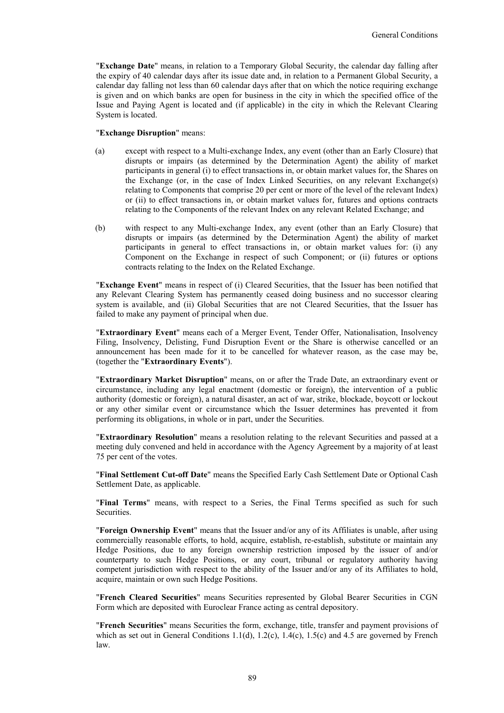"**Exchange Date**" means, in relation to a Temporary Global Security, the calendar day falling after the expiry of 40 calendar days after its issue date and, in relation to a Permanent Global Security, a calendar day falling not less than 60 calendar days after that on which the notice requiring exchange is given and on which banks are open for business in the city in which the specified office of the Issue and Paying Agent is located and (if applicable) in the city in which the Relevant Clearing System is located.

#### "**Exchange Disruption**" means:

- (a) except with respect to a Multi-exchange Index, any event (other than an Early Closure) that disrupts or impairs (as determined by the Determination Agent) the ability of market participants in general (i) to effect transactions in, or obtain market values for, the Shares on the Exchange (or, in the case of Index Linked Securities, on any relevant Exchange(s) relating to Components that comprise 20 per cent or more of the level of the relevant Index) or (ii) to effect transactions in, or obtain market values for, futures and options contracts relating to the Components of the relevant Index on any relevant Related Exchange; and
- (b) with respect to any Multi-exchange Index, any event (other than an Early Closure) that disrupts or impairs (as determined by the Determination Agent) the ability of market participants in general to effect transactions in, or obtain market values for: (i) any Component on the Exchange in respect of such Component; or (ii) futures or options contracts relating to the Index on the Related Exchange.

"**Exchange Event**" means in respect of (i) Cleared Securities, that the Issuer has been notified that any Relevant Clearing System has permanently ceased doing business and no successor clearing system is available, and (ii) Global Securities that are not Cleared Securities, that the Issuer has failed to make any payment of principal when due.

"**Extraordinary Event**" means each of a Merger Event, Tender Offer, Nationalisation, Insolvency Filing, Insolvency, Delisting, Fund Disruption Event or the Share is otherwise cancelled or an announcement has been made for it to be cancelled for whatever reason, as the case may be, (together the "**Extraordinary Events**").

"**Extraordinary Market Disruption**" means, on or after the Trade Date, an extraordinary event or circumstance, including any legal enactment (domestic or foreign), the intervention of a public authority (domestic or foreign), a natural disaster, an act of war, strike, blockade, boycott or lockout or any other similar event or circumstance which the Issuer determines has prevented it from performing its obligations, in whole or in part, under the Securities.

"**Extraordinary Resolution**" means a resolution relating to the relevant Securities and passed at a meeting duly convened and held in accordance with the Agency Agreement by a majority of at least 75 per cent of the votes.

"**Final Settlement Cut-off Date**" means the Specified Early Cash Settlement Date or Optional Cash Settlement Date, as applicable.

"**Final Terms**" means, with respect to a Series, the Final Terms specified as such for such **Securities** 

"**Foreign Ownership Event**" means that the Issuer and/or any of its Affiliates is unable, after using commercially reasonable efforts, to hold, acquire, establish, re-establish, substitute or maintain any Hedge Positions, due to any foreign ownership restriction imposed by the issuer of and/or counterparty to such Hedge Positions, or any court, tribunal or regulatory authority having competent jurisdiction with respect to the ability of the Issuer and/or any of its Affiliates to hold, acquire, maintain or own such Hedge Positions.

"**French Cleared Securities**" means Securities represented by Global Bearer Securities in CGN Form which are deposited with Euroclear France acting as central depository.

"**French Securities**" means Securities the form, exchange, title, transfer and payment provisions of which as set out in General Conditions 1.1(d), 1.2(c), 1.4(c), 1.5(c) and 4.5 are governed by French law.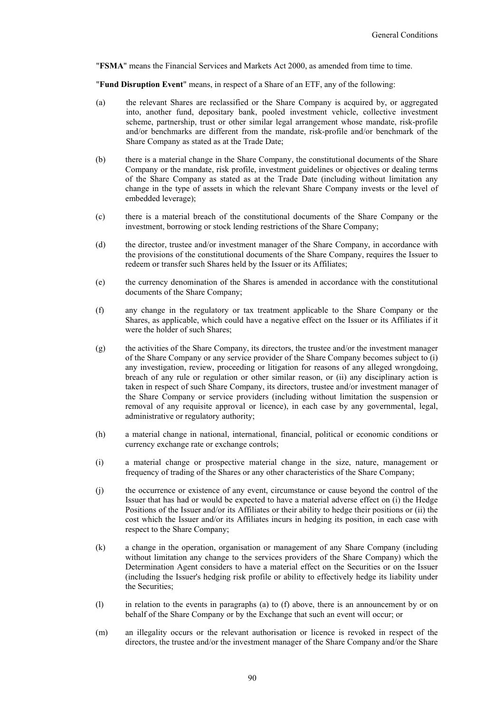"**FSMA**" means the Financial Services and Markets Act 2000, as amended from time to time.

"**Fund Disruption Event**" means, in respect of a Share of an ETF, any of the following:

- (a) the relevant Shares are reclassified or the Share Company is acquired by, or aggregated into, another fund, depositary bank, pooled investment vehicle, collective investment scheme, partnership, trust or other similar legal arrangement whose mandate, risk-profile and/or benchmarks are different from the mandate, risk-profile and/or benchmark of the Share Company as stated as at the Trade Date;
- (b) there is a material change in the Share Company, the constitutional documents of the Share Company or the mandate, risk profile, investment guidelines or objectives or dealing terms of the Share Company as stated as at the Trade Date (including without limitation any change in the type of assets in which the relevant Share Company invests or the level of embedded leverage);
- (c) there is a material breach of the constitutional documents of the Share Company or the investment, borrowing or stock lending restrictions of the Share Company;
- (d) the director, trustee and/or investment manager of the Share Company, in accordance with the provisions of the constitutional documents of the Share Company, requires the Issuer to redeem or transfer such Shares held by the Issuer or its Affiliates;
- (e) the currency denomination of the Shares is amended in accordance with the constitutional documents of the Share Company;
- (f) any change in the regulatory or tax treatment applicable to the Share Company or the Shares, as applicable, which could have a negative effect on the Issuer or its Affiliates if it were the holder of such Shares;
- (g) the activities of the Share Company, its directors, the trustee and/or the investment manager of the Share Company or any service provider of the Share Company becomes subject to (i) any investigation, review, proceeding or litigation for reasons of any alleged wrongdoing, breach of any rule or regulation or other similar reason, or (ii) any disciplinary action is taken in respect of such Share Company, its directors, trustee and/or investment manager of the Share Company or service providers (including without limitation the suspension or removal of any requisite approval or licence), in each case by any governmental, legal, administrative or regulatory authority;
- (h) a material change in national, international, financial, political or economic conditions or currency exchange rate or exchange controls;
- (i) a material change or prospective material change in the size, nature, management or frequency of trading of the Shares or any other characteristics of the Share Company;
- (j) the occurrence or existence of any event, circumstance or cause beyond the control of the Issuer that has had or would be expected to have a material adverse effect on (i) the Hedge Positions of the Issuer and/or its Affiliates or their ability to hedge their positions or (ii) the cost which the Issuer and/or its Affiliates incurs in hedging its position, in each case with respect to the Share Company;
- (k) a change in the operation, organisation or management of any Share Company (including without limitation any change to the services providers of the Share Company) which the Determination Agent considers to have a material effect on the Securities or on the Issuer (including the Issuer's hedging risk profile or ability to effectively hedge its liability under the Securities;
- (l) in relation to the events in paragraphs (a) to (f) above, there is an announcement by or on behalf of the Share Company or by the Exchange that such an event will occur; or
- (m) an illegality occurs or the relevant authorisation or licence is revoked in respect of the directors, the trustee and/or the investment manager of the Share Company and/or the Share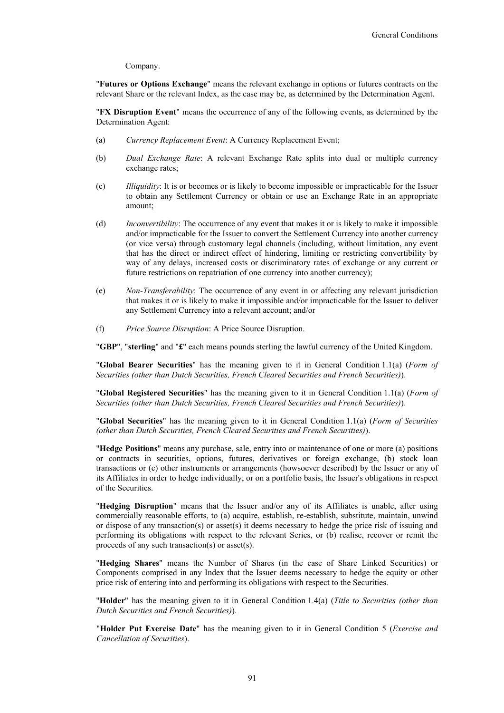Company.

"**Futures or Options Exchange**" means the relevant exchange in options or futures contracts on the relevant Share or the relevant Index, as the case may be, as determined by the Determination Agent.

"**FX Disruption Event**" means the occurrence of any of the following events, as determined by the Determination Agent:

- (a) *Currency Replacement Event*: A Currency Replacement Event;
- (b) *Dual Exchange Rate*: A relevant Exchange Rate splits into dual or multiple currency exchange rates;
- (c) *Illiquidity*: It is or becomes or is likely to become impossible or impracticable for the Issuer to obtain any Settlement Currency or obtain or use an Exchange Rate in an appropriate amount;
- (d) *Inconvertibility*: The occurrence of any event that makes it or is likely to make it impossible and/or impracticable for the Issuer to convert the Settlement Currency into another currency (or vice versa) through customary legal channels (including, without limitation, any event that has the direct or indirect effect of hindering, limiting or restricting convertibility by way of any delays, increased costs or discriminatory rates of exchange or any current or future restrictions on repatriation of one currency into another currency);
- (e) *Non-Transferability*: The occurrence of any event in or affecting any relevant jurisdiction that makes it or is likely to make it impossible and/or impracticable for the Issuer to deliver any Settlement Currency into a relevant account; and/or
- (f) *Price Source Disruption*: A Price Source Disruption.

"**GBP**", "**sterling**" and "**£**" each means pounds sterling the lawful currency of the United Kingdom.

"**Global Bearer Securities**" has the meaning given to it in General Condition 1.1(a) (*Form of Securities (other than Dutch Securities, French Cleared Securities and French Securities)*).

"**Global Registered Securities**" has the meaning given to it in General Condition 1.1(a) (*Form of Securities (other than Dutch Securities, French Cleared Securities and French Securities)*).

"**Global Securities**" has the meaning given to it in General Condition 1.1(a) (*Form of Securities (other than Dutch Securities, French Cleared Securities and French Securities)*).

"**Hedge Positions**" means any purchase, sale, entry into or maintenance of one or more (a) positions or contracts in securities, options, futures, derivatives or foreign exchange, (b) stock loan transactions or (c) other instruments or arrangements (howsoever described) by the Issuer or any of its Affiliates in order to hedge individually, or on a portfolio basis, the Issuer's obligations in respect of the Securities.

"**Hedging Disruption**" means that the Issuer and/or any of its Affiliates is unable, after using commercially reasonable efforts, to (a) acquire, establish, re-establish, substitute, maintain, unwind or dispose of any transaction(s) or asset(s) it deems necessary to hedge the price risk of issuing and performing its obligations with respect to the relevant Series, or (b) realise, recover or remit the proceeds of any such transaction(s) or asset(s).

"**Hedging Shares**" means the Number of Shares (in the case of Share Linked Securities) or Components comprised in any Index that the Issuer deems necessary to hedge the equity or other price risk of entering into and performing its obligations with respect to the Securities.

"**Holder**" has the meaning given to it in General Condition 1.4(a) (*Title to Securities (other than Dutch Securities and French Securities)*).

"**Holder Put Exercise Date**" has the meaning given to it in General Condition 5 (*Exercise and Cancellation of Securities*).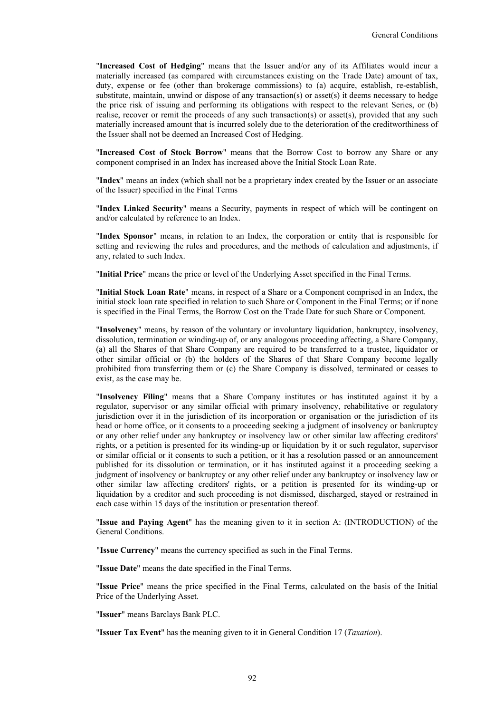"**Increased Cost of Hedging**" means that the Issuer and/or any of its Affiliates would incur a materially increased (as compared with circumstances existing on the Trade Date) amount of tax, duty, expense or fee (other than brokerage commissions) to (a) acquire, establish, re-establish, substitute, maintain, unwind or dispose of any transaction(s) or asset(s) it deems necessary to hedge the price risk of issuing and performing its obligations with respect to the relevant Series, or (b) realise, recover or remit the proceeds of any such transaction(s) or asset(s), provided that any such materially increased amount that is incurred solely due to the deterioration of the creditworthiness of the Issuer shall not be deemed an Increased Cost of Hedging.

"**Increased Cost of Stock Borrow**" means that the Borrow Cost to borrow any Share or any component comprised in an Index has increased above the Initial Stock Loan Rate.

"**Index**" means an index (which shall not be a proprietary index created by the Issuer or an associate of the Issuer) specified in the Final Terms

"**Index Linked Security**" means a Security, payments in respect of which will be contingent on and/or calculated by reference to an Index.

"**Index Sponsor**" means, in relation to an Index, the corporation or entity that is responsible for setting and reviewing the rules and procedures, and the methods of calculation and adjustments, if any, related to such Index.

"**Initial Price**" means the price or level of the Underlying Asset specified in the Final Terms.

"**Initial Stock Loan Rate**" means, in respect of a Share or a Component comprised in an Index, the initial stock loan rate specified in relation to such Share or Component in the Final Terms; or if none is specified in the Final Terms, the Borrow Cost on the Trade Date for such Share or Component.

"**Insolvency**" means, by reason of the voluntary or involuntary liquidation, bankruptcy, insolvency, dissolution, termination or winding-up of, or any analogous proceeding affecting, a Share Company, (a) all the Shares of that Share Company are required to be transferred to a trustee, liquidator or other similar official or (b) the holders of the Shares of that Share Company become legally prohibited from transferring them or (c) the Share Company is dissolved, terminated or ceases to exist, as the case may be.

"**Insolvency Filing**" means that a Share Company institutes or has instituted against it by a regulator, supervisor or any similar official with primary insolvency, rehabilitative or regulatory jurisdiction over it in the jurisdiction of its incorporation or organisation or the jurisdiction of its head or home office, or it consents to a proceeding seeking a judgment of insolvency or bankruptcy or any other relief under any bankruptcy or insolvency law or other similar law affecting creditors' rights, or a petition is presented for its winding-up or liquidation by it or such regulator, supervisor or similar official or it consents to such a petition, or it has a resolution passed or an announcement published for its dissolution or termination, or it has instituted against it a proceeding seeking a judgment of insolvency or bankruptcy or any other relief under any bankruptcy or insolvency law or other similar law affecting creditors' rights, or a petition is presented for its winding-up or liquidation by a creditor and such proceeding is not dismissed, discharged, stayed or restrained in each case within 15 days of the institution or presentation thereof.

"**Issue and Paying Agent**" has the meaning given to it in section A: (INTRODUCTION) of the General Conditions.

"**Issue Currency**" means the currency specified as such in the Final Terms.

"**Issue Date**" means the date specified in the Final Terms.

"**Issue Price**" means the price specified in the Final Terms, calculated on the basis of the Initial Price of the Underlying Asset.

"**Issuer**" means Barclays Bank PLC.

"**Issuer Tax Event**" has the meaning given to it in General Condition 17 (*Taxation*).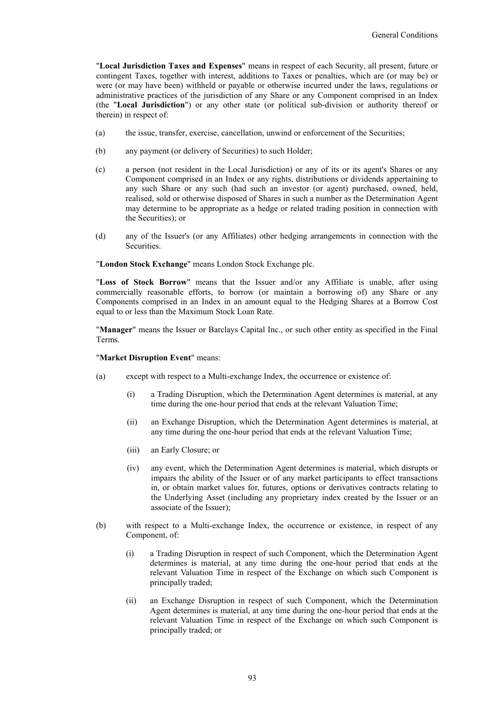"**Local Jurisdiction Taxes and Expenses**" means in respect of each Security, all present, future or contingent Taxes, together with interest, additions to Taxes or penalties, which are (or may be) or were (or may have been) withheld or payable or otherwise incurred under the laws, regulations or administrative practices of the jurisdiction of any Share or any Component comprised in an Index (the "**Local Jurisdiction**") or any other state (or political sub-division or authority thereof or therein) in respect of:

- (a) the issue, transfer, exercise, cancellation, unwind or enforcement of the Securities;
- (b) any payment (or delivery of Securities) to such Holder;
- (c) a person (not resident in the Local Jurisdiction) or any of its or its agent's Shares or any Component comprised in an Index or any rights, distributions or dividends appertaining to any such Share or any such (had such an investor (or agent) purchased, owned, held, realised, sold or otherwise disposed of Shares in such a number as the Determination Agent may determine to be appropriate as a hedge or related trading position in connection with the Securities); or
- (d) any of the Issuer's (or any Affiliates) other hedging arrangements in connection with the Securities.

#### "**London Stock Exchange**" means London Stock Exchange plc.

"**Loss of Stock Borrow**" means that the Issuer and/or any Affiliate is unable, after using commercially reasonable efforts, to borrow (or maintain a borrowing of) any Share or any Components comprised in an Index in an amount equal to the Hedging Shares at a Borrow Cost equal to or less than the Maximum Stock Loan Rate.

"**Manager**" means the Issuer or Barclays Capital Inc., or such other entity as specified in the Final Terms.

#### "**Market Disruption Event**" means:

- (a) except with respect to a Multi-exchange Index, the occurrence or existence of:
	- (i) a Trading Disruption, which the Determination Agent determines is material, at any time during the one-hour period that ends at the relevant Valuation Time;
	- (ii) an Exchange Disruption, which the Determination Agent determines is material, at any time during the one-hour period that ends at the relevant Valuation Time;
	- (iii) an Early Closure; or
	- (iv) any event, which the Determination Agent determines is material, which disrupts or impairs the ability of the Issuer or of any market participants to effect transactions in, or obtain market values for, futures, options or derivatives contracts relating to the Underlying Asset (including any proprietary index created by the Issuer or an associate of the Issuer);
- (b) with respect to a Multi-exchange Index, the occurrence or existence, in respect of any Component, of:
	- (i) a Trading Disruption in respect of such Component, which the Determination Agent determines is material, at any time during the one-hour period that ends at the relevant Valuation Time in respect of the Exchange on which such Component is principally traded;
	- (ii) an Exchange Disruption in respect of such Component, which the Determination Agent determines is material, at any time during the one-hour period that ends at the relevant Valuation Time in respect of the Exchange on which such Component is principally traded; or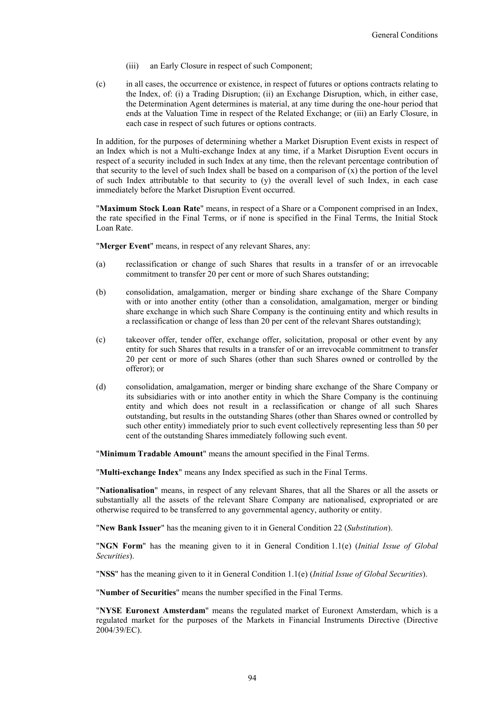- (iii) an Early Closure in respect of such Component;
- (c) in all cases, the occurrence or existence, in respect of futures or options contracts relating to the Index, of: (i) a Trading Disruption; (ii) an Exchange Disruption, which, in either case, the Determination Agent determines is material, at any time during the one-hour period that ends at the Valuation Time in respect of the Related Exchange; or (iii) an Early Closure, in each case in respect of such futures or options contracts.

In addition, for the purposes of determining whether a Market Disruption Event exists in respect of an Index which is not a Multi-exchange Index at any time, if a Market Disruption Event occurs in respect of a security included in such Index at any time, then the relevant percentage contribution of that security to the level of such Index shall be based on a comparison of  $(x)$  the portion of the level of such Index attributable to that security to (y) the overall level of such Index, in each case immediately before the Market Disruption Event occurred.

"**Maximum Stock Loan Rate**" means, in respect of a Share or a Component comprised in an Index, the rate specified in the Final Terms, or if none is specified in the Final Terms, the Initial Stock Loan Rate.

"**Merger Event**" means, in respect of any relevant Shares, any:

- (a) reclassification or change of such Shares that results in a transfer of or an irrevocable commitment to transfer 20 per cent or more of such Shares outstanding;
- (b) consolidation, amalgamation, merger or binding share exchange of the Share Company with or into another entity (other than a consolidation, amalgamation, merger or binding share exchange in which such Share Company is the continuing entity and which results in a reclassification or change of less than 20 per cent of the relevant Shares outstanding);
- (c) takeover offer, tender offer, exchange offer, solicitation, proposal or other event by any entity for such Shares that results in a transfer of or an irrevocable commitment to transfer 20 per cent or more of such Shares (other than such Shares owned or controlled by the offeror); or
- (d) consolidation, amalgamation, merger or binding share exchange of the Share Company or its subsidiaries with or into another entity in which the Share Company is the continuing entity and which does not result in a reclassification or change of all such Shares outstanding, but results in the outstanding Shares (other than Shares owned or controlled by such other entity) immediately prior to such event collectively representing less than 50 per cent of the outstanding Shares immediately following such event.

"**Minimum Tradable Amount**" means the amount specified in the Final Terms.

"**Multi-exchange Index**" means any Index specified as such in the Final Terms.

"**Nationalisation**" means, in respect of any relevant Shares, that all the Shares or all the assets or substantially all the assets of the relevant Share Company are nationalised, expropriated or are otherwise required to be transferred to any governmental agency, authority or entity.

"**New Bank Issuer**" has the meaning given to it in General Condition 22 (*Substitution*).

"**NGN Form**" has the meaning given to it in General Condition 1.1(e) (*Initial Issue of Global Securities*).

"**NSS**" has the meaning given to it in General Condition 1.1(e) (*Initial Issue of Global Securities*).

"**Number of Securities**" means the number specified in the Final Terms.

"**NYSE Euronext Amsterdam**" means the regulated market of Euronext Amsterdam, which is a regulated market for the purposes of the Markets in Financial Instruments Directive (Directive 2004/39/EC).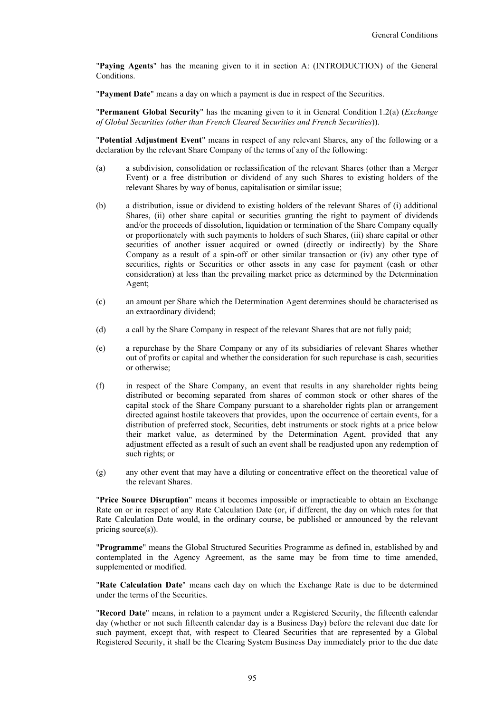"**Paying Agents**" has the meaning given to it in section A: (INTRODUCTION) of the General Conditions.

"**Payment Date**" means a day on which a payment is due in respect of the Securities.

"**Permanent Global Security**" has the meaning given to it in General Condition 1.2(a) (*Exchange of Global Securities (other than French Cleared Securities and French Securities*)).

"**Potential Adjustment Event**" means in respect of any relevant Shares, any of the following or a declaration by the relevant Share Company of the terms of any of the following:

- (a) a subdivision, consolidation or reclassification of the relevant Shares (other than a Merger Event) or a free distribution or dividend of any such Shares to existing holders of the relevant Shares by way of bonus, capitalisation or similar issue;
- (b) a distribution, issue or dividend to existing holders of the relevant Shares of (i) additional Shares, (ii) other share capital or securities granting the right to payment of dividends and/or the proceeds of dissolution, liquidation or termination of the Share Company equally or proportionately with such payments to holders of such Shares, (iii) share capital or other securities of another issuer acquired or owned (directly or indirectly) by the Share Company as a result of a spin-off or other similar transaction or (iv) any other type of securities, rights or Securities or other assets in any case for payment (cash or other consideration) at less than the prevailing market price as determined by the Determination Agent;
- (c) an amount per Share which the Determination Agent determines should be characterised as an extraordinary dividend;
- (d) a call by the Share Company in respect of the relevant Shares that are not fully paid;
- (e) a repurchase by the Share Company or any of its subsidiaries of relevant Shares whether out of profits or capital and whether the consideration for such repurchase is cash, securities or otherwise;
- (f) in respect of the Share Company, an event that results in any shareholder rights being distributed or becoming separated from shares of common stock or other shares of the capital stock of the Share Company pursuant to a shareholder rights plan or arrangement directed against hostile takeovers that provides, upon the occurrence of certain events, for a distribution of preferred stock, Securities, debt instruments or stock rights at a price below their market value, as determined by the Determination Agent, provided that any adjustment effected as a result of such an event shall be readjusted upon any redemption of such rights; or
- (g) any other event that may have a diluting or concentrative effect on the theoretical value of the relevant Shares.

"**Price Source Disruption**" means it becomes impossible or impracticable to obtain an Exchange Rate on or in respect of any Rate Calculation Date (or, if different, the day on which rates for that Rate Calculation Date would, in the ordinary course, be published or announced by the relevant pricing source(s)).

"**Programme**" means the Global Structured Securities Programme as defined in, established by and contemplated in the Agency Agreement, as the same may be from time to time amended, supplemented or modified.

"**Rate Calculation Date**" means each day on which the Exchange Rate is due to be determined under the terms of the Securities.

"**Record Date**" means, in relation to a payment under a Registered Security, the fifteenth calendar day (whether or not such fifteenth calendar day is a Business Day) before the relevant due date for such payment, except that, with respect to Cleared Securities that are represented by a Global Registered Security, it shall be the Clearing System Business Day immediately prior to the due date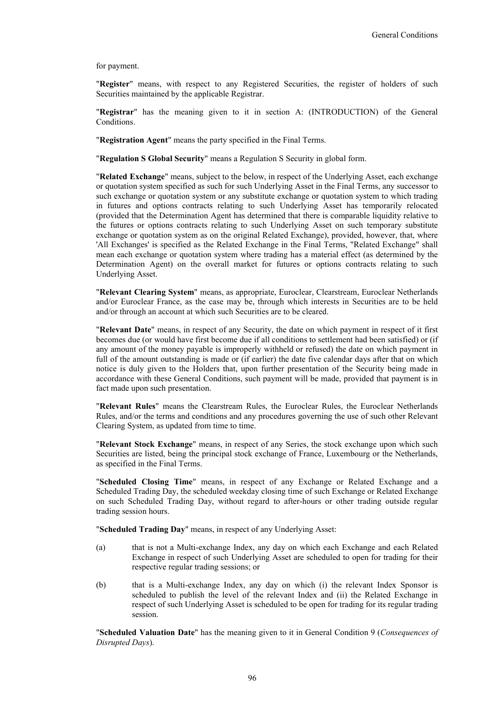for payment.

"**Register**" means, with respect to any Registered Securities, the register of holders of such Securities maintained by the applicable Registrar.

"**Registrar**" has the meaning given to it in section A: (INTRODUCTION) of the General Conditions.

"**Registration Agent**" means the party specified in the Final Terms.

"**Regulation S Global Security**" means a Regulation S Security in global form.

"**Related Exchange**" means, subject to the below, in respect of the Underlying Asset, each exchange or quotation system specified as such for such Underlying Asset in the Final Terms, any successor to such exchange or quotation system or any substitute exchange or quotation system to which trading in futures and options contracts relating to such Underlying Asset has temporarily relocated (provided that the Determination Agent has determined that there is comparable liquidity relative to the futures or options contracts relating to such Underlying Asset on such temporary substitute exchange or quotation system as on the original Related Exchange), provided, however, that, where 'All Exchanges' is specified as the Related Exchange in the Final Terms, "Related Exchange" shall mean each exchange or quotation system where trading has a material effect (as determined by the Determination Agent) on the overall market for futures or options contracts relating to such Underlying Asset.

"**Relevant Clearing System**" means, as appropriate, Euroclear, Clearstream, Euroclear Netherlands and/or Euroclear France, as the case may be, through which interests in Securities are to be held and/or through an account at which such Securities are to be cleared.

"**Relevant Date**" means, in respect of any Security, the date on which payment in respect of it first becomes due (or would have first become due if all conditions to settlement had been satisfied) or (if any amount of the money payable is improperly withheld or refused) the date on which payment in full of the amount outstanding is made or (if earlier) the date five calendar days after that on which notice is duly given to the Holders that, upon further presentation of the Security being made in accordance with these General Conditions, such payment will be made, provided that payment is in fact made upon such presentation.

"**Relevant Rules**" means the Clearstream Rules, the Euroclear Rules, the Euroclear Netherlands Rules, and/or the terms and conditions and any procedures governing the use of such other Relevant Clearing System, as updated from time to time.

"**Relevant Stock Exchange**" means, in respect of any Series, the stock exchange upon which such Securities are listed, being the principal stock exchange of France, Luxembourg or the Netherlands, as specified in the Final Terms.

"**Scheduled Closing Time**" means, in respect of any Exchange or Related Exchange and a Scheduled Trading Day, the scheduled weekday closing time of such Exchange or Related Exchange on such Scheduled Trading Day, without regard to after-hours or other trading outside regular trading session hours.

"**Scheduled Trading Day**" means, in respect of any Underlying Asset:

- (a) that is not a Multi-exchange Index, any day on which each Exchange and each Related Exchange in respect of such Underlying Asset are scheduled to open for trading for their respective regular trading sessions; or
- (b) that is a Multi-exchange Index, any day on which (i) the relevant Index Sponsor is scheduled to publish the level of the relevant Index and (ii) the Related Exchange in respect of such Underlying Asset is scheduled to be open for trading for its regular trading session.

"**Scheduled Valuation Date**" has the meaning given to it in General Condition 9 (*Consequences of Disrupted Days*).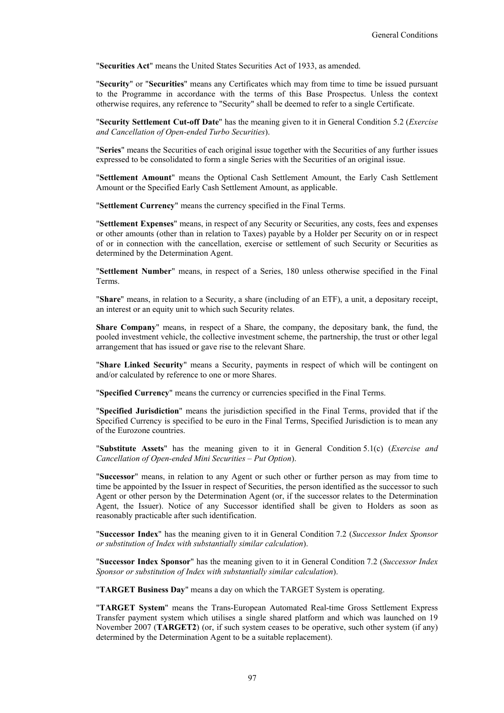"**Securities Act**" means the United States Securities Act of 1933, as amended.

"**Security**" or "**Securities**" means any Certificates which may from time to time be issued pursuant to the Programme in accordance with the terms of this Base Prospectus. Unless the context otherwise requires, any reference to "Security" shall be deemed to refer to a single Certificate.

"**Security Settlement Cut-off Date**" has the meaning given to it in General Condition 5.2 (*Exercise and Cancellation of Open-ended Turbo Securities*).

"**Series**" means the Securities of each original issue together with the Securities of any further issues expressed to be consolidated to form a single Series with the Securities of an original issue.

"**Settlement Amount**" means the Optional Cash Settlement Amount, the Early Cash Settlement Amount or the Specified Early Cash Settlement Amount, as applicable.

"**Settlement Currency**" means the currency specified in the Final Terms.

"**Settlement Expenses**" means, in respect of any Security or Securities, any costs, fees and expenses or other amounts (other than in relation to Taxes) payable by a Holder per Security on or in respect of or in connection with the cancellation, exercise or settlement of such Security or Securities as determined by the Determination Agent.

"**Settlement Number**" means, in respect of a Series, 180 unless otherwise specified in the Final Terms.

"**Share**" means, in relation to a Security, a share (including of an ETF), a unit, a depositary receipt, an interest or an equity unit to which such Security relates.

**Share Company**" means, in respect of a Share, the company, the depositary bank, the fund, the pooled investment vehicle, the collective investment scheme, the partnership, the trust or other legal arrangement that has issued or gave rise to the relevant Share.

"**Share Linked Security**" means a Security, payments in respect of which will be contingent on and/or calculated by reference to one or more Shares.

"**Specified Currency**" means the currency or currencies specified in the Final Terms.

"**Specified Jurisdiction**" means the jurisdiction specified in the Final Terms, provided that if the Specified Currency is specified to be euro in the Final Terms, Specified Jurisdiction is to mean any of the Eurozone countries.

"**Substitute Assets**" has the meaning given to it in General Condition 5.1(c) (*Exercise and Cancellation of Open-ended Mini Securities – Put Option*).

"**Successor**" means, in relation to any Agent or such other or further person as may from time to time be appointed by the Issuer in respect of Securities, the person identified as the successor to such Agent or other person by the Determination Agent (or, if the successor relates to the Determination Agent, the Issuer). Notice of any Successor identified shall be given to Holders as soon as reasonably practicable after such identification.

"**Successor Index**" has the meaning given to it in General Condition 7.2 (*Successor Index Sponsor or substitution of Index with substantially similar calculation*).

"**Successor Index Sponsor**" has the meaning given to it in General Condition 7.2 (*Successor Index Sponsor or substitution of Index with substantially similar calculation*).

"**TARGET Business Day**" means a day on which the TARGET System is operating.

"**TARGET System**" means the Trans-European Automated Real-time Gross Settlement Express Transfer payment system which utilises a single shared platform and which was launched on 19 November 2007 (**TARGET2**) (or, if such system ceases to be operative, such other system (if any) determined by the Determination Agent to be a suitable replacement).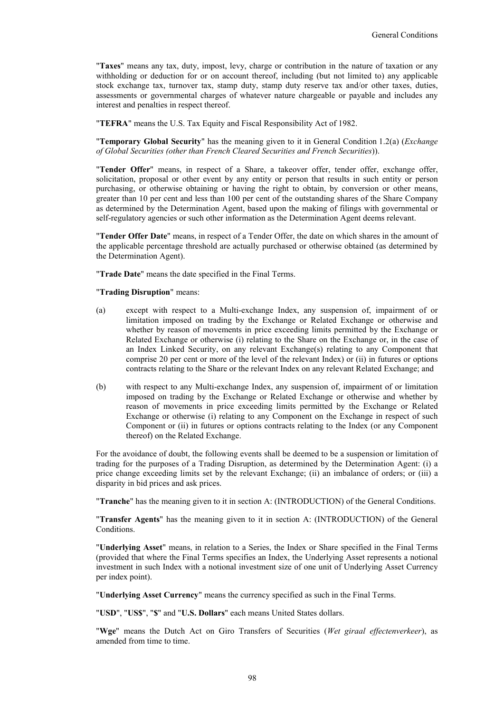"**Taxes**" means any tax, duty, impost, levy, charge or contribution in the nature of taxation or any withholding or deduction for or on account thereof, including (but not limited to) any applicable stock exchange tax, turnover tax, stamp duty, stamp duty reserve tax and/or other taxes, duties, assessments or governmental charges of whatever nature chargeable or payable and includes any interest and penalties in respect thereof.

"**TEFRA**" means the U.S. Tax Equity and Fiscal Responsibility Act of 1982.

"**Temporary Global Security**" has the meaning given to it in General Condition 1.2(a) (*Exchange of Global Securities (other than French Cleared Securities and French Securities*)).

"**Tender Offer**" means, in respect of a Share, a takeover offer, tender offer, exchange offer, solicitation, proposal or other event by any entity or person that results in such entity or person purchasing, or otherwise obtaining or having the right to obtain, by conversion or other means, greater than 10 per cent and less than 100 per cent of the outstanding shares of the Share Company as determined by the Determination Agent, based upon the making of filings with governmental or self-regulatory agencies or such other information as the Determination Agent deems relevant.

"**Tender Offer Date**" means, in respect of a Tender Offer, the date on which shares in the amount of the applicable percentage threshold are actually purchased or otherwise obtained (as determined by the Determination Agent).

"**Trade Date**" means the date specified in the Final Terms.

"**Trading Disruption**" means:

- (a) except with respect to a Multi-exchange Index, any suspension of, impairment of or limitation imposed on trading by the Exchange or Related Exchange or otherwise and whether by reason of movements in price exceeding limits permitted by the Exchange or Related Exchange or otherwise (i) relating to the Share on the Exchange or, in the case of an Index Linked Security, on any relevant Exchange(s) relating to any Component that comprise 20 per cent or more of the level of the relevant Index) or (ii) in futures or options contracts relating to the Share or the relevant Index on any relevant Related Exchange; and
- (b) with respect to any Multi-exchange Index, any suspension of, impairment of or limitation imposed on trading by the Exchange or Related Exchange or otherwise and whether by reason of movements in price exceeding limits permitted by the Exchange or Related Exchange or otherwise (i) relating to any Component on the Exchange in respect of such Component or (ii) in futures or options contracts relating to the Index (or any Component thereof) on the Related Exchange.

For the avoidance of doubt, the following events shall be deemed to be a suspension or limitation of trading for the purposes of a Trading Disruption, as determined by the Determination Agent: (i) a price change exceeding limits set by the relevant Exchange; (ii) an imbalance of orders; or (iii) a disparity in bid prices and ask prices.

"**Tranche**" has the meaning given to it in section A: (INTRODUCTION) of the General Conditions.

"**Transfer Agents**" has the meaning given to it in section A: (INTRODUCTION) of the General Conditions.

"**Underlying Asset**" means, in relation to a Series, the Index or Share specified in the Final Terms (provided that where the Final Terms specifies an Index, the Underlying Asset represents a notional investment in such Index with a notional investment size of one unit of Underlying Asset Currency per index point).

"**Underlying Asset Currency**" means the currency specified as such in the Final Terms.

"**USD**", "**US\$**", "**\$**" and "**U.S. Dollars**" each means United States dollars.

"**Wge**" means the Dutch Act on Giro Transfers of Securities (*Wet giraal effectenverkeer*), as amended from time to time.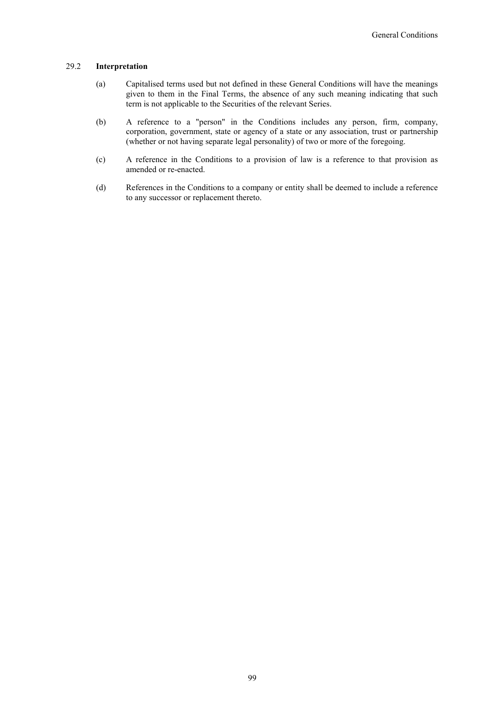#### 29.2 **Interpretation**

- (a) Capitalised terms used but not defined in these General Conditions will have the meanings given to them in the Final Terms, the absence of any such meaning indicating that such term is not applicable to the Securities of the relevant Series.
- (b) A reference to a "person" in the Conditions includes any person, firm, company, corporation, government, state or agency of a state or any association, trust or partnership (whether or not having separate legal personality) of two or more of the foregoing.
- (c) A reference in the Conditions to a provision of law is a reference to that provision as amended or re-enacted.
- (d) References in the Conditions to a company or entity shall be deemed to include a reference to any successor or replacement thereto.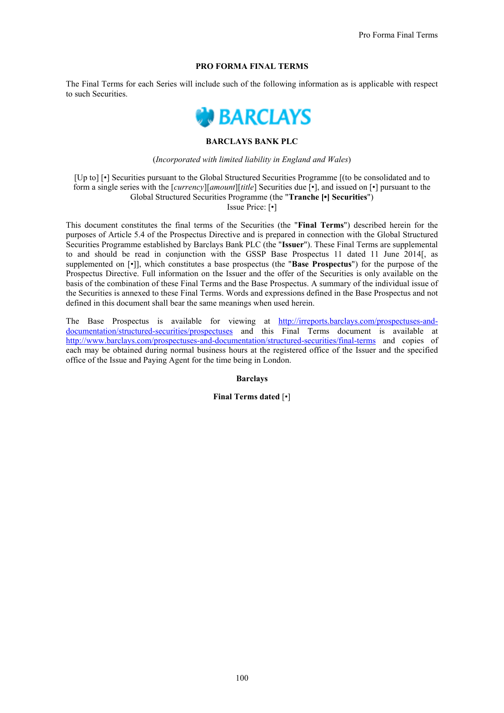## **PRO FORMA FINAL TERMS**

The Final Terms for each Series will include such of the following information as is applicable with respect to such Securities.



## **BARCLAYS BANK PLC**

#### (*Incorporated with limited liability in England and Wales*)

[Up to] [•] Securities pursuant to the Global Structured Securities Programme [(to be consolidated and to form a single series with the [*currency*][*amount*][*title*] Securities due [•], and issued on [•] pursuant to the Global Structured Securities Programme (the "**Tranche [•] Securities**") Issue Price: [•]

This document constitutes the final terms of the Securities (the "**Final Terms**") described herein for the purposes of Article 5.4 of the Prospectus Directive and is prepared in connection with the Global Structured Securities Programme established by Barclays Bank PLC (the "**Issuer**"). These Final Terms are supplemental to and should be read in conjunction with the GSSP Base Prospectus 11 dated 11 June 2014[, as supplemented on [•]], which constitutes a base prospectus (the "**Base Prospectus**") for the purpose of the Prospectus Directive. Full information on the Issuer and the offer of the Securities is only available on the basis of the combination of these Final Terms and the Base Prospectus. A summary of the individual issue of the Securities is annexed to these Final Terms. Words and expressions defined in the Base Prospectus and not defined in this document shall bear the same meanings when used herein.

The Base Prospectus is available for viewing at http://irreports.barclays.com/prospectuses-anddocumentation/structured-securities/prospectuses and this Final Terms document is available at http://www.barclays.com/prospectuses-and-documentation/structured-securities/final-terms and copies of each may be obtained during normal business hours at the registered office of the Issuer and the specified office of the Issue and Paying Agent for the time being in London.

**Barclays**

**Final Terms dated** [•]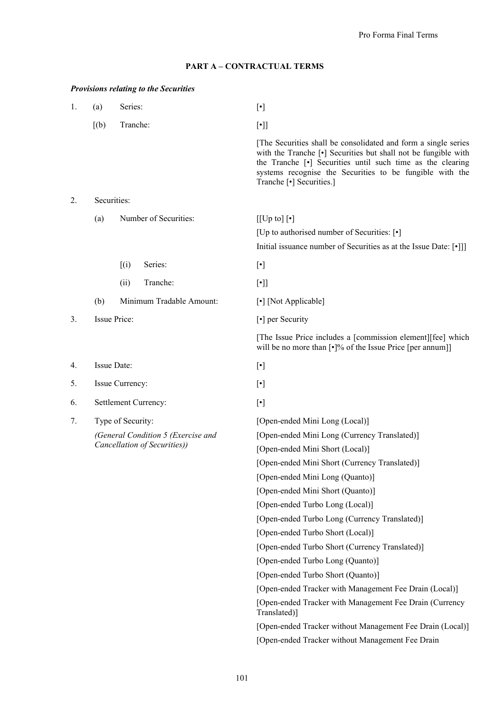# **PART A – CONTRACTUAL TERMS**

# *Provisions relating to the Securities*

| 1. | (a)                                                                                     | Series:                  | $[\cdot]$                                                                                                                                                                                                                                                                                                                                                                                                                                                                                             |
|----|-----------------------------------------------------------------------------------------|--------------------------|-------------------------------------------------------------------------------------------------------------------------------------------------------------------------------------------------------------------------------------------------------------------------------------------------------------------------------------------------------------------------------------------------------------------------------------------------------------------------------------------------------|
|    | [(b)]                                                                                   | Tranche:                 | $[\cdot]]$                                                                                                                                                                                                                                                                                                                                                                                                                                                                                            |
|    |                                                                                         |                          | [The Securities shall be consolidated and form a single series]<br>with the Tranche [ $\bullet$ ] Securities but shall not be fungible with<br>the Tranche [•] Securities until such time as the clearing<br>systems recognise the Securities to be fungible with the<br>Tranche [•] Securities.]                                                                                                                                                                                                     |
| 2. | Securities:                                                                             |                          |                                                                                                                                                                                                                                                                                                                                                                                                                                                                                                       |
|    | (a)                                                                                     | Number of Securities:    | $[[Up to] [\cdot]$<br>[Up to authorised number of Securities: [ $\cdot$ ]<br>Initial issuance number of Securities as at the Issue Date: [.]]                                                                                                                                                                                                                                                                                                                                                         |
|    |                                                                                         | (i)<br>Series:           | $[\cdot] % \centering \includegraphics[width=0.9\textwidth]{images/TrDiM-Architecture.png} % \caption{The first two different values of $d \sim \tfrac{1}{\sqrt{2}}$ and $d \sim \tfrac{1}{\sqrt{2}}$ and $d \sim \tfrac{1}{\sqrt{2}}$ for $d \sim \tfrac{1}{\sqrt{2}}$ and $d \sim \tfrac{1}{\sqrt{2}}$ for $d \sim \tfrac{1}{\sqrt{2}}$ for $d \sim \tfrac{1}{\sqrt{2}}$ for $d \sim \tfrac{1}{\sqrt{2}}$ for $d \sim \tfrac{1}{\sqrt{2}}$ for $d \sim \tfrac{1}{\sqrt{2}}$ for $d \sim \tfrac{1}{$ |
|    |                                                                                         | Tranche:<br>(ii)         | $[\cdot]$                                                                                                                                                                                                                                                                                                                                                                                                                                                                                             |
|    | (b)                                                                                     | Minimum Tradable Amount: | [•] [Not Applicable]                                                                                                                                                                                                                                                                                                                                                                                                                                                                                  |
| 3. |                                                                                         | Issue Price:             | [•] per Security                                                                                                                                                                                                                                                                                                                                                                                                                                                                                      |
|    |                                                                                         |                          | [The Issue Price includes a [commission element][fee] which<br>will be no more than [ $\cdot$ ]% of the Issue Price [per annum]]                                                                                                                                                                                                                                                                                                                                                                      |
| 4. |                                                                                         | Issue Date:              | $[\cdot] % \centering \includegraphics[width=0.9\textwidth]{images/TrDiM-Architecture.png} % \caption{The first two different values of $d \sim \tfrac{1}{\sqrt{2}}$ and $d \sim \tfrac{1}{\sqrt{2}}$ and $d \sim \tfrac{1}{\sqrt{2}}$ for $d \sim \tfrac{1}{\sqrt{2}}$ and $d \sim \tfrac{1}{\sqrt{2}}$ for $d \sim \tfrac{1}{\sqrt{2}}$ for $d \sim \tfrac{1}{\sqrt{2}}$ for $d \sim \tfrac{1}{\sqrt{2}}$ for $d \sim \tfrac{1}{\sqrt{2}}$ for $d \sim \tfrac{1}{\sqrt{2}}$ for $d \sim \tfrac{1}{$ |
| 5. |                                                                                         | Issue Currency:          | $[\cdot]$                                                                                                                                                                                                                                                                                                                                                                                                                                                                                             |
| 6. |                                                                                         | Settlement Currency:     | $[\cdot] % \centering \includegraphics[width=0.9\textwidth]{images/TrDiM-Architecture.png} % \caption{The first two different values of $d \sim \tfrac{1}{\sqrt{2}}$ and $d \sim \tfrac{1}{\sqrt{2}}$ and $d \sim \tfrac{1}{\sqrt{2}}$ for $d \sim \tfrac{1}{\sqrt{2}}$ and $d \sim \tfrac{1}{\sqrt{2}}$ for $d \sim \tfrac{1}{\sqrt{2}}$ for $d \sim \tfrac{1}{\sqrt{2}}$ for $d \sim \tfrac{1}{\sqrt{2}}$ for $d \sim \tfrac{1}{\sqrt{2}}$ for $d \sim \tfrac{1}{\sqrt{2}}$ for $d \sim \tfrac{1}{$ |
| 7. | Type of Security:<br>(General Condition 5 (Exercise and<br>Cancellation of Securities)) |                          | [Open-ended Mini Long (Local)]<br>[Open-ended Mini Long (Currency Translated)]<br>[Open-ended Mini Short (Local)]<br>[Open-ended Mini Short (Currency Translated)]<br>[Open-ended Mini Long (Quanto)]<br>[Open-ended Mini Short (Quanto)]<br>[Open-ended Turbo Long (Local)]<br>[Open-ended Turbo Long (Currency Translated)]                                                                                                                                                                         |
|    |                                                                                         |                          | [Open-ended Turbo Short (Local)]<br>[Open-ended Turbo Short (Currency Translated)]                                                                                                                                                                                                                                                                                                                                                                                                                    |
|    |                                                                                         |                          | [Open-ended Turbo Long (Quanto)]                                                                                                                                                                                                                                                                                                                                                                                                                                                                      |
|    |                                                                                         |                          | [Open-ended Turbo Short (Quanto)]                                                                                                                                                                                                                                                                                                                                                                                                                                                                     |
|    |                                                                                         |                          | [Open-ended Tracker with Management Fee Drain (Local)]                                                                                                                                                                                                                                                                                                                                                                                                                                                |
|    |                                                                                         |                          | [Open-ended Tracker with Management Fee Drain (Currency<br>Translated)]                                                                                                                                                                                                                                                                                                                                                                                                                               |
|    |                                                                                         |                          | [Open-ended Tracker without Management Fee Drain (Local)]                                                                                                                                                                                                                                                                                                                                                                                                                                             |
|    |                                                                                         |                          | [Open-ended Tracker without Management Fee Drain                                                                                                                                                                                                                                                                                                                                                                                                                                                      |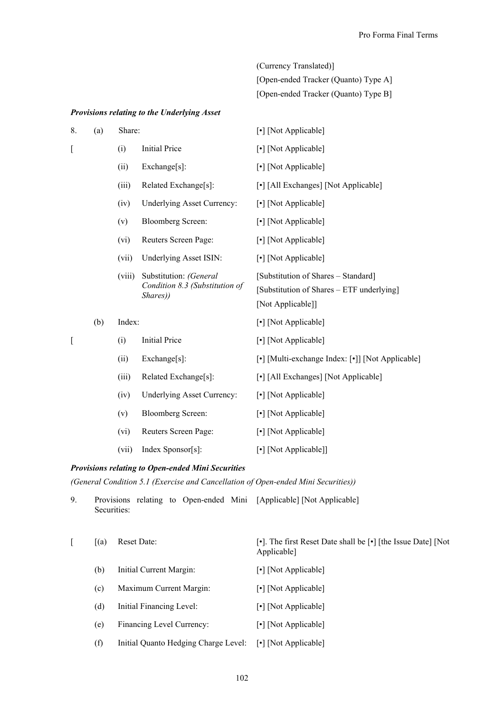| (Currency Translated)]               |
|--------------------------------------|
| [Open-ended Tracker (Ouanto) Type A] |
| [Open-ended Tracker (Quanto) Type B] |

# *Provisions relating to the Underlying Asset*

| 8. | (a) | Share: |                                                                      | [•] [Not Applicable]                                                                                  |
|----|-----|--------|----------------------------------------------------------------------|-------------------------------------------------------------------------------------------------------|
| [  |     | (i)    | <b>Initial Price</b>                                                 | [•] [Not Applicable]                                                                                  |
|    |     | (ii)   | Exchange[s]:                                                         | [•] [Not Applicable]                                                                                  |
|    |     | (iii)  | Related Exchange[s]:                                                 | [•] [All Exchanges] [Not Applicable]                                                                  |
|    |     | (iv)   | <b>Underlying Asset Currency:</b>                                    | [•] [Not Applicable]                                                                                  |
|    |     | (v)    | <b>Bloomberg Screen:</b>                                             | [•] [Not Applicable]                                                                                  |
|    |     | (vi)   | Reuters Screen Page:                                                 | [•] [Not Applicable]                                                                                  |
|    |     | (vii)  | Underlying Asset ISIN:                                               | [•] [Not Applicable]                                                                                  |
|    |     | (viii) | Substitution: (General<br>Condition 8.3 (Substitution of<br>Shares)) | [Substitution of Shares - Standard]<br>[Substitution of Shares – ETF underlying]<br>[Not Applicable]] |
|    | (b) | Index: |                                                                      | [•] [Not Applicable]                                                                                  |
| [  |     | (i)    | <b>Initial Price</b>                                                 | [•] [Not Applicable]                                                                                  |
|    |     | (ii)   | Exchange[s]:                                                         | [•] [Multi-exchange Index: [•]] [Not Applicable]                                                      |
|    |     | (iii)  | Related Exchange[s]:                                                 | [•] [All Exchanges] [Not Applicable]                                                                  |
|    |     | (iv)   | <b>Underlying Asset Currency:</b>                                    | [•] [Not Applicable]                                                                                  |
|    |     | (v)    | <b>Bloomberg Screen:</b>                                             | [•] [Not Applicable]                                                                                  |
|    |     | (vi)   | Reuters Screen Page:                                                 | [•] [Not Applicable]                                                                                  |
|    |     | (vii)  | Index Sponsor[s]:                                                    | [•] [Not Applicable]]                                                                                 |

# *Provisions relating to Open-ended Mini Securities*

*(General Condition 5.1 (Exercise and Cancellation of Open-ended Mini Securities))*

| 9. | <b>Provisions</b><br>Securities: | relating to Open-ended Mini [Applicable] [Not Applicable] |                                                                              |
|----|----------------------------------|-----------------------------------------------------------|------------------------------------------------------------------------------|
|    | (a)                              | <b>Reset Date:</b>                                        | [•]. The first Reset Date shall be [•] [the Issue Date] [Not]<br>Applicable] |
|    | (b)                              | Initial Current Margin:                                   | [•] [Not Applicable]                                                         |
|    | (c)                              | Maximum Current Margin:                                   | [•] [Not Applicable]                                                         |
|    | (d)                              | Initial Financing Level:                                  | [•] [Not Applicable]                                                         |
|    | (e)                              | Financing Level Currency:                                 | [•] [Not Applicable]                                                         |
|    | (f)                              | Initial Quanto Hedging Charge Level: [.] [Not Applicable] |                                                                              |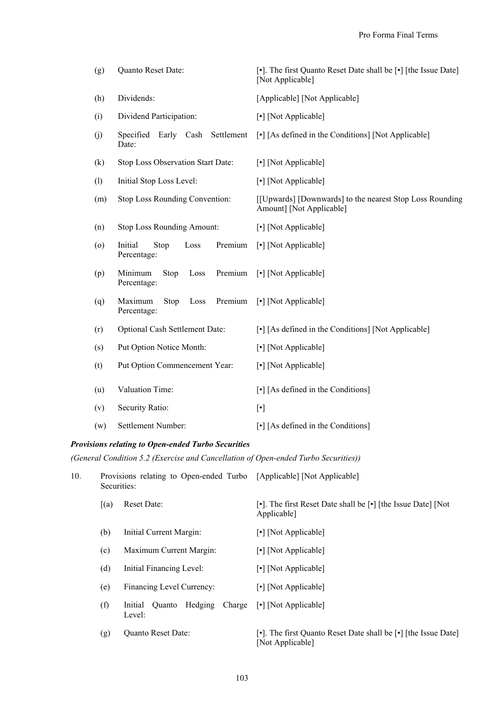| (g)                | Quanto Reset Date:                                | [•]. The first Quanto Reset Date shall be [•] [the Issue Date]<br>[Not Applicable]                                                                                                                                                                                                                                                                                                                                                                                                                    |
|--------------------|---------------------------------------------------|-------------------------------------------------------------------------------------------------------------------------------------------------------------------------------------------------------------------------------------------------------------------------------------------------------------------------------------------------------------------------------------------------------------------------------------------------------------------------------------------------------|
| (h)                | Dividends:                                        | [Applicable] [Not Applicable]                                                                                                                                                                                                                                                                                                                                                                                                                                                                         |
| (i)                | Dividend Participation:                           | [•] [Not Applicable]                                                                                                                                                                                                                                                                                                                                                                                                                                                                                  |
| (j)                | Settlement<br>Specified<br>Early Cash<br>Date:    | [•] [As defined in the Conditions] [Not Applicable]                                                                                                                                                                                                                                                                                                                                                                                                                                                   |
| (k)                | Stop Loss Observation Start Date:                 | [•] [Not Applicable]                                                                                                                                                                                                                                                                                                                                                                                                                                                                                  |
| (1)                | Initial Stop Loss Level:                          | [•] [Not Applicable]                                                                                                                                                                                                                                                                                                                                                                                                                                                                                  |
| (m)                | Stop Loss Rounding Convention:                    | [[Upwards] [Downwards] to the nearest Stop Loss Rounding<br>Amount] [Not Applicable]                                                                                                                                                                                                                                                                                                                                                                                                                  |
| (n)                | <b>Stop Loss Rounding Amount:</b>                 | [•] [Not Applicable]                                                                                                                                                                                                                                                                                                                                                                                                                                                                                  |
| $\left( 0 \right)$ | Initial<br>Premium<br>Stop<br>Loss<br>Percentage: | [•] [Not Applicable]                                                                                                                                                                                                                                                                                                                                                                                                                                                                                  |
| (p)                | Minimum<br>Premium<br>Loss<br>Stop<br>Percentage: | [•] [Not Applicable]                                                                                                                                                                                                                                                                                                                                                                                                                                                                                  |
| (q)                | Maximum<br>Premium<br>Loss<br>Stop<br>Percentage: | [•] [Not Applicable]                                                                                                                                                                                                                                                                                                                                                                                                                                                                                  |
| (r)                | Optional Cash Settlement Date:                    | [•] [As defined in the Conditions] [Not Applicable]                                                                                                                                                                                                                                                                                                                                                                                                                                                   |
| (s)                | Put Option Notice Month:                          | [•] [Not Applicable]                                                                                                                                                                                                                                                                                                                                                                                                                                                                                  |
| (t)                | Put Option Commencement Year:                     | [•] [Not Applicable]                                                                                                                                                                                                                                                                                                                                                                                                                                                                                  |
| (u)                | Valuation Time:                                   | $\lceil \cdot \rceil$ [As defined in the Conditions]                                                                                                                                                                                                                                                                                                                                                                                                                                                  |
| (v)                | Security Ratio:                                   | $[\cdot] % \centering \includegraphics[width=0.9\textwidth]{images/TrDiM-Architecture.png} % \caption{The first two different values of $d \sim \tfrac{1}{\sqrt{2}}$ and $d \sim \tfrac{1}{\sqrt{2}}$ and $d \sim \tfrac{1}{\sqrt{2}}$ for $d \sim \tfrac{1}{\sqrt{2}}$ and $d \sim \tfrac{1}{\sqrt{2}}$ for $d \sim \tfrac{1}{\sqrt{2}}$ for $d \sim \tfrac{1}{\sqrt{2}}$ for $d \sim \tfrac{1}{\sqrt{2}}$ for $d \sim \tfrac{1}{\sqrt{2}}$ for $d \sim \tfrac{1}{\sqrt{2}}$ for $d \sim \tfrac{1}{$ |
| (w)                | Settlement Number:                                | $\lceil \cdot \rceil$ [As defined in the Conditions]                                                                                                                                                                                                                                                                                                                                                                                                                                                  |

# *Provisions relating to Open-ended Turbo Securities*

*(General Condition 5.2 (Exercise and Cancellation of Open-ended Turbo Securities))*

| 10. | Provisions relating to Open-ended Turbo [Applicable] [Not Applicable]<br>Securities: |                                                  |                                                                                    |
|-----|--------------------------------------------------------------------------------------|--------------------------------------------------|------------------------------------------------------------------------------------|
|     | [(a)]                                                                                | <b>Reset Date:</b>                               | [•]. The first Reset Date shall be [•] [the Issue Date] [Not]<br>Applicable]       |
|     | (b)                                                                                  | Initial Current Margin:                          | [•] [Not Applicable]                                                               |
|     | (c)                                                                                  | Maximum Current Margin:                          | [•] [Not Applicable]                                                               |
|     | (d)                                                                                  | Initial Financing Level:                         | [•] [Not Applicable]                                                               |
|     | (e)                                                                                  | Financing Level Currency:                        | [•] [Not Applicable]                                                               |
|     | (f)                                                                                  | Hedging<br>Charge<br>Initial<br>Ouanto<br>Level: | [•] [Not Applicable]                                                               |
|     | (g)                                                                                  | Quanto Reset Date:                               | [•]. The first Quanto Reset Date shall be [•] [the Issue Date]<br>[Not Applicable] |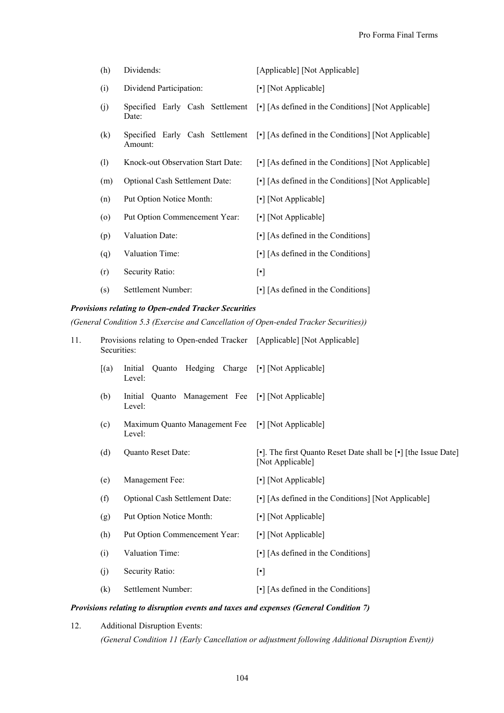| (h)                | Dividends:                               | [Applicable] [Not Applicable]                                                       |
|--------------------|------------------------------------------|-------------------------------------------------------------------------------------|
| (i)                | Dividend Participation:                  | [•] [Not Applicable]                                                                |
| (j)                | Specified Early Cash Settlement<br>Date: | [•] [As defined in the Conditions] [Not Applicable]                                 |
| (k)                | Amount:                                  | Specified Early Cash Settlement [•] [As defined in the Conditions] [Not Applicable] |
| (1)                | Knock-out Observation Start Date:        | [•] [As defined in the Conditions] [Not Applicable]                                 |
| (m)                | <b>Optional Cash Settlement Date:</b>    | [•] [As defined in the Conditions] [Not Applicable]                                 |
| (n)                | Put Option Notice Month:                 | [•] [Not Applicable]                                                                |
| $\left( 0 \right)$ | Put Option Commencement Year:            | [•] [Not Applicable]                                                                |
| (p)                | Valuation Date:                          | $\lceil \cdot \rceil$ [As defined in the Conditions]                                |
| (q)                | Valuation Time:                          | $\lceil \cdot \rceil$ [As defined in the Conditions]                                |
| (r)                | Security Ratio:                          | $[\cdot]$                                                                           |
| (s)                | Settlement Number:                       | $\lceil \cdot \rceil$ [As defined in the Conditions]                                |

# *Provisions relating to Open-ended Tracker Securities*

*(General Condition 5.3 (Exercise and Cancellation of Open-ended Tracker Securities))*

| 11. | Securities: | Provisions relating to Open-ended Tracker [Applicable] [Not Applicable] |                                                                                    |
|-----|-------------|-------------------------------------------------------------------------|------------------------------------------------------------------------------------|
|     | [(a)]       | Initial<br>Quanto<br>Level:                                             | Hedging Charge [•] [Not Applicable]                                                |
|     | (b)         | Initial<br>Quanto Management Fee [•] [Not Applicable]<br>Level:         |                                                                                    |
|     | (c)         | Maximum Quanto Management Fee<br>Level:                                 | [•] [Not Applicable]                                                               |
|     | (d)         | Quanto Reset Date:                                                      | [•]. The first Quanto Reset Date shall be [•] [the Issue Date]<br>[Not Applicable] |
|     | (e)         | Management Fee:                                                         | [•] [Not Applicable]                                                               |
|     | (f)         | Optional Cash Settlement Date:                                          | [•] [As defined in the Conditions] [Not Applicable]                                |
|     | (g)         | Put Option Notice Month:                                                | [•] [Not Applicable]                                                               |
|     | (h)         | Put Option Commencement Year:                                           | [•] [Not Applicable]                                                               |
|     | (i)         | Valuation Time:                                                         | $\lceil \cdot \rceil$ [As defined in the Conditions]                               |
|     | (j)         | Security Ratio:                                                         | $[\cdot]$                                                                          |
|     | (k)         | Settlement Number:                                                      | $\lceil \cdot \rceil$ [As defined in the Conditions]                               |

# *Provisions relating to disruption events and taxes and expenses (General Condition 7)*

12. Additional Disruption Events:

*(General Condition 11 (Early Cancellation or adjustment following Additional Disruption Event))*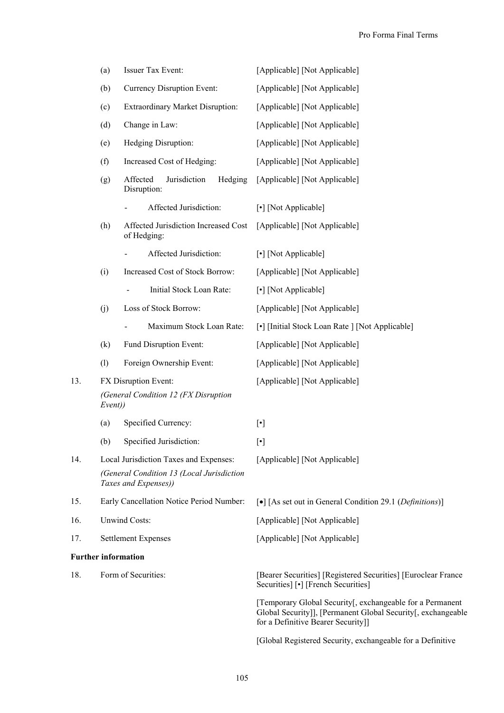|     | (a)     | Issuer Tax Event:                                                                                           | [Applicable] [Not Applicable]                                                                                                                                                                                                                          |
|-----|---------|-------------------------------------------------------------------------------------------------------------|--------------------------------------------------------------------------------------------------------------------------------------------------------------------------------------------------------------------------------------------------------|
|     | (b)     | Currency Disruption Event:                                                                                  | [Applicable] [Not Applicable]                                                                                                                                                                                                                          |
|     | (c)     | <b>Extraordinary Market Disruption:</b>                                                                     | [Applicable] [Not Applicable]                                                                                                                                                                                                                          |
|     | (d)     | Change in Law:                                                                                              | [Applicable] [Not Applicable]                                                                                                                                                                                                                          |
|     | (e)     | Hedging Disruption:                                                                                         | [Applicable] [Not Applicable]                                                                                                                                                                                                                          |
|     | (f)     | Increased Cost of Hedging:                                                                                  | [Applicable] [Not Applicable]                                                                                                                                                                                                                          |
|     | (g)     | Affected<br>Jurisdiction<br>Hedging<br>Disruption:                                                          | [Applicable] [Not Applicable]                                                                                                                                                                                                                          |
|     |         | Affected Jurisdiction:                                                                                      | [•] [Not Applicable]                                                                                                                                                                                                                                   |
|     | (h)     | Affected Jurisdiction Increased Cost<br>of Hedging:                                                         | [Applicable] [Not Applicable]                                                                                                                                                                                                                          |
|     |         | Affected Jurisdiction:                                                                                      | [•] [Not Applicable]                                                                                                                                                                                                                                   |
|     | (i)     | Increased Cost of Stock Borrow:                                                                             | [Applicable] [Not Applicable]                                                                                                                                                                                                                          |
|     |         | Initial Stock Loan Rate:                                                                                    | [•] [Not Applicable]                                                                                                                                                                                                                                   |
|     | (j)     | Loss of Stock Borrow:                                                                                       | [Applicable] [Not Applicable]                                                                                                                                                                                                                          |
|     |         | Maximum Stock Loan Rate:                                                                                    | [•] [Initial Stock Loan Rate ] [Not Applicable]                                                                                                                                                                                                        |
|     | (k)     | Fund Disruption Event:                                                                                      | [Applicable] [Not Applicable]                                                                                                                                                                                                                          |
|     | (1)     | Foreign Ownership Event:                                                                                    | [Applicable] [Not Applicable]                                                                                                                                                                                                                          |
| 13. | Event)) | FX Disruption Event:<br>(General Condition 12 (FX Disruption                                                | [Applicable] [Not Applicable]                                                                                                                                                                                                                          |
|     | (a)     | Specified Currency:                                                                                         | $[\cdot]$                                                                                                                                                                                                                                              |
|     | (b)     | Specified Jurisdiction:                                                                                     | $[\cdot] % \centering \includegraphics[width=0.9\textwidth]{images/TrDiM-Architecture.png} % \caption{The first two different values of $S$ with the same time. The first two different values of $S$ is the same time.} \label{TrDiM-Architecture} %$ |
| 14. |         | Local Jurisdiction Taxes and Expenses:<br>(General Condition 13 (Local Jurisdiction<br>Taxes and Expenses)) | [Applicable] [Not Applicable]                                                                                                                                                                                                                          |
| 15. |         | Early Cancellation Notice Period Number:                                                                    | [ $\bullet$ ] [As set out in General Condition 29.1 ( <i>Definitions</i> )]                                                                                                                                                                            |
| 16. |         | <b>Unwind Costs:</b>                                                                                        | [Applicable] [Not Applicable]                                                                                                                                                                                                                          |
| 17. |         | <b>Settlement Expenses</b>                                                                                  | [Applicable] [Not Applicable]                                                                                                                                                                                                                          |
|     |         | <b>Further information</b>                                                                                  |                                                                                                                                                                                                                                                        |
| 18. |         | Form of Securities:                                                                                         | [Bearer Securities] [Registered Securities] [Euroclear France<br>Securities] [•] [French Securities]                                                                                                                                                   |
|     |         |                                                                                                             | [Temporary Global Security[, exchangeable for a Permanent<br>Global Security]], [Permanent Global Security[, exchangeable<br>for a Definitive Bearer Security]]                                                                                        |
|     |         |                                                                                                             | [Global Registered Security, exchangeable for a Definitive                                                                                                                                                                                             |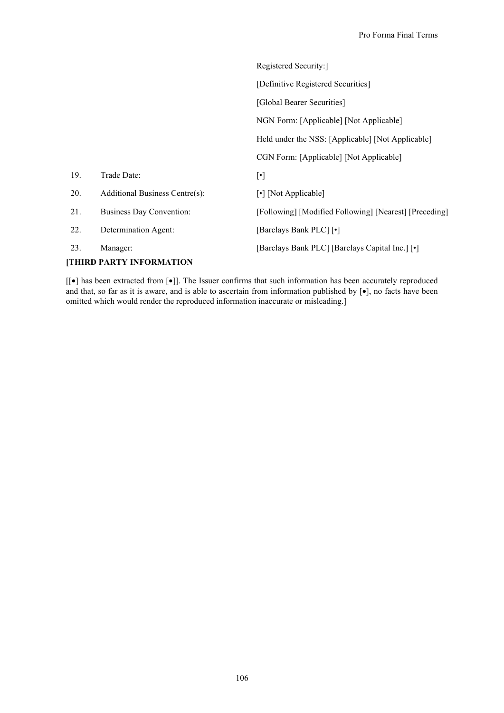|     |                                | Registered Security:                                   |
|-----|--------------------------------|--------------------------------------------------------|
|     |                                | [Definitive Registered Securities]                     |
|     |                                | [Global Bearer Securities]                             |
|     |                                | NGN Form: [Applicable] [Not Applicable]                |
|     |                                | Held under the NSS: [Applicable] [Not Applicable]      |
|     |                                | CGN Form: [Applicable] [Not Applicable]                |
| 19. | Trade Date:                    | $[\cdot]$                                              |
| 20. | Additional Business Centre(s): | [•] [Not Applicable]                                   |
| 21. | Business Day Convention:       | [Following] [Modified Following] [Nearest] [Preceding] |
| 22. | Determination Agent:           | [Barclays Bank PLC] [.]                                |
| 23. | Manager:                       | [Barclays Bank PLC] [Barclays Capital Inc.] [.]        |

# **[THIRD PARTY INFORMATION**

[ $[e]$  has been extracted from  $[e]$ ]. The Issuer confirms that such information has been accurately reproduced and that, so far as it is aware, and is able to ascertain from information published by  $[\bullet]$ , no facts have been omitted which would render the reproduced information inaccurate or misleading.]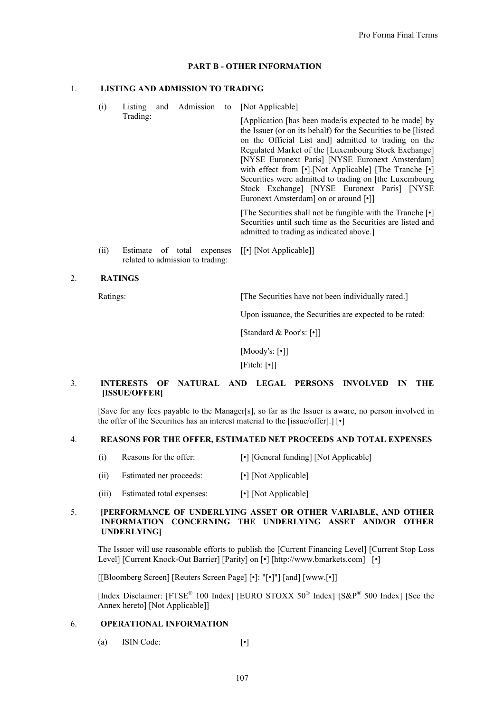## **PART B - OTHER INFORMATION**

## 1. **LISTING AND ADMISSION TO TRADING**

- (i) Listing and Admission to [Not Applicable] Trading: [Application [has been made/is expected to be made] by the Issuer (or on its behalf) for the Securities to be [listed on the Official List and] admitted to trading on the Regulated Market of the [Luxembourg Stock Exchange] [NYSE Euronext Paris] [NYSE Euronext Amsterdam] with effect from [•].[Not Applicable] [The Tranche [•] Securities were admitted to trading on [the Luxembourg Stock Exchange] [NYSE Euronext Paris] [NYSE Euronext Amsterdam] on or around [•]] [The Securities shall not be fungible with the Tranche [•] Securities until such time as the Securities are listed and admitted to trading as indicated above.] (ii) Estimate of total expenses related to admission to trading: [[•] [Not Applicable]]
- 2. **RATINGS**

Ratings: [The Securities have not been individually rated.]

Upon issuance, the Securities are expected to be rated:

[Standard & Poor's: [•]]

[Moody's: [•]]

[Fitch: [•]]

# 3. **INTERESTS OF NATURAL AND LEGAL PERSONS INVOLVED IN THE [ISSUE/OFFER]**

[Save for any fees payable to the Manager[s], so far as the Issuer is aware, no person involved in the offer of the Securities has an interest material to the [issue/offer].] [•]

#### 4. **REASONS FOR THE OFFER, ESTIMATED NET PROCEEDS AND TOTAL EXPENSES**

- (i) Reasons for the offer: [•] [General funding] [Not Applicable]
- (ii) Estimated net proceeds: [•] [Not Applicable]
- (iii) Estimated total expenses: [•] [Not Applicable]

## 5. **[PERFORMANCE OF UNDERLYING ASSET OR OTHER VARIABLE, AND OTHER INFORMATION CONCERNING THE UNDERLYING ASSET AND/OR OTHER UNDERLYING]**

The Issuer will use reasonable efforts to publish the [Current Financing Level] [Current Stop Loss Level] [Current Knock-Out Barrier] [Parity] on [•] [http://www.bmarkets.com] [•]

[[Bloomberg Screen] [Reuters Screen Page] [•]: "[•]"] [and] [www.[•]]

[Index Disclaimer: [FTSE<sup>®</sup> 100 Index] [EURO STOXX 50<sup>®</sup> Index] [S&P<sup>®</sup> 500 Index] [See the Annex hereto] [Not Applicable]]

#### 6. **OPERATIONAL INFORMATION**

(a) ISIN Code: [•]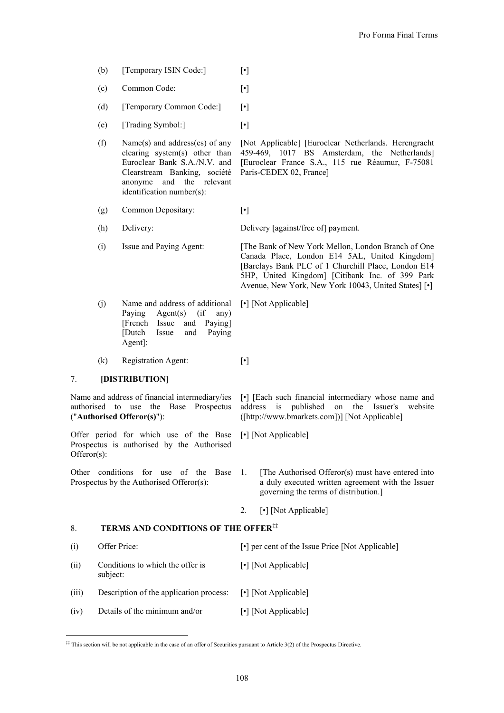- (b) [Temporary ISIN Code:] [•]
- (c) Common Code: [•]
- (d) [Temporary Common Code:] [•]
- (e) [Trading Symbol:] [•]
- (f) Name(s) and address(es) of any clearing system(s) other than Euroclear Bank S.A./N.V. and Clearstream Banking, société anonyme and the relevant identification number(s):

[Not Applicable] [Euroclear Netherlands. Herengracht 459-469, 1017 BS Amsterdam, the Netherlands] [Euroclear France S.A., 115 rue Réaumur, F-75081 Paris-CEDEX 02, France]

- (g) Common Depositary: [•]
- 

(h) Delivery: Delivery [against/free of] payment.

(i) Issue and Paying Agent: [The Bank of New York Mellon, London Branch of One Canada Place, London E14 5AL, United Kingdom] [Barclays Bank PLC of 1 Churchill Place, London E14 5HP, United Kingdom] [Citibank Inc. of 399 Park Avenue, New York, New York 10043, United States] [•]

- (j) Name and address of additional Paying Agent(s) (if any) [French Issue and Paying] [Dutch Issue and Paying Agent]: [•] [Not Applicable]
- (k) Registration Agent: [•]

# 7. **[DISTRIBUTION]**

-

Name and address of financial intermediary/ies authorised to use the Base Prospectus ("**Authorised Offeror(s)**"):

Offer period for which use of the Base Prospectus is authorised by the Authorised Offeror(s):

Other conditions for use of the Base Prospectus by the Authorised Offeror(s):

[•] [Each such financial intermediary whose name and address is published on the Issuer's website ([http://www.bmarkets.com])] [Not Applicable]

[•] [Not Applicable]

1. [The Authorised Offeror(s) must have entered into a duly executed written agreement with the Issuer governing the terms of distribution.]

2. [•] [Not Applicable]

## 8. **TERMS AND CONDITIONS OF THE OFFER‡‡**

| (i)   | Offer Price:                                 | [•] per cent of the Issue Price [Not Applicable] |
|-------|----------------------------------------------|--------------------------------------------------|
| (ii)  | Conditions to which the offer is<br>subject: | [•] [Not Applicable]                             |
| (iii) | Description of the application process:      | [•] [Not Applicable]                             |
| (iv)  | Details of the minimum and/or                | [•] [Not Applicable]                             |

<sup>&</sup>lt;sup>##</sup> This section will be not applicable in the case of an offer of Securities pursuant to Article 3(2) of the Prospectus Directive.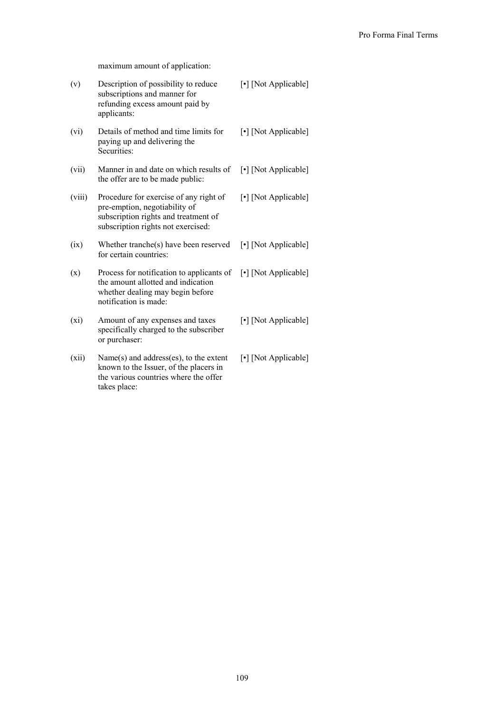maximum amount of application:

| (v)    | Description of possibility to reduce<br>subscriptions and manner for<br>refunding excess amount paid by<br>applicants:                                | [•] [Not Applicable] |
|--------|-------------------------------------------------------------------------------------------------------------------------------------------------------|----------------------|
| (vi)   | Details of method and time limits for<br>paying up and delivering the<br>Securities:                                                                  | [•] [Not Applicable] |
| (vii)  | Manner in and date on which results of<br>the offer are to be made public:                                                                            | [•] [Not Applicable] |
| (viii) | Procedure for exercise of any right of<br>pre-emption, negotiability of<br>subscription rights and treatment of<br>subscription rights not exercised: | [•] [Not Applicable] |
| (ix)   | Whether tranche(s) have been reserved<br>for certain countries:                                                                                       | [•] [Not Applicable] |
| (x)    | Process for notification to applicants of<br>the amount allotted and indication<br>whether dealing may begin before<br>notification is made:          | [•] [Not Applicable] |
| (xi)   | Amount of any expenses and taxes<br>specifically charged to the subscriber<br>or purchaser:                                                           | [•] [Not Applicable] |
| (xii)  | Name(s) and address(es), to the extent<br>known to the Issuer, of the placers in<br>the various countries where the offer<br>takes place:             | [•] [Not Applicable] |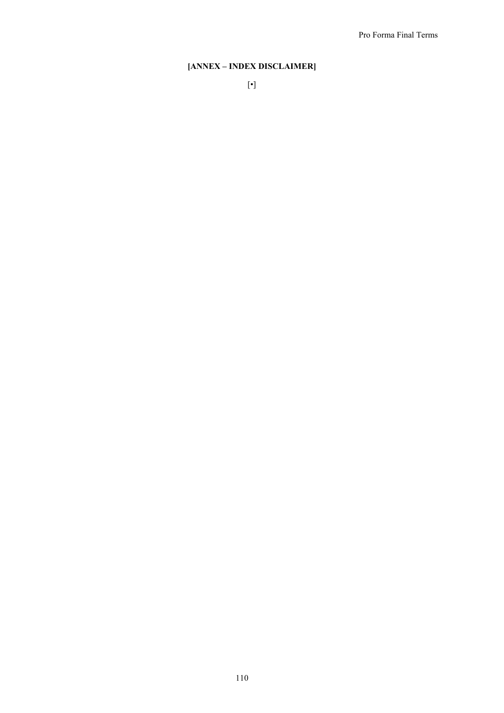# **[ANNEX – INDEX DISCLAIMER]**

110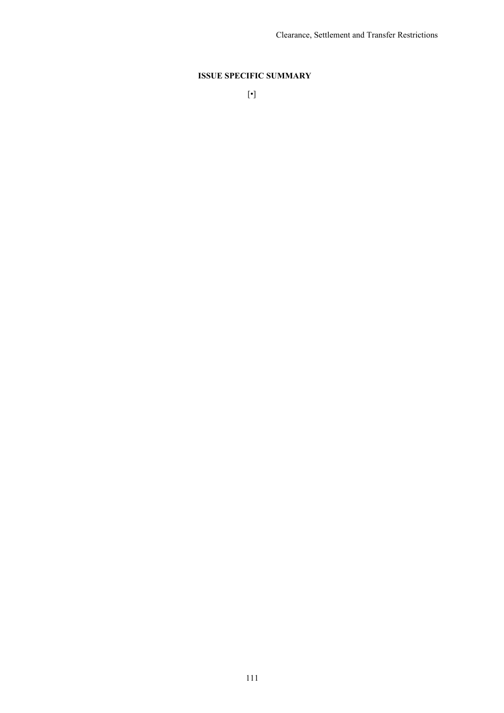# **ISSUE SPECIFIC SUMMARY**

[•]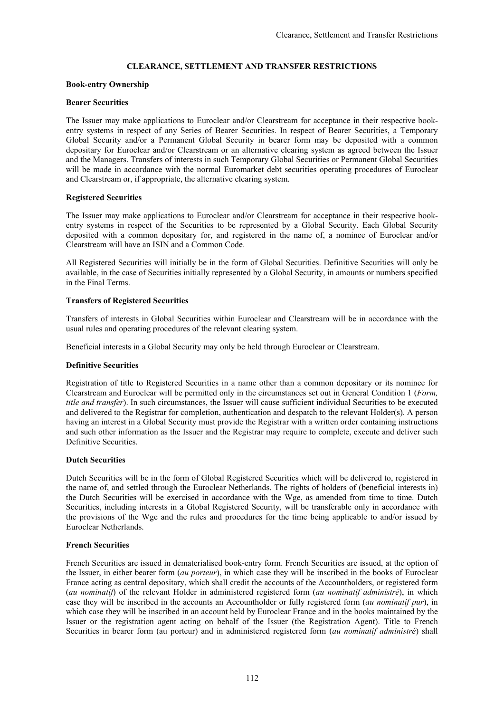## **CLEARANCE, SETTLEMENT AND TRANSFER RESTRICTIONS**

## **Book-entry Ownership**

## **Bearer Securities**

The Issuer may make applications to Euroclear and/or Clearstream for acceptance in their respective bookentry systems in respect of any Series of Bearer Securities. In respect of Bearer Securities, a Temporary Global Security and/or a Permanent Global Security in bearer form may be deposited with a common depositary for Euroclear and/or Clearstream or an alternative clearing system as agreed between the Issuer and the Managers. Transfers of interests in such Temporary Global Securities or Permanent Global Securities will be made in accordance with the normal Euromarket debt securities operating procedures of Euroclear and Clearstream or, if appropriate, the alternative clearing system.

## **Registered Securities**

The Issuer may make applications to Euroclear and/or Clearstream for acceptance in their respective bookentry systems in respect of the Securities to be represented by a Global Security. Each Global Security deposited with a common depositary for, and registered in the name of, a nominee of Euroclear and/or Clearstream will have an ISIN and a Common Code.

All Registered Securities will initially be in the form of Global Securities. Definitive Securities will only be available, in the case of Securities initially represented by a Global Security, in amounts or numbers specified in the Final Terms.

## **Transfers of Registered Securities**

Transfers of interests in Global Securities within Euroclear and Clearstream will be in accordance with the usual rules and operating procedures of the relevant clearing system.

Beneficial interests in a Global Security may only be held through Euroclear or Clearstream.

## **Definitive Securities**

Registration of title to Registered Securities in a name other than a common depositary or its nominee for Clearstream and Euroclear will be permitted only in the circumstances set out in General Condition 1 (*Form, title and transfer*). In such circumstances, the Issuer will cause sufficient individual Securities to be executed and delivered to the Registrar for completion, authentication and despatch to the relevant Holder(s). A person having an interest in a Global Security must provide the Registrar with a written order containing instructions and such other information as the Issuer and the Registrar may require to complete, execute and deliver such Definitive Securities.

## **Dutch Securities**

Dutch Securities will be in the form of Global Registered Securities which will be delivered to, registered in the name of, and settled through the Euroclear Netherlands. The rights of holders of (beneficial interests in) the Dutch Securities will be exercised in accordance with the Wge, as amended from time to time. Dutch Securities, including interests in a Global Registered Security, will be transferable only in accordance with the provisions of the Wge and the rules and procedures for the time being applicable to and/or issued by Euroclear Netherlands.

#### **French Securities**

French Securities are issued in dematerialised book-entry form. French Securities are issued, at the option of the Issuer, in either bearer form (*au porteur*), in which case they will be inscribed in the books of Euroclear France acting as central depositary, which shall credit the accounts of the Accountholders, or registered form (*au nominatif*) of the relevant Holder in administered registered form (*au nominatif administré*), in which case they will be inscribed in the accounts an Accountholder or fully registered form (*au nominatif pur*), in which case they will be inscribed in an account held by Euroclear France and in the books maintained by the Issuer or the registration agent acting on behalf of the Issuer (the Registration Agent). Title to French Securities in bearer form (au porteur) and in administered registered form (*au nominatif administré*) shall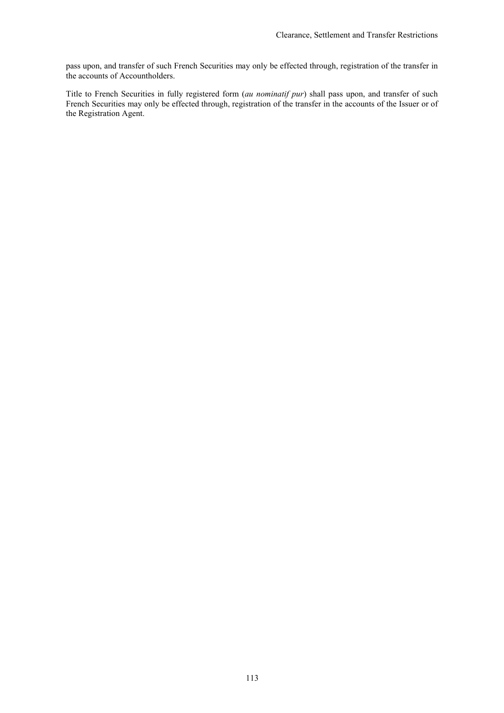pass upon, and transfer of such French Securities may only be effected through, registration of the transfer in the accounts of Accountholders.

Title to French Securities in fully registered form (*au nominatif pur*) shall pass upon, and transfer of such French Securities may only be effected through, registration of the transfer in the accounts of the Issuer or of the Registration Agent.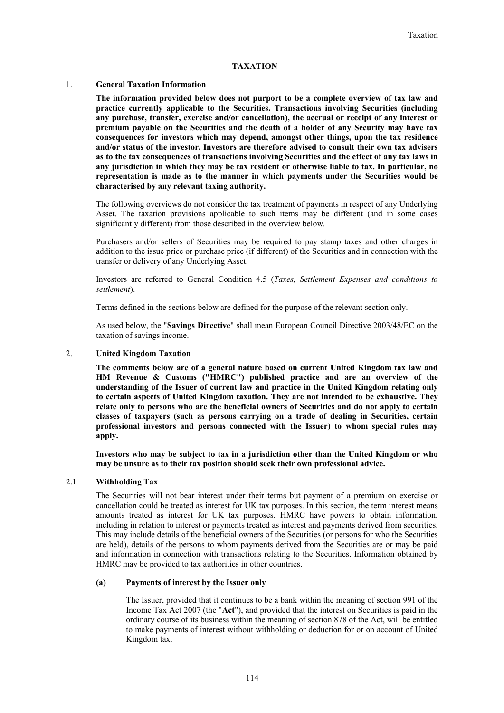## **TAXATION**

## 1. **General Taxation Information**

**The information provided below does not purport to be a complete overview of tax law and practice currently applicable to the Securities. Transactions involving Securities (including any purchase, transfer, exercise and/or cancellation), the accrual or receipt of any interest or premium payable on the Securities and the death of a holder of any Security may have tax consequences for investors which may depend, amongst other things, upon the tax residence and/or status of the investor. Investors are therefore advised to consult their own tax advisers as to the tax consequences of transactions involving Securities and the effect of any tax laws in any jurisdiction in which they may be tax resident or otherwise liable to tax. In particular, no representation is made as to the manner in which payments under the Securities would be characterised by any relevant taxing authority.**

The following overviews do not consider the tax treatment of payments in respect of any Underlying Asset. The taxation provisions applicable to such items may be different (and in some cases significantly different) from those described in the overview below.

Purchasers and/or sellers of Securities may be required to pay stamp taxes and other charges in addition to the issue price or purchase price (if different) of the Securities and in connection with the transfer or delivery of any Underlying Asset.

Investors are referred to General Condition 4.5 (*Taxes, Settlement Expenses and conditions to settlement*).

Terms defined in the sections below are defined for the purpose of the relevant section only.

As used below, the "**Savings Directive**" shall mean European Council Directive 2003/48/EC on the taxation of savings income.

## 2. **United Kingdom Taxation**

**The comments below are of a general nature based on current United Kingdom tax law and HM Revenue & Customs ("HMRC") published practice and are an overview of the understanding of the Issuer of current law and practice in the United Kingdom relating only to certain aspects of United Kingdom taxation. They are not intended to be exhaustive. They relate only to persons who are the beneficial owners of Securities and do not apply to certain classes of taxpayers (such as persons carrying on a trade of dealing in Securities, certain professional investors and persons connected with the Issuer) to whom special rules may apply.**

**Investors who may be subject to tax in a jurisdiction other than the United Kingdom or who may be unsure as to their tax position should seek their own professional advice.**

#### 2.1 **Withholding Tax**

The Securities will not bear interest under their terms but payment of a premium on exercise or cancellation could be treated as interest for UK tax purposes. In this section, the term interest means amounts treated as interest for UK tax purposes. HMRC have powers to obtain information, including in relation to interest or payments treated as interest and payments derived from securities. This may include details of the beneficial owners of the Securities (or persons for who the Securities are held), details of the persons to whom payments derived from the Securities are or may be paid and information in connection with transactions relating to the Securities. Information obtained by HMRC may be provided to tax authorities in other countries.

#### **(a) Payments of interest by the Issuer only**

The Issuer, provided that it continues to be a bank within the meaning of section 991 of the Income Tax Act 2007 (the "**Act**"), and provided that the interest on Securities is paid in the ordinary course of its business within the meaning of section 878 of the Act, will be entitled to make payments of interest without withholding or deduction for or on account of United Kingdom tax.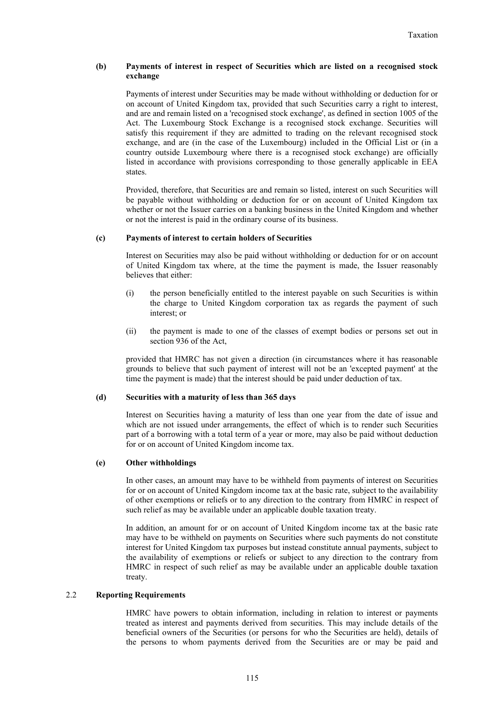## **(b) Payments of interest in respect of Securities which are listed on a recognised stock exchange**

Payments of interest under Securities may be made without withholding or deduction for or on account of United Kingdom tax, provided that such Securities carry a right to interest, and are and remain listed on a 'recognised stock exchange', as defined in section 1005 of the Act. The Luxembourg Stock Exchange is a recognised stock exchange. Securities will satisfy this requirement if they are admitted to trading on the relevant recognised stock exchange, and are (in the case of the Luxembourg) included in the Official List or (in a country outside Luxembourg where there is a recognised stock exchange) are officially listed in accordance with provisions corresponding to those generally applicable in EEA states.

Provided, therefore, that Securities are and remain so listed, interest on such Securities will be payable without withholding or deduction for or on account of United Kingdom tax whether or not the Issuer carries on a banking business in the United Kingdom and whether or not the interest is paid in the ordinary course of its business.

## **(c) Payments of interest to certain holders of Securities**

Interest on Securities may also be paid without withholding or deduction for or on account of United Kingdom tax where, at the time the payment is made, the Issuer reasonably believes that either:

- (i) the person beneficially entitled to the interest payable on such Securities is within the charge to United Kingdom corporation tax as regards the payment of such interest: or
- (ii) the payment is made to one of the classes of exempt bodies or persons set out in section 936 of the Act

provided that HMRC has not given a direction (in circumstances where it has reasonable grounds to believe that such payment of interest will not be an 'excepted payment' at the time the payment is made) that the interest should be paid under deduction of tax.

## **(d) Securities with a maturity of less than 365 days**

Interest on Securities having a maturity of less than one year from the date of issue and which are not issued under arrangements, the effect of which is to render such Securities part of a borrowing with a total term of a year or more, may also be paid without deduction for or on account of United Kingdom income tax.

#### **(e) Other withholdings**

In other cases, an amount may have to be withheld from payments of interest on Securities for or on account of United Kingdom income tax at the basic rate, subject to the availability of other exemptions or reliefs or to any direction to the contrary from HMRC in respect of such relief as may be available under an applicable double taxation treaty.

In addition, an amount for or on account of United Kingdom income tax at the basic rate may have to be withheld on payments on Securities where such payments do not constitute interest for United Kingdom tax purposes but instead constitute annual payments, subject to the availability of exemptions or reliefs or subject to any direction to the contrary from HMRC in respect of such relief as may be available under an applicable double taxation treaty.

#### 2.2 **Reporting Requirements**

HMRC have powers to obtain information, including in relation to interest or payments treated as interest and payments derived from securities. This may include details of the beneficial owners of the Securities (or persons for who the Securities are held), details of the persons to whom payments derived from the Securities are or may be paid and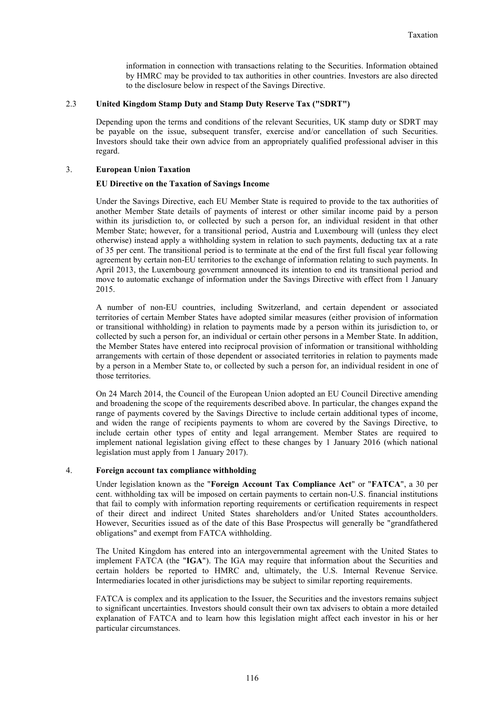information in connection with transactions relating to the Securities. Information obtained by HMRC may be provided to tax authorities in other countries. Investors are also directed to the disclosure below in respect of the Savings Directive.

## 2.3 **United Kingdom Stamp Duty and Stamp Duty Reserve Tax ("SDRT")**

Depending upon the terms and conditions of the relevant Securities, UK stamp duty or SDRT may be payable on the issue, subsequent transfer, exercise and/or cancellation of such Securities. Investors should take their own advice from an appropriately qualified professional adviser in this regard.

## 3. **European Union Taxation**

## **EU Directive on the Taxation of Savings Income**

Under the Savings Directive, each EU Member State is required to provide to the tax authorities of another Member State details of payments of interest or other similar income paid by a person within its jurisdiction to, or collected by such a person for, an individual resident in that other Member State; however, for a transitional period, Austria and Luxembourg will (unless they elect otherwise) instead apply a withholding system in relation to such payments, deducting tax at a rate of 35 per cent. The transitional period is to terminate at the end of the first full fiscal year following agreement by certain non-EU territories to the exchange of information relating to such payments. In April 2013, the Luxembourg government announced its intention to end its transitional period and move to automatic exchange of information under the Savings Directive with effect from 1 January 2015.

A number of non-EU countries, including Switzerland, and certain dependent or associated territories of certain Member States have adopted similar measures (either provision of information or transitional withholding) in relation to payments made by a person within its jurisdiction to, or collected by such a person for, an individual or certain other persons in a Member State. In addition, the Member States have entered into reciprocal provision of information or transitional withholding arrangements with certain of those dependent or associated territories in relation to payments made by a person in a Member State to, or collected by such a person for, an individual resident in one of those territories.

On 24 March 2014, the Council of the European Union adopted an EU Council Directive amending and broadening the scope of the requirements described above. In particular, the changes expand the range of payments covered by the Savings Directive to include certain additional types of income, and widen the range of recipients payments to whom are covered by the Savings Directive, to include certain other types of entity and legal arrangement. Member States are required to implement national legislation giving effect to these changes by 1 January 2016 (which national legislation must apply from 1 January 2017).

## 4. **Foreign account tax compliance withholding**

Under legislation known as the "**Foreign Account Tax Compliance Act**" or "**FATCA**", a 30 per cent. withholding tax will be imposed on certain payments to certain non-U.S. financial institutions that fail to comply with information reporting requirements or certification requirements in respect of their direct and indirect United States shareholders and/or United States accountholders. However, Securities issued as of the date of this Base Prospectus will generally be "grandfathered obligations" and exempt from FATCA withholding.

The United Kingdom has entered into an intergovernmental agreement with the United States to implement FATCA (the "**IGA**"). The IGA may require that information about the Securities and certain holders be reported to HMRC and, ultimately, the U.S. Internal Revenue Service. Intermediaries located in other jurisdictions may be subject to similar reporting requirements.

FATCA is complex and its application to the Issuer, the Securities and the investors remains subject to significant uncertainties. Investors should consult their own tax advisers to obtain a more detailed explanation of FATCA and to learn how this legislation might affect each investor in his or her particular circumstances.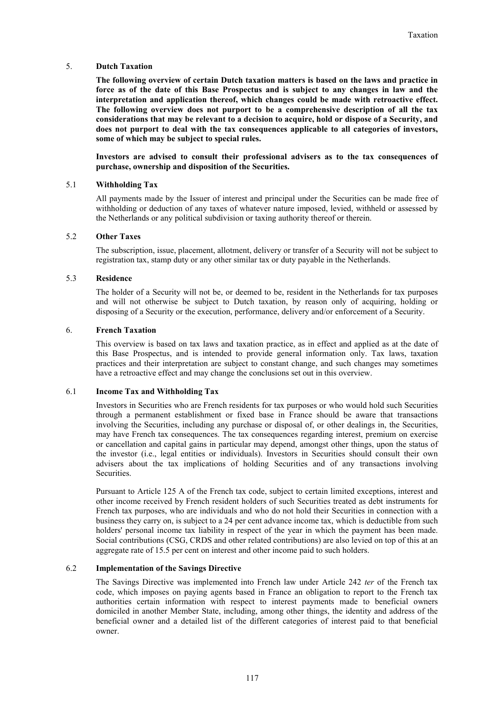## 5. **Dutch Taxation**

**The following overview of certain Dutch taxation matters is based on the laws and practice in force as of the date of this Base Prospectus and is subject to any changes in law and the interpretation and application thereof, which changes could be made with retroactive effect. The following overview does not purport to be a comprehensive description of all the tax considerations that may be relevant to a decision to acquire, hold or dispose of a Security, and does not purport to deal with the tax consequences applicable to all categories of investors, some of which may be subject to special rules.**

**Investors are advised to consult their professional advisers as to the tax consequences of purchase, ownership and disposition of the Securities.**

## 5.1 **Withholding Tax**

All payments made by the Issuer of interest and principal under the Securities can be made free of withholding or deduction of any taxes of whatever nature imposed, levied, withheld or assessed by the Netherlands or any political subdivision or taxing authority thereof or therein.

## 5.2 **Other Taxes**

The subscription, issue, placement, allotment, delivery or transfer of a Security will not be subject to registration tax, stamp duty or any other similar tax or duty payable in the Netherlands.

## 5.3 **Residence**

The holder of a Security will not be, or deemed to be, resident in the Netherlands for tax purposes and will not otherwise be subject to Dutch taxation, by reason only of acquiring, holding or disposing of a Security or the execution, performance, delivery and/or enforcement of a Security.

## 6. **French Taxation**

This overview is based on tax laws and taxation practice, as in effect and applied as at the date of this Base Prospectus, and is intended to provide general information only. Tax laws, taxation practices and their interpretation are subject to constant change, and such changes may sometimes have a retroactive effect and may change the conclusions set out in this overview.

#### 6.1 **Income Tax and Withholding Tax**

Investors in Securities who are French residents for tax purposes or who would hold such Securities through a permanent establishment or fixed base in France should be aware that transactions involving the Securities, including any purchase or disposal of, or other dealings in, the Securities, may have French tax consequences. The tax consequences regarding interest, premium on exercise or cancellation and capital gains in particular may depend, amongst other things, upon the status of the investor (i.e., legal entities or individuals). Investors in Securities should consult their own advisers about the tax implications of holding Securities and of any transactions involving Securities.

Pursuant to Article 125 A of the French tax code, subject to certain limited exceptions, interest and other income received by French resident holders of such Securities treated as debt instruments for French tax purposes, who are individuals and who do not hold their Securities in connection with a business they carry on, is subject to a 24 per cent advance income tax, which is deductible from such holders' personal income tax liability in respect of the year in which the payment has been made. Social contributions (CSG, CRDS and other related contributions) are also levied on top of this at an aggregate rate of 15.5 per cent on interest and other income paid to such holders.

## 6.2 **Implementation of the Savings Directive**

The Savings Directive was implemented into French law under Article 242 *ter* of the French tax code, which imposes on paying agents based in France an obligation to report to the French tax authorities certain information with respect to interest payments made to beneficial owners domiciled in another Member State, including, among other things, the identity and address of the beneficial owner and a detailed list of the different categories of interest paid to that beneficial owner.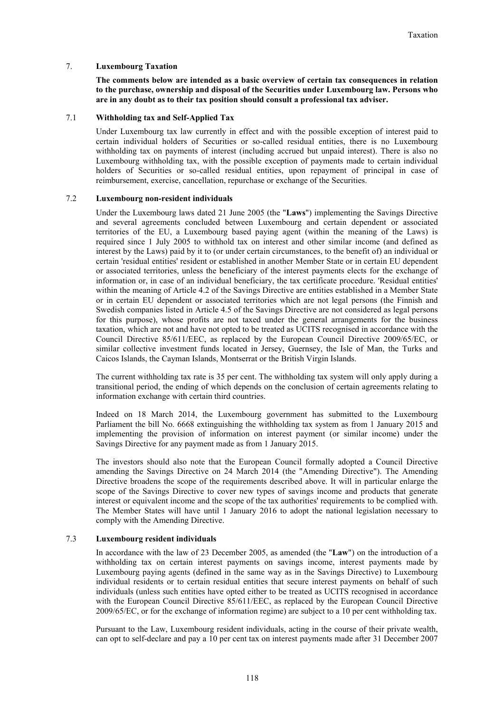## 7. **Luxembourg Taxation**

**The comments below are intended as a basic overview of certain tax consequences in relation to the purchase, ownership and disposal of the Securities under Luxembourg law. Persons who are in any doubt as to their tax position should consult a professional tax adviser.**

## 7.1 **Withholding tax and Self-Applied Tax**

Under Luxembourg tax law currently in effect and with the possible exception of interest paid to certain individual holders of Securities or so-called residual entities, there is no Luxembourg withholding tax on payments of interest (including accrued but unpaid interest). There is also no Luxembourg withholding tax, with the possible exception of payments made to certain individual holders of Securities or so-called residual entities, upon repayment of principal in case of reimbursement, exercise, cancellation, repurchase or exchange of the Securities.

## 7.2 **Luxembourg non-resident individuals**

Under the Luxembourg laws dated 21 June 2005 (the "**Laws**") implementing the Savings Directive and several agreements concluded between Luxembourg and certain dependent or associated territories of the EU, a Luxembourg based paying agent (within the meaning of the Laws) is required since 1 July 2005 to withhold tax on interest and other similar income (and defined as interest by the Laws) paid by it to (or under certain circumstances, to the benefit of) an individual or certain 'residual entities' resident or established in another Member State or in certain EU dependent or associated territories, unless the beneficiary of the interest payments elects for the exchange of information or, in case of an individual beneficiary, the tax certificate procedure. 'Residual entities' within the meaning of Article 4.2 of the Savings Directive are entities established in a Member State or in certain EU dependent or associated territories which are not legal persons (the Finnish and Swedish companies listed in Article 4.5 of the Savings Directive are not considered as legal persons for this purpose), whose profits are not taxed under the general arrangements for the business taxation, which are not and have not opted to be treated as UCITS recognised in accordance with the Council Directive 85/611/EEC, as replaced by the European Council Directive 2009/65/EC, or similar collective investment funds located in Jersey, Guernsey, the Isle of Man, the Turks and Caicos Islands, the Cayman Islands, Montserrat or the British Virgin Islands.

The current withholding tax rate is 35 per cent. The withholding tax system will only apply during a transitional period, the ending of which depends on the conclusion of certain agreements relating to information exchange with certain third countries.

Indeed on 18 March 2014, the Luxembourg government has submitted to the Luxembourg Parliament the bill No. 6668 extinguishing the withholding tax system as from 1 January 2015 and implementing the provision of information on interest payment (or similar income) under the Savings Directive for any payment made as from 1 January 2015.

The investors should also note that the European Council formally adopted a Council Directive amending the Savings Directive on 24 March 2014 (the "Amending Directive"). The Amending Directive broadens the scope of the requirements described above. It will in particular enlarge the scope of the Savings Directive to cover new types of savings income and products that generate interest or equivalent income and the scope of the tax authorities' requirements to be complied with. The Member States will have until 1 January 2016 to adopt the national legislation necessary to comply with the Amending Directive.

## 7.3 **Luxembourg resident individuals**

In accordance with the law of 23 December 2005, as amended (the "**Law**") on the introduction of a withholding tax on certain interest payments on savings income, interest payments made by Luxembourg paying agents (defined in the same way as in the Savings Directive) to Luxembourg individual residents or to certain residual entities that secure interest payments on behalf of such individuals (unless such entities have opted either to be treated as UCITS recognised in accordance with the European Council Directive 85/611/EEC, as replaced by the European Council Directive 2009/65/EC, or for the exchange of information regime) are subject to a 10 per cent withholding tax.

Pursuant to the Law, Luxembourg resident individuals, acting in the course of their private wealth, can opt to self-declare and pay a 10 per cent tax on interest payments made after 31 December 2007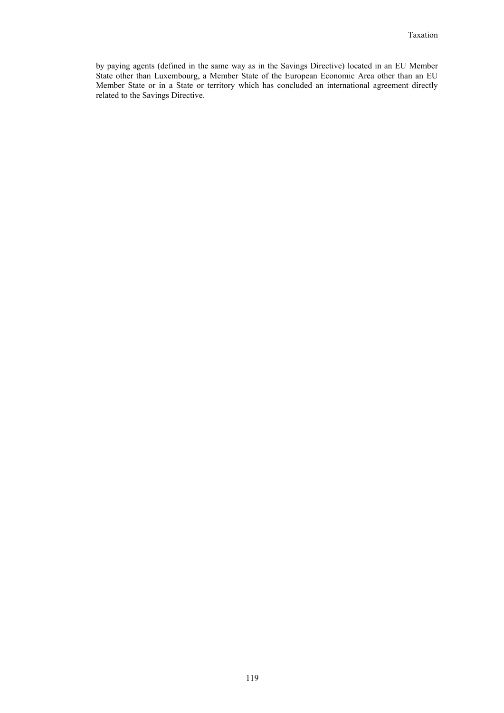by paying agents (defined in the same way as in the Savings Directive) located in an EU Member State other than Luxembourg, a Member State of the European Economic Area other than an EU Member State or in a State or territory which has concluded an international agreement directly related to the Savings Directive.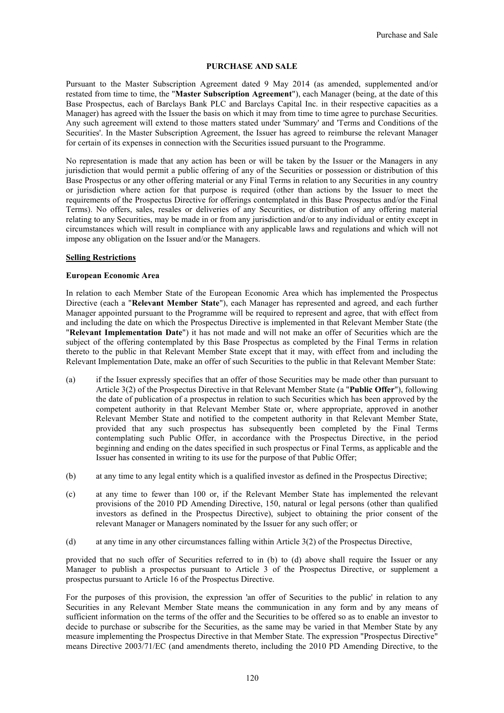## **PURCHASE AND SALE**

Pursuant to the Master Subscription Agreement dated 9 May 2014 (as amended, supplemented and/or restated from time to time, the "**Master Subscription Agreement**"), each Manager (being, at the date of this Base Prospectus, each of Barclays Bank PLC and Barclays Capital Inc. in their respective capacities as a Manager) has agreed with the Issuer the basis on which it may from time to time agree to purchase Securities. Any such agreement will extend to those matters stated under 'Summary' and 'Terms and Conditions of the Securities'. In the Master Subscription Agreement, the Issuer has agreed to reimburse the relevant Manager for certain of its expenses in connection with the Securities issued pursuant to the Programme.

No representation is made that any action has been or will be taken by the Issuer or the Managers in any jurisdiction that would permit a public offering of any of the Securities or possession or distribution of this Base Prospectus or any other offering material or any Final Terms in relation to any Securities in any country or jurisdiction where action for that purpose is required (other than actions by the Issuer to meet the requirements of the Prospectus Directive for offerings contemplated in this Base Prospectus and/or the Final Terms). No offers, sales, resales or deliveries of any Securities, or distribution of any offering material relating to any Securities, may be made in or from any jurisdiction and/or to any individual or entity except in circumstances which will result in compliance with any applicable laws and regulations and which will not impose any obligation on the Issuer and/or the Managers.

#### **Selling Restrictions**

## **European Economic Area**

In relation to each Member State of the European Economic Area which has implemented the Prospectus Directive (each a "**Relevant Member State**"), each Manager has represented and agreed, and each further Manager appointed pursuant to the Programme will be required to represent and agree, that with effect from and including the date on which the Prospectus Directive is implemented in that Relevant Member State (the "**Relevant Implementation Date**") it has not made and will not make an offer of Securities which are the subject of the offering contemplated by this Base Prospectus as completed by the Final Terms in relation thereto to the public in that Relevant Member State except that it may, with effect from and including the Relevant Implementation Date, make an offer of such Securities to the public in that Relevant Member State:

- (a) if the Issuer expressly specifies that an offer of those Securities may be made other than pursuant to Article 3(2) of the Prospectus Directive in that Relevant Member State (a "**Public Offer**"), following the date of publication of a prospectus in relation to such Securities which has been approved by the competent authority in that Relevant Member State or, where appropriate, approved in another Relevant Member State and notified to the competent authority in that Relevant Member State, provided that any such prospectus has subsequently been completed by the Final Terms contemplating such Public Offer, in accordance with the Prospectus Directive, in the period beginning and ending on the dates specified in such prospectus or Final Terms, as applicable and the Issuer has consented in writing to its use for the purpose of that Public Offer;
- (b) at any time to any legal entity which is a qualified investor as defined in the Prospectus Directive;
- (c) at any time to fewer than 100 or, if the Relevant Member State has implemented the relevant provisions of the 2010 PD Amending Directive, 150, natural or legal persons (other than qualified investors as defined in the Prospectus Directive), subject to obtaining the prior consent of the relevant Manager or Managers nominated by the Issuer for any such offer; or
- (d) at any time in any other circumstances falling within Article 3(2) of the Prospectus Directive,

provided that no such offer of Securities referred to in (b) to (d) above shall require the Issuer or any Manager to publish a prospectus pursuant to Article 3 of the Prospectus Directive, or supplement a prospectus pursuant to Article 16 of the Prospectus Directive.

For the purposes of this provision, the expression 'an offer of Securities to the public' in relation to any Securities in any Relevant Member State means the communication in any form and by any means of sufficient information on the terms of the offer and the Securities to be offered so as to enable an investor to decide to purchase or subscribe for the Securities, as the same may be varied in that Member State by any measure implementing the Prospectus Directive in that Member State. The expression "Prospectus Directive" means Directive 2003/71/EC (and amendments thereto, including the 2010 PD Amending Directive, to the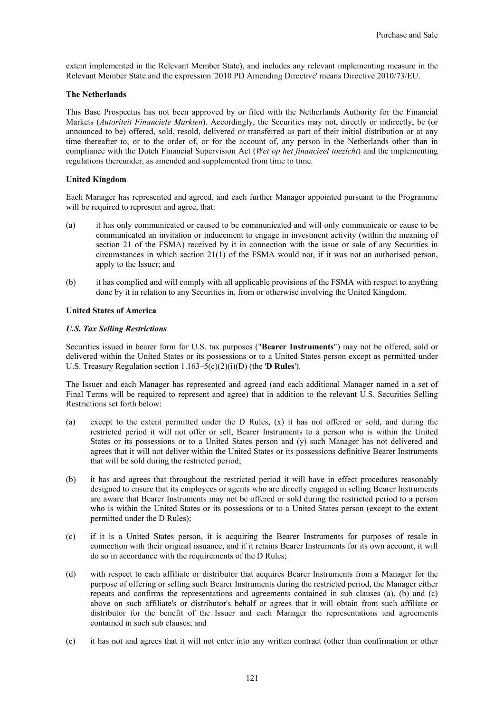extent implemented in the Relevant Member State), and includes any relevant implementing measure in the Relevant Member State and the expression '2010 PD Amending Directive' means Directive 2010/73/EU.

## **The Netherlands**

This Base Prospectus has not been approved by or filed with the Netherlands Authority for the Financial Markets (*Autoriteit Financiele Markten*). Accordingly, the Securities may not, directly or indirectly, be (or announced to be) offered, sold, resold, delivered or transferred as part of their initial distribution or at any time thereafter to, or to the order of, or for the account of, any person in the Netherlands other than in compliance with the Dutch Financial Supervision Act (*Wet op het financieel toezicht*) and the implementing regulations thereunder, as amended and supplemented from time to time.

## **United Kingdom**

Each Manager has represented and agreed, and each further Manager appointed pursuant to the Programme will be required to represent and agree, that:

- (a) it has only communicated or caused to be communicated and will only communicate or cause to be communicated an invitation or inducement to engage in investment activity (within the meaning of section 21 of the FSMA) received by it in connection with the issue or sale of any Securities in circumstances in which section 21(1) of the FSMA would not, if it was not an authorised person, apply to the Issuer; and
- (b) it has complied and will comply with all applicable provisions of the FSMA with respect to anything done by it in relation to any Securities in, from or otherwise involving the United Kingdom.

#### **United States of America**

## *U.S. Tax Selling Restrictions*

Securities issued in bearer form for U.S. tax purposes ("**Bearer Instruments**") may not be offered, sold or delivered within the United States or its possessions or to a United States person except as permitted under U.S. Treasury Regulation section 1.163–5(c)(2)(i)(D) (the '**D Rules**').

The Issuer and each Manager has represented and agreed (and each additional Manager named in a set of Final Terms will be required to represent and agree) that in addition to the relevant U.S. Securities Selling Restrictions set forth below:

- (a) except to the extent permitted under the D Rules, (x) it has not offered or sold, and during the restricted period it will not offer or sell, Bearer Instruments to a person who is within the United States or its possessions or to a United States person and (y) such Manager has not delivered and agrees that it will not deliver within the United States or its possessions definitive Bearer Instruments that will be sold during the restricted period;
- (b) it has and agrees that throughout the restricted period it will have in effect procedures reasonably designed to ensure that its employees or agents who are directly engaged in selling Bearer Instruments are aware that Bearer Instruments may not be offered or sold during the restricted period to a person who is within the United States or its possessions or to a United States person (except to the extent permitted under the D Rules);
- (c) if it is a United States person, it is acquiring the Bearer Instruments for purposes of resale in connection with their original issuance, and if it retains Bearer Instruments for its own account, it will do so in accordance with the requirements of the D Rules;
- (d) with respect to each affiliate or distributor that acquires Bearer Instruments from a Manager for the purpose of offering or selling such Bearer Instruments during the restricted period, the Manager either repeats and confirms the representations and agreements contained in sub clauses (a), (b) and (c) above on such affiliate's or distributor's behalf or agrees that it will obtain from such affiliate or distributor for the benefit of the Issuer and each Manager the representations and agreements contained in such sub clauses; and
- (e) it has not and agrees that it will not enter into any written contract (other than confirmation or other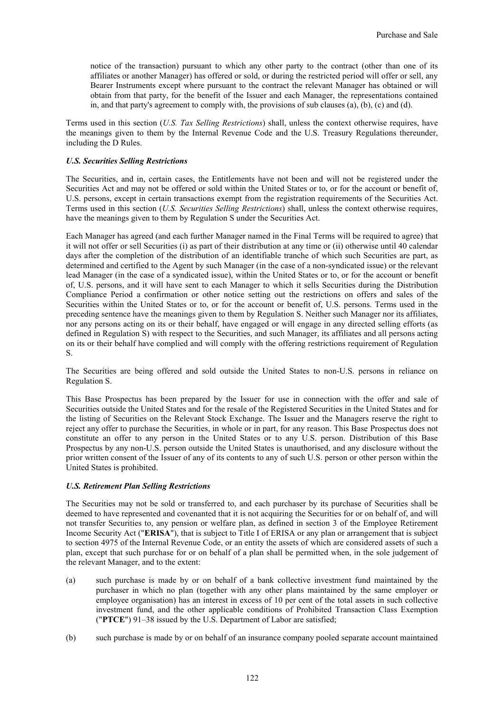notice of the transaction) pursuant to which any other party to the contract (other than one of its affiliates or another Manager) has offered or sold, or during the restricted period will offer or sell, any Bearer Instruments except where pursuant to the contract the relevant Manager has obtained or will obtain from that party, for the benefit of the Issuer and each Manager, the representations contained in, and that party's agreement to comply with, the provisions of sub clauses (a), (b), (c) and (d).

Terms used in this section (*U.S. Tax Selling Restrictions*) shall, unless the context otherwise requires, have the meanings given to them by the Internal Revenue Code and the U.S. Treasury Regulations thereunder, including the D Rules.

## *U.S. Securities Selling Restrictions*

The Securities, and in, certain cases, the Entitlements have not been and will not be registered under the Securities Act and may not be offered or sold within the United States or to, or for the account or benefit of, U.S. persons, except in certain transactions exempt from the registration requirements of the Securities Act. Terms used in this section (*U.S. Securities Selling Restrictions*) shall, unless the context otherwise requires, have the meanings given to them by Regulation S under the Securities Act.

Each Manager has agreed (and each further Manager named in the Final Terms will be required to agree) that it will not offer or sell Securities (i) as part of their distribution at any time or (ii) otherwise until 40 calendar days after the completion of the distribution of an identifiable tranche of which such Securities are part, as determined and certified to the Agent by such Manager (in the case of a non-syndicated issue) or the relevant lead Manager (in the case of a syndicated issue), within the United States or to, or for the account or benefit of, U.S. persons, and it will have sent to each Manager to which it sells Securities during the Distribution Compliance Period a confirmation or other notice setting out the restrictions on offers and sales of the Securities within the United States or to, or for the account or benefit of, U.S. persons. Terms used in the preceding sentence have the meanings given to them by Regulation S. Neither such Manager nor its affiliates, nor any persons acting on its or their behalf, have engaged or will engage in any directed selling efforts (as defined in Regulation S) with respect to the Securities, and such Manager, its affiliates and all persons acting on its or their behalf have complied and will comply with the offering restrictions requirement of Regulation S.

The Securities are being offered and sold outside the United States to non-U.S. persons in reliance on Regulation S.

This Base Prospectus has been prepared by the Issuer for use in connection with the offer and sale of Securities outside the United States and for the resale of the Registered Securities in the United States and for the listing of Securities on the Relevant Stock Exchange. The Issuer and the Managers reserve the right to reject any offer to purchase the Securities, in whole or in part, for any reason. This Base Prospectus does not constitute an offer to any person in the United States or to any U.S. person. Distribution of this Base Prospectus by any non-U.S. person outside the United States is unauthorised, and any disclosure without the prior written consent of the Issuer of any of its contents to any of such U.S. person or other person within the United States is prohibited.

#### *U.S. Retirement Plan Selling Restrictions*

The Securities may not be sold or transferred to, and each purchaser by its purchase of Securities shall be deemed to have represented and covenanted that it is not acquiring the Securities for or on behalf of, and will not transfer Securities to, any pension or welfare plan, as defined in section 3 of the Employee Retirement Income Security Act ("**ERISA**"), that is subject to Title I of ERISA or any plan or arrangement that is subject to section 4975 of the Internal Revenue Code, or an entity the assets of which are considered assets of such a plan, except that such purchase for or on behalf of a plan shall be permitted when, in the sole judgement of the relevant Manager, and to the extent:

- (a) such purchase is made by or on behalf of a bank collective investment fund maintained by the purchaser in which no plan (together with any other plans maintained by the same employer or employee organisation) has an interest in excess of 10 per cent of the total assets in such collective investment fund, and the other applicable conditions of Prohibited Transaction Class Exemption ("**PTCE**") 91–38 issued by the U.S. Department of Labor are satisfied;
- (b) such purchase is made by or on behalf of an insurance company pooled separate account maintained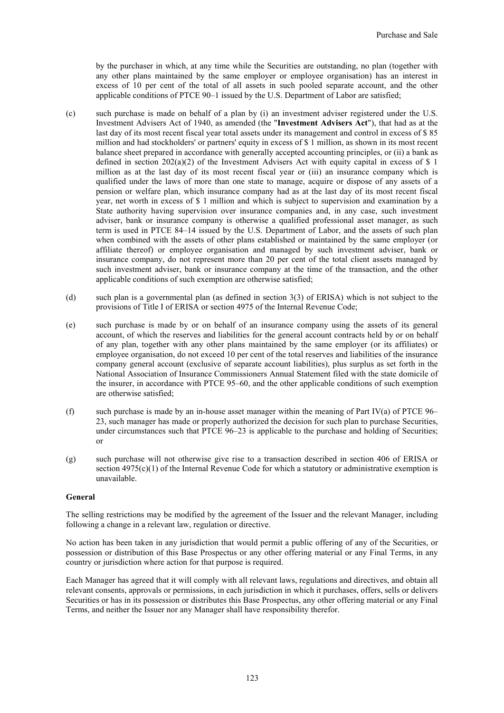by the purchaser in which, at any time while the Securities are outstanding, no plan (together with any other plans maintained by the same employer or employee organisation) has an interest in excess of 10 per cent of the total of all assets in such pooled separate account, and the other applicable conditions of PTCE 90–1 issued by the U.S. Department of Labor are satisfied;

- (c) such purchase is made on behalf of a plan by (i) an investment adviser registered under the U.S. Investment Advisers Act of 1940, as amended (the "**Investment Advisers Act**"), that had as at the last day of its most recent fiscal year total assets under its management and control in excess of \$ 85 million and had stockholders' or partners' equity in excess of \$ 1 million, as shown in its most recent balance sheet prepared in accordance with generally accepted accounting principles, or (ii) a bank as defined in section 202(a)(2) of the Investment Advisers Act with equity capital in excess of \$ 1 million as at the last day of its most recent fiscal year or (iii) an insurance company which is qualified under the laws of more than one state to manage, acquire or dispose of any assets of a pension or welfare plan, which insurance company had as at the last day of its most recent fiscal year, net worth in excess of \$ 1 million and which is subject to supervision and examination by a State authority having supervision over insurance companies and, in any case, such investment adviser, bank or insurance company is otherwise a qualified professional asset manager, as such term is used in PTCE 84–14 issued by the U.S. Department of Labor, and the assets of such plan when combined with the assets of other plans established or maintained by the same employer (or affiliate thereof) or employee organisation and managed by such investment adviser, bank or insurance company, do not represent more than 20 per cent of the total client assets managed by such investment adviser, bank or insurance company at the time of the transaction, and the other applicable conditions of such exemption are otherwise satisfied;
- (d) such plan is a governmental plan (as defined in section 3(3) of ERISA) which is not subject to the provisions of Title I of ERISA or section 4975 of the Internal Revenue Code;
- (e) such purchase is made by or on behalf of an insurance company using the assets of its general account, of which the reserves and liabilities for the general account contracts held by or on behalf of any plan, together with any other plans maintained by the same employer (or its affiliates) or employee organisation, do not exceed 10 per cent of the total reserves and liabilities of the insurance company general account (exclusive of separate account liabilities), plus surplus as set forth in the National Association of Insurance Commissioners Annual Statement filed with the state domicile of the insurer, in accordance with PTCE 95–60, and the other applicable conditions of such exemption are otherwise satisfied;
- (f) such purchase is made by an in-house asset manager within the meaning of Part IV(a) of PTCE  $96-$ 23, such manager has made or properly authorized the decision for such plan to purchase Securities, under circumstances such that PTCE 96–23 is applicable to the purchase and holding of Securities; or
- (g) such purchase will not otherwise give rise to a transaction described in section 406 of ERISA or section  $4975(c)(1)$  of the Internal Revenue Code for which a statutory or administrative exemption is unavailable.

## **General**

The selling restrictions may be modified by the agreement of the Issuer and the relevant Manager, including following a change in a relevant law, regulation or directive.

No action has been taken in any jurisdiction that would permit a public offering of any of the Securities, or possession or distribution of this Base Prospectus or any other offering material or any Final Terms, in any country or jurisdiction where action for that purpose is required.

Each Manager has agreed that it will comply with all relevant laws, regulations and directives, and obtain all relevant consents, approvals or permissions, in each jurisdiction in which it purchases, offers, sells or delivers Securities or has in its possession or distributes this Base Prospectus, any other offering material or any Final Terms, and neither the Issuer nor any Manager shall have responsibility therefor.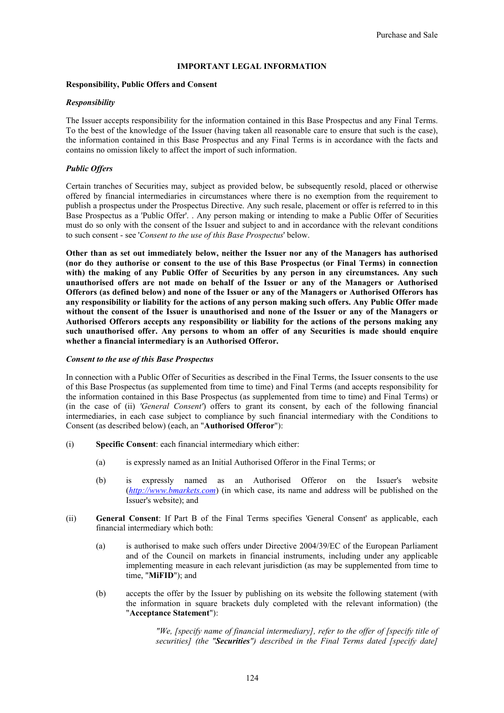## **IMPORTANT LEGAL INFORMATION**

## **Responsibility, Public Offers and Consent**

## *Responsibility*

The Issuer accepts responsibility for the information contained in this Base Prospectus and any Final Terms. To the best of the knowledge of the Issuer (having taken all reasonable care to ensure that such is the case), the information contained in this Base Prospectus and any Final Terms is in accordance with the facts and contains no omission likely to affect the import of such information.

## *Public Offers*

Certain tranches of Securities may, subject as provided below, be subsequently resold, placed or otherwise offered by financial intermediaries in circumstances where there is no exemption from the requirement to publish a prospectus under the Prospectus Directive. Any such resale, placement or offer is referred to in this Base Prospectus as a 'Public Offer'. . Any person making or intending to make a Public Offer of Securities must do so only with the consent of the Issuer and subject to and in accordance with the relevant conditions to such consent - see '*Consent to the use of this Base Prospectus*' below.

**Other than as set out immediately below, neither the Issuer nor any of the Managers has authorised (nor do they authorise or consent to the use of this Base Prospectus (or Final Terms) in connection with) the making of any Public Offer of Securities by any person in any circumstances. Any such unauthorised offers are not made on behalf of the Issuer or any of the Managers or Authorised Offerors (as defined below) and none of the Issuer or any of the Managers or Authorised Offerors has any responsibility or liability for the actions of any person making such offers. Any Public Offer made without the consent of the Issuer is unauthorised and none of the Issuer or any of the Managers or Authorised Offerors accepts any responsibility or liability for the actions of the persons making any such unauthorised offer. Any persons to whom an offer of any Securities is made should enquire whether a financial intermediary is an Authorised Offeror.**

## *Consent to the use of this Base Prospectus*

In connection with a Public Offer of Securities as described in the Final Terms, the Issuer consents to the use of this Base Prospectus (as supplemented from time to time) and Final Terms (and accepts responsibility for the information contained in this Base Prospectus (as supplemented from time to time) and Final Terms) or (in the case of (ii) *'General Consent'*) offers to grant its consent, by each of the following financial intermediaries, in each case subject to compliance by such financial intermediary with the Conditions to Consent (as described below) (each, an "**Authorised Offeror**"):

- (i) **Specific Consent**: each financial intermediary which either:
	- (a) is expressly named as an Initial Authorised Offeror in the Final Terms; or
	- (b) is expressly named as an Authorised Offeror on the Issuer's website (*http://www.bmarkets.com*) (in which case, its name and address will be published on the Issuer's website); and
- (ii) **General Consent**: If Part B of the Final Terms specifies 'General Consent' as applicable, each financial intermediary which both:
	- (a) is authorised to make such offers under Directive 2004/39/EC of the European Parliament and of the Council on markets in financial instruments, including under any applicable implementing measure in each relevant jurisdiction (as may be supplemented from time to time, "**MiFID**"); and
	- (b) accepts the offer by the Issuer by publishing on its website the following statement (with the information in square brackets duly completed with the relevant information) (the "**Acceptance Statement**"):

*"We, [specify name of financial intermediary], refer to the offer of [specify title of securities] (the "Securities") described in the Final Terms dated [specify date]*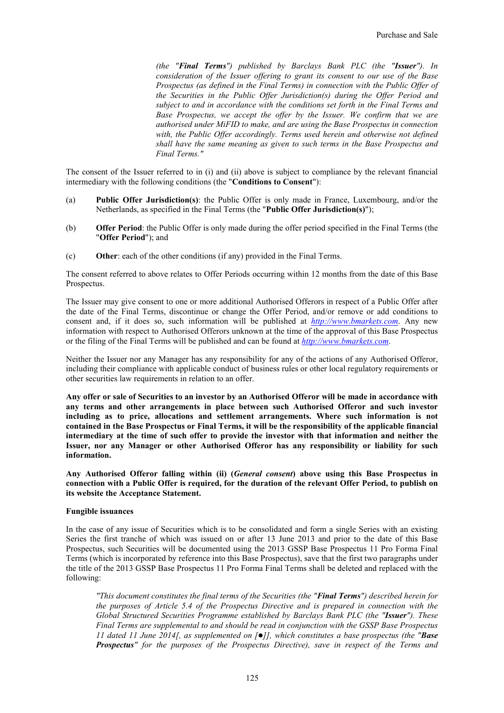*(the "Final Terms") published by Barclays Bank PLC (the "Issuer"). In consideration of the Issuer offering to grant its consent to our use of the Base Prospectus (as defined in the Final Terms) in connection with the Public Offer of the Securities in the Public Offer Jurisdiction(s) during the Offer Period and subject to and in accordance with the conditions set forth in the Final Terms and Base Prospectus, we accept the offer by the Issuer. We confirm that we are authorised under MiFID to make, and are using the Base Prospectus in connection*  with, the Public Offer accordingly. Terms used herein and otherwise not defined *shall have the same meaning as given to such terms in the Base Prospectus and Final Terms."*

The consent of the Issuer referred to in (i) and (ii) above is subject to compliance by the relevant financial intermediary with the following conditions (the "**Conditions to Consent**"):

- (a) **Public Offer Jurisdiction(s)**: the Public Offer is only made in France, Luxembourg, and/or the Netherlands, as specified in the Final Terms (the "**Public Offer Jurisdiction(s)**");
- (b) **Offer Period**: the Public Offer is only made during the offer period specified in the Final Terms (the "**Offer Period**"); and
- (c) **Other**: each of the other conditions (if any) provided in the Final Terms.

The consent referred to above relates to Offer Periods occurring within 12 months from the date of this Base Prospectus.

The Issuer may give consent to one or more additional Authorised Offerors in respect of a Public Offer after the date of the Final Terms, discontinue or change the Offer Period, and/or remove or add conditions to consent and, if it does so, such information will be published at *http://www.bmarkets.com*. Any new information with respect to Authorised Offerors unknown at the time of the approval of this Base Prospectus or the filing of the Final Terms will be published and can be found at *http://www.bmarkets.com*.

Neither the Issuer nor any Manager has any responsibility for any of the actions of any Authorised Offeror, including their compliance with applicable conduct of business rules or other local regulatory requirements or other securities law requirements in relation to an offer.

**Any offer or sale of Securities to an investor by an Authorised Offeror will be made in accordance with any terms and other arrangements in place between such Authorised Offeror and such investor including as to price, allocations and settlement arrangements. Where such information is not contained in the Base Prospectus or Final Terms, it will be the responsibility of the applicable financial intermediary at the time of such offer to provide the investor with that information and neither the Issuer, nor any Manager or other Authorised Offeror has any responsibility or liability for such information.**

**Any Authorised Offeror falling within (ii) (***General consent***) above using this Base Prospectus in connection with a Public Offer is required, for the duration of the relevant Offer Period, to publish on its website the Acceptance Statement.**

#### **Fungible issuances**

In the case of any issue of Securities which is to be consolidated and form a single Series with an existing Series the first tranche of which was issued on or after 13 June 2013 and prior to the date of this Base Prospectus, such Securities will be documented using the 2013 GSSP Base Prospectus 11 Pro Forma Final Terms (which is incorporated by reference into this Base Prospectus), save that the first two paragraphs under the title of the 2013 GSSP Base Prospectus 11 Pro Forma Final Terms shall be deleted and replaced with the following:

*"This document constitutes the final terms of the Securities (the "Final Terms") described herein for the purposes of Article 5.4 of the Prospectus Directive and is prepared in connection with the Global Structured Securities Programme established by Barclays Bank PLC (the "Issuer"). These Final Terms are supplemental to and should be read in conjunction with the GSSP Base Prospectus 11 dated 11 June 2014[, as supplemented on []], which constitutes a base prospectus (the "Base Prospectus" for the purposes of the Prospectus Directive), save in respect of the Terms and*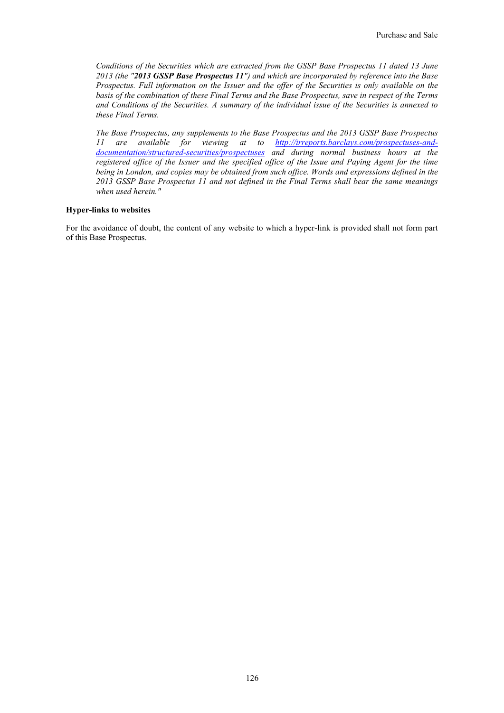*Conditions of the Securities which are extracted from the GSSP Base Prospectus 11 dated 13 June 2013 (the "2013 GSSP Base Prospectus 11") and which are incorporated by reference into the Base Prospectus. Full information on the Issuer and the offer of the Securities is only available on the basis of the combination of these Final Terms and the Base Prospectus, save in respect of the Terms and Conditions of the Securities. A summary of the individual issue of the Securities is annexed to these Final Terms.*

*The Base Prospectus, any supplements to the Base Prospectus and the 2013 GSSP Base Prospectus 11 are available for viewing at to http://irreports.barclays.com/prospectuses-anddocumentation/structured-securities/prospectuses and during normal business hours at the registered office of the Issuer and the specified office of the Issue and Paying Agent for the time being in London, and copies may be obtained from such office. Words and expressions defined in the 2013 GSSP Base Prospectus 11 and not defined in the Final Terms shall bear the same meanings when used herein."*

## **Hyper-links to websites**

For the avoidance of doubt, the content of any website to which a hyper-link is provided shall not form part of this Base Prospectus.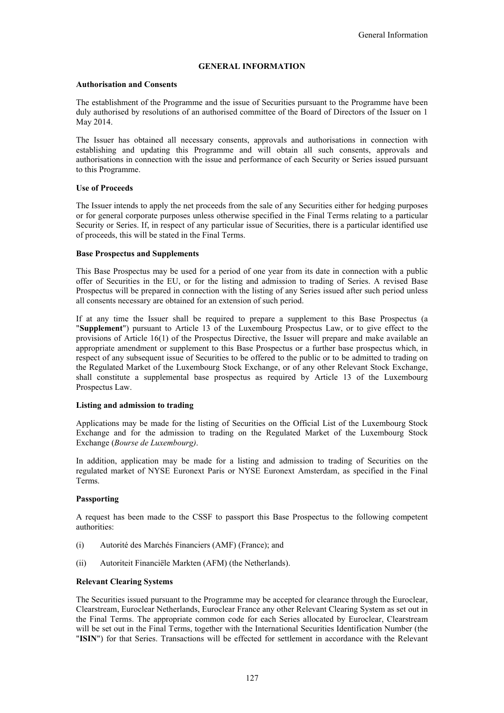## **GENERAL INFORMATION**

## **Authorisation and Consents**

The establishment of the Programme and the issue of Securities pursuant to the Programme have been duly authorised by resolutions of an authorised committee of the Board of Directors of the Issuer on 1 May 2014.

The Issuer has obtained all necessary consents, approvals and authorisations in connection with establishing and updating this Programme and will obtain all such consents, approvals and authorisations in connection with the issue and performance of each Security or Series issued pursuant to this Programme.

#### **Use of Proceeds**

The Issuer intends to apply the net proceeds from the sale of any Securities either for hedging purposes or for general corporate purposes unless otherwise specified in the Final Terms relating to a particular Security or Series. If, in respect of any particular issue of Securities, there is a particular identified use of proceeds, this will be stated in the Final Terms.

#### **Base Prospectus and Supplements**

This Base Prospectus may be used for a period of one year from its date in connection with a public offer of Securities in the EU, or for the listing and admission to trading of Series. A revised Base Prospectus will be prepared in connection with the listing of any Series issued after such period unless all consents necessary are obtained for an extension of such period.

If at any time the Issuer shall be required to prepare a supplement to this Base Prospectus (a "**Supplement**") pursuant to Article 13 of the Luxembourg Prospectus Law, or to give effect to the provisions of Article 16(1) of the Prospectus Directive, the Issuer will prepare and make available an appropriate amendment or supplement to this Base Prospectus or a further base prospectus which, in respect of any subsequent issue of Securities to be offered to the public or to be admitted to trading on the Regulated Market of the Luxembourg Stock Exchange, or of any other Relevant Stock Exchange, shall constitute a supplemental base prospectus as required by Article 13 of the Luxembourg Prospectus Law.

#### **Listing and admission to trading**

Applications may be made for the listing of Securities on the Official List of the Luxembourg Stock Exchange and for the admission to trading on the Regulated Market of the Luxembourg Stock Exchange (*Bourse de Luxembourg)*.

In addition, application may be made for a listing and admission to trading of Securities on the regulated market of NYSE Euronext Paris or NYSE Euronext Amsterdam, as specified in the Final Terms.

#### **Passporting**

A request has been made to the CSSF to passport this Base Prospectus to the following competent authorities:

- (i) Autorité des Marchés Financiers (AMF) (France); and
- (ii) Autoriteit Financiële Markten (AFM) (the Netherlands).

#### **Relevant Clearing Systems**

The Securities issued pursuant to the Programme may be accepted for clearance through the Euroclear, Clearstream, Euroclear Netherlands, Euroclear France any other Relevant Clearing System as set out in the Final Terms. The appropriate common code for each Series allocated by Euroclear, Clearstream will be set out in the Final Terms, together with the International Securities Identification Number (the "**ISIN**") for that Series. Transactions will be effected for settlement in accordance with the Relevant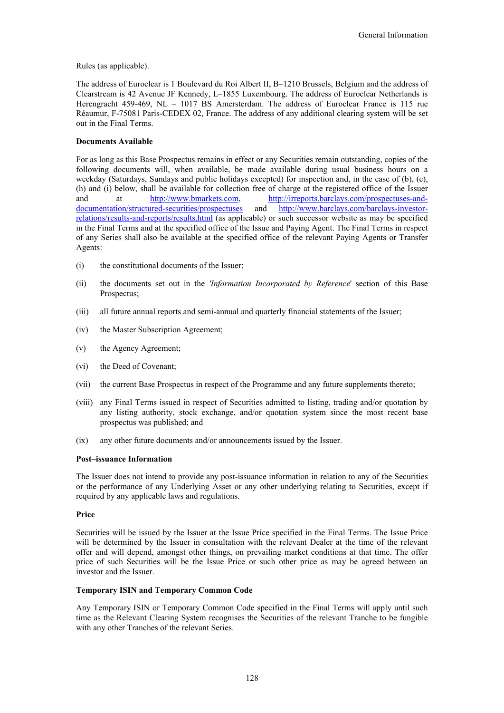Rules (as applicable).

The address of Euroclear is 1 Boulevard du Roi Albert II, B–1210 Brussels, Belgium and the address of Clearstream is 42 Avenue JF Kennedy, L–1855 Luxembourg. The address of Euroclear Netherlands is Herengracht 459-469, NL – 1017 BS Amersterdam. The address of Euroclear France is 115 rue Réaumur, F-75081 Paris-CEDEX 02, France. The address of any additional clearing system will be set out in the Final Terms.

## **Documents Available**

For as long as this Base Prospectus remains in effect or any Securities remain outstanding, copies of the following documents will, when available, be made available during usual business hours on a weekday (Saturdays, Sundays and public holidays excepted) for inspection and, in the case of (b), (c), (h) and (i) below, shall be available for collection free of charge at the registered office of the Issuer and at http://www.bmarkets.com, http://irreports.barclays.com/prospectuses-anddocumentation/structured-securities/prospectuses and http://www.barclays.com/barclays-investorrelations/results-and-reports/results.html (as applicable) or such successor website as may be specified in the Final Terms and at the specified office of the Issue and Paying Agent. The Final Terms in respect of any Series shall also be available at the specified office of the relevant Paying Agents or Transfer Agents:

- (i) the constitutional documents of the Issuer;
- (ii) the documents set out in the *'Information Incorporated by Reference*' section of this Base Prospectus;
- (iii) all future annual reports and semi-annual and quarterly financial statements of the Issuer;
- (iv) the Master Subscription Agreement;
- (v) the Agency Agreement;
- (vi) the Deed of Covenant;
- (vii) the current Base Prospectus in respect of the Programme and any future supplements thereto;
- (viii) any Final Terms issued in respect of Securities admitted to listing, trading and/or quotation by any listing authority, stock exchange, and/or quotation system since the most recent base prospectus was published; and
- (ix) any other future documents and/or announcements issued by the Issuer.

## **Post–issuance Information**

The Issuer does not intend to provide any post-issuance information in relation to any of the Securities or the performance of any Underlying Asset or any other underlying relating to Securities, except if required by any applicable laws and regulations.

#### **Price**

Securities will be issued by the Issuer at the Issue Price specified in the Final Terms. The Issue Price will be determined by the Issuer in consultation with the relevant Dealer at the time of the relevant offer and will depend, amongst other things, on prevailing market conditions at that time. The offer price of such Securities will be the Issue Price or such other price as may be agreed between an investor and the Issuer.

## **Temporary ISIN and Temporary Common Code**

Any Temporary ISIN or Temporary Common Code specified in the Final Terms will apply until such time as the Relevant Clearing System recognises the Securities of the relevant Tranche to be fungible with any other Tranches of the relevant Series.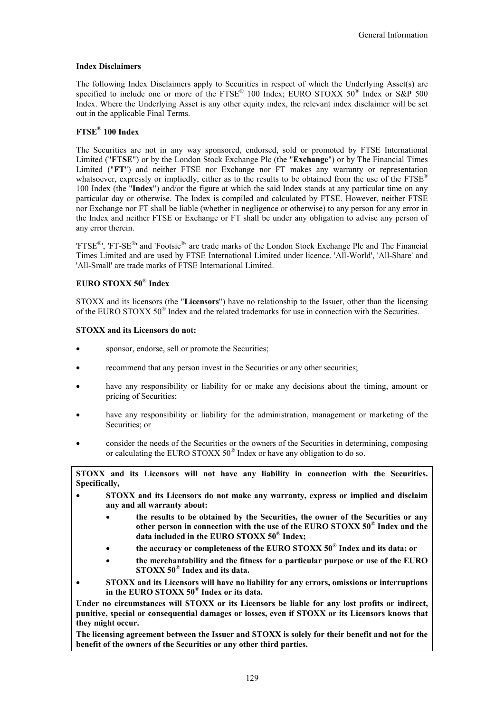## **Index Disclaimers**

The following Index Disclaimers apply to Securities in respect of which the Underlying Asset(s) are specified to include one or more of the FTSE<sup>®</sup> 100 Index; EURO STOXX 50<sup>®</sup> Index or S&P 500 Index. Where the Underlying Asset is any other equity index, the relevant index disclaimer will be set out in the applicable Final Terms.

## **FTSE**® **100 Index**

The Securities are not in any way sponsored, endorsed, sold or promoted by FTSE International Limited ("**FTSE**") or by the London Stock Exchange Plc (the "**Exchange**") or by The Financial Times Limited ("**FT**") and neither FTSE nor Exchange nor FT makes any warranty or representation whatsoever, expressly or impliedly, either as to the results to be obtained from the use of the  $FTSE^{\mathcal{D}}$ 100 Index (the "**Index**") and/or the figure at which the said Index stands at any particular time on any particular day or otherwise. The Index is compiled and calculated by FTSE. However, neither FTSE nor Exchange nor FT shall be liable (whether in negligence or otherwise) to any person for any error in the Index and neither FTSE or Exchange or FT shall be under any obligation to advise any person of any error therein.

'FTSE<sup>®</sup>', 'FT-SE<sup>®</sup>' and 'Footsie<sup>®</sup>' are trade marks of the London Stock Exchange Plc and The Financial Times Limited and are used by FTSE International Limited under licence. 'All-World', 'All-Share' and 'All-Small' are trade marks of FTSE International Limited.

## **EURO STOXX 50**® **Index**

STOXX and its licensors (the "**Licensors**") have no relationship to the Issuer, other than the licensing of the EURO STOXX 50<sup>®</sup> Index and the related trademarks for use in connection with the Securities.

## **STOXX and its Licensors do not:**

- sponsor, endorse, sell or promote the Securities;
- recommend that any person invest in the Securities or any other securities;
- have any responsibility or liability for or make any decisions about the timing, amount or pricing of Securities;
- have any responsibility or liability for the administration, management or marketing of the Securities; or
- consider the needs of the Securities or the owners of the Securities in determining, composing or calculating the EURO STOXX 50<sup>®</sup> Index or have any obligation to do so.

**STOXX and its Licensors will not have any liability in connection with the Securities. Specifically,**

- **STOXX and its Licensors do not make any warranty, express or implied and disclaim any and all warranty about:**
	- **the results to be obtained by the Securities, the owner of the Securities or any other person in connection with the use of the EURO STOXX 50**® **Index and the data included in the EURO STOXX 50**® **Index;**
	- **the accuracy or completeness of the EURO STOXX 50**® **Index and its data; or**
	- **the merchantability and the fitness for a particular purpose or use of the EURO STOXX 50**® **Index and its data.**
- **STOXX and its Licensors will have no liability for any errors, omissions or interruptions in the EURO STOXX 50**® **Index or its data.**

**Under no circumstances will STOXX or its Licensors be liable for any lost profits or indirect, punitive, special or consequential damages or losses, even if STOXX or its Licensors knows that they might occur.**

**The licensing agreement between the Issuer and STOXX is solely for their benefit and not for the benefit of the owners of the Securities or any other third parties.**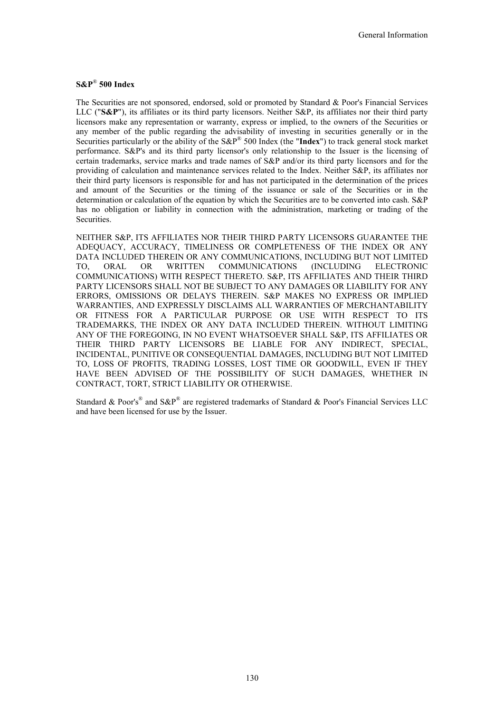## **S&P**® **500 Index**

The Securities are not sponsored, endorsed, sold or promoted by Standard & Poor's Financial Services LLC ("**S&P**"), its affiliates or its third party licensors. Neither S&P, its affiliates nor their third party licensors make any representation or warranty, express or implied, to the owners of the Securities or any member of the public regarding the advisability of investing in securities generally or in the Securities particularly or the ability of the S&P® 500 Index (the "**Index**") to track general stock market performance. S&P's and its third party licensor's only relationship to the Issuer is the licensing of certain trademarks, service marks and trade names of S&P and/or its third party licensors and for the providing of calculation and maintenance services related to the Index. Neither S&P, its affiliates nor their third party licensors is responsible for and has not participated in the determination of the prices and amount of the Securities or the timing of the issuance or sale of the Securities or in the determination or calculation of the equation by which the Securities are to be converted into cash. S&P has no obligation or liability in connection with the administration, marketing or trading of the Securities.

NEITHER S&P, ITS AFFILIATES NOR THEIR THIRD PARTY LICENSORS GUARANTEE THE ADEQUACY, ACCURACY, TIMELINESS OR COMPLETENESS OF THE INDEX OR ANY DATA INCLUDED THEREIN OR ANY COMMUNICATIONS, INCLUDING BUT NOT LIMITED TO, ORAL OR WRITTEN COMMUNICATIONS (INCLUDING ELECTRONIC COMMUNICATIONS) WITH RESPECT THERETO. S&P, ITS AFFILIATES AND THEIR THIRD PARTY LICENSORS SHALL NOT BE SUBJECT TO ANY DAMAGES OR LIABILITY FOR ANY ERRORS, OMISSIONS OR DELAYS THEREIN. S&P MAKES NO EXPRESS OR IMPLIED WARRANTIES, AND EXPRESSLY DISCLAIMS ALL WARRANTIES OF MERCHANTABILITY OR FITNESS FOR A PARTICULAR PURPOSE OR USE WITH RESPECT TO ITS TRADEMARKS, THE INDEX OR ANY DATA INCLUDED THEREIN. WITHOUT LIMITING ANY OF THE FOREGOING, IN NO EVENT WHATSOEVER SHALL S&P, ITS AFFILIATES OR THEIR THIRD PARTY LICENSORS BE LIABLE FOR ANY INDIRECT, SPECIAL, INCIDENTAL, PUNITIVE OR CONSEQUENTIAL DAMAGES, INCLUDING BUT NOT LIMITED TO, LOSS OF PROFITS, TRADING LOSSES, LOST TIME OR GOODWILL, EVEN IF THEY HAVE BEEN ADVISED OF THE POSSIBILITY OF SUCH DAMAGES, WHETHER IN CONTRACT, TORT, STRICT LIABILITY OR OTHERWISE.

Standard & Poor's<sup>®</sup> and S&P<sup>®</sup> are registered trademarks of Standard & Poor's Financial Services LLC and have been licensed for use by the Issuer.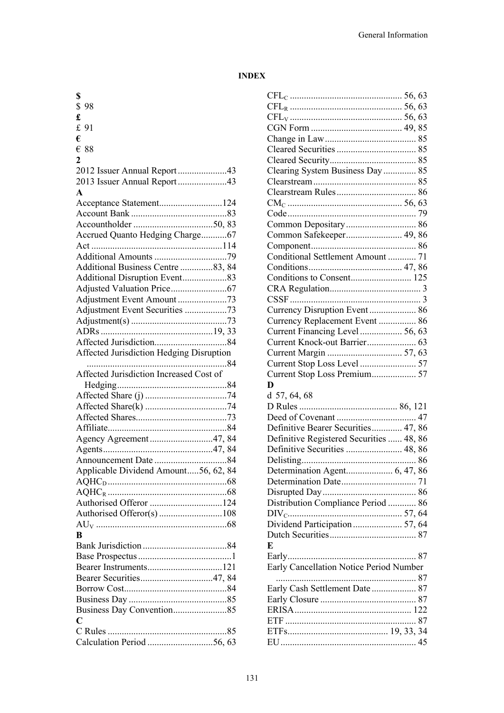## **INDEX**

| \$                                       |
|------------------------------------------|
| \$98                                     |
| £                                        |
| £ 91                                     |
| €                                        |
| $\epsilon$ 88                            |
| 2                                        |
| 2012 Issuer Annual Report43              |
| 2013 Issuer Annual Report43              |
| $\mathbf{A}$                             |
| Acceptance Statement124                  |
|                                          |
|                                          |
| Accrued Quanto Hedging Charge67          |
|                                          |
|                                          |
| Additional Business Centre 83, 84        |
|                                          |
|                                          |
|                                          |
| Adjustment Event Securities 73           |
|                                          |
|                                          |
|                                          |
| Affected Jurisdiction Hedging Disruption |
| Affected Jurisdiction Increased Cost of  |
|                                          |
|                                          |
|                                          |
|                                          |
|                                          |
|                                          |
|                                          |
| Agency Agreement47, 84                   |
|                                          |
|                                          |
| Applicable Dividend Amount56, 62, 84     |
|                                          |
|                                          |
|                                          |
|                                          |
|                                          |
| R                                        |
|                                          |
|                                          |
|                                          |
|                                          |
|                                          |
|                                          |
| $\overline{C}$                           |
|                                          |
|                                          |

| Clearing System Business Day  85         |  |  |
|------------------------------------------|--|--|
|                                          |  |  |
|                                          |  |  |
|                                          |  |  |
|                                          |  |  |
|                                          |  |  |
| Common Safekeeper 49, 86                 |  |  |
|                                          |  |  |
| Conditional Settlement Amount  71        |  |  |
|                                          |  |  |
| Conditions to Consent 125                |  |  |
|                                          |  |  |
|                                          |  |  |
|                                          |  |  |
| Currency Disruption Event 86             |  |  |
| Currency Replacement Event  86           |  |  |
| Current Financing Level  56, 63          |  |  |
|                                          |  |  |
|                                          |  |  |
|                                          |  |  |
|                                          |  |  |
| Current Stop Loss Premium 57             |  |  |
| D                                        |  |  |
| $d$ 57, 64, 68                           |  |  |
|                                          |  |  |
|                                          |  |  |
|                                          |  |  |
| Definitive Bearer Securities 47, 86      |  |  |
| Definitive Registered Securities  48, 86 |  |  |
| Definitive Securities  48, 86            |  |  |
|                                          |  |  |
|                                          |  |  |
|                                          |  |  |
|                                          |  |  |
| Distribution Compliance Period  86       |  |  |
|                                          |  |  |
| Dividend Participation  57, 64           |  |  |
|                                          |  |  |
| E                                        |  |  |
|                                          |  |  |
| Early Cancellation Notice Period Number  |  |  |
|                                          |  |  |
|                                          |  |  |
|                                          |  |  |
|                                          |  |  |
|                                          |  |  |
|                                          |  |  |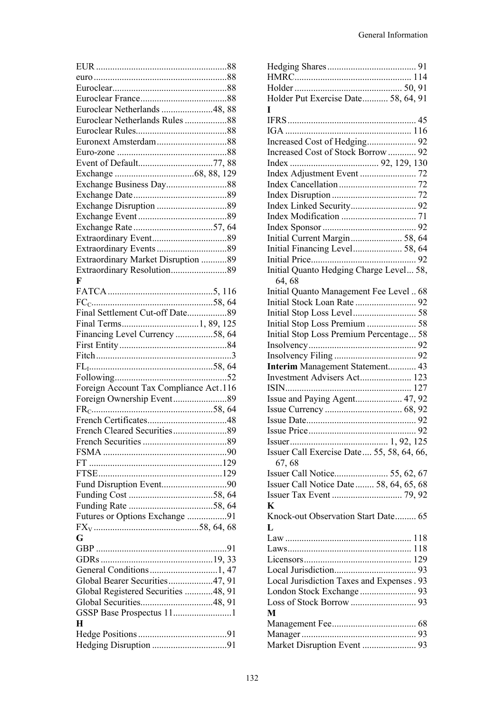| Euroclear Netherlands 48, 88           |  |
|----------------------------------------|--|
| Euroclear Netherlands Rules88          |  |
|                                        |  |
|                                        |  |
|                                        |  |
|                                        |  |
|                                        |  |
|                                        |  |
|                                        |  |
|                                        |  |
|                                        |  |
|                                        |  |
|                                        |  |
|                                        |  |
| Extraordinary Market Disruption 89     |  |
|                                        |  |
| F                                      |  |
|                                        |  |
|                                        |  |
| Final Settlement Cut-off Date89        |  |
|                                        |  |
|                                        |  |
| Financing Level Currency 58, 64        |  |
|                                        |  |
|                                        |  |
|                                        |  |
|                                        |  |
|                                        |  |
| Foreign Account Tax Compliance Act.116 |  |
|                                        |  |
|                                        |  |
|                                        |  |
|                                        |  |
|                                        |  |
|                                        |  |
|                                        |  |
|                                        |  |
|                                        |  |
|                                        |  |
|                                        |  |
| Futures or Options Exchange 91         |  |
|                                        |  |
| G                                      |  |
|                                        |  |
|                                        |  |
|                                        |  |
| Global Bearer Securities47, 91         |  |
| Global Registered Securities 48, 91    |  |
|                                        |  |
| GSSP Base Prospectus 111               |  |
| н                                      |  |
|                                        |  |
|                                        |  |

| Holder Put Exercise Date 58, 64, 91        |
|--------------------------------------------|
| T                                          |
|                                            |
|                                            |
|                                            |
| Increased Cost of Hedging 92               |
| Increased Cost of Stock Borrow  92         |
|                                            |
|                                            |
|                                            |
|                                            |
|                                            |
|                                            |
|                                            |
|                                            |
|                                            |
| Initial Financing Level 58, 64             |
|                                            |
| Initial Quanto Hedging Charge Level 58,    |
| 64, 68                                     |
| Initial Quanto Management Fee Level  68    |
|                                            |
|                                            |
| Initial Stop Loss Premium  58              |
| Initial Stop Loss Premium Percentage 58    |
|                                            |
|                                            |
|                                            |
| Interim Management Statement 43            |
| Investment Advisers Act 123                |
|                                            |
| Issue and Paying Agent 47, 92              |
|                                            |
|                                            |
|                                            |
|                                            |
| Issuer Call Exercise Date 55, 58, 64, 66,  |
| 67,68                                      |
|                                            |
| Issuer Call Notice 55, 62, 67              |
| Issuer Call Notice Date  58, 64, 65, 68    |
|                                            |
| K                                          |
| Knock-out Observation Start Date 65        |
| L                                          |
|                                            |
|                                            |
|                                            |
|                                            |
| Local Jurisdiction Taxes and Expenses . 93 |
|                                            |
|                                            |
|                                            |
| M                                          |
|                                            |
|                                            |
|                                            |
|                                            |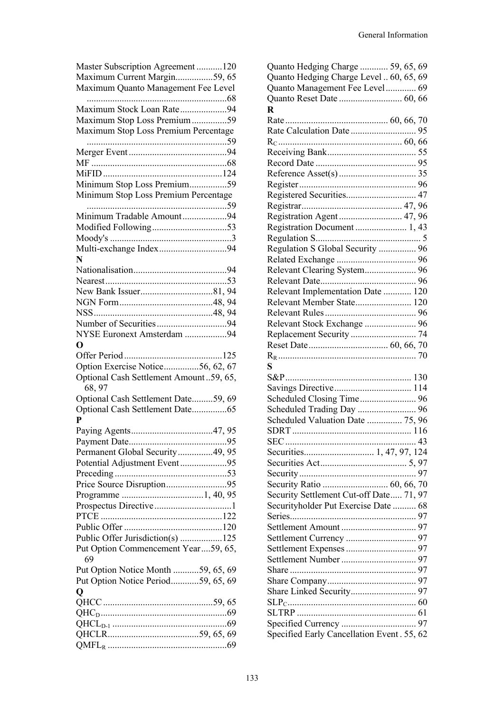| Master Subscription Agreement 120<br>Maximum Current Margin59, 65 |
|-------------------------------------------------------------------|
| Maximum Quanto Management Fee Level                               |
|                                                                   |
| Maximum Stock Loan Rate94                                         |
| Maximum Stop Loss Premium59                                       |
| Maximum Stop Loss Premium Percentage                              |
|                                                                   |
|                                                                   |
|                                                                   |
|                                                                   |
| Minimum Stop Loss Premium59                                       |
| Minimum Stop Loss Premium Percentage                              |
|                                                                   |
| Minimum Tradable Amount94                                         |
|                                                                   |
|                                                                   |
| Multi-exchange Index94                                            |
| N                                                                 |
|                                                                   |
|                                                                   |
|                                                                   |
|                                                                   |
|                                                                   |
|                                                                   |
| NYSE Euronext Amsterdam 94                                        |
| O                                                                 |
|                                                                   |
| Option Exercise Notice56, 62, 67                                  |
| Optional Cash Settlement Amount 59, 65,                           |
| 68, 97                                                            |
| Optional Cash Settlement Date59, 69                               |
| Optional Cash Settlement Date65                                   |
| P                                                                 |
|                                                                   |
|                                                                   |
| Permanent Global Security49, 95                                   |
| Potential Adjustment Event95                                      |
|                                                                   |
| Price Source Disruption95                                         |
|                                                                   |
|                                                                   |
|                                                                   |
|                                                                   |
| Public Offer Jurisdiction(s) 125                                  |
| Put Option Commencement Year59, 65,                               |
| 69                                                                |
| Put Option Notice Month 59, 65, 69                                |
| Put Option Notice Period59, 65, 69                                |
| Q                                                                 |
|                                                                   |
|                                                                   |
|                                                                   |

| Quanto Hedging Charge  59, 65, 69          |  |  |
|--------------------------------------------|--|--|
| Quanto Hedging Charge Level  60, 65, 69    |  |  |
| Quanto Management Fee Level 69             |  |  |
|                                            |  |  |
| R                                          |  |  |
|                                            |  |  |
|                                            |  |  |
|                                            |  |  |
|                                            |  |  |
|                                            |  |  |
|                                            |  |  |
|                                            |  |  |
| Registered Securities 47                   |  |  |
|                                            |  |  |
|                                            |  |  |
| Registration Agent 47, 96                  |  |  |
| Registration Document 1, 43                |  |  |
|                                            |  |  |
| Regulation S Global Security  96           |  |  |
|                                            |  |  |
|                                            |  |  |
|                                            |  |  |
| Relevant Implementation Date  120          |  |  |
| Relevant Member State 120                  |  |  |
|                                            |  |  |
| Relevant Stock Exchange  96                |  |  |
|                                            |  |  |
|                                            |  |  |
|                                            |  |  |
|                                            |  |  |
| S                                          |  |  |
|                                            |  |  |
|                                            |  |  |
|                                            |  |  |
|                                            |  |  |
|                                            |  |  |
| Scheduled Valuation Date  75, 96           |  |  |
|                                            |  |  |
| <b>SEC</b>                                 |  |  |
|                                            |  |  |
|                                            |  |  |
|                                            |  |  |
|                                            |  |  |
| Security Settlement Cut-off Date 71, 97    |  |  |
| Securityholder Put Exercise Date  68       |  |  |
|                                            |  |  |
|                                            |  |  |
|                                            |  |  |
|                                            |  |  |
|                                            |  |  |
|                                            |  |  |
|                                            |  |  |
|                                            |  |  |
|                                            |  |  |
|                                            |  |  |
|                                            |  |  |
| Specified Early Cancellation Event. 55, 62 |  |  |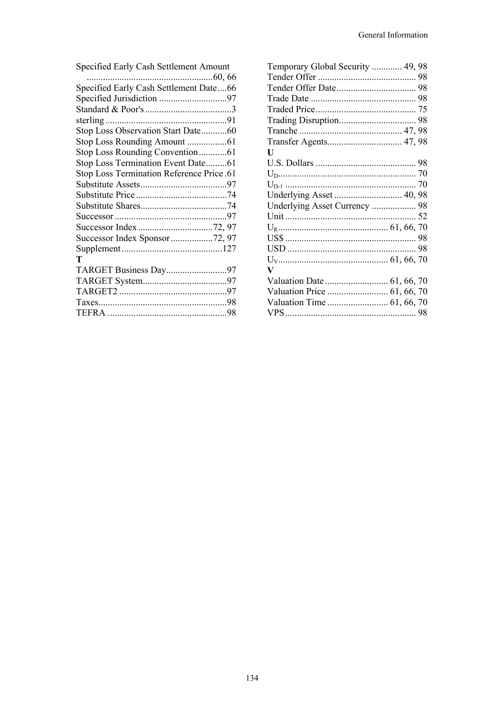| Specified Early Cash Settlement Amount    |  |
|-------------------------------------------|--|
|                                           |  |
| Specified Early Cash Settlement Date66    |  |
|                                           |  |
|                                           |  |
|                                           |  |
| Stop Loss Observation Start Date60        |  |
|                                           |  |
|                                           |  |
| Stop Loss Termination Event Date61        |  |
| Stop Loss Termination Reference Price .61 |  |
|                                           |  |
|                                           |  |
|                                           |  |
|                                           |  |
|                                           |  |
| Successor Index Sponsor72, 97             |  |
|                                           |  |
| т                                         |  |
| TARGET Business Day97                     |  |
|                                           |  |
|                                           |  |
|                                           |  |
|                                           |  |
|                                           |  |

| Temporary Global Security  49, 98 |  |
|-----------------------------------|--|
|                                   |  |
|                                   |  |
|                                   |  |
|                                   |  |
|                                   |  |
|                                   |  |
|                                   |  |
| U                                 |  |
|                                   |  |
|                                   |  |
|                                   |  |
|                                   |  |
|                                   |  |
|                                   |  |
|                                   |  |
|                                   |  |
|                                   |  |
|                                   |  |
| V                                 |  |
|                                   |  |
|                                   |  |
|                                   |  |
|                                   |  |
|                                   |  |